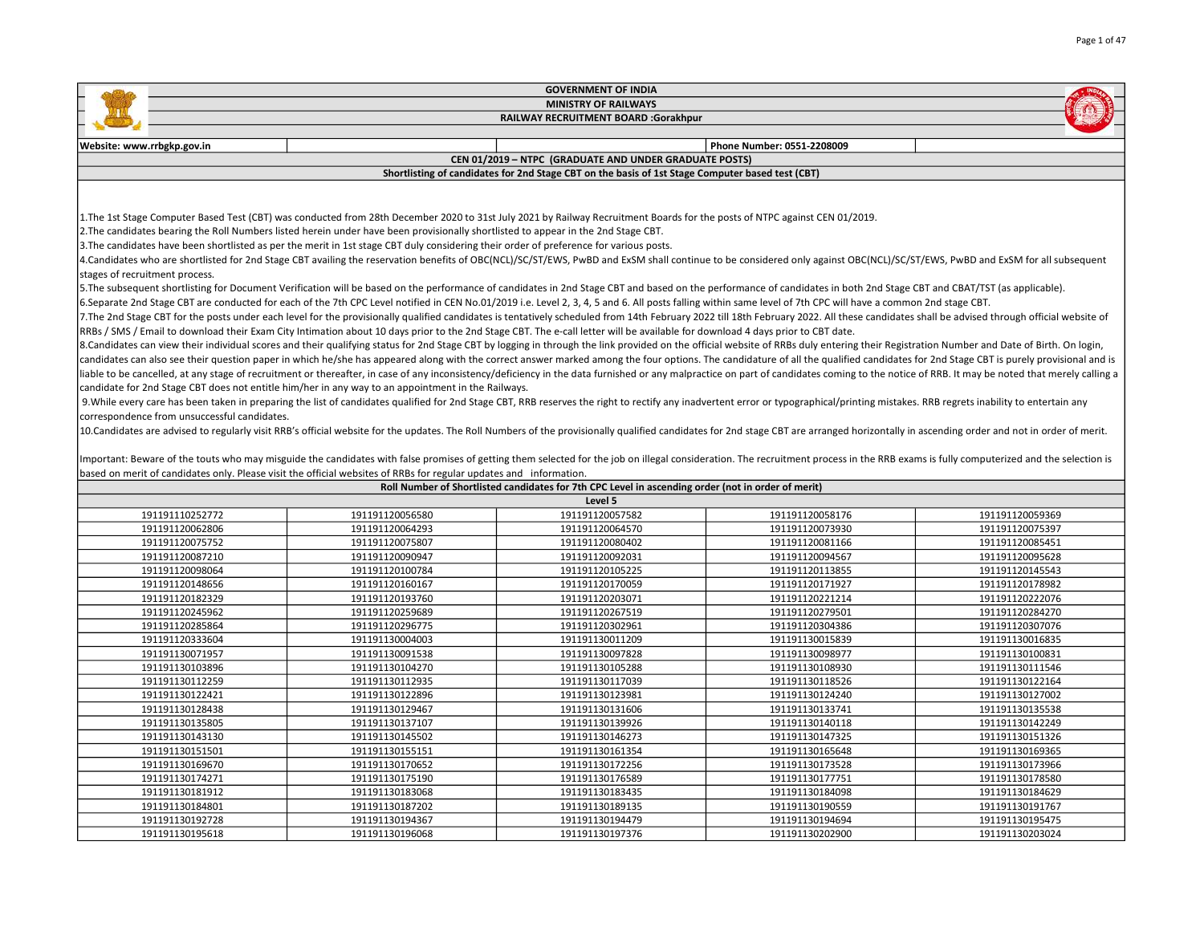|                                              | <b>GOVERNMENT OF INDIA</b>                                                                                                                                                                                                                                                                                        |                                                                                                    |                            |                 |  |  |
|----------------------------------------------|-------------------------------------------------------------------------------------------------------------------------------------------------------------------------------------------------------------------------------------------------------------------------------------------------------------------|----------------------------------------------------------------------------------------------------|----------------------------|-----------------|--|--|
|                                              |                                                                                                                                                                                                                                                                                                                   | <b>MINISTRY OF RAILWAYS</b>                                                                        |                            |                 |  |  |
|                                              |                                                                                                                                                                                                                                                                                                                   | <b>RAILWAY RECRUITMENT BOARD :Gorakhpur</b>                                                        |                            |                 |  |  |
| Website: www.rrbgkp.gov.in                   |                                                                                                                                                                                                                                                                                                                   |                                                                                                    | Phone Number: 0551-2208009 |                 |  |  |
|                                              |                                                                                                                                                                                                                                                                                                                   | CEN 01/2019 - NTPC (GRADUATE AND UNDER GRADUATE POSTS)                                             |                            |                 |  |  |
|                                              |                                                                                                                                                                                                                                                                                                                   | Shortlisting of candidates for 2nd Stage CBT on the basis of 1st Stage Computer based test (CBT)   |                            |                 |  |  |
|                                              | 1. The 1st Stage Computer Based Test (CBT) was conducted from 28th December 2020 to 31st July 2021 by Railway Recruitment Boards for the posts of NTPC against CEN 01/2019.<br>2. The candidates bearing the Roll Numbers listed herein under have been provisionally shortlisted to appear in the 2nd Stage CBT. |                                                                                                    |                            |                 |  |  |
|                                              | 3. The candidates have been shortlisted as per the merit in 1st stage CBT duly considering their order of preference for various posts.                                                                                                                                                                           |                                                                                                    |                            |                 |  |  |
|                                              | 4.Candidates who are shortlisted for 2nd Stage CBT availing the reservation benefits of OBC(NCL)/SC/ST/EWS, PwBD and ExSM shall continue to be considered only against OBC(NCL)/SC/ST/EWS, PwBD and ExSM for all subsequent                                                                                       |                                                                                                    |                            |                 |  |  |
| stages of recruitment process.               |                                                                                                                                                                                                                                                                                                                   |                                                                                                    |                            |                 |  |  |
|                                              | 5. The subsequent shortlisting for Document Verification will be based on the performance of candidates in 2nd Stage CBT and based on the performance of candidates in both 2nd Stage CBT and CBAT/TST (as applicable).                                                                                           |                                                                                                    |                            |                 |  |  |
|                                              | 6.Separate 2nd Stage CBT are conducted for each of the 7th CPC Level notified in CEN No.01/2019 i.e. Level 2, 3, 4, 5 and 6. All posts falling within same level of 7th CPC will have a common 2nd stage CBT.                                                                                                     |                                                                                                    |                            |                 |  |  |
|                                              | 7. The 2nd Stage CBT for the posts under each level for the provisionally qualified candidates is tentatively scheduled from 14th February 2022 till 18th February 2022. All these candidates shall be advised through officia                                                                                    |                                                                                                    |                            |                 |  |  |
|                                              | RRBs / SMS / Email to download their Exam City Intimation about 10 days prior to the 2nd Stage CBT. The e-call letter will be available for download 4 days prior to CBT date.                                                                                                                                    |                                                                                                    |                            |                 |  |  |
|                                              | 8. Candidates can view their individual scores and their qualifying status for 2nd Stage CBT by logging in through the link provided on the official website of RRBs duly entering their Registration Number and Date of Birth                                                                                    |                                                                                                    |                            |                 |  |  |
|                                              | candidates can also see their question paper in which he/she has appeared along with the correct answer marked among the four options. The candidature of all the qualified candidates for 2nd Stage CBT is purely provisional                                                                                    |                                                                                                    |                            |                 |  |  |
|                                              | liable to be cancelled, at any stage of recruitment or thereafter, in case of any inconsistency/deficiency in the data furnished or any malpractice on part of candidates coming to the notice of RRB. It may be noted that me                                                                                    |                                                                                                    |                            |                 |  |  |
|                                              | candidate for 2nd Stage CBT does not entitle him/her in any way to an appointment in the Railways.                                                                                                                                                                                                                |                                                                                                    |                            |                 |  |  |
|                                              | 9. While every care has been taken in preparing the list of candidates qualified for 2nd Stage CBT, RRB reserves the right to rectify any inadvertent error or typographical/printing mistakes. RRB regrets inability to enter                                                                                    |                                                                                                    |                            |                 |  |  |
| correspondence from unsuccessful candidates. |                                                                                                                                                                                                                                                                                                                   |                                                                                                    |                            |                 |  |  |
|                                              | 10. Candidates are advised to regularly visit RRB's official website for the updates. The Roll Numbers of the provisionally qualified candidates for 2nd stage CBT are arranged horizontally in ascending order and not in ord                                                                                    |                                                                                                    |                            |                 |  |  |
|                                              |                                                                                                                                                                                                                                                                                                                   |                                                                                                    |                            |                 |  |  |
|                                              | Important: Beware of the touts who may misguide the candidates with false promises of getting them selected for the job on illegal consideration. The recruitment process in the RRB exams is fully computerized and the selec                                                                                    |                                                                                                    |                            |                 |  |  |
|                                              | based on merit of candidates only. Please visit the official websites of RRBs for regular updates and information.                                                                                                                                                                                                | Roll Number of Shortlisted candidates for 7th CPC Level in ascending order (not in order of merit) |                            |                 |  |  |
|                                              |                                                                                                                                                                                                                                                                                                                   | Level 5                                                                                            |                            |                 |  |  |
| 191191110252772                              | 191191120056580                                                                                                                                                                                                                                                                                                   | 191191120057582                                                                                    | 191191120058176            | 191191120059369 |  |  |
| 191191120062806                              | 191191120064293                                                                                                                                                                                                                                                                                                   | 191191120064570                                                                                    | 191191120073930            | 191191120075397 |  |  |
| 191191120075752                              | 191191120075807                                                                                                                                                                                                                                                                                                   | 191191120080402                                                                                    | 191191120081166            | 191191120085451 |  |  |
| 191191120087210                              | 191191120090947                                                                                                                                                                                                                                                                                                   | 191191120092031                                                                                    | 191191120094567            | 191191120095628 |  |  |
| 191191120098064                              | 191191120100784                                                                                                                                                                                                                                                                                                   | 191191120105225                                                                                    | 191191120113855            | 191191120145543 |  |  |
| 191191120148656                              | 191191120160167                                                                                                                                                                                                                                                                                                   | 191191120170059                                                                                    | 191191120171927            | 191191120178982 |  |  |
| 191191120182329                              | 191191120193760                                                                                                                                                                                                                                                                                                   | 191191120203071                                                                                    | 191191120221214            | 191191120222076 |  |  |
| 191191120245962                              | 191191120259689                                                                                                                                                                                                                                                                                                   | 191191120267519                                                                                    | 191191120279501            | 191191120284270 |  |  |
| 191191120285864                              | 191191120296775                                                                                                                                                                                                                                                                                                   | 191191120302961                                                                                    | 191191120304386            | 191191120307076 |  |  |
| 191191120333604                              | 191191130004003                                                                                                                                                                                                                                                                                                   | 191191130011209                                                                                    | 191191130015839            | 191191130016835 |  |  |
| 191191130071957                              | 191191130091538                                                                                                                                                                                                                                                                                                   | 191191130097828                                                                                    | 191191130098977            | 191191130100831 |  |  |
| 191191130103896                              | 191191130104270                                                                                                                                                                                                                                                                                                   | 191191130105288                                                                                    | 191191130108930            | 191191130111546 |  |  |
| 191191130112259                              | 191191130112935<br>191191130117039<br>191191130118526<br>191191130122164                                                                                                                                                                                                                                          |                                                                                                    |                            |                 |  |  |
| 191191130122421                              | 191191130122896                                                                                                                                                                                                                                                                                                   | 191191130123981                                                                                    | 191191130124240            | 191191130127002 |  |  |
| 191191130128438                              | 191191130129467                                                                                                                                                                                                                                                                                                   | 191191130131606                                                                                    | 191191130133741            | 191191130135538 |  |  |
| 191191130135805                              | 191191130137107                                                                                                                                                                                                                                                                                                   | 191191130139926                                                                                    | 191191130140118            | 191191130142249 |  |  |
| 191191130143130                              | 191191130145502                                                                                                                                                                                                                                                                                                   | 191191130146273                                                                                    | 191191130147325            | 191191130151326 |  |  |

| -------------   |                 |                 |                 |                 |
|-----------------|-----------------|-----------------|-----------------|-----------------|
| 191191130143130 | 191191130145502 | 191191130146273 | 191191130147325 | 191191130151326 |
| 191191130151501 | 191191130155151 | 191191130161354 | 191191130165648 | 191191130169365 |
| 191191130169670 | 191191130170652 | 191191130172256 | 191191130173528 | 191191130173966 |
| 191191130174271 | 191191130175190 | 191191130176589 | 191191130177751 | 191191130178580 |
| 191191130181912 | 191191130183068 | 191191130183435 | 191191130184098 | 191191130184629 |
| 191191130184801 | 191191130187202 | 191191130189135 | 191191130190559 | 191191130191767 |
| 191191130192728 | 191191130194367 | 191191130194479 | 191191130194694 | 191191130195475 |
| 191191130195618 | 191191130196068 | 191191130197376 | 191191130202900 | 191191130203024 |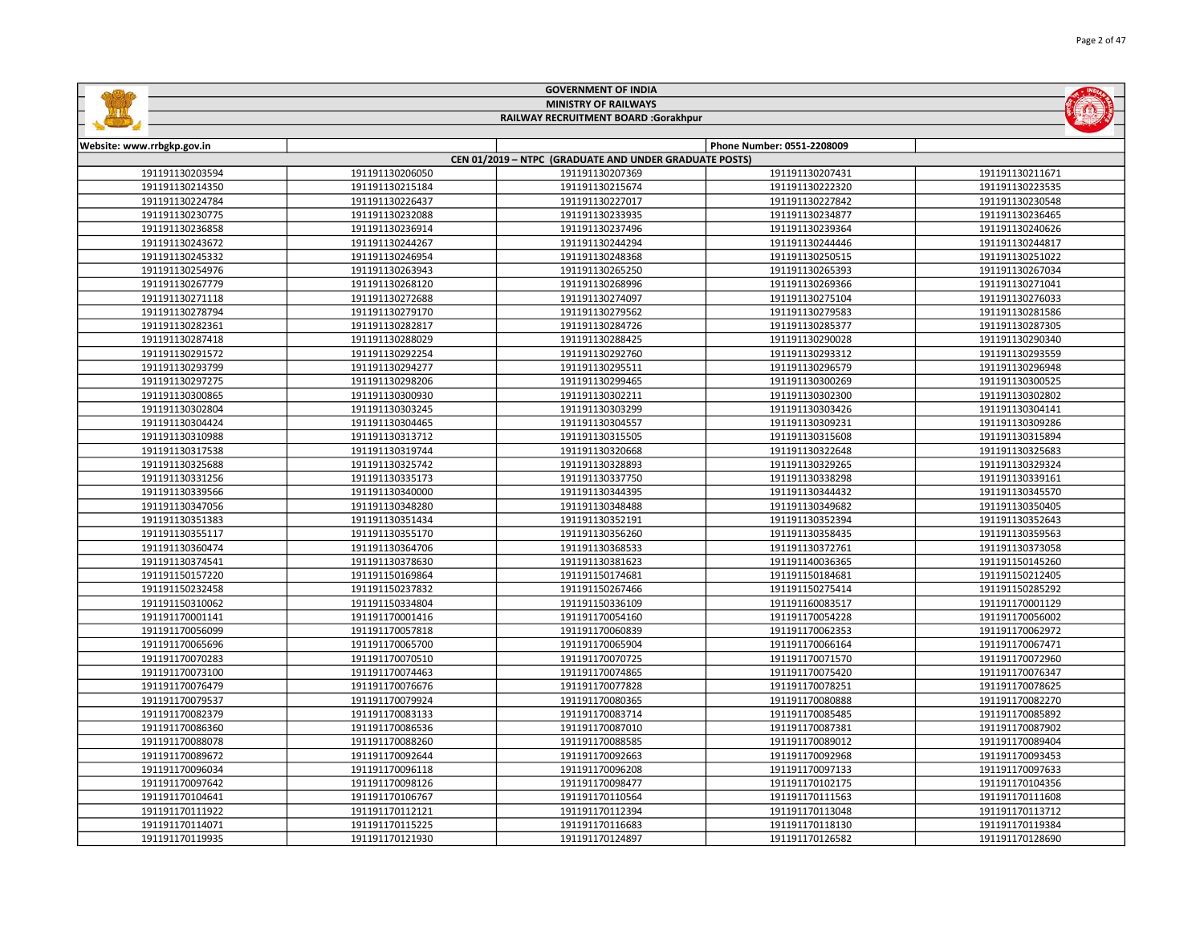|                                    |                                    | <b>GOVERNMENT OF INDIA</b>                             |                                    |                                    |
|------------------------------------|------------------------------------|--------------------------------------------------------|------------------------------------|------------------------------------|
|                                    |                                    | <b>MINISTRY OF RAILWAYS</b>                            |                                    |                                    |
|                                    |                                    | RAILWAY RECRUITMENT BOARD :Gorakhpur                   |                                    |                                    |
|                                    |                                    |                                                        |                                    |                                    |
| Website: www.rrbgkp.gov.in         |                                    |                                                        | Phone Number: 0551-2208009         |                                    |
|                                    |                                    | CEN 01/2019 - NTPC (GRADUATE AND UNDER GRADUATE POSTS) |                                    |                                    |
| 191191130203594                    | 191191130206050                    | 191191130207369                                        | 191191130207431                    | 191191130211671                    |
| 191191130214350                    | 191191130215184                    | 191191130215674                                        | 191191130222320                    | 191191130223535                    |
| 191191130224784                    | 191191130226437                    | 191191130227017                                        | 191191130227842                    | 191191130230548                    |
| 191191130230775                    | 191191130232088                    | 191191130233935                                        | 191191130234877                    | 191191130236465                    |
| 191191130236858                    | 191191130236914                    | 191191130237496                                        | 191191130239364                    | 191191130240626                    |
| 191191130243672                    | 191191130244267                    | 191191130244294                                        | 191191130244446                    | 191191130244817                    |
| 191191130245332                    | 191191130246954                    | 191191130248368                                        | 191191130250515                    | 191191130251022                    |
| 191191130254976                    | 191191130263943                    | 191191130265250                                        | 191191130265393                    | 191191130267034                    |
| 191191130267779                    | 191191130268120                    | 191191130268996                                        | 191191130269366                    | 191191130271041                    |
| 191191130271118                    | 191191130272688                    | 191191130274097                                        | 191191130275104                    | 191191130276033                    |
| 191191130278794                    | 191191130279170                    | 191191130279562                                        | 191191130279583                    | 191191130281586                    |
| 191191130282361                    | 191191130282817                    | 191191130284726                                        | 191191130285377                    | 191191130287305                    |
| 191191130287418                    | 191191130288029                    | 191191130288425                                        | 191191130290028                    | 191191130290340                    |
| 191191130291572                    | 191191130292254                    | 191191130292760                                        | 191191130293312                    | 191191130293559                    |
| 191191130293799                    | 191191130294277                    | 191191130295511                                        | 191191130296579                    | 191191130296948                    |
| 191191130297275                    | 191191130298206                    | 191191130299465                                        | 191191130300269                    | 191191130300525                    |
| 191191130300865                    | 191191130300930                    | 191191130302211                                        | 191191130302300                    | 191191130302802                    |
| 191191130302804                    | 191191130303245                    | 191191130303299                                        | 191191130303426                    | 191191130304141                    |
| 191191130304424                    | 191191130304465                    | 191191130304557                                        | 191191130309231                    | 191191130309286                    |
| 191191130310988                    | 191191130313712                    | 191191130315505                                        | 191191130315608                    | 191191130315894                    |
| 191191130317538                    | 191191130319744                    | 191191130320668                                        | 191191130322648                    | 191191130325683                    |
| 191191130325688                    | 191191130325742                    | 191191130328893                                        | 191191130329265                    | 191191130329324                    |
| 191191130331256                    | 191191130335173                    | 191191130337750                                        | 191191130338298                    | 191191130339161                    |
| 191191130339566                    | 191191130340000                    | 191191130344395                                        | 191191130344432                    | 191191130345570                    |
| 191191130347056                    | 191191130348280                    | 191191130348488                                        | 191191130349682                    | 191191130350405                    |
| 191191130351383                    | 191191130351434                    | 191191130352191                                        | 191191130352394                    | 191191130352643                    |
| 191191130355117                    | 191191130355170                    | 191191130356260                                        | 191191130358435                    | 191191130359563                    |
| 191191130360474                    | 191191130364706                    | 191191130368533                                        | 191191130372761                    | 191191130373058                    |
| 191191130374541                    | 191191130378630                    | 191191130381623                                        | 191191140036365                    | 191191150145260                    |
| 191191150157220                    | 191191150169864                    | 191191150174681                                        | 191191150184681                    | 191191150212405                    |
| 191191150232458                    | 191191150237832                    | 191191150267466                                        | 191191150275414                    | 191191150285292                    |
| 191191150310062                    | 191191150334804                    | 191191150336109                                        | 191191160083517                    | 191191170001129                    |
| 191191170001141                    | 191191170001416                    | 191191170054160                                        | 191191170054228                    | 191191170056002                    |
| 191191170056099                    | 191191170057818                    | 191191170060839                                        | 191191170062353                    | 191191170062972                    |
| 191191170065696                    | 191191170065700                    | 191191170065904                                        | 191191170066164                    | 191191170067471                    |
| 191191170070283                    | 191191170070510                    | 191191170070725                                        | 191191170071570                    | 191191170072960                    |
| 191191170073100                    | 191191170074463                    | 191191170074865                                        | 191191170075420                    | 191191170076347                    |
| 191191170076479                    | 191191170076676                    | 191191170077828                                        | 191191170078251                    | 191191170078625                    |
|                                    |                                    |                                                        |                                    |                                    |
| 191191170079537<br>191191170082379 | 191191170079924<br>191191170083133 | 191191170080365<br>191191170083714                     | 191191170080888<br>191191170085485 | 191191170082270<br>191191170085892 |
|                                    |                                    |                                                        |                                    |                                    |
| 191191170086360                    | 191191170086536                    | 191191170087010                                        | 191191170087381                    | 191191170087902                    |
| 191191170088078                    | 191191170088260                    | 191191170088585                                        | 191191170089012                    | 191191170089404                    |
| 191191170089672                    | 191191170092644                    | 191191170092663                                        | 191191170092968                    | 191191170093453                    |
| 191191170096034                    | 191191170096118                    | 191191170096208                                        | 191191170097133                    | 191191170097633                    |
| 191191170097642                    | 191191170098126                    | 191191170098477                                        | 191191170102175                    | 191191170104356                    |
| 191191170104641                    | 191191170106767                    | 191191170110564                                        | 191191170111563                    | 191191170111608                    |
| 191191170111922                    | 191191170112121                    | 191191170112394                                        | 191191170113048                    | 191191170113712                    |
| 191191170114071                    | 191191170115225                    | 191191170116683                                        | 191191170118130                    | 191191170119384                    |
| 191191170119935                    | 191191170121930                    | 191191170124897                                        | 191191170126582                    | 191191170128690                    |

GOVERNMENT OF INDIA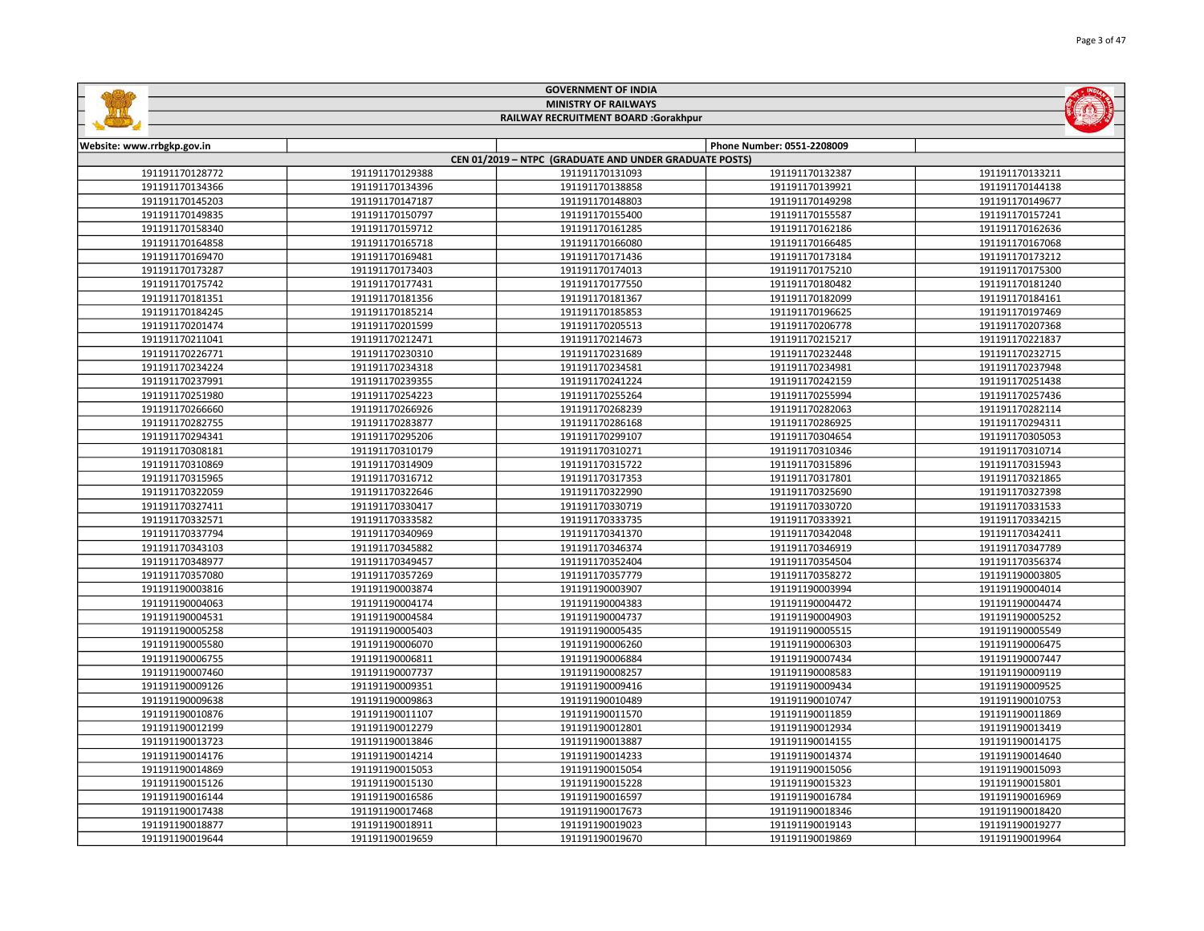|                            |                 | <b>GOVERNMENT OF INDIA</b>                             |                            |                 |
|----------------------------|-----------------|--------------------------------------------------------|----------------------------|-----------------|
|                            |                 | <b>MINISTRY OF RAILWAYS</b>                            |                            |                 |
|                            |                 | RAILWAY RECRUITMENT BOARD :Gorakhpur                   |                            |                 |
|                            |                 |                                                        |                            |                 |
| Website: www.rrbgkp.gov.in |                 |                                                        | Phone Number: 0551-2208009 |                 |
|                            |                 | CEN 01/2019 - NTPC (GRADUATE AND UNDER GRADUATE POSTS) |                            |                 |
| 191191170128772            | 191191170129388 | 191191170131093                                        | 191191170132387            | 191191170133211 |
| 191191170134366            | 191191170134396 | 191191170138858                                        | 191191170139921            | 191191170144138 |
| 191191170145203            | 191191170147187 | 191191170148803                                        | 191191170149298            | 191191170149677 |
| 191191170149835            | 191191170150797 | 191191170155400                                        | 191191170155587            | 191191170157241 |
| 191191170158340            | 191191170159712 | 191191170161285                                        | 191191170162186            | 191191170162636 |
| 191191170164858            | 191191170165718 | 191191170166080                                        | 191191170166485            | 191191170167068 |
| 191191170169470            | 191191170169481 | 191191170171436                                        | 191191170173184            | 191191170173212 |
| 191191170173287            | 191191170173403 | 191191170174013                                        | 191191170175210            | 191191170175300 |
| 191191170175742            | 191191170177431 | 191191170177550                                        | 191191170180482            | 191191170181240 |
| 191191170181351            | 191191170181356 | 191191170181367                                        | 191191170182099            | 191191170184161 |
| 191191170184245            | 191191170185214 | 191191170185853                                        | 191191170196625            | 191191170197469 |
| 191191170201474            | 191191170201599 | 191191170205513                                        | 191191170206778            | 191191170207368 |
| 191191170211041            | 191191170212471 | 191191170214673                                        | 191191170215217            | 191191170221837 |
| 191191170226771            | 191191170230310 | 191191170231689                                        | 191191170232448            | 191191170232715 |
| 191191170234224            | 191191170234318 | 191191170234581                                        | 191191170234981            | 191191170237948 |
| 191191170237991            | 191191170239355 | 191191170241224                                        | 191191170242159            | 191191170251438 |
| 191191170251980            | 191191170254223 | 191191170255264                                        | 191191170255994            | 191191170257436 |
| 191191170266660            | 191191170266926 | 191191170268239                                        | 191191170282063            | 191191170282114 |
| 191191170282755            | 191191170283877 | 191191170286168                                        | 191191170286925            | 191191170294311 |
| 191191170294341            | 191191170295206 | 191191170299107                                        | 191191170304654            | 191191170305053 |
| 191191170308181            | 191191170310179 | 191191170310271                                        | 191191170310346            | 191191170310714 |
| 191191170310869            | 191191170314909 | 191191170315722                                        | 191191170315896            | 191191170315943 |
| 191191170315965            | 191191170316712 | 191191170317353                                        | 191191170317801            | 191191170321865 |
| 191191170322059            | 191191170322646 | 191191170322990                                        | 191191170325690            | 191191170327398 |
| 191191170327411            | 191191170330417 | 191191170330719                                        | 191191170330720            | 191191170331533 |
| 191191170332571            | 191191170333582 | 191191170333735                                        | 191191170333921            | 191191170334215 |
| 191191170337794            | 191191170340969 | 191191170341370                                        | 191191170342048            | 191191170342411 |
| 191191170343103            | 191191170345882 | 191191170346374                                        | 191191170346919            | 191191170347789 |
| 191191170348977            | 191191170349457 | 191191170352404                                        | 191191170354504            | 191191170356374 |
| 191191170357080            | 191191170357269 | 191191170357779                                        | 191191170358272            | 191191190003805 |
| 191191190003816            | 191191190003874 | 191191190003907                                        | 191191190003994            | 191191190004014 |
| 191191190004063            | 191191190004174 | 191191190004383                                        | 191191190004472            | 191191190004474 |
| 191191190004531            | 191191190004584 | 191191190004737                                        | 191191190004903            | 191191190005252 |
| 191191190005258            | 191191190005403 | 191191190005435                                        | 191191190005515            | 191191190005549 |
| 191191190005580            | 191191190006070 | 191191190006260                                        | 191191190006303            | 191191190006475 |
| 191191190006755            | 191191190006811 | 191191190006884                                        | 191191190007434            | 191191190007447 |
| 191191190007460            | 191191190007737 | 191191190008257                                        | 191191190008583            | 191191190009119 |
| 191191190009126            | 191191190009351 | 191191190009416                                        | 191191190009434            | 191191190009525 |
| 191191190009638            | 191191190009863 | 191191190010489                                        | 191191190010747            | 191191190010753 |
| 191191190010876            | 191191190011107 | 191191190011570                                        | 191191190011859            | 191191190011869 |
| 191191190012199            | 191191190012279 | 191191190012801                                        | 191191190012934            | 191191190013419 |
| 191191190013723            | 191191190013846 | 191191190013887                                        | 191191190014155            | 191191190014175 |
| 191191190014176            | 191191190014214 | 191191190014233                                        | 191191190014374            | 191191190014640 |
| 191191190014869            | 191191190015053 | 191191190015054                                        | 191191190015056            | 191191190015093 |
| 191191190015126            | 191191190015130 | 191191190015228                                        | 191191190015323            | 191191190015801 |
| 191191190016144            | 191191190016586 | 191191190016597                                        | 191191190016784            | 191191190016969 |
| 191191190017438            | 191191190017468 | 191191190017673                                        | 191191190018346            | 191191190018420 |
| 191191190018877            | 191191190018911 | 191191190019023                                        | 191191190019143            | 191191190019277 |
| 191191190019644            | 191191190019659 | 191191190019670                                        | 191191190019869            | 191191190019964 |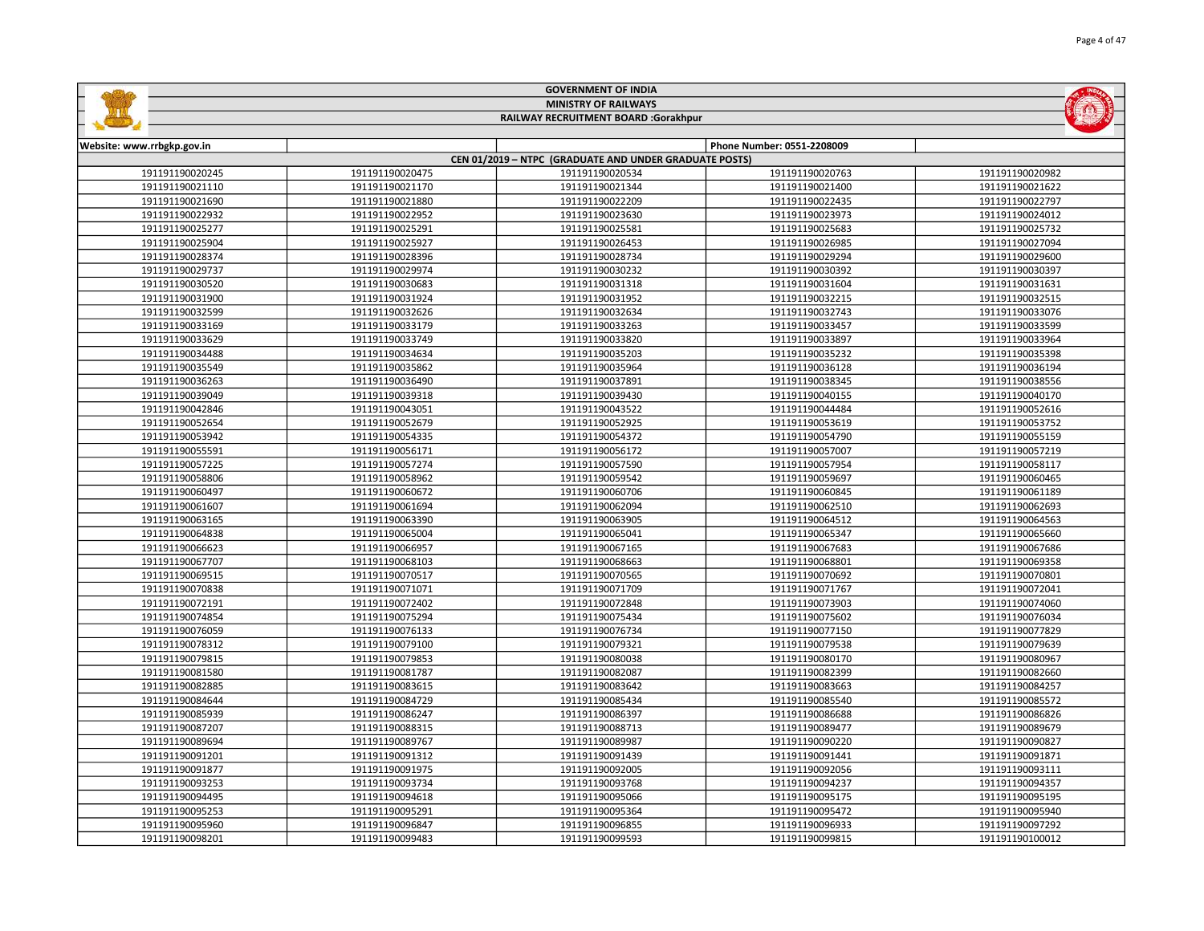|                                      |                 | <b>MINISTRY OF RAILWAYS</b>                            |                            |                 |  |
|--------------------------------------|-----------------|--------------------------------------------------------|----------------------------|-----------------|--|
| RAILWAY RECRUITMENT BOARD :Gorakhpur |                 |                                                        |                            |                 |  |
| Website: www.rrbgkp.gov.in           |                 |                                                        | Phone Number: 0551-2208009 |                 |  |
|                                      |                 | CEN 01/2019 - NTPC (GRADUATE AND UNDER GRADUATE POSTS) |                            |                 |  |
| 191191190020245                      | 191191190020475 | 191191190020534                                        | 191191190020763            | 191191190020982 |  |
| 191191190021110                      | 191191190021170 | 191191190021344                                        | 191191190021400            | 191191190021622 |  |
| 191191190021690                      | 191191190021880 | 191191190022209                                        | 191191190022435            | 191191190022797 |  |
| 191191190022932                      | 191191190022952 | 191191190023630                                        | 191191190023973            | 191191190024012 |  |
| 191191190025277                      | 191191190025291 | 191191190025581                                        | 191191190025683            | 191191190025732 |  |
| 191191190025904                      | 191191190025927 | 191191190026453                                        | 191191190026985            | 191191190027094 |  |
| 191191190028374                      | 191191190028396 | 191191190028734                                        | 191191190029294            | 191191190029600 |  |
| 191191190029737                      | 191191190029974 | 191191190030232                                        | 191191190030392            | 191191190030397 |  |
| 191191190030520                      | 191191190030683 | 191191190031318                                        | 191191190031604            | 191191190031631 |  |
| 191191190031900                      | 191191190031924 | 191191190031952                                        | 191191190032215            | 191191190032515 |  |
| 191191190032599                      | 191191190032626 | 191191190032634                                        | 191191190032743            | 191191190033076 |  |
| 191191190033169                      | 191191190033179 | 191191190033263                                        | 191191190033457            | 191191190033599 |  |
| 191191190033629                      | 191191190033749 | 191191190033820                                        | 191191190033897            | 191191190033964 |  |
| 191191190034488                      | 191191190034634 | 191191190035203                                        | 191191190035232            | 191191190035398 |  |
| 191191190035549                      | 191191190035862 | 191191190035964                                        | 191191190036128            | 191191190036194 |  |
| 191191190036263                      | 191191190036490 | 191191190037891                                        | 191191190038345            | 191191190038556 |  |
| 191191190039049                      | 191191190039318 | 191191190039430                                        | 191191190040155            | 191191190040170 |  |
| 191191190042846                      | 191191190043051 | 191191190043522                                        | 191191190044484            | 191191190052616 |  |
| 191191190052654                      | 191191190052679 | 191191190052925                                        | 191191190053619            | 191191190053752 |  |
| 191191190053942                      | 191191190054335 | 191191190054372                                        | 191191190054790            | 191191190055159 |  |
| 191191190055591                      | 191191190056171 | 191191190056172                                        | 191191190057007            | 191191190057219 |  |
| 191191190057225                      | 191191190057274 | 191191190057590                                        | 191191190057954            | 191191190058117 |  |
| 191191190058806                      | 191191190058962 | 191191190059542                                        | 191191190059697            | 191191190060465 |  |
| 191191190060497                      | 191191190060672 | 191191190060706                                        | 191191190060845            | 191191190061189 |  |
| 191191190061607                      | 191191190061694 | 191191190062094                                        | 191191190062510            | 191191190062693 |  |
| 191191190063165                      | 191191190063390 | 191191190063905                                        | 191191190064512            | 191191190064563 |  |
| 191191190064838                      | 191191190065004 | 191191190065041                                        | 191191190065347            | 191191190065660 |  |
| 191191190066623                      | 191191190066957 | 191191190067165                                        | 191191190067683            | 191191190067686 |  |
| 191191190067707                      | 191191190068103 | 191191190068663                                        | 191191190068801            | 191191190069358 |  |
| 191191190069515                      | 191191190070517 | 191191190070565                                        | 191191190070692            | 191191190070801 |  |
| 191191190070838                      | 191191190071071 | 191191190071709                                        | 191191190071767            | 191191190072041 |  |
| 191191190072191                      | 191191190072402 | 191191190072848                                        | 191191190073903            | 191191190074060 |  |
| 191191190074854                      | 191191190075294 | 191191190075434                                        | 191191190075602            | 191191190076034 |  |
| 191191190076059                      | 191191190076133 | 191191190076734                                        | 191191190077150            | 191191190077829 |  |
| 191191190078312                      | 191191190079100 | 191191190079321                                        | 191191190079538            | 191191190079639 |  |
| 191191190079815                      | 191191190079853 | 191191190080038                                        | 191191190080170            | 191191190080967 |  |
| 191191190081580                      | 191191190081787 | 191191190082087                                        | 191191190082399            | 191191190082660 |  |
| 191191190082885                      | 191191190083615 | 191191190083642                                        | 191191190083663            | 191191190084257 |  |
| 191191190084644                      | 191191190084729 | 191191190085434                                        | 191191190085540            | 191191190085572 |  |
| 191191190085939                      | 191191190086247 | 191191190086397                                        | 191191190086688            | 191191190086826 |  |
| 191191190087207                      | 191191190088315 | 191191190088713                                        | 191191190089477            | 191191190089679 |  |
| 191191190089694                      | 191191190089767 | 191191190089987                                        | 191191190090220            | 191191190090827 |  |
| 191191190091201                      | 191191190091312 | 191191190091439                                        | 191191190091441            | 191191190091871 |  |
| 191191190091877                      | 191191190091975 | 191191190092005                                        | 191191190092056            | 191191190093111 |  |
| 191191190093253                      | 191191190093734 | 191191190093768                                        | 191191190094237            | 191191190094357 |  |
| 191191190094495                      | 191191190094618 | 191191190095066                                        | 191191190095175            | 191191190095195 |  |
| 191191190095253                      | 191191190095291 | 191191190095364                                        | 191191190095472            | 191191190095940 |  |
| 191191190095960                      | 191191190096847 | 191191190096855                                        | 191191190096933            | 191191190097292 |  |

191191190099483 191191190099593 191191190099815 191191190100012

GOVERNMENT OF INDIA

**Safety**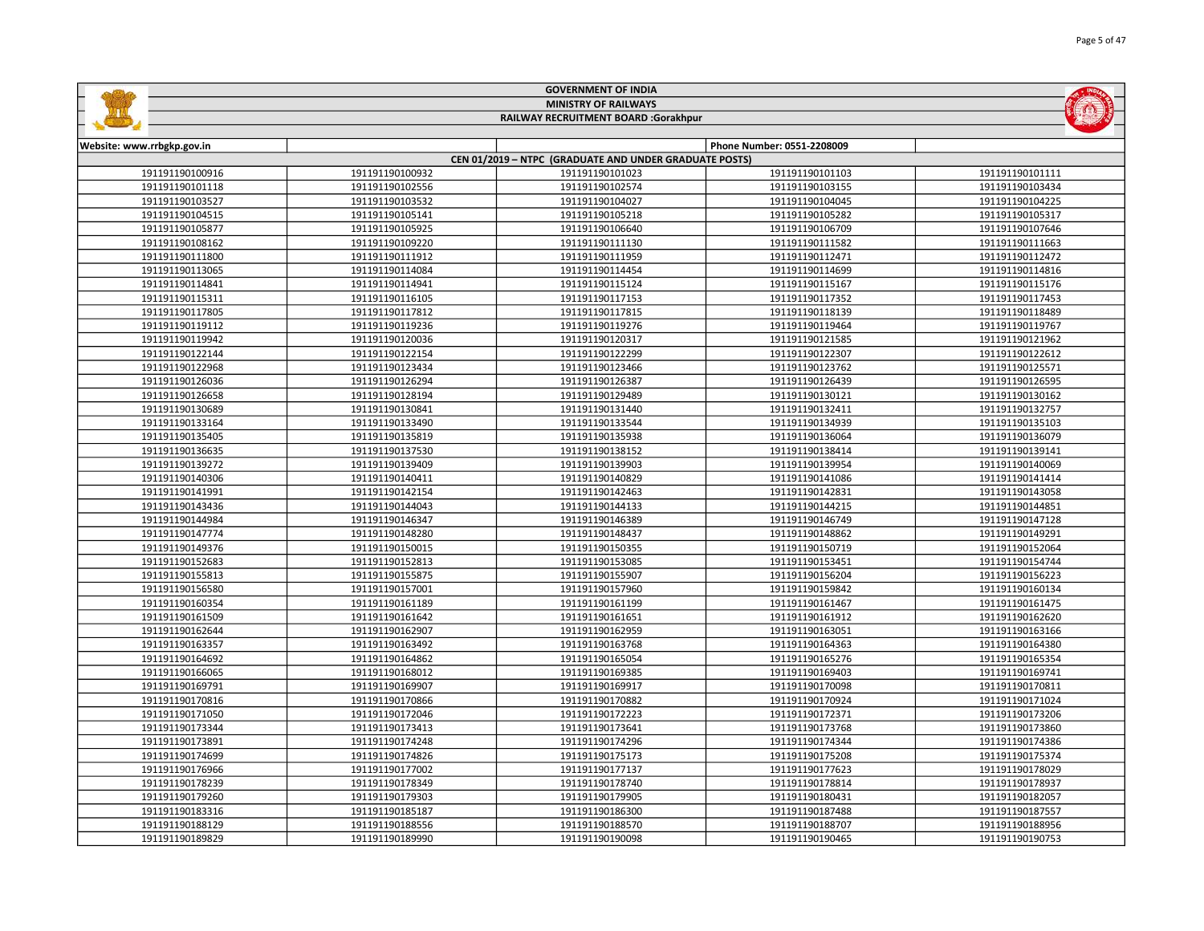|                                      |                 | <b>MINISTRY OF RAILWAYS</b>                            |                            |                 |  |
|--------------------------------------|-----------------|--------------------------------------------------------|----------------------------|-----------------|--|
| RAILWAY RECRUITMENT BOARD :Gorakhpur |                 |                                                        |                            |                 |  |
|                                      |                 |                                                        |                            |                 |  |
| Website: www.rrbgkp.gov.in           |                 | CEN 01/2019 - NTPC (GRADUATE AND UNDER GRADUATE POSTS) | Phone Number: 0551-2208009 |                 |  |
| 191191190100916                      | 191191190100932 | 191191190101023                                        | 191191190101103            | 191191190101111 |  |
| 191191190101118                      | 191191190102556 | 191191190102574                                        | 191191190103155            | 191191190103434 |  |
| 191191190103527                      | 191191190103532 | 191191190104027                                        | 191191190104045            | 191191190104225 |  |
| 191191190104515                      | 191191190105141 | 191191190105218                                        | 191191190105282            | 191191190105317 |  |
| 191191190105877                      | 191191190105925 | 191191190106640                                        | 191191190106709            | 191191190107646 |  |
| 191191190108162                      | 191191190109220 | 191191190111130                                        | 191191190111582            | 191191190111663 |  |
| 191191190111800                      | 191191190111912 | 191191190111959                                        | 191191190112471            | 191191190112472 |  |
| 191191190113065                      | 191191190114084 | 191191190114454                                        | 191191190114699            | 191191190114816 |  |
| 191191190114841                      | 191191190114941 | 191191190115124                                        | 191191190115167            | 191191190115176 |  |
| 191191190115311                      | 191191190116105 | 191191190117153                                        | 191191190117352            | 191191190117453 |  |
| 191191190117805                      | 191191190117812 | 191191190117815                                        | 191191190118139            | 191191190118489 |  |
| 191191190119112                      | 191191190119236 | 191191190119276                                        | 191191190119464            | 191191190119767 |  |
| 191191190119942                      | 191191190120036 | 191191190120317                                        | 191191190121585            | 191191190121962 |  |
| 191191190122144                      | 191191190122154 | 191191190122299                                        | 191191190122307            | 191191190122612 |  |
| 191191190122968                      | 191191190123434 | 191191190123466                                        | 191191190123762            | 191191190125571 |  |
| 191191190126036                      | 191191190126294 | 191191190126387                                        | 191191190126439            | 191191190126595 |  |
| 191191190126658                      | 191191190128194 | 191191190129489                                        | 191191190130121            | 191191190130162 |  |
| 191191190130689                      | 191191190130841 | 191191190131440                                        | 191191190132411            | 191191190132757 |  |
| 191191190133164                      | 191191190133490 | 191191190133544                                        | 191191190134939            | 191191190135103 |  |
| 191191190135405                      | 191191190135819 | 191191190135938                                        | 191191190136064            | 191191190136079 |  |
| 191191190136635                      | 191191190137530 | 191191190138152                                        | 191191190138414            | 191191190139141 |  |
| 191191190139272                      | 191191190139409 | 191191190139903                                        | 191191190139954            | 191191190140069 |  |
| 191191190140306                      | 191191190140411 | 191191190140829                                        | 191191190141086            | 191191190141414 |  |
| 191191190141991                      | 191191190142154 | 191191190142463                                        | 191191190142831            | 191191190143058 |  |
| 191191190143436                      | 191191190144043 | 191191190144133                                        | 191191190144215            | 191191190144851 |  |
| 191191190144984                      | 191191190146347 | 191191190146389                                        | 191191190146749            | 191191190147128 |  |
| 191191190147774                      | 191191190148280 | 191191190148437                                        | 191191190148862            | 191191190149291 |  |
| 191191190149376                      | 191191190150015 | 191191190150355                                        | 191191190150719            | 191191190152064 |  |
| 191191190152683                      | 191191190152813 | 191191190153085                                        | 191191190153451            | 191191190154744 |  |
| 191191190155813                      | 191191190155875 | 191191190155907                                        | 191191190156204            | 191191190156223 |  |
| 191191190156580                      | 191191190157001 | 191191190157960                                        | 191191190159842            | 191191190160134 |  |
| 191191190160354                      | 191191190161189 | 191191190161199                                        | 191191190161467            | 191191190161475 |  |
| 191191190161509                      | 191191190161642 | 191191190161651                                        | 191191190161912            | 191191190162620 |  |
| 191191190162644                      | 191191190162907 | 191191190162959                                        | 191191190163051            | 191191190163166 |  |
| 191191190163357                      | 191191190163492 | 191191190163768                                        | 191191190164363            | 191191190164380 |  |
| 191191190164692                      | 191191190164862 | 191191190165054                                        | 191191190165276            | 191191190165354 |  |
| 191191190166065                      | 191191190168012 | 191191190169385                                        | 191191190169403            | 191191190169741 |  |
| 191191190169791                      | 191191190169907 | 191191190169917                                        | 191191190170098            | 191191190170811 |  |
| 191191190170816                      | 191191190170866 | 191191190170882                                        | 191191190170924            | 191191190171024 |  |
| 191191190171050                      | 191191190172046 | 191191190172223                                        | 191191190172371            | 191191190173206 |  |
| 191191190173344                      | 191191190173413 | 191191190173641                                        | 191191190173768            | 191191190173860 |  |
| 191191190173891                      | 191191190174248 | 191191190174296                                        | 191191190174344            | 191191190174386 |  |
| 191191190174699                      | 191191190174826 | 191191190175173                                        | 191191190175208            | 191191190175374 |  |
| 191191190176966                      | 191191190177002 | 191191190177137                                        | 191191190177623            | 191191190178029 |  |
| 191191190178239                      | 191191190178349 | 191191190178740                                        | 191191190178814            | 191191190178937 |  |
| 191191190179260                      | 191191190179303 | 191191190179905                                        | 191191190180431            | 191191190182057 |  |
| 191191190183316                      | 191191190185187 | 191191190186300                                        | 191191190187488            | 191191190187557 |  |
| 191191190188129                      | 191191190188556 | 191191190188570                                        | 191191190188707            | 191191190188956 |  |

191191190189990 191191190190098 191191190190465 191191190190753

GOVERNMENT OF INDIA

**Salation**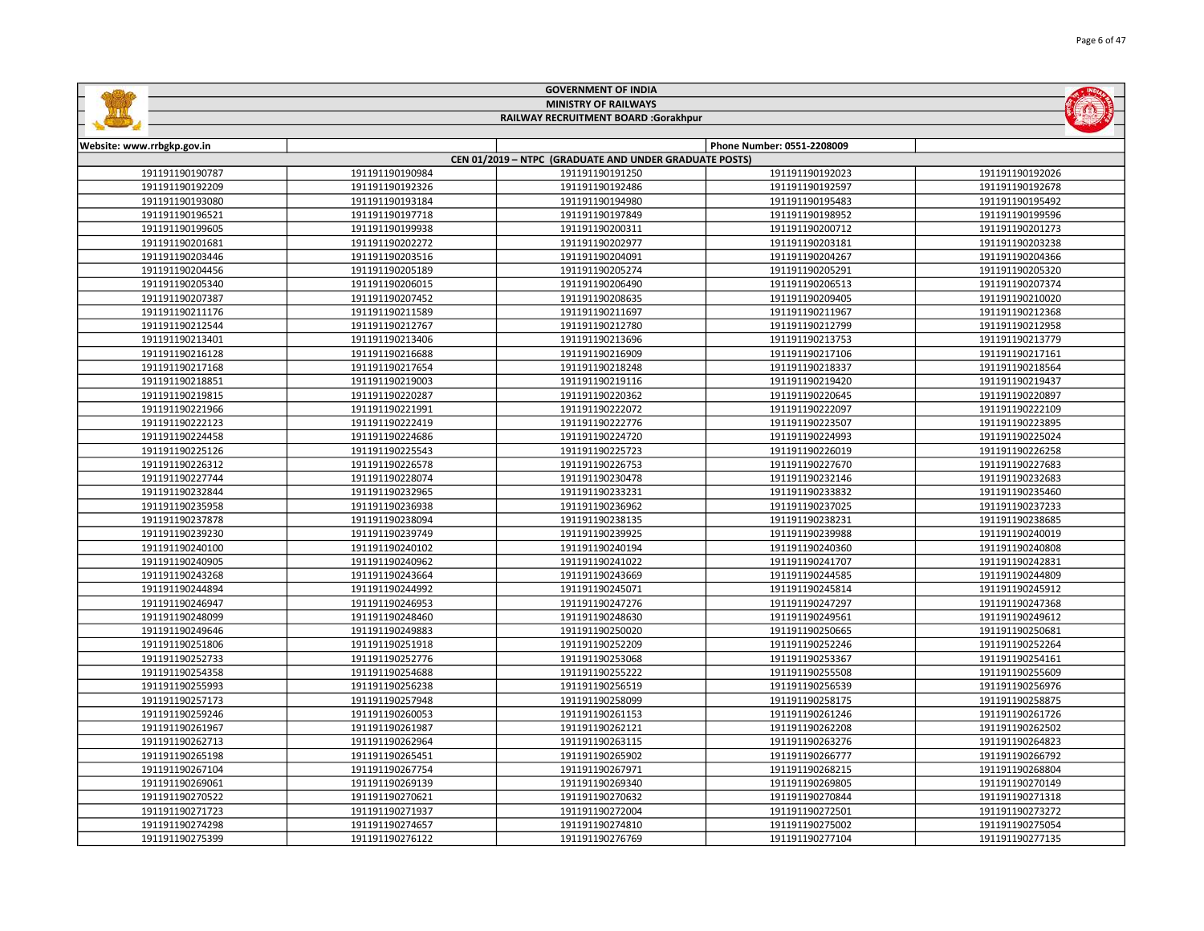| <b>MINISTRY OF RAILWAYS</b><br>RAILWAY RECRUITMENT BOARD :Gorakhpur |                 |                                                        |                            |                 |
|---------------------------------------------------------------------|-----------------|--------------------------------------------------------|----------------------------|-----------------|
|                                                                     |                 |                                                        |                            |                 |
| Website: www.rrbgkp.gov.in                                          |                 | CEN 01/2019 - NTPC (GRADUATE AND UNDER GRADUATE POSTS) | Phone Number: 0551-2208009 |                 |
| 191191190190787                                                     | 191191190190984 | 191191190191250                                        | 191191190192023            | 191191190192026 |
| 191191190192209                                                     | 191191190192326 | 191191190192486                                        | 191191190192597            | 191191190192678 |
| 191191190193080                                                     | 191191190193184 | 191191190194980                                        | 191191190195483            | 191191190195492 |
| 191191190196521                                                     | 191191190197718 | 191191190197849                                        | 191191190198952            | 191191190199596 |
| 191191190199605                                                     | 191191190199938 | 191191190200311                                        | 191191190200712            | 191191190201273 |
| 191191190201681                                                     | 191191190202272 | 191191190202977                                        | 191191190203181            | 191191190203238 |
| 191191190203446                                                     | 191191190203516 | 191191190204091                                        | 191191190204267            | 191191190204366 |
| 191191190204456                                                     | 191191190205189 | 191191190205274                                        | 191191190205291            | 191191190205320 |
| 191191190205340                                                     | 191191190206015 | 191191190206490                                        | 191191190206513            | 191191190207374 |
| 191191190207387                                                     | 191191190207452 | 191191190208635                                        | 191191190209405            | 191191190210020 |
| 191191190211176                                                     | 191191190211589 | 191191190211697                                        | 191191190211967            | 191191190212368 |
| 191191190212544                                                     | 191191190212767 | 191191190212780                                        | 191191190212799            | 191191190212958 |
| 191191190213401                                                     | 191191190213406 | 191191190213696                                        | 191191190213753            | 191191190213779 |
| 191191190216128                                                     | 191191190216688 | 191191190216909                                        | 191191190217106            | 191191190217161 |
| 191191190217168                                                     | 191191190217654 | 191191190218248                                        | 191191190218337            | 191191190218564 |
| 191191190218851                                                     | 191191190219003 | 191191190219116                                        | 191191190219420            | 191191190219437 |
| 191191190219815                                                     | 191191190220287 | 191191190220362                                        | 191191190220645            | 191191190220897 |
| 191191190221966                                                     | 191191190221991 | 191191190222072                                        | 191191190222097            | 191191190222109 |
| 191191190222123                                                     | 191191190222419 | 191191190222776                                        | 191191190223507            | 191191190223895 |
| 191191190224458                                                     | 191191190224686 | 191191190224720                                        | 191191190224993            | 191191190225024 |
| 191191190225126                                                     | 191191190225543 | 191191190225723                                        | 191191190226019            | 191191190226258 |
| 191191190226312                                                     | 191191190226578 | 191191190226753                                        | 191191190227670            | 191191190227683 |
| 191191190227744                                                     | 191191190228074 | 191191190230478                                        | 191191190232146            | 191191190232683 |
| 191191190232844                                                     | 191191190232965 | 191191190233231                                        | 191191190233832            | 191191190235460 |
| 191191190235958                                                     | 191191190236938 | 191191190236962                                        | 191191190237025            | 191191190237233 |
| 191191190237878                                                     | 191191190238094 | 191191190238135                                        | 191191190238231            | 191191190238685 |
| 191191190239230                                                     | 191191190239749 | 191191190239925                                        | 191191190239988            | 191191190240019 |
| 191191190240100                                                     | 191191190240102 | 191191190240194                                        | 191191190240360            | 191191190240808 |
| 191191190240905                                                     | 191191190240962 | 191191190241022                                        | 191191190241707            | 191191190242831 |
| 191191190243268                                                     | 191191190243664 | 191191190243669                                        | 191191190244585            | 191191190244809 |
| 191191190244894                                                     | 191191190244992 | 191191190245071                                        | 191191190245814            | 191191190245912 |
| 191191190246947                                                     | 191191190246953 | 191191190247276                                        | 191191190247297            | 191191190247368 |
| 191191190248099                                                     | 191191190248460 | 191191190248630                                        | 191191190249561            | 191191190249612 |
| 191191190249646                                                     | 191191190249883 | 191191190250020                                        | 191191190250665            | 191191190250681 |
| 191191190251806                                                     | 191191190251918 | 191191190252209                                        | 191191190252246            | 191191190252264 |
| 191191190252733                                                     | 191191190252776 | 191191190253068                                        | 191191190253367            | 191191190254161 |
| 191191190254358                                                     | 191191190254688 | 191191190255222                                        | 191191190255508            | 191191190255609 |
| 191191190255993                                                     | 191191190256238 | 191191190256519                                        | 191191190256539            | 191191190256976 |
| 191191190257173                                                     | 191191190257948 | 191191190258099                                        | 191191190258175            | 191191190258875 |
| 191191190259246                                                     | 191191190260053 | 191191190261153                                        | 191191190261246            | 191191190261726 |
| 191191190261967                                                     | 191191190261987 | 191191190262121                                        | 191191190262208            | 191191190262502 |
| 191191190262713                                                     | 191191190262964 | 191191190263115                                        | 191191190263276            | 191191190264823 |
| 191191190265198                                                     | 191191190265451 | 191191190265902                                        | 191191190266777            | 191191190266792 |
| 191191190267104                                                     | 191191190267754 | 191191190267971                                        | 191191190268215            | 191191190268804 |
| 191191190269061                                                     | 191191190269139 | 191191190269340                                        | 191191190269805            | 191191190270149 |
| 191191190270522                                                     | 191191190270621 | 191191190270632                                        | 191191190270844            | 191191190271318 |
| 191191190271723                                                     | 191191190271937 | 191191190272004                                        | 191191190272501            | 191191190273272 |
| 191191190274298                                                     | 191191190274657 | 191191190274810                                        | 191191190275002            | 191191190275054 |

191191190276122 191191190276769 191191190277104 191191190277135

GOVERNMENT OF INDIA

**Safety**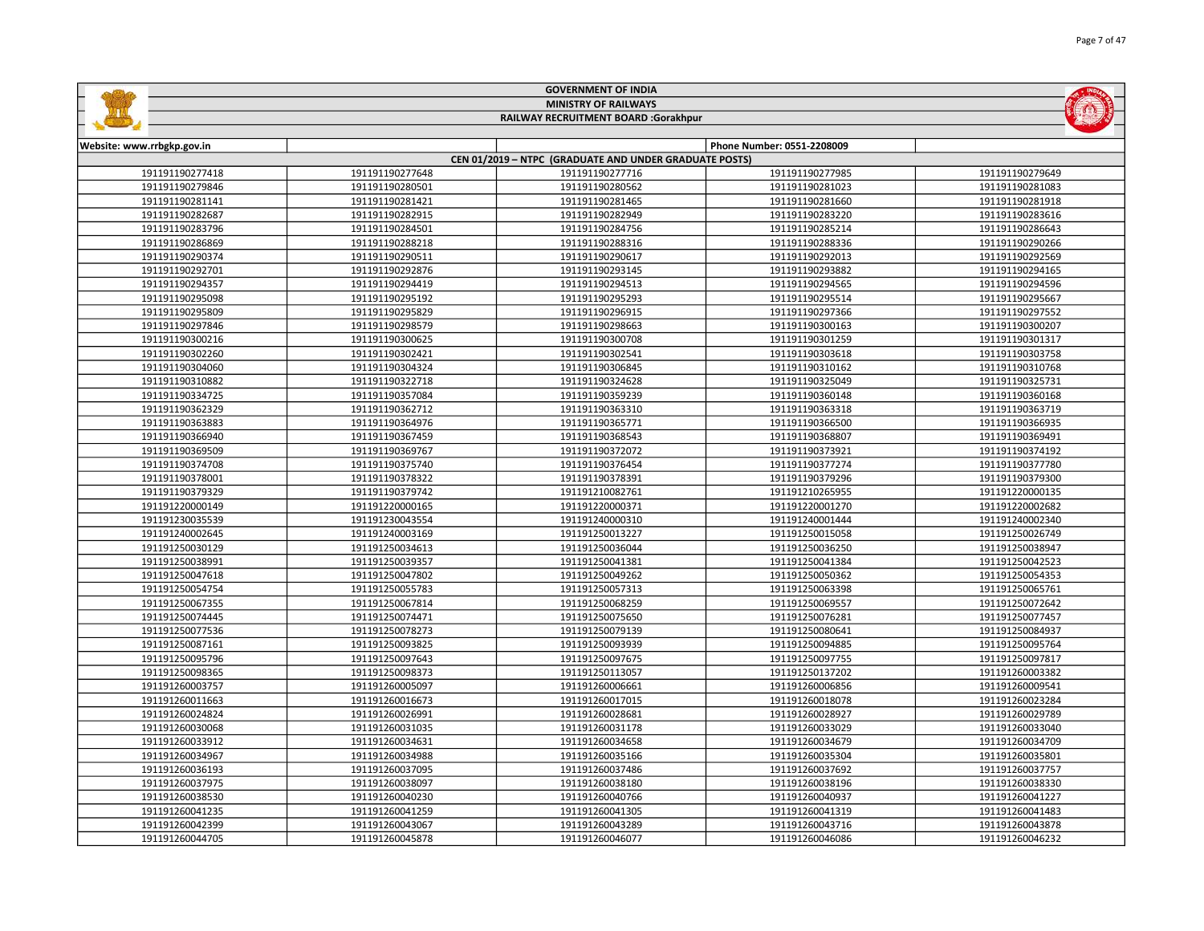| <b>MINISTRY OF RAILWAYS</b><br>RAILWAY RECRUITMENT BOARD :Gorakhpur |                 |                                                        |                            |                 |  |
|---------------------------------------------------------------------|-----------------|--------------------------------------------------------|----------------------------|-----------------|--|
|                                                                     |                 |                                                        |                            |                 |  |
| Website: www.rrbgkp.gov.in                                          |                 |                                                        | Phone Number: 0551-2208009 |                 |  |
|                                                                     |                 | CEN 01/2019 - NTPC (GRADUATE AND UNDER GRADUATE POSTS) |                            |                 |  |
| 191191190277418                                                     | 191191190277648 | 191191190277716                                        | 191191190277985            | 191191190279649 |  |
| 191191190279846                                                     | 191191190280501 | 191191190280562                                        | 191191190281023            | 191191190281083 |  |
| 191191190281141                                                     | 191191190281421 | 191191190281465                                        | 191191190281660            | 191191190281918 |  |
| 191191190282687                                                     | 191191190282915 | 191191190282949                                        | 191191190283220            | 191191190283616 |  |
| 191191190283796                                                     | 191191190284501 | 191191190284756                                        | 191191190285214            | 191191190286643 |  |
| 191191190286869                                                     | 191191190288218 | 191191190288316                                        | 191191190288336            | 191191190290266 |  |
| 191191190290374                                                     | 191191190290511 | 191191190290617                                        | 191191190292013            | 191191190292569 |  |
| 191191190292701                                                     | 191191190292876 | 191191190293145                                        | 191191190293882            | 191191190294165 |  |
| 191191190294357                                                     | 191191190294419 | 191191190294513                                        | 191191190294565            | 191191190294596 |  |
| 191191190295098                                                     | 191191190295192 | 191191190295293                                        | 191191190295514            | 191191190295667 |  |
| 191191190295809                                                     | 191191190295829 | 191191190296915                                        | 191191190297366            | 191191190297552 |  |
| 191191190297846                                                     | 191191190298579 | 191191190298663                                        | 191191190300163            | 191191190300207 |  |
| 191191190300216                                                     | 191191190300625 | 191191190300708                                        | 191191190301259            | 191191190301317 |  |
| 191191190302260                                                     | 191191190302421 | 191191190302541                                        | 191191190303618            | 191191190303758 |  |
| 191191190304060                                                     | 191191190304324 | 191191190306845                                        | 191191190310162            | 191191190310768 |  |
| 191191190310882                                                     | 191191190322718 | 191191190324628                                        | 191191190325049            | 191191190325731 |  |
| 191191190334725                                                     | 191191190357084 | 191191190359239                                        | 191191190360148            | 191191190360168 |  |
| 191191190362329                                                     | 191191190362712 | 191191190363310                                        | 191191190363318            | 191191190363719 |  |
| 191191190363883                                                     | 191191190364976 | 191191190365771                                        | 191191190366500            | 191191190366935 |  |
| 191191190366940                                                     | 191191190367459 | 191191190368543                                        | 191191190368807            | 191191190369491 |  |
| 191191190369509                                                     | 191191190369767 | 191191190372072                                        | 191191190373921            | 191191190374192 |  |
| 191191190374708                                                     | 191191190375740 | 191191190376454                                        | 191191190377274            | 191191190377780 |  |
| 191191190378001                                                     | 191191190378322 | 191191190378391                                        | 191191190379296            | 191191190379300 |  |
| 191191190379329                                                     | 191191190379742 | 191191210082761                                        | 191191210265955            | 191191220000135 |  |
| 191191220000149                                                     | 191191220000165 | 191191220000371                                        | 191191220001270            | 191191220002682 |  |
| 191191230035539                                                     | 191191230043554 | 191191240000310                                        | 191191240001444            | 191191240002340 |  |
| 191191240002645                                                     | 191191240003169 | 191191250013227                                        | 191191250015058            | 191191250026749 |  |
| 191191250030129                                                     | 191191250034613 | 191191250036044                                        | 191191250036250            | 191191250038947 |  |
| 191191250038991                                                     | 191191250039357 | 191191250041381                                        | 191191250041384            | 191191250042523 |  |
| 191191250047618                                                     | 191191250047802 | 191191250049262                                        | 191191250050362            | 191191250054353 |  |
| 191191250054754                                                     | 191191250055783 | 191191250057313                                        | 191191250063398            | 191191250065761 |  |
| 191191250067355                                                     | 191191250067814 | 191191250068259                                        | 191191250069557            | 191191250072642 |  |
| 191191250074445                                                     | 191191250074471 | 191191250075650                                        | 191191250076281            | 191191250077457 |  |
| 191191250077536                                                     | 191191250078273 | 191191250079139                                        | 191191250080641            | 191191250084937 |  |
| 191191250087161                                                     | 191191250093825 | 191191250093939                                        | 191191250094885            | 191191250095764 |  |
| 191191250095796                                                     | 191191250097643 | 191191250097675                                        | 191191250097755            | 191191250097817 |  |
| 191191250098365                                                     | 191191250098373 | 191191250113057                                        | 191191250137202            | 191191260003382 |  |
| 191191260003757                                                     | 191191260005097 | 191191260006661                                        | 191191260006856            | 191191260009541 |  |
| 191191260011663                                                     | 191191260016673 | 191191260017015                                        | 191191260018078            | 191191260023284 |  |
| 191191260024824                                                     | 191191260026991 | 191191260028681                                        | 191191260028927            | 191191260029789 |  |
| 191191260030068                                                     | 191191260031035 | 191191260031178                                        | 191191260033029            | 191191260033040 |  |
| 191191260033912                                                     | 191191260034631 | 191191260034658                                        | 191191260034679            | 191191260034709 |  |
| 191191260034967                                                     | 191191260034988 | 191191260035166                                        | 191191260035304            | 191191260035801 |  |
| 191191260036193                                                     | 191191260037095 | 191191260037486                                        | 191191260037692            | 191191260037757 |  |
| 191191260037975                                                     | 191191260038097 | 191191260038180                                        | 191191260038196            | 191191260038330 |  |
| 191191260038530                                                     | 191191260040230 | 191191260040766                                        | 191191260040937            | 191191260041227 |  |
| 191191260041235                                                     | 191191260041259 | 191191260041305                                        | 191191260041319            | 191191260041483 |  |
| 191191260042399                                                     | 191191260043067 | 191191260043289                                        | 191191260043716            | 191191260043878 |  |

191191260045878 191191260046077 191191260046086 191191260046232

GOVERNMENT OF INDIA

**Sallida**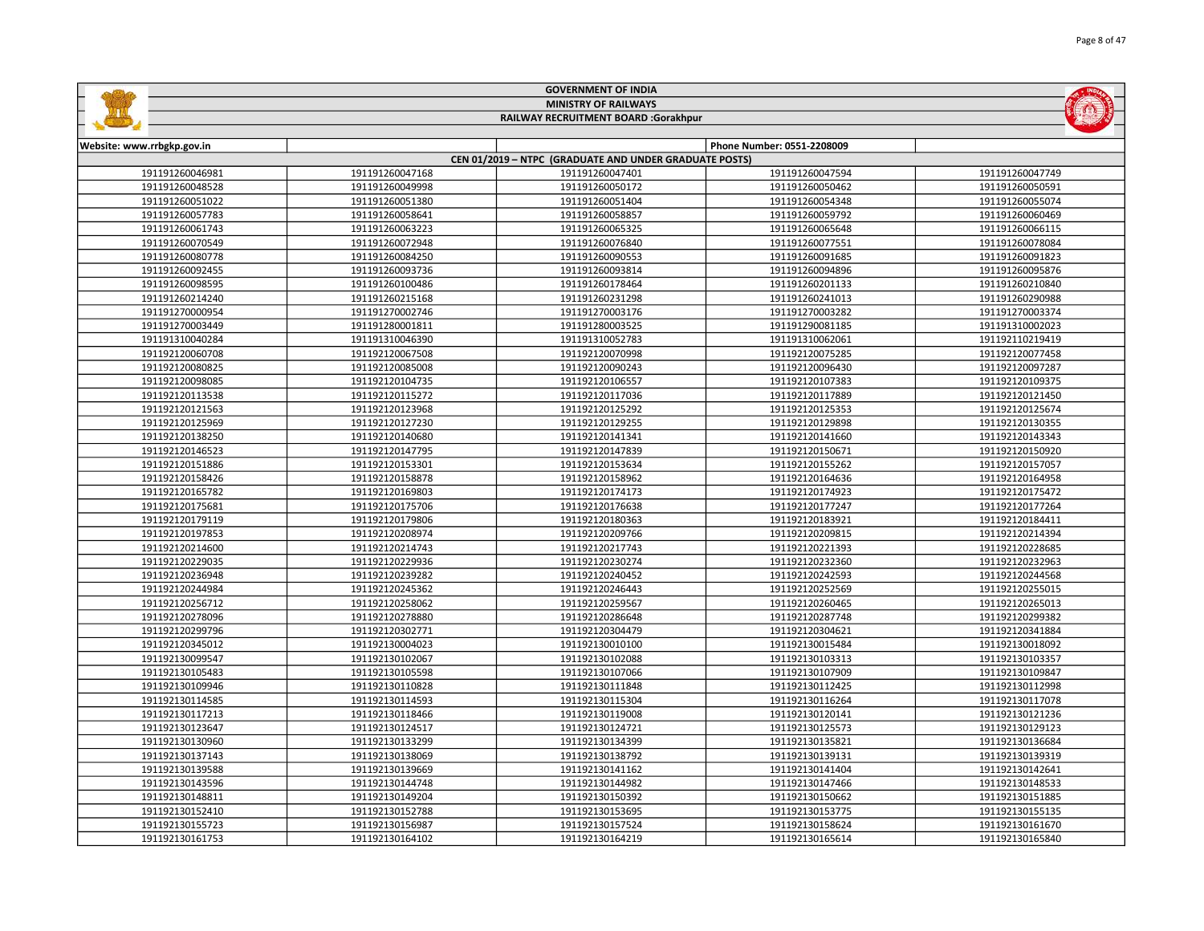| <b>MINISTRY OF RAILWAYS</b><br>RAILWAY RECRUITMENT BOARD :Gorakhpur |                 |                                                                           |                            |                 |  |  |
|---------------------------------------------------------------------|-----------------|---------------------------------------------------------------------------|----------------------------|-----------------|--|--|
|                                                                     |                 |                                                                           |                            |                 |  |  |
| Website: www.rrbgkp.gov.in                                          |                 |                                                                           | Phone Number: 0551-2208009 |                 |  |  |
| 191191260046981                                                     | 191191260047168 | CEN 01/2019 - NTPC (GRADUATE AND UNDER GRADUATE POSTS)<br>191191260047401 | 191191260047594            | 191191260047749 |  |  |
| 191191260048528                                                     | 191191260049998 | 191191260050172                                                           | 191191260050462            | 191191260050591 |  |  |
| 191191260051022                                                     | 191191260051380 | 191191260051404                                                           | 191191260054348            | 191191260055074 |  |  |
| 191191260057783                                                     | 191191260058641 | 191191260058857                                                           | 191191260059792            | 191191260060469 |  |  |
| 191191260061743                                                     | 191191260063223 | 191191260065325                                                           | 191191260065648            | 191191260066115 |  |  |
| 191191260070549                                                     | 191191260072948 | 191191260076840                                                           | 191191260077551            | 191191260078084 |  |  |
| 191191260080778                                                     | 191191260084250 | 191191260090553                                                           | 191191260091685            | 191191260091823 |  |  |
| 191191260092455                                                     | 191191260093736 | 191191260093814                                                           | 191191260094896            | 191191260095876 |  |  |
| 191191260098595                                                     | 191191260100486 | 191191260178464                                                           | 191191260201133            | 191191260210840 |  |  |
| 191191260214240                                                     | 191191260215168 | 191191260231298                                                           | 191191260241013            | 191191260290988 |  |  |
| 191191270000954                                                     | 191191270002746 | 191191270003176                                                           | 191191270003282            | 191191270003374 |  |  |
| 191191270003449                                                     | 191191280001811 | 191191280003525                                                           | 191191290081185            | 191191310002023 |  |  |
| 191191310040284                                                     | 191191310046390 | 191191310052783                                                           | 191191310062061            | 191192110219419 |  |  |
| 191192120060708                                                     | 191192120067508 | 191192120070998                                                           | 191192120075285            | 191192120077458 |  |  |
| 191192120080825                                                     | 191192120085008 | 191192120090243                                                           | 191192120096430            | 191192120097287 |  |  |
| 191192120098085                                                     | 191192120104735 | 191192120106557                                                           | 191192120107383            | 191192120109375 |  |  |
| 191192120113538                                                     | 191192120115272 | 191192120117036                                                           | 191192120117889            | 191192120121450 |  |  |
| 191192120121563                                                     | 191192120123968 | 191192120125292                                                           | 191192120125353            | 191192120125674 |  |  |
| 191192120125969                                                     | 191192120127230 | 191192120129255                                                           | 191192120129898            | 191192120130355 |  |  |
| 191192120138250                                                     | 191192120140680 | 191192120141341                                                           | 191192120141660            | 191192120143343 |  |  |
| 191192120146523                                                     | 191192120147795 | 191192120147839                                                           | 191192120150671            | 191192120150920 |  |  |
| 191192120151886                                                     | 191192120153301 | 191192120153634                                                           | 191192120155262            | 191192120157057 |  |  |
| 191192120158426                                                     | 191192120158878 | 191192120158962                                                           | 191192120164636            | 191192120164958 |  |  |
| 191192120165782                                                     | 191192120169803 | 191192120174173                                                           | 191192120174923            | 191192120175472 |  |  |
| 191192120175681                                                     | 191192120175706 | 191192120176638                                                           | 191192120177247            | 191192120177264 |  |  |
| 191192120179119                                                     | 191192120179806 | 191192120180363                                                           | 191192120183921            | 191192120184411 |  |  |
| 191192120197853                                                     | 191192120208974 | 191192120209766                                                           | 191192120209815            | 191192120214394 |  |  |
| 191192120214600                                                     | 191192120214743 | 191192120217743                                                           | 191192120221393            | 191192120228685 |  |  |
| 191192120229035                                                     | 191192120229936 | 191192120230274                                                           | 191192120232360            | 191192120232963 |  |  |
| 191192120236948                                                     | 191192120239282 | 191192120240452                                                           | 191192120242593            | 191192120244568 |  |  |
| 191192120244984                                                     | 191192120245362 | 191192120246443                                                           | 191192120252569            | 191192120255015 |  |  |
| 191192120256712                                                     | 191192120258062 | 191192120259567                                                           | 191192120260465            | 191192120265013 |  |  |
| 191192120278096                                                     | 191192120278880 | 191192120286648                                                           | 191192120287748            | 191192120299382 |  |  |
| 191192120299796                                                     | 191192120302771 | 191192120304479                                                           | 191192120304621            | 191192120341884 |  |  |
| 191192120345012                                                     | 191192130004023 | 191192130010100                                                           | 191192130015484            | 191192130018092 |  |  |
| 191192130099547                                                     | 191192130102067 | 191192130102088                                                           | 191192130103313            | 191192130103357 |  |  |
| 191192130105483                                                     | 191192130105598 | 191192130107066                                                           | 191192130107909            | 191192130109847 |  |  |
| 191192130109946                                                     | 191192130110828 | 191192130111848                                                           | 191192130112425            | 191192130112998 |  |  |
| 191192130114585                                                     | 191192130114593 | 191192130115304                                                           | 191192130116264            | 191192130117078 |  |  |
| 191192130117213                                                     | 191192130118466 | 191192130119008                                                           | 191192130120141            | 191192130121236 |  |  |
| 191192130123647                                                     | 191192130124517 | 191192130124721                                                           | 191192130125573            | 191192130129123 |  |  |
| 191192130130960                                                     | 191192130133299 | 191192130134399                                                           | 191192130135821            | 191192130136684 |  |  |
| 191192130137143                                                     | 191192130138069 | 191192130138792                                                           | 191192130139131            | 191192130139319 |  |  |
| 191192130139588                                                     | 191192130139669 | 191192130141162                                                           | 191192130141404            | 191192130142641 |  |  |
| 191192130143596                                                     | 191192130144748 | 191192130144982                                                           | 191192130147466            | 191192130148533 |  |  |
| 191192130148811                                                     | 191192130149204 | 191192130150392                                                           | 191192130150662            | 191192130151885 |  |  |
| 191192130152410                                                     | 191192130152788 | 191192130153695                                                           | 191192130153775            | 191192130155135 |  |  |
| 191192130155723                                                     | 191192130156987 | 191192130157524                                                           | 191192130158624            | 191192130161670 |  |  |
|                                                                     |                 |                                                                           |                            |                 |  |  |

191192130164102 191192130164219 191192130165614 191192130165840

GOVERNMENT OF INDIA

**Sallida**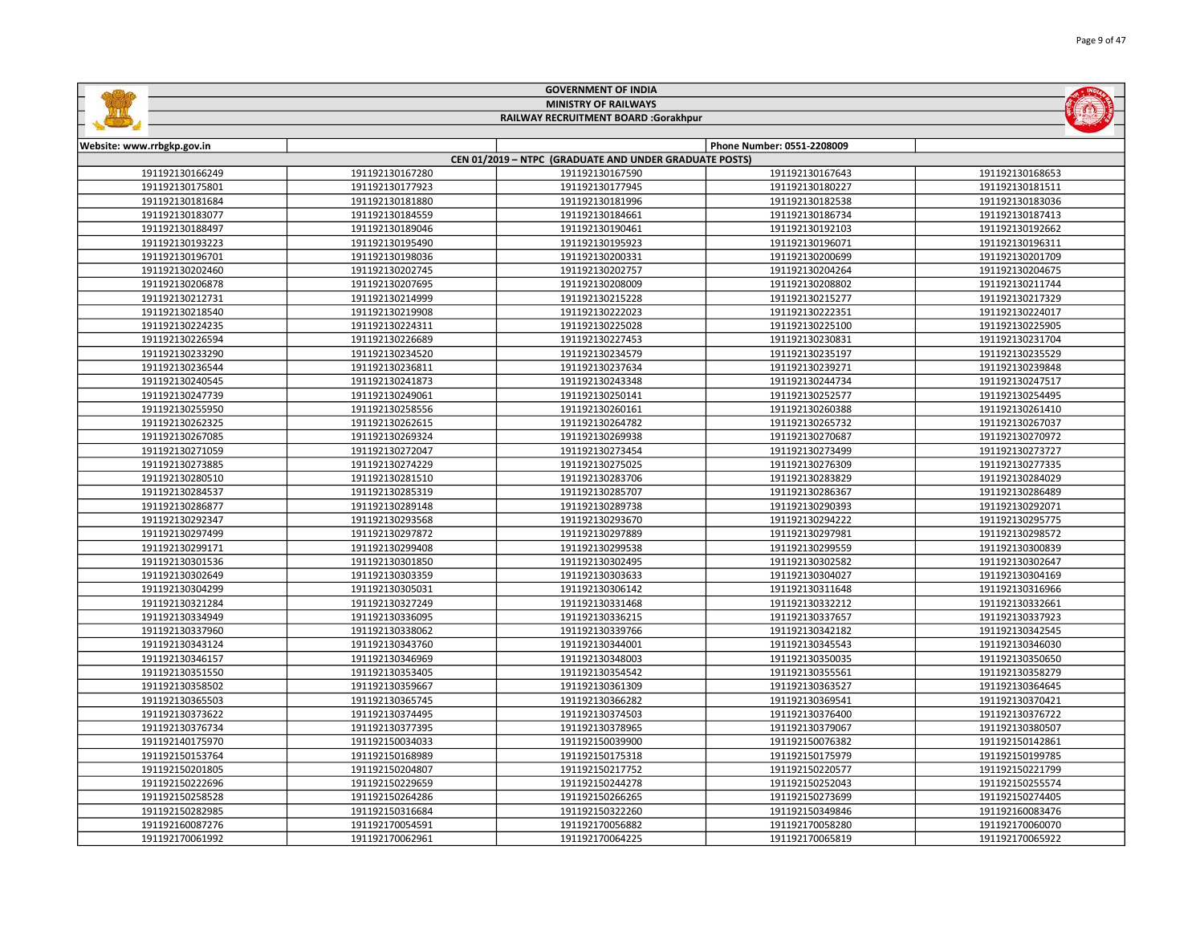|                            |                                                        | <b>GOVERNMENT OF INDIA</b>           |                            |                 |  |  |
|----------------------------|--------------------------------------------------------|--------------------------------------|----------------------------|-----------------|--|--|
|                            |                                                        | <b>MINISTRY OF RAILWAYS</b>          |                            |                 |  |  |
|                            |                                                        | RAILWAY RECRUITMENT BOARD :Gorakhpur |                            |                 |  |  |
|                            |                                                        |                                      |                            |                 |  |  |
| Website: www.rrbgkp.gov.in |                                                        |                                      | Phone Number: 0551-2208009 |                 |  |  |
|                            | CEN 01/2019 - NTPC (GRADUATE AND UNDER GRADUATE POSTS) |                                      |                            |                 |  |  |
| 191192130166249            | 191192130167280                                        | 191192130167590                      | 191192130167643            | 191192130168653 |  |  |
| 191192130175801            | 191192130177923                                        | 191192130177945                      | 191192130180227            | 191192130181511 |  |  |
| 191192130181684            | 191192130181880                                        | 191192130181996                      | 191192130182538            | 191192130183036 |  |  |
| 191192130183077            | 191192130184559                                        | 191192130184661                      | 191192130186734            | 191192130187413 |  |  |
| 191192130188497            | 191192130189046                                        | 191192130190461                      | 191192130192103            | 191192130192662 |  |  |
| 191192130193223            | 191192130195490                                        | 191192130195923                      | 191192130196071            | 191192130196311 |  |  |
| 191192130196701            | 191192130198036                                        | 191192130200331                      | 191192130200699            | 191192130201709 |  |  |
| 191192130202460            | 191192130202745                                        | 191192130202757                      | 191192130204264            | 191192130204675 |  |  |
| 191192130206878            | 191192130207695                                        | 191192130208009                      | 191192130208802            | 191192130211744 |  |  |
| 191192130212731            | 191192130214999                                        | 191192130215228                      | 191192130215277            | 191192130217329 |  |  |
| 191192130218540            | 191192130219908                                        | 191192130222023                      | 191192130222351            | 191192130224017 |  |  |
| 191192130224235            | 191192130224311                                        | 191192130225028                      | 191192130225100            | 191192130225905 |  |  |
| 191192130226594            | 191192130226689                                        | 191192130227453                      | 191192130230831            | 191192130231704 |  |  |
| 191192130233290            | 191192130234520                                        | 191192130234579                      | 191192130235197            | 191192130235529 |  |  |
| 191192130236544            | 191192130236811                                        | 191192130237634                      | 191192130239271            | 191192130239848 |  |  |
| 191192130240545            | 191192130241873                                        | 191192130243348                      | 191192130244734            | 191192130247517 |  |  |
| 191192130247739            | 191192130249061                                        | 191192130250141                      | 191192130252577            | 191192130254495 |  |  |
| 191192130255950            | 191192130258556                                        | 191192130260161                      | 191192130260388            | 191192130261410 |  |  |
| 191192130262325            | 191192130262615                                        | 191192130264782                      | 191192130265732            | 191192130267037 |  |  |
| 191192130267085            | 191192130269324                                        | 191192130269938                      | 191192130270687            | 191192130270972 |  |  |
| 191192130271059            | 191192130272047                                        | 191192130273454                      | 191192130273499            | 191192130273727 |  |  |
| 191192130273885            | 191192130274229                                        | 191192130275025                      | 191192130276309            | 191192130277335 |  |  |
| 191192130280510            | 191192130281510                                        | 191192130283706                      | 191192130283829            | 191192130284029 |  |  |
| 191192130284537            | 191192130285319                                        | 191192130285707                      | 191192130286367            | 191192130286489 |  |  |
| 191192130286877            | 191192130289148                                        | 191192130289738                      | 191192130290393            | 191192130292071 |  |  |
| 191192130292347            | 191192130293568                                        | 191192130293670                      | 191192130294222            | 191192130295775 |  |  |
| 191192130297499            | 191192130297872                                        | 191192130297889                      | 191192130297981            | 191192130298572 |  |  |
| 191192130299171            | 191192130299408                                        | 191192130299538                      | 191192130299559            | 191192130300839 |  |  |
| 191192130301536            | 191192130301850                                        | 191192130302495                      | 191192130302582            | 191192130302647 |  |  |
| 191192130302649            | 191192130303359                                        | 191192130303633                      | 191192130304027            | 191192130304169 |  |  |
| 191192130304299            | 191192130305031                                        | 191192130306142                      | 191192130311648            | 191192130316966 |  |  |
| 191192130321284            | 191192130327249                                        | 191192130331468                      | 191192130332212            | 191192130332661 |  |  |
| 191192130334949            | 191192130336095                                        | 191192130336215                      | 191192130337657            | 191192130337923 |  |  |
| 191192130337960            | 191192130338062                                        | 191192130339766                      | 191192130342182            | 191192130342545 |  |  |
| 191192130343124            | 191192130343760                                        | 191192130344001                      | 191192130345543            | 191192130346030 |  |  |
| 191192130346157            | 191192130346969                                        | 191192130348003                      | 191192130350035            | 191192130350650 |  |  |
| 191192130351550            | 191192130353405                                        | 191192130354542                      | 191192130355561            | 191192130358279 |  |  |
| 191192130358502            | 191192130359667                                        | 191192130361309                      | 191192130363527            | 191192130364645 |  |  |
| 191192130365503            | 191192130365745                                        | 191192130366282                      | 191192130369541            | 191192130370421 |  |  |
| 191192130373622            | 191192130374495                                        | 191192130374503                      | 191192130376400            | 191192130376722 |  |  |
| 191192130376734            | 191192130377395                                        | 191192130378965                      | 191192130379067            | 191192130380507 |  |  |
| 191192140175970            | 191192150034033                                        | 191192150039900                      | 191192150076382            | 191192150142861 |  |  |
| 191192150153764            | 191192150168989                                        | 191192150175318                      | 191192150175979            | 191192150199785 |  |  |
| 191192150201805            | 191192150204807                                        | 191192150217752                      | 191192150220577            | 191192150221799 |  |  |
| 191192150222696            | 191192150229659                                        | 191192150244278                      | 191192150252043            | 191192150255574 |  |  |
| 191192150258528            | 191192150264286                                        | 191192150266265                      | 191192150273699            | 191192150274405 |  |  |
| 191192150282985            | 191192150316684                                        | 191192150322260                      | 191192150349846            | 191192160083476 |  |  |
| 191192160087276            | 191192170054591                                        | 191192170056882                      | 191192170058280            | 191192170060070 |  |  |
| 191192170061992            | 191192170062961                                        | 191192170064225                      | 191192170065819            | 191192170065922 |  |  |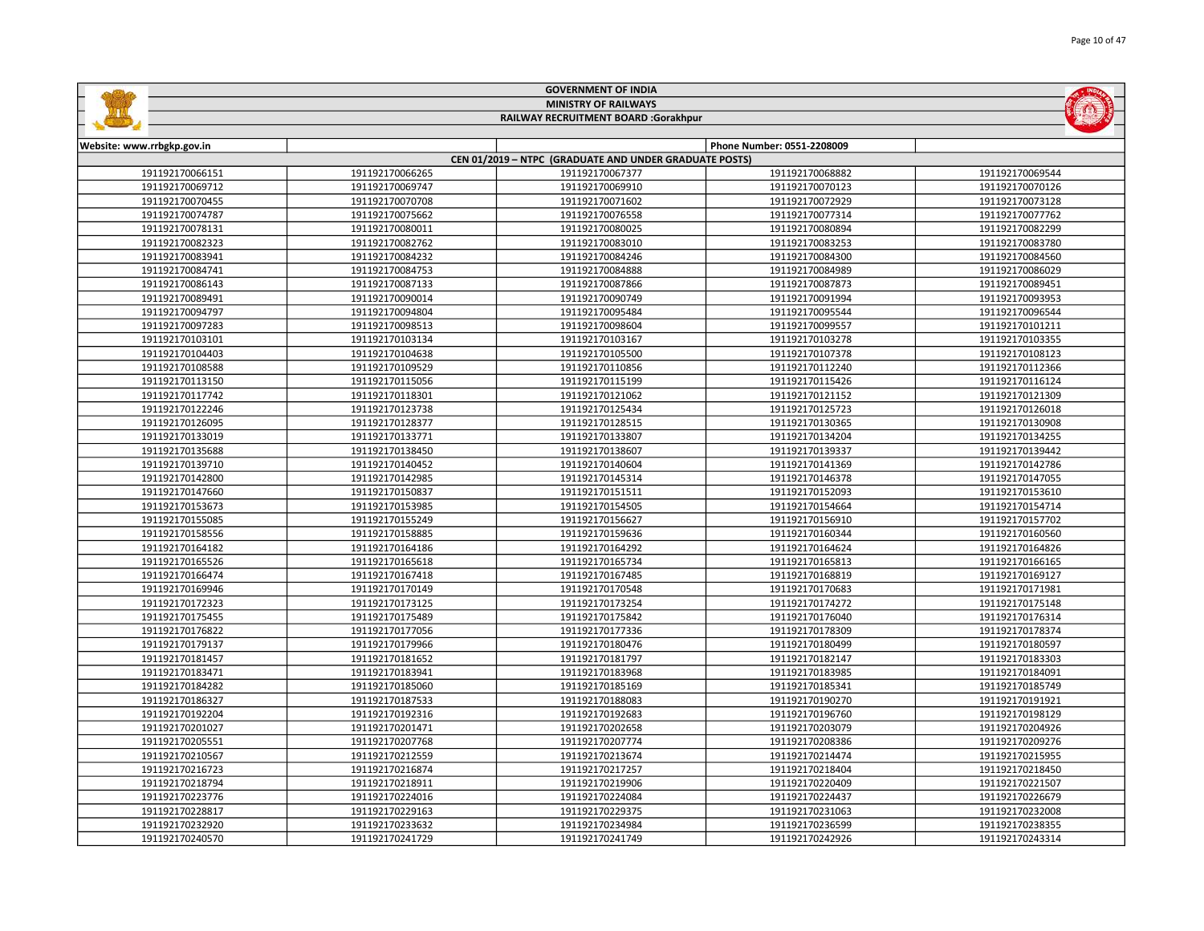|                            |                 | <b>GOVERNMENT OF INDIA</b>                             |                            |                 |
|----------------------------|-----------------|--------------------------------------------------------|----------------------------|-----------------|
|                            |                 | <b>MINISTRY OF RAILWAYS</b>                            |                            |                 |
|                            |                 | RAILWAY RECRUITMENT BOARD :Gorakhpur                   |                            |                 |
|                            |                 |                                                        |                            |                 |
| Website: www.rrbgkp.gov.in |                 |                                                        | Phone Number: 0551-2208009 |                 |
|                            |                 | CEN 01/2019 - NTPC (GRADUATE AND UNDER GRADUATE POSTS) |                            |                 |
| 191192170066151            | 191192170066265 | 191192170067377                                        | 191192170068882            | 191192170069544 |
| 191192170069712            | 191192170069747 | 191192170069910                                        | 191192170070123            | 191192170070126 |
| 191192170070455            | 191192170070708 | 191192170071602                                        | 191192170072929            | 191192170073128 |
| 191192170074787            | 191192170075662 | 191192170076558                                        | 191192170077314            | 191192170077762 |
| 191192170078131            | 191192170080011 | 191192170080025                                        | 191192170080894            | 191192170082299 |
| 191192170082323            | 191192170082762 | 191192170083010                                        | 191192170083253            | 191192170083780 |
| 191192170083941            | 191192170084232 | 191192170084246                                        | 191192170084300            | 191192170084560 |
| 191192170084741            | 191192170084753 | 191192170084888                                        | 191192170084989            | 191192170086029 |
| 191192170086143            | 191192170087133 | 191192170087866                                        | 191192170087873            | 191192170089451 |
| 191192170089491            | 191192170090014 | 191192170090749                                        | 191192170091994            | 191192170093953 |
| 191192170094797            | 191192170094804 | 191192170095484                                        | 191192170095544            | 191192170096544 |
| 191192170097283            | 191192170098513 | 191192170098604                                        | 191192170099557            | 191192170101211 |
| 191192170103101            | 191192170103134 | 191192170103167                                        | 191192170103278            | 191192170103355 |
| 191192170104403            | 191192170104638 | 191192170105500                                        | 191192170107378            | 191192170108123 |
| 191192170108588            | 191192170109529 | 191192170110856                                        | 191192170112240            | 191192170112366 |
| 191192170113150            | 191192170115056 | 191192170115199                                        | 191192170115426            | 191192170116124 |
| 191192170117742            | 191192170118301 | 191192170121062                                        | 191192170121152            | 191192170121309 |
| 191192170122246            | 191192170123738 | 191192170125434                                        | 191192170125723            | 191192170126018 |
| 191192170126095            | 191192170128377 | 191192170128515                                        | 191192170130365            | 191192170130908 |
| 191192170133019            | 191192170133771 | 191192170133807                                        | 191192170134204            | 191192170134255 |
| 191192170135688            | 191192170138450 | 191192170138607                                        | 191192170139337            | 191192170139442 |
| 191192170139710            | 191192170140452 | 191192170140604                                        | 191192170141369            | 191192170142786 |
| 191192170142800            | 191192170142985 | 191192170145314                                        | 191192170146378            | 191192170147055 |
| 191192170147660            | 191192170150837 | 191192170151511                                        | 191192170152093            | 191192170153610 |
| 191192170153673            | 191192170153985 | 191192170154505                                        | 191192170154664            | 191192170154714 |
| 191192170155085            | 191192170155249 | 191192170156627                                        | 191192170156910            | 191192170157702 |
| 191192170158556            | 191192170158885 | 191192170159636                                        | 191192170160344            | 191192170160560 |
| 191192170164182            | 191192170164186 | 191192170164292                                        | 191192170164624            | 191192170164826 |
| 191192170165526            | 191192170165618 | 191192170165734                                        | 191192170165813            | 191192170166165 |
| 191192170166474            | 191192170167418 | 191192170167485                                        | 191192170168819            | 191192170169127 |
| 191192170169946            | 191192170170149 | 191192170170548                                        | 191192170170683            | 191192170171981 |
| 191192170172323            | 191192170173125 | 191192170173254                                        | 191192170174272            | 191192170175148 |
| 191192170175455            | 191192170175489 | 191192170175842                                        | 191192170176040            | 191192170176314 |
| 191192170176822            | 191192170177056 | 191192170177336                                        | 191192170178309            | 191192170178374 |
| 191192170179137            | 191192170179966 | 191192170180476                                        | 191192170180499            | 191192170180597 |
| 191192170181457            | 191192170181652 | 191192170181797                                        | 191192170182147            | 191192170183303 |
| 191192170183471            | 191192170183941 | 191192170183968                                        | 191192170183985            | 191192170184091 |
| 191192170184282            | 191192170185060 | 191192170185169                                        | 191192170185341            | 191192170185749 |
| 191192170186327            | 191192170187533 | 191192170188083                                        | 191192170190270            | 191192170191921 |
| 191192170192204            | 191192170192316 | 191192170192683                                        | 191192170196760            | 191192170198129 |
| 191192170201027            | 191192170201471 | 191192170202658                                        | 191192170203079            | 191192170204926 |
| 191192170205551            | 191192170207768 | 191192170207774                                        | 191192170208386            | 191192170209276 |
| 191192170210567            | 191192170212559 | 191192170213674                                        | 191192170214474            | 191192170215955 |
| 191192170216723            | 191192170216874 | 191192170217257                                        | 191192170218404            | 191192170218450 |
| 191192170218794            | 191192170218911 | 191192170219906                                        | 191192170220409            | 191192170221507 |
| 191192170223776            | 191192170224016 | 191192170224084                                        | 191192170224437            | 191192170226679 |
| 191192170228817            | 191192170229163 | 191192170229375                                        | 191192170231063            | 191192170232008 |
| 191192170232920            | 191192170233632 | 191192170234984                                        | 191192170236599            | 191192170238355 |

191192170241729 191192170241749 191192170242926 191192170243314

GOVERNMENT OF INDIA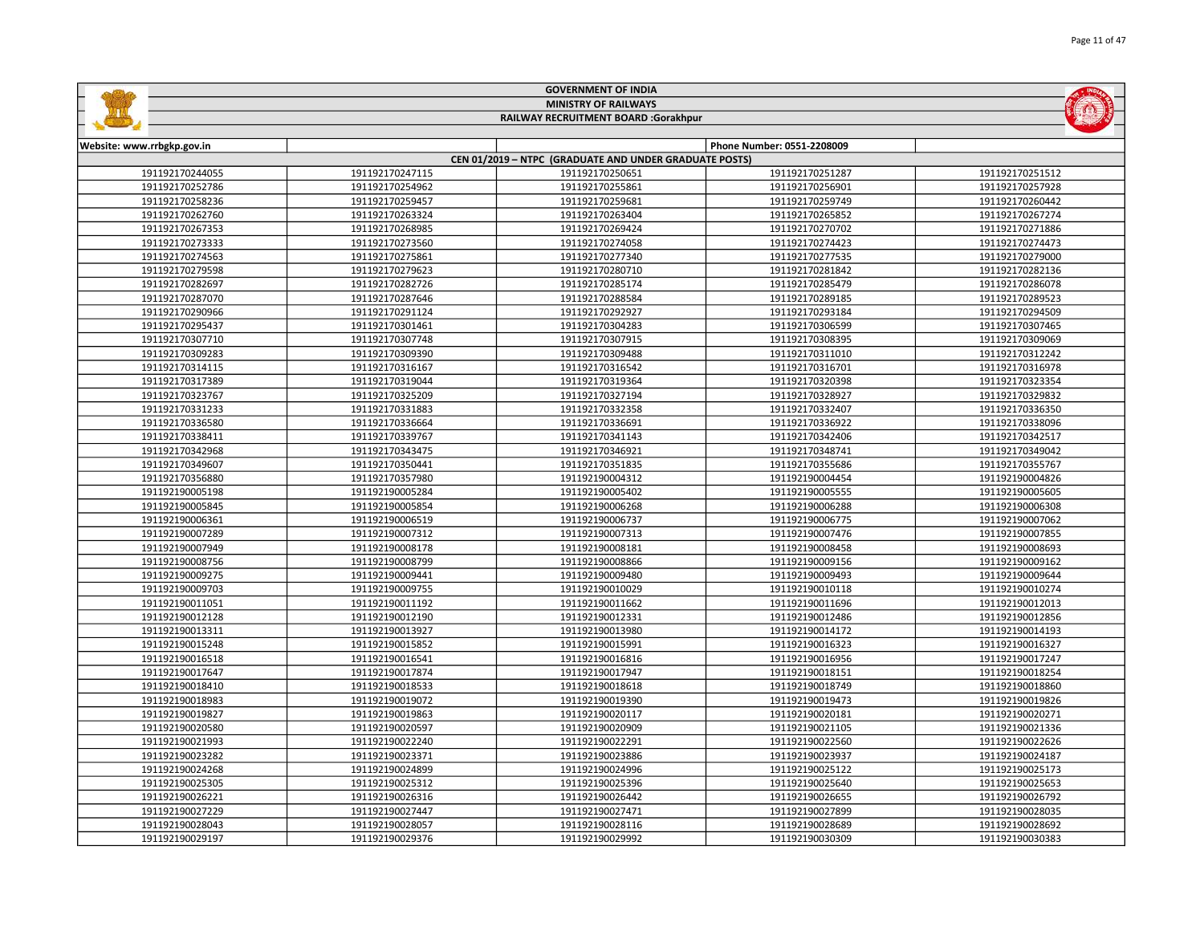|                                      |                 | <b>MINISTRY OF RAILWAYS</b>                            |                            |                 |  |
|--------------------------------------|-----------------|--------------------------------------------------------|----------------------------|-----------------|--|
| RAILWAY RECRUITMENT BOARD :Gorakhpur |                 |                                                        |                            |                 |  |
|                                      |                 |                                                        |                            |                 |  |
| Website: www.rrbgkp.gov.in           |                 | CEN 01/2019 - NTPC (GRADUATE AND UNDER GRADUATE POSTS) | Phone Number: 0551-2208009 |                 |  |
| 191192170244055                      | 191192170247115 | 191192170250651                                        | 191192170251287            | 191192170251512 |  |
| 191192170252786                      | 191192170254962 | 191192170255861                                        | 191192170256901            | 191192170257928 |  |
| 191192170258236                      | 191192170259457 | 191192170259681                                        | 191192170259749            | 191192170260442 |  |
| 191192170262760                      | 191192170263324 | 191192170263404                                        | 191192170265852            | 191192170267274 |  |
| 191192170267353                      | 191192170268985 | 191192170269424                                        | 191192170270702            | 191192170271886 |  |
| 191192170273333                      | 191192170273560 | 191192170274058                                        | 191192170274423            | 191192170274473 |  |
| 191192170274563                      | 191192170275861 | 191192170277340                                        | 191192170277535            | 191192170279000 |  |
| 191192170279598                      | 191192170279623 | 191192170280710                                        | 191192170281842            | 191192170282136 |  |
| 191192170282697                      | 191192170282726 | 191192170285174                                        | 191192170285479            | 191192170286078 |  |
| 191192170287070                      | 191192170287646 | 191192170288584                                        | 191192170289185            | 191192170289523 |  |
| 191192170290966                      | 191192170291124 | 191192170292927                                        | 191192170293184            | 191192170294509 |  |
| 191192170295437                      | 191192170301461 | 191192170304283                                        | 191192170306599            | 191192170307465 |  |
| 191192170307710                      | 191192170307748 | 191192170307915                                        | 191192170308395            | 191192170309069 |  |
| 191192170309283                      | 191192170309390 | 191192170309488                                        | 191192170311010            | 191192170312242 |  |
| 191192170314115                      | 191192170316167 | 191192170316542                                        | 191192170316701            | 191192170316978 |  |
| 191192170317389                      | 191192170319044 | 191192170319364                                        | 191192170320398            | 191192170323354 |  |
| 191192170323767                      | 191192170325209 | 191192170327194                                        | 191192170328927            | 191192170329832 |  |
| 191192170331233                      | 191192170331883 | 191192170332358                                        | 191192170332407            | 191192170336350 |  |
| 191192170336580                      | 191192170336664 | 191192170336691                                        | 191192170336922            | 191192170338096 |  |
| 191192170338411                      | 191192170339767 | 191192170341143                                        | 191192170342406            | 191192170342517 |  |
| 191192170342968                      | 191192170343475 | 191192170346921                                        | 191192170348741            | 191192170349042 |  |
| 191192170349607                      | 191192170350441 | 191192170351835                                        | 191192170355686            | 191192170355767 |  |
| 191192170356880                      | 191192170357980 | 191192190004312                                        | 191192190004454            | 191192190004826 |  |
| 191192190005198                      | 191192190005284 | 191192190005402                                        | 191192190005555            | 191192190005605 |  |
| 191192190005845                      | 191192190005854 | 191192190006268                                        | 191192190006288            | 191192190006308 |  |
| 191192190006361                      | 191192190006519 | 191192190006737                                        | 191192190006775            | 191192190007062 |  |
| 191192190007289                      | 191192190007312 | 191192190007313                                        | 191192190007476            | 191192190007855 |  |
| 191192190007949                      | 191192190008178 | 191192190008181                                        | 191192190008458            | 191192190008693 |  |
| 191192190008756                      | 191192190008799 | 191192190008866                                        | 191192190009156            | 191192190009162 |  |
| 191192190009275                      | 191192190009441 | 191192190009480                                        | 191192190009493            | 191192190009644 |  |
| 191192190009703                      | 191192190009755 | 191192190010029                                        | 191192190010118            | 191192190010274 |  |
| 191192190011051                      | 191192190011192 | 191192190011662                                        | 191192190011696            | 191192190012013 |  |
| 191192190012128                      | 191192190012190 | 191192190012331                                        | 191192190012486            | 191192190012856 |  |
| 191192190013311                      | 191192190013927 | 191192190013980                                        | 191192190014172            | 191192190014193 |  |
| 191192190015248                      | 191192190015852 | 191192190015991                                        | 191192190016323            | 191192190016327 |  |
| 191192190016518                      | 191192190016541 | 191192190016816                                        | 191192190016956            | 191192190017247 |  |
| 191192190017647                      | 191192190017874 | 191192190017947                                        | 191192190018151            | 191192190018254 |  |
| 191192190018410                      | 191192190018533 | 191192190018618                                        | 191192190018749            | 191192190018860 |  |
| 191192190018983                      | 191192190019072 | 191192190019390                                        | 191192190019473            | 191192190019826 |  |
| 191192190019827                      | 191192190019863 | 191192190020117                                        | 191192190020181            | 191192190020271 |  |
| 191192190020580                      | 191192190020597 | 191192190020909                                        | 191192190021105            | 191192190021336 |  |
| 191192190021993                      | 191192190022240 | 191192190022291                                        | 191192190022560            | 191192190022626 |  |
| 191192190023282                      | 191192190023371 | 191192190023886                                        | 191192190023937            | 191192190024187 |  |
| 191192190024268                      | 191192190024899 | 191192190024996                                        | 191192190025122            | 191192190025173 |  |
| 191192190025305                      | 191192190025312 | 191192190025396                                        | 191192190025640            | 191192190025653 |  |
| 191192190026221                      | 191192190026316 | 191192190026442                                        | 191192190026655            | 191192190026792 |  |
| 191192190027229                      | 191192190027447 | 191192190027471                                        | 191192190027899            | 191192190028035 |  |
| 191192190028043                      | 191192190028057 | 191192190028116                                        | 191192190028689            | 191192190028692 |  |
|                                      |                 |                                                        |                            |                 |  |

191192190029376 191192190029992 191192190030309 191192190030383

GOVERNMENT OF INDIA

**Safety**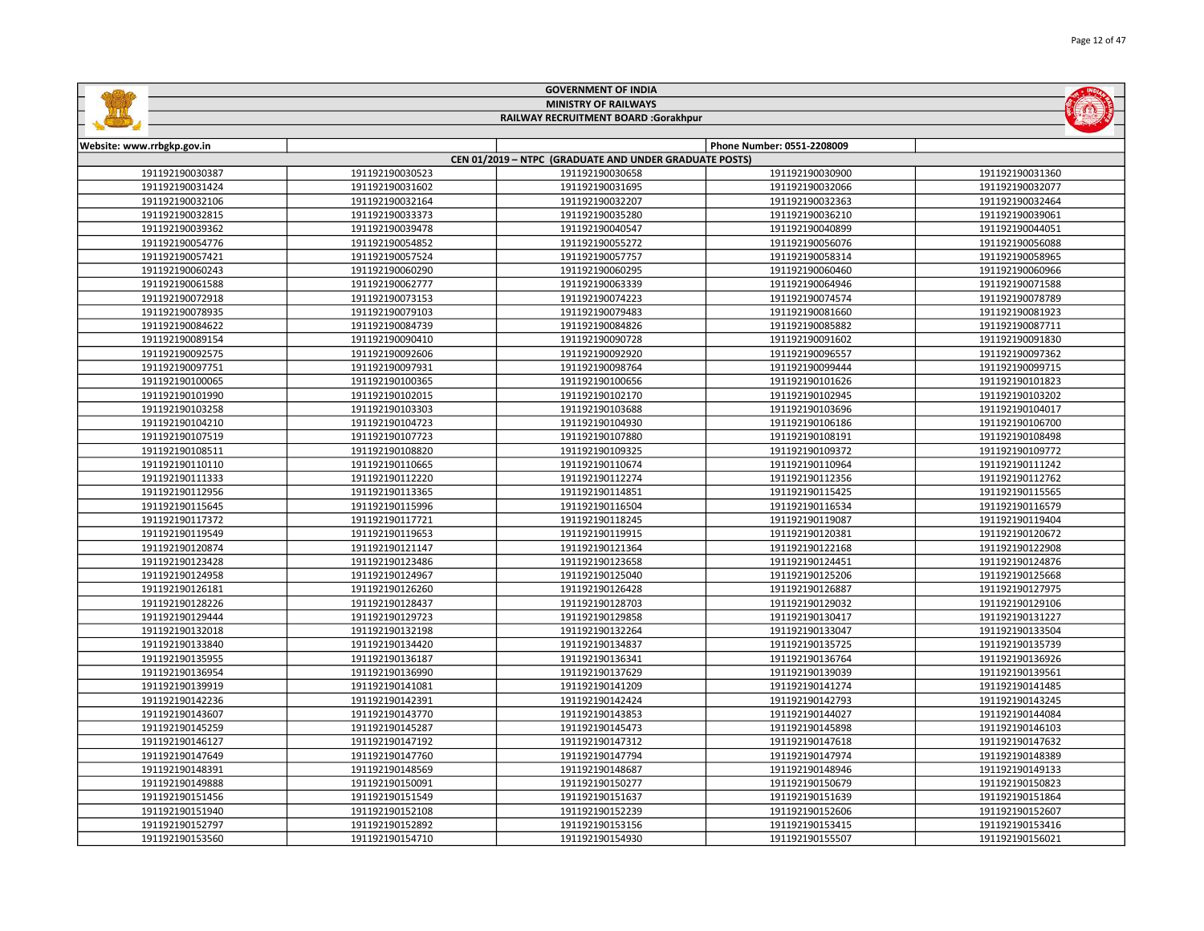| <b>MINISTRY OF RAILWAYS</b><br>RAILWAY RECRUITMENT BOARD :Gorakhpur |                 |                                                        |                            |                 |
|---------------------------------------------------------------------|-----------------|--------------------------------------------------------|----------------------------|-----------------|
|                                                                     |                 |                                                        |                            |                 |
| Website: www.rrbgkp.gov.in                                          |                 |                                                        | Phone Number: 0551-2208009 |                 |
|                                                                     |                 | CEN 01/2019 - NTPC (GRADUATE AND UNDER GRADUATE POSTS) |                            |                 |
| 191192190030387                                                     | 191192190030523 | 191192190030658                                        | 191192190030900            | 191192190031360 |
| 191192190031424                                                     | 191192190031602 | 191192190031695                                        | 191192190032066            | 191192190032077 |
| 191192190032106                                                     | 191192190032164 | 191192190032207                                        | 191192190032363            | 191192190032464 |
| 191192190032815                                                     | 191192190033373 | 191192190035280                                        | 191192190036210            | 191192190039061 |
| 191192190039362                                                     | 191192190039478 | 191192190040547                                        | 191192190040899            | 191192190044051 |
| 191192190054776                                                     | 191192190054852 | 191192190055272                                        | 191192190056076            | 191192190056088 |
| 191192190057421                                                     | 191192190057524 | 191192190057757                                        | 191192190058314            | 191192190058965 |
| 191192190060243                                                     | 191192190060290 | 191192190060295                                        | 191192190060460            | 191192190060966 |
| 191192190061588                                                     | 191192190062777 | 191192190063339                                        | 191192190064946            | 191192190071588 |
| 191192190072918                                                     | 191192190073153 | 191192190074223                                        | 191192190074574            | 191192190078789 |
| 191192190078935                                                     | 191192190079103 | 191192190079483                                        | 191192190081660            | 191192190081923 |
| 191192190084622                                                     | 191192190084739 | 191192190084826                                        | 191192190085882            | 191192190087711 |
| 191192190089154                                                     | 191192190090410 | 191192190090728                                        | 191192190091602            | 191192190091830 |
| 191192190092575                                                     | 191192190092606 | 191192190092920                                        | 191192190096557            | 191192190097362 |
| 191192190097751                                                     | 191192190097931 | 191192190098764                                        | 191192190099444            | 191192190099715 |
| 191192190100065                                                     | 191192190100365 | 191192190100656                                        | 191192190101626            | 191192190101823 |
| 191192190101990                                                     | 191192190102015 | 191192190102170                                        | 191192190102945            | 191192190103202 |
| 191192190103258                                                     | 191192190103303 | 191192190103688                                        | 191192190103696            | 191192190104017 |
| 191192190104210                                                     | 191192190104723 | 191192190104930                                        | 191192190106186            | 191192190106700 |
| 191192190107519                                                     | 191192190107723 | 191192190107880                                        | 191192190108191            | 191192190108498 |
| 191192190108511                                                     | 191192190108820 | 191192190109325                                        | 191192190109372            | 191192190109772 |
| 191192190110110                                                     | 191192190110665 | 191192190110674                                        | 191192190110964            | 191192190111242 |
| 191192190111333                                                     | 191192190112220 | 191192190112274                                        | 191192190112356            | 191192190112762 |
| 191192190112956                                                     | 191192190113365 | 191192190114851                                        | 191192190115425            | 191192190115565 |
| 191192190115645                                                     | 191192190115996 | 191192190116504                                        | 191192190116534            | 191192190116579 |
| 191192190117372                                                     | 191192190117721 | 191192190118245                                        | 191192190119087            | 191192190119404 |
| 191192190119549                                                     | 191192190119653 | 191192190119915                                        | 191192190120381            | 191192190120672 |
| 191192190120874                                                     | 191192190121147 | 191192190121364                                        | 191192190122168            | 191192190122908 |
| 191192190123428                                                     | 191192190123486 | 191192190123658                                        | 191192190124451            | 191192190124876 |
| 191192190124958                                                     | 191192190124967 | 191192190125040                                        | 191192190125206            | 191192190125668 |
| 191192190126181                                                     | 191192190126260 | 191192190126428                                        | 191192190126887            | 191192190127975 |
| 191192190128226                                                     | 191192190128437 | 191192190128703                                        | 191192190129032            | 191192190129106 |
| 191192190129444                                                     | 191192190129723 | 191192190129858                                        | 191192190130417            | 191192190131227 |
| 191192190132018                                                     | 191192190132198 | 191192190132264                                        | 191192190133047            | 191192190133504 |
| 191192190133840                                                     | 191192190134420 | 191192190134837                                        | 191192190135725            | 191192190135739 |
| 191192190135955                                                     | 191192190136187 | 191192190136341                                        | 191192190136764            | 191192190136926 |
| 191192190136954                                                     | 191192190136990 | 191192190137629                                        | 191192190139039            | 191192190139561 |
| 191192190139919                                                     | 191192190141081 | 191192190141209                                        | 191192190141274            | 191192190141485 |
| 191192190142236                                                     | 191192190142391 | 191192190142424                                        | 191192190142793            | 191192190143245 |
| 191192190143607                                                     | 191192190143770 | 191192190143853                                        | 191192190144027            | 191192190144084 |
| 191192190145259                                                     | 191192190145287 | 191192190145473                                        | 191192190145898            | 191192190146103 |
| 191192190146127                                                     | 191192190147192 | 191192190147312                                        | 191192190147618            | 191192190147632 |
| 191192190147649                                                     | 191192190147760 | 191192190147794                                        | 191192190147974            | 191192190148389 |
| 191192190148391                                                     | 191192190148569 | 191192190148687                                        | 191192190148946            | 191192190149133 |
| 191192190149888                                                     | 191192190150091 | 191192190150277                                        | 191192190150679            | 191192190150823 |
| 191192190151456                                                     | 191192190151549 | 191192190151637                                        | 191192190151639            | 191192190151864 |
| 191192190151940                                                     | 191192190152108 | 191192190152239                                        | 191192190152606            | 191192190152607 |
| 191192190152797                                                     | 191192190152892 | 191192190153156                                        | 191192190153415            | 191192190153416 |

191192190154710 191192190154930 191192190155507 191192190156021

GOVERNMENT OF INDIA

**Sallida** 

**ENDING**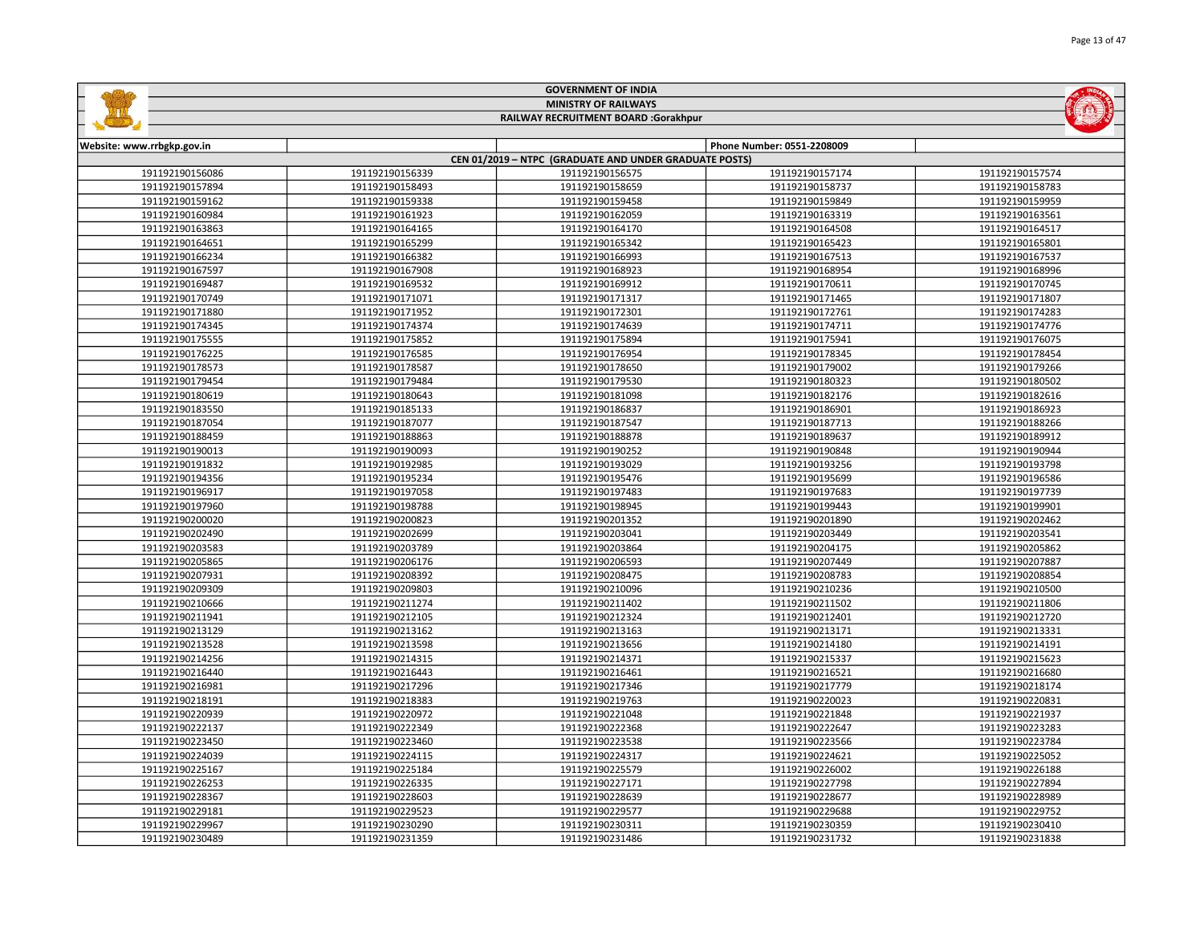|                            |                 | <b>GOVERNMENT OF INDIA</b>                             |                            |                 |
|----------------------------|-----------------|--------------------------------------------------------|----------------------------|-----------------|
|                            |                 | <b>MINISTRY OF RAILWAYS</b>                            |                            |                 |
|                            |                 | RAILWAY RECRUITMENT BOARD :Gorakhpur                   |                            |                 |
|                            |                 |                                                        |                            |                 |
| Website: www.rrbgkp.gov.in |                 |                                                        | Phone Number: 0551-2208009 |                 |
|                            |                 | CEN 01/2019 - NTPC (GRADUATE AND UNDER GRADUATE POSTS) |                            |                 |
| 191192190156086            | 191192190156339 | 191192190156575                                        | 191192190157174            | 191192190157574 |
| 191192190157894            | 191192190158493 | 191192190158659                                        | 191192190158737            | 191192190158783 |
| 191192190159162            | 191192190159338 | 191192190159458                                        | 191192190159849            | 191192190159959 |
| 191192190160984            | 191192190161923 | 191192190162059                                        | 191192190163319            | 191192190163561 |
| 191192190163863            | 191192190164165 | 191192190164170                                        | 191192190164508            | 191192190164517 |
| 191192190164651            | 191192190165299 | 191192190165342                                        | 191192190165423            | 191192190165801 |
| 191192190166234            | 191192190166382 | 191192190166993                                        | 191192190167513            | 191192190167537 |
| 191192190167597            | 191192190167908 | 191192190168923                                        | 191192190168954            | 191192190168996 |
| 191192190169487            | 191192190169532 | 191192190169912                                        | 191192190170611            | 191192190170745 |
| 191192190170749            | 191192190171071 | 191192190171317                                        | 191192190171465            | 191192190171807 |
| 191192190171880            | 191192190171952 | 191192190172301                                        | 191192190172761            | 191192190174283 |
| 191192190174345            | 191192190174374 | 191192190174639                                        | 191192190174711            | 191192190174776 |
| 191192190175555            | 191192190175852 | 191192190175894                                        | 191192190175941            | 191192190176075 |
| 191192190176225            | 191192190176585 | 191192190176954                                        | 191192190178345            | 191192190178454 |
| 191192190178573            | 191192190178587 | 191192190178650                                        | 191192190179002            | 191192190179266 |
| 191192190179454            | 191192190179484 | 191192190179530                                        | 191192190180323            | 191192190180502 |
| 191192190180619            | 191192190180643 | 191192190181098                                        | 191192190182176            | 191192190182616 |
| 191192190183550            | 191192190185133 | 191192190186837                                        | 191192190186901            | 191192190186923 |
| 191192190187054            | 191192190187077 | 191192190187547                                        | 191192190187713            | 191192190188266 |
| 191192190188459            | 191192190188863 | 191192190188878                                        | 191192190189637            | 191192190189912 |
| 191192190190013            | 191192190190093 | 191192190190252                                        | 191192190190848            | 191192190190944 |
| 191192190191832            | 191192190192985 | 191192190193029                                        | 191192190193256            | 191192190193798 |
| 191192190194356            | 191192190195234 | 191192190195476                                        | 191192190195699            | 191192190196586 |
| 191192190196917            | 191192190197058 | 191192190197483                                        | 191192190197683            | 191192190197739 |
| 191192190197960            | 191192190198788 | 191192190198945                                        | 191192190199443            | 191192190199901 |
| 191192190200020            | 191192190200823 | 191192190201352                                        | 191192190201890            | 191192190202462 |
| 191192190202490            | 191192190202699 | 191192190203041                                        | 191192190203449            | 191192190203541 |
| 191192190203583            | 191192190203789 | 191192190203864                                        | 191192190204175            | 191192190205862 |
| 191192190205865            | 191192190206176 | 191192190206593                                        | 191192190207449            | 191192190207887 |
| 191192190207931            | 191192190208392 | 191192190208475                                        | 191192190208783            | 191192190208854 |
| 191192190209309            | 191192190209803 | 191192190210096                                        | 191192190210236            | 191192190210500 |
| 191192190210666            | 191192190211274 | 191192190211402                                        | 191192190211502            | 191192190211806 |
| 191192190211941            | 191192190212105 | 191192190212324                                        | 191192190212401            | 191192190212720 |
| 191192190213129            | 191192190213162 | 191192190213163                                        | 191192190213171            | 191192190213331 |
| 191192190213528            | 191192190213598 | 191192190213656                                        | 191192190214180            | 191192190214191 |
| 191192190214256            | 191192190214315 | 191192190214371                                        | 191192190215337            | 191192190215623 |
| 191192190216440            | 191192190216443 | 191192190216461                                        | 191192190216521            | 191192190216680 |
| 191192190216981            | 191192190217296 | 191192190217346                                        | 191192190217779            | 191192190218174 |
| 191192190218191            | 191192190218383 | 191192190219763                                        | 191192190220023            | 191192190220831 |
|                            |                 |                                                        |                            |                 |
| 191192190220939            | 191192190220972 | 191192190221048                                        | 191192190221848            | 191192190221937 |
| 191192190222137            | 191192190222349 | 191192190222368                                        | 191192190222647            | 191192190223283 |
| 191192190223450            | 191192190223460 | 191192190223538                                        | 191192190223566            | 191192190223784 |
| 191192190224039            | 191192190224115 | 191192190224317                                        | 191192190224621            | 191192190225052 |
| 191192190225167            | 191192190225184 | 191192190225579                                        | 191192190226002            | 191192190226188 |
| 191192190226253            | 191192190226335 | 191192190227171                                        | 191192190227798            | 191192190227894 |
| 191192190228367            | 191192190228603 | 191192190228639                                        | 191192190228677            | 191192190228989 |
| 191192190229181            | 191192190229523 | 191192190229577                                        | 191192190229688            | 191192190229752 |

L,

 191192190230290 191192190230311 191192190230359 191192190230410 191192190231359 191192190231486 191192190231732 191192190231838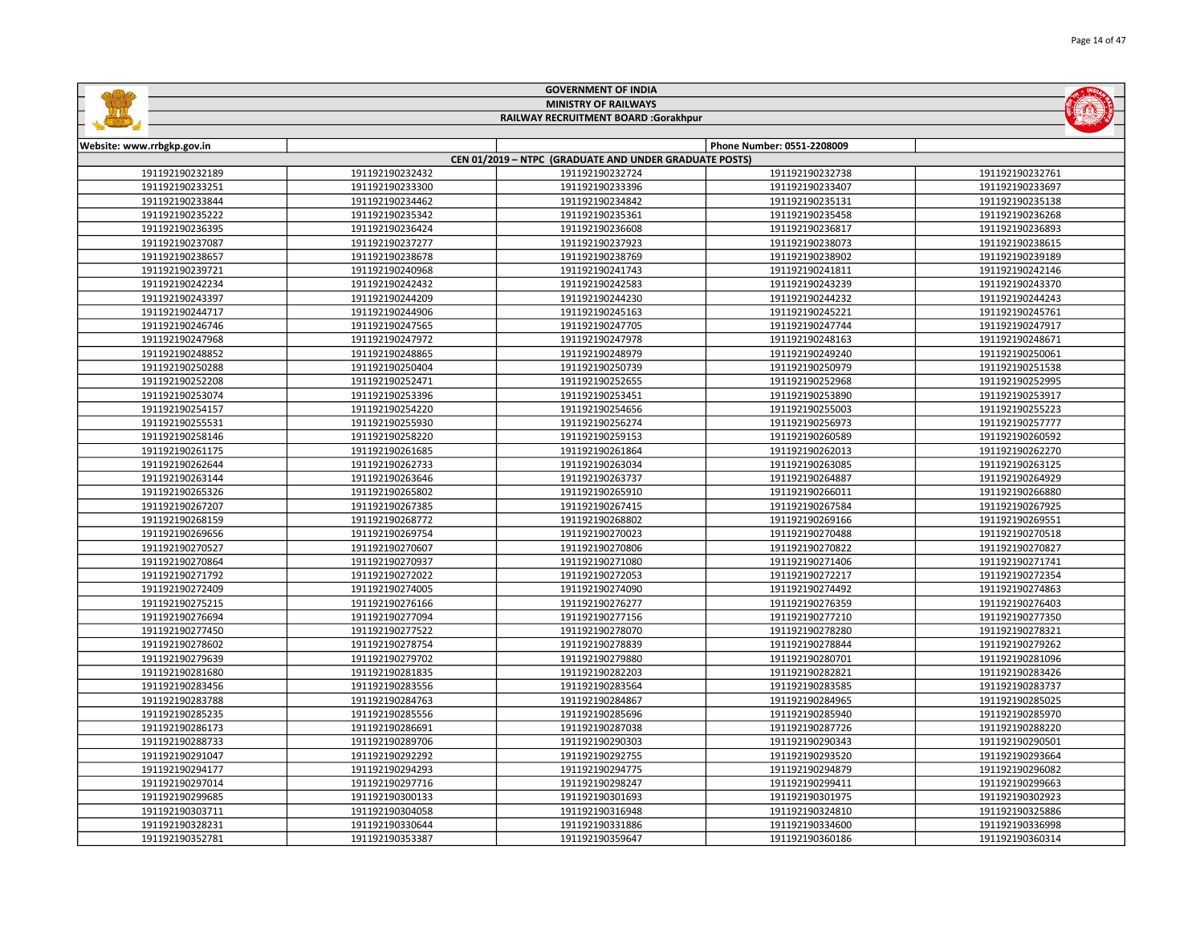| <b>MINISTRY OF RAILWAYS</b><br>RAILWAY RECRUITMENT BOARD :Gorakhpur |                                    |                                                        |                                    |                                    |
|---------------------------------------------------------------------|------------------------------------|--------------------------------------------------------|------------------------------------|------------------------------------|
|                                                                     |                                    |                                                        |                                    |                                    |
| Website: www.rrbgkp.gov.in                                          |                                    |                                                        | Phone Number: 0551-2208009         |                                    |
|                                                                     |                                    | CEN 01/2019 - NTPC (GRADUATE AND UNDER GRADUATE POSTS) |                                    |                                    |
| 191192190232189                                                     | 191192190232432                    | 191192190232724                                        | 191192190232738                    | 191192190232761                    |
| 191192190233251                                                     | 191192190233300                    | 191192190233396                                        | 191192190233407                    | 191192190233697                    |
| 191192190233844                                                     | 191192190234462                    | 191192190234842                                        | 191192190235131                    | 191192190235138                    |
| 191192190235222                                                     | 191192190235342                    | 191192190235361                                        | 191192190235458                    | 191192190236268                    |
| 191192190236395                                                     | 191192190236424                    | 191192190236608                                        | 191192190236817                    | 191192190236893                    |
| 191192190237087                                                     | 191192190237277                    | 191192190237923                                        | 191192190238073                    | 191192190238615                    |
| 191192190238657                                                     | 191192190238678                    | 191192190238769                                        | 191192190238902                    | 191192190239189                    |
| 191192190239721                                                     | 191192190240968                    | 191192190241743                                        | 191192190241811                    | 191192190242146                    |
| 191192190242234                                                     | 191192190242432                    | 191192190242583                                        | 191192190243239                    | 191192190243370                    |
| 191192190243397                                                     | 191192190244209                    | 191192190244230                                        | 191192190244232                    | 191192190244243                    |
| 191192190244717                                                     | 191192190244906                    | 191192190245163                                        | 191192190245221                    | 191192190245761                    |
| 191192190246746                                                     | 191192190247565                    | 191192190247705                                        | 191192190247744                    | 191192190247917                    |
| 191192190247968                                                     | 191192190247972                    | 191192190247978                                        | 191192190248163                    | 191192190248671                    |
| 191192190248852                                                     | 191192190248865                    | 191192190248979                                        | 191192190249240                    | 191192190250061                    |
| 191192190250288                                                     | 191192190250404                    | 191192190250739                                        | 191192190250979                    | 191192190251538                    |
| 191192190252208                                                     | 191192190252471                    | 191192190252655                                        | 191192190252968                    | 191192190252995                    |
| 191192190253074                                                     | 191192190253396                    | 191192190253451                                        | 191192190253890                    | 191192190253917                    |
| 191192190254157                                                     | 191192190254220                    | 191192190254656                                        | 191192190255003                    | 191192190255223                    |
| 191192190255531                                                     | 191192190255930                    | 191192190256274                                        | 191192190256973                    | 191192190257777                    |
| 191192190258146                                                     | 191192190258220                    | 191192190259153                                        | 191192190260589                    | 191192190260592                    |
| 191192190261175<br>191192190262644                                  | 191192190261685<br>191192190262733 | 191192190261864<br>191192190263034                     | 191192190262013<br>191192190263085 | 191192190262270                    |
| 191192190263144                                                     | 191192190263646                    | 191192190263737                                        | 191192190264887                    | 191192190263125<br>191192190264929 |
| 191192190265326                                                     | 191192190265802                    | 191192190265910                                        | 191192190266011                    | 191192190266880                    |
| 191192190267207                                                     | 191192190267385                    | 191192190267415                                        | 191192190267584                    | 191192190267925                    |
|                                                                     |                                    |                                                        |                                    |                                    |
| 191192190268159                                                     | 191192190268772                    | 191192190268802                                        | 191192190269166                    | 191192190269551                    |
| 191192190269656                                                     | 191192190269754                    | 191192190270023                                        | 191192190270488                    | 191192190270518                    |
| 191192190270527<br>191192190270864                                  | 191192190270607<br>191192190270937 | 191192190270806<br>191192190271080                     | 191192190270822<br>191192190271406 | 191192190270827<br>191192190271741 |
|                                                                     |                                    | 191192190272053                                        | 191192190272217                    | 191192190272354                    |
| 191192190271792<br>191192190272409                                  | 191192190272022                    |                                                        | 191192190274492                    |                                    |
| 191192190275215                                                     | 191192190274005<br>191192190276166 | 191192190274090<br>191192190276277                     | 191192190276359                    | 191192190274863<br>191192190276403 |
| 191192190276694                                                     | 191192190277094                    | 191192190277156                                        | 191192190277210                    | 191192190277350                    |
| 191192190277450                                                     | 191192190277522                    | 191192190278070                                        | 191192190278280                    | 191192190278321                    |
| 191192190278602                                                     | 191192190278754                    | 191192190278839                                        | 191192190278844                    | 191192190279262                    |
|                                                                     |                                    |                                                        |                                    |                                    |
| 191192190279639<br>191192190281680                                  | 191192190279702<br>191192190281835 | 191192190279880<br>191192190282203                     | 191192190280701<br>191192190282821 | 191192190281096<br>191192190283426 |
| 191192190283456                                                     | 191192190283556                    | 191192190283564                                        | 191192190283585                    | 191192190283737                    |
| 191192190283788                                                     | 191192190284763                    | 191192190284867                                        | 191192190284965                    | 191192190285025                    |
| 191192190285235                                                     | 191192190285556                    | 191192190285696                                        | 191192190285940                    | 191192190285970                    |
| 191192190286173                                                     | 191192190286691                    | 191192190287038                                        | 191192190287726                    | 191192190288220                    |
| 191192190288733                                                     | 191192190289706                    | 191192190290303                                        | 191192190290343                    | 191192190290501                    |
| 191192190291047                                                     | 191192190292292                    | 191192190292755                                        | 191192190293520                    | 191192190293664                    |
| 191192190294177                                                     | 191192190294293                    | 191192190294775                                        | 191192190294879                    | 191192190296082                    |
| 191192190297014                                                     | 191192190297716                    | 191192190298247                                        | 191192190299411                    | 191192190299663                    |
| 191192190299685                                                     | 191192190300133                    | 191192190301693                                        | 191192190301975                    | 191192190302923                    |
| 191192190303711                                                     | 191192190304058                    | 191192190316948                                        | 191192190324810                    | 191192190325886                    |
| 191192190328231                                                     | 191192190330644                    | 191192190331886                                        | 191192190334600                    | 191192190336998                    |
|                                                                     |                                    |                                                        |                                    |                                    |

191192190353387 191192190359647 191192190360186 191192190360314

GOVERNMENT OF INDIA

**Sallidge**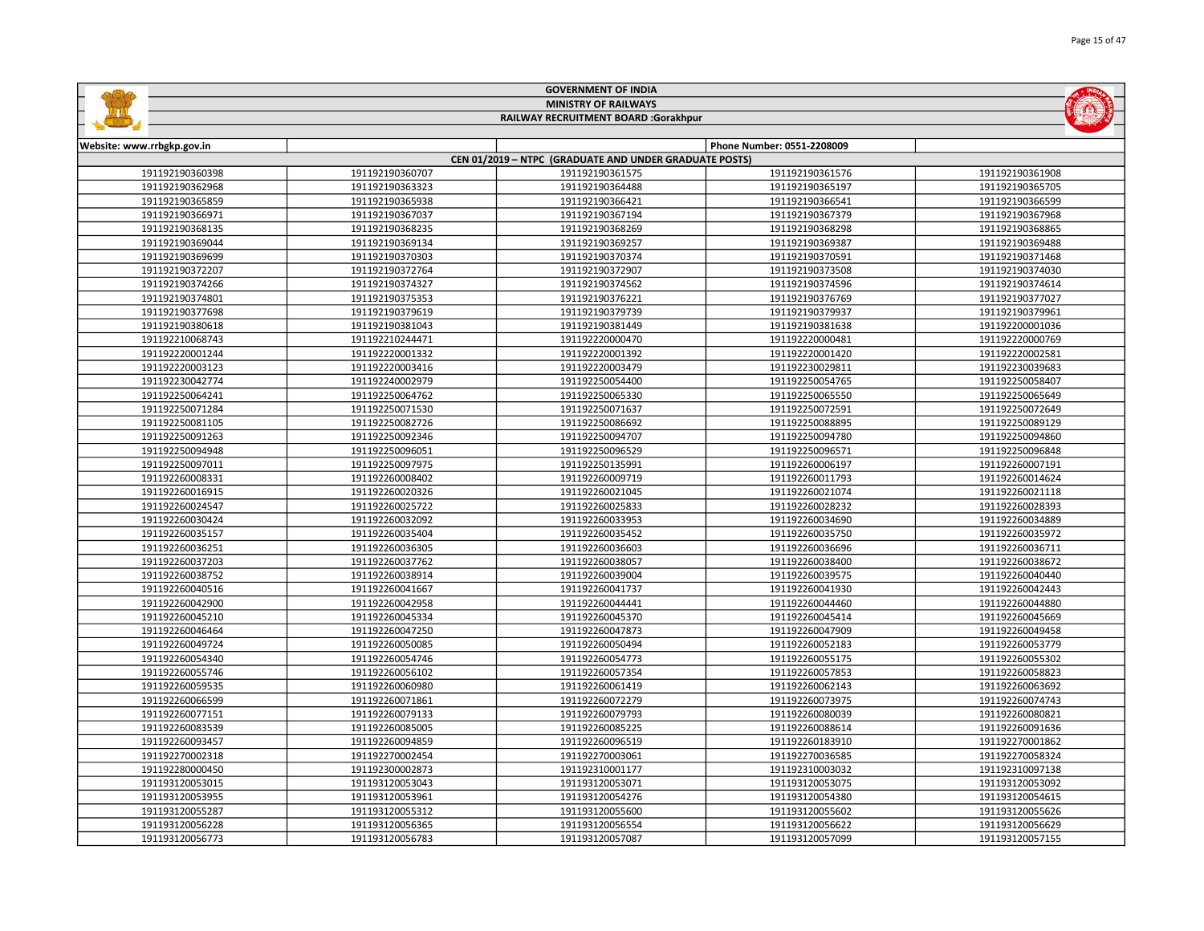|                            |                 | <b>GOVERNMENT OF INDIA</b>                             |                            |                 |
|----------------------------|-----------------|--------------------------------------------------------|----------------------------|-----------------|
|                            |                 | <b>MINISTRY OF RAILWAYS</b>                            |                            |                 |
|                            |                 | RAILWAY RECRUITMENT BOARD :Gorakhpur                   |                            |                 |
|                            |                 |                                                        |                            |                 |
| Website: www.rrbgkp.gov.in |                 |                                                        | Phone Number: 0551-2208009 |                 |
|                            |                 | CEN 01/2019 - NTPC (GRADUATE AND UNDER GRADUATE POSTS) |                            |                 |
| 191192190360398            | 191192190360707 | 191192190361575                                        | 191192190361576            | 191192190361908 |
| 191192190362968            | 191192190363323 | 191192190364488                                        | 191192190365197            | 191192190365705 |
| 191192190365859            | 191192190365938 | 191192190366421                                        | 191192190366541            | 191192190366599 |
| 191192190366971            | 191192190367037 | 191192190367194                                        | 191192190367379            | 191192190367968 |
| 191192190368135            | 191192190368235 | 191192190368269                                        | 191192190368298            | 191192190368865 |
| 191192190369044            | 191192190369134 | 191192190369257                                        | 191192190369387            | 191192190369488 |
| 191192190369699            | 191192190370303 | 191192190370374                                        | 191192190370591            | 191192190371468 |
| 191192190372207            | 191192190372764 | 191192190372907                                        | 191192190373508            | 191192190374030 |
| 191192190374266            | 191192190374327 | 191192190374562                                        | 191192190374596            | 191192190374614 |
| 191192190374801            | 191192190375353 | 191192190376221                                        | 191192190376769            | 191192190377027 |
| 191192190377698            | 191192190379619 | 191192190379739                                        | 191192190379937            | 191192190379961 |
| 191192190380618            | 191192190381043 | 191192190381449                                        | 191192190381638            | 191192200001036 |
| 191192210068743            | 191192210244471 | 191192220000470                                        | 191192220000481            | 191192220000769 |
| 191192220001244            | 191192220001332 | 191192220001392                                        | 191192220001420            | 191192220002581 |
| 191192220003123            | 191192220003416 | 191192220003479                                        | 191192230029811            | 191192230039683 |
| 191192230042774            | 191192240002979 | 191192250054400                                        | 191192250054765            | 191192250058407 |
| 191192250064241            | 191192250064762 | 191192250065330                                        | 191192250065550            | 191192250065649 |
| 191192250071284            | 191192250071530 | 191192250071637                                        | 191192250072591            | 191192250072649 |
| 191192250081105            | 191192250082726 | 191192250086692                                        | 191192250088895            | 191192250089129 |
| 191192250091263            | 191192250092346 | 191192250094707                                        | 191192250094780            | 191192250094860 |
| 191192250094948            | 191192250096051 | 191192250096529                                        | 191192250096571            | 191192250096848 |
| 191192250097011            | 191192250097975 | 191192250135991                                        | 191192260006197            | 191192260007191 |
| 191192260008331            | 191192260008402 | 191192260009719                                        | 191192260011793            | 191192260014624 |
| 191192260016915            | 191192260020326 | 191192260021045                                        | 191192260021074            | 191192260021118 |
| 191192260024547            | 191192260025722 | 191192260025833                                        | 191192260028232            | 191192260028393 |
| 191192260030424            | 191192260032092 | 191192260033953                                        | 191192260034690            | 191192260034889 |
| 191192260035157            | 191192260035404 | 191192260035452                                        | 191192260035750            | 191192260035972 |
| 191192260036251            | 191192260036305 | 191192260036603                                        | 191192260036696            | 191192260036711 |
| 191192260037203            | 191192260037762 | 191192260038057                                        | 191192260038400            | 191192260038672 |
| 191192260038752            | 191192260038914 | 191192260039004                                        | 191192260039575            | 191192260040440 |
| 191192260040516            | 191192260041667 | 191192260041737                                        | 191192260041930            | 191192260042443 |
| 191192260042900            | 191192260042958 | 191192260044441                                        | 191192260044460            | 191192260044880 |
| 191192260045210            | 191192260045334 | 191192260045370                                        | 191192260045414            | 191192260045669 |
| 191192260046464            | 191192260047250 | 191192260047873                                        | 191192260047909            | 191192260049458 |
| 191192260049724            | 191192260050085 | 191192260050494                                        | 191192260052183            | 191192260053779 |
| 191192260054340            | 191192260054746 | 191192260054773                                        | 191192260055175            | 191192260055302 |
| 191192260055746            | 191192260056102 | 191192260057354                                        | 191192260057853            | 191192260058823 |
| 191192260059535            | 191192260060980 | 191192260061419                                        | 191192260062143            | 191192260063692 |
| 191192260066599            | 191192260071861 | 191192260072279                                        | 191192260073975            | 191192260074743 |
| 191192260077151            | 191192260079133 | 191192260079793                                        | 191192260080039            | 191192260080821 |
| 191192260083539            | 191192260085005 | 191192260085225                                        | 191192260088614            | 191192260091636 |
| 191192260093457            | 191192260094859 | 191192260096519                                        | 191192260183910            | 191192270001862 |
| 191192270002318            | 191192270002454 | 191192270003061                                        | 191192270036585            | 191192270058324 |
| 191192280000450            | 191192300002873 | 191192310001177                                        | 191192310003032            | 191192310097138 |
| 191193120053015            | 191193120053043 | 191193120053071                                        | 191193120053075            | 191193120053092 |
| 191193120053955            | 191193120053961 | 191193120054276                                        | 191193120054380            | 191193120054615 |
| 191193120055287            | 191193120055312 | 191193120055600                                        | 191193120055602            | 191193120055626 |
| 191193120056228            | 191193120056365 | 191193120056554                                        | 191193120056622            | 191193120056629 |

191193120056783 191193120057087 191193120057099 191193120057155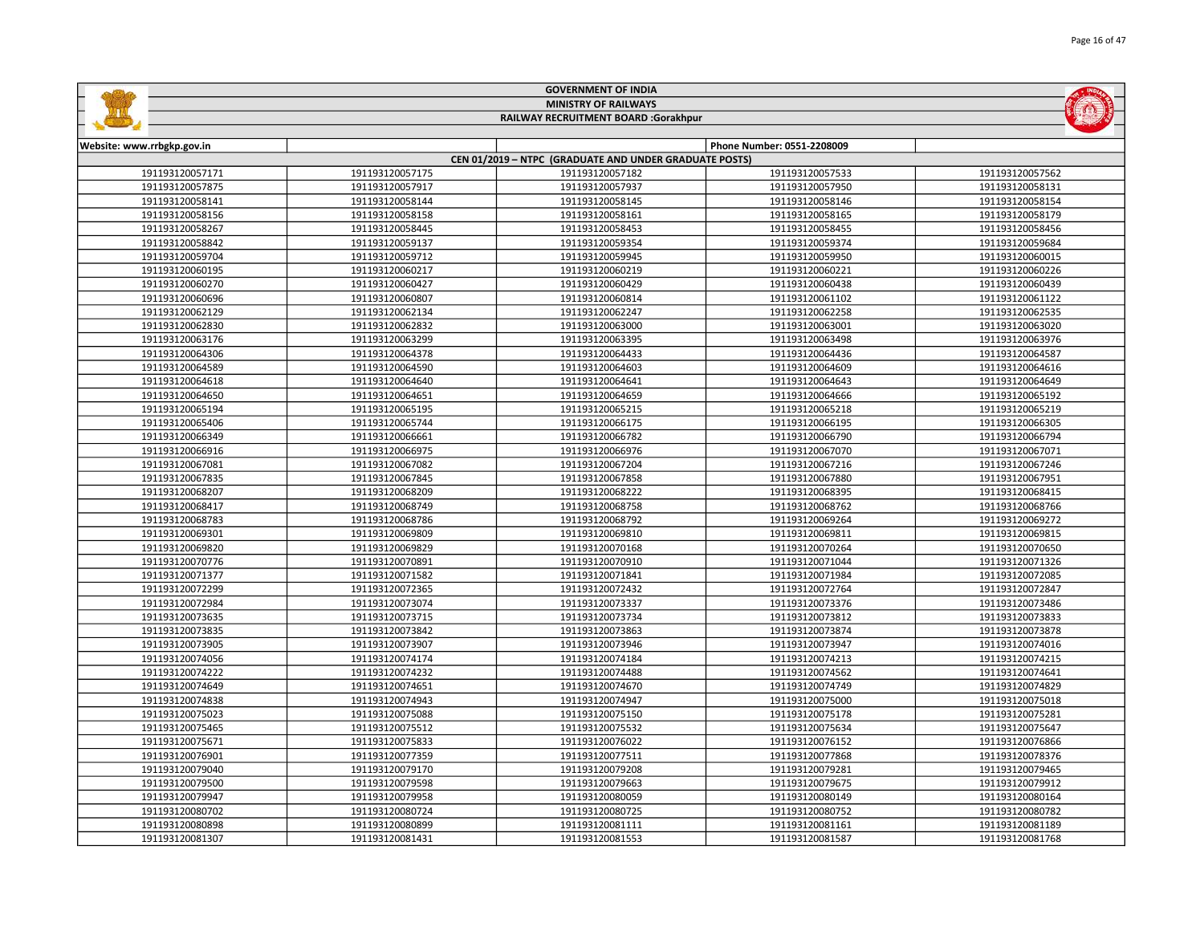|                            |                 | <b>MINISTRY OF RAILWAYS</b>                            |                            |                 |
|----------------------------|-----------------|--------------------------------------------------------|----------------------------|-----------------|
|                            |                 | RAILWAY RECRUITMENT BOARD :Gorakhpur                   |                            |                 |
|                            |                 |                                                        |                            |                 |
| Website: www.rrbgkp.gov.in |                 |                                                        | Phone Number: 0551-2208009 |                 |
|                            |                 | CEN 01/2019 - NTPC (GRADUATE AND UNDER GRADUATE POSTS) |                            |                 |
| 191193120057171            | 191193120057175 | 191193120057182                                        | 191193120057533            | 191193120057562 |
| 191193120057875            | 191193120057917 | 191193120057937                                        | 191193120057950            | 191193120058131 |
| 191193120058141            | 191193120058144 | 191193120058145                                        | 191193120058146            | 191193120058154 |
| 191193120058156            | 191193120058158 | 191193120058161                                        | 191193120058165            | 191193120058179 |
| 191193120058267            | 191193120058445 | 191193120058453                                        | 191193120058455            | 191193120058456 |
| 191193120058842            | 191193120059137 | 191193120059354                                        | 191193120059374            | 191193120059684 |
| 191193120059704            | 191193120059712 | 191193120059945                                        | 191193120059950            | 191193120060015 |
| 191193120060195            | 191193120060217 | 191193120060219                                        | 191193120060221            | 191193120060226 |
| 191193120060270            | 191193120060427 | 191193120060429                                        | 191193120060438            | 191193120060439 |
| 191193120060696            | 191193120060807 | 191193120060814                                        | 191193120061102            | 191193120061122 |
| 191193120062129            | 191193120062134 | 191193120062247                                        | 191193120062258            | 191193120062535 |
| 191193120062830            | 191193120062832 | 191193120063000                                        | 191193120063001            | 191193120063020 |
| 191193120063176            | 191193120063299 | 191193120063395                                        | 191193120063498            | 191193120063976 |
| 191193120064306            | 191193120064378 | 191193120064433                                        | 191193120064436            | 191193120064587 |
| 191193120064589            | 191193120064590 | 191193120064603                                        | 191193120064609            | 191193120064616 |
| 191193120064618            | 191193120064640 | 191193120064641                                        | 191193120064643            | 191193120064649 |
| 191193120064650            | 191193120064651 | 191193120064659                                        | 191193120064666            | 191193120065192 |
| 191193120065194            | 191193120065195 | 191193120065215                                        | 191193120065218            | 191193120065219 |
| 191193120065406            | 191193120065744 | 191193120066175                                        | 191193120066195            | 191193120066305 |
| 191193120066349            | 191193120066661 | 191193120066782                                        | 191193120066790            | 191193120066794 |
| 191193120066916            | 191193120066975 | 191193120066976                                        | 191193120067070            | 191193120067071 |
| 191193120067081            | 191193120067082 | 191193120067204                                        | 191193120067216            | 191193120067246 |
| 191193120067835            | 191193120067845 | 191193120067858                                        | 191193120067880            | 191193120067951 |
| 191193120068207            | 191193120068209 | 191193120068222                                        | 191193120068395            | 191193120068415 |
| 191193120068417            | 191193120068749 | 191193120068758                                        | 191193120068762            | 191193120068766 |
| 191193120068783            | 191193120068786 | 191193120068792                                        | 191193120069264            | 191193120069272 |
| 191193120069301            | 191193120069809 | 191193120069810                                        | 191193120069811            | 191193120069815 |
| 191193120069820            | 191193120069829 | 191193120070168                                        | 191193120070264            | 191193120070650 |
| 191193120070776            | 191193120070891 | 191193120070910                                        | 191193120071044            | 191193120071326 |
| 191193120071377            | 191193120071582 | 191193120071841                                        | 191193120071984            | 191193120072085 |
| 191193120072299            | 191193120072365 | 191193120072432                                        | 191193120072764            | 191193120072847 |
| 191193120072984            | 191193120073074 | 191193120073337                                        | 191193120073376            | 191193120073486 |
| 191193120073635            | 191193120073715 | 191193120073734                                        | 191193120073812            | 191193120073833 |
| 191193120073835            | 191193120073842 | 191193120073863                                        | 191193120073874            | 191193120073878 |
| 191193120073905            | 191193120073907 | 191193120073946                                        | 191193120073947            | 191193120074016 |
| 191193120074056            | 191193120074174 | 191193120074184                                        | 191193120074213            | 191193120074215 |
| 191193120074222            | 191193120074232 | 191193120074488                                        | 191193120074562            | 191193120074641 |
| 191193120074649            | 191193120074651 | 191193120074670                                        | 191193120074749            | 191193120074829 |
| 191193120074838            | 191193120074943 | 191193120074947                                        | 191193120075000            | 191193120075018 |
| 191193120075023            | 191193120075088 | 191193120075150                                        | 191193120075178            | 191193120075281 |
| 191193120075465            | 191193120075512 | 191193120075532                                        | 191193120075634            | 191193120075647 |
| 191193120075671            | 191193120075833 | 191193120076022                                        | 191193120076152            | 191193120076866 |
| 191193120076901            | 191193120077359 | 191193120077511                                        | 191193120077868            | 191193120078376 |
| 191193120079040            | 191193120079170 | 191193120079208                                        | 191193120079281            | 191193120079465 |
| 191193120079500            | 191193120079598 | 191193120079663                                        | 191193120079675            | 191193120079912 |
| 191193120079947            | 191193120079958 | 191193120080059                                        | 191193120080149            | 191193120080164 |
| 191193120080702            | 191193120080724 | 191193120080725                                        | 191193120080752            | 191193120080782 |
| 191193120080898            | 191193120080899 | 191193120081111                                        | 191193120081161            | 191193120081189 |
|                            |                 |                                                        |                            |                 |

191193120081431 191193120081553 191193120081587 191193120081768

GOVERNMENT OF INDIA

**Safety**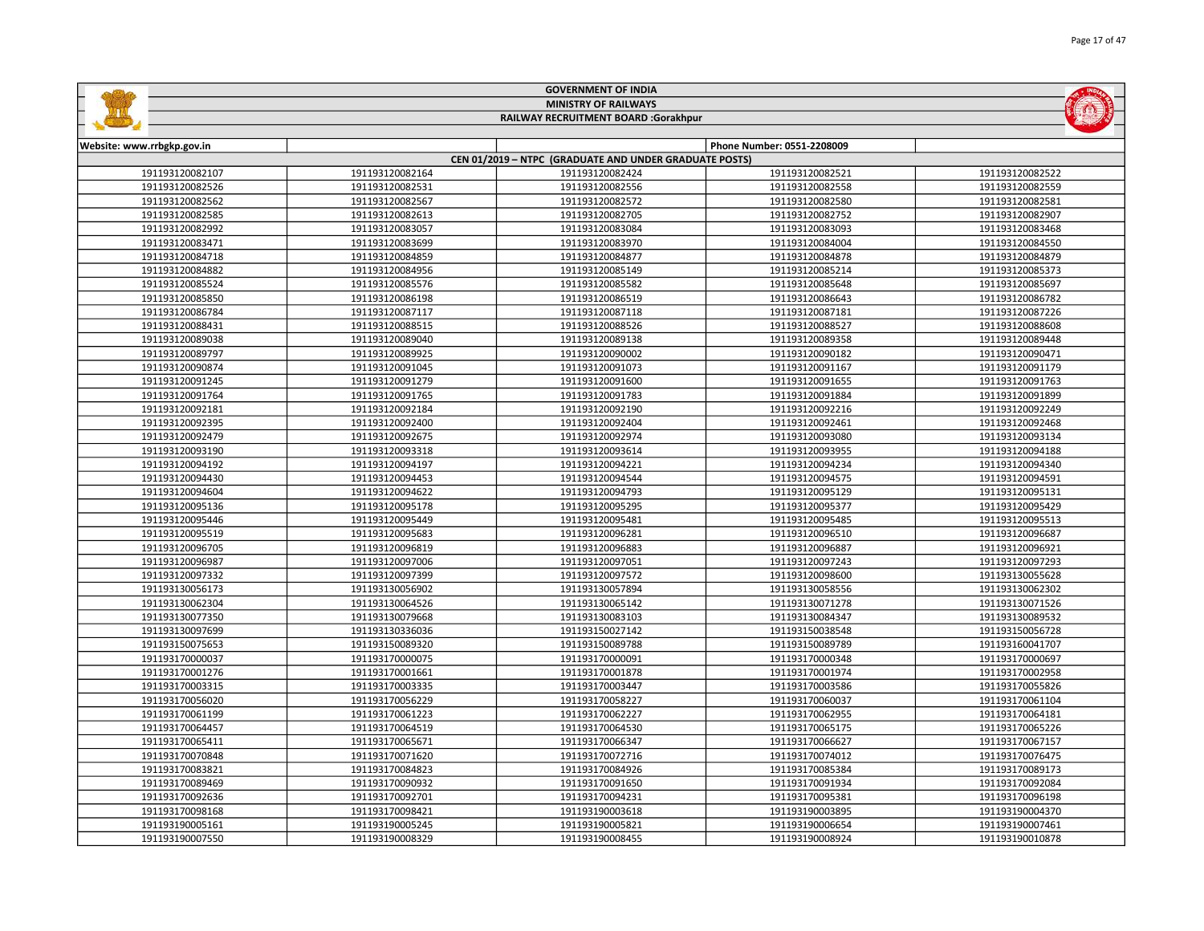| <b>GOVERNMENT OF INDIA</b><br><b>MINISTRY OF RAILWAYS</b> |                 |                                                        |                            |                 |
|-----------------------------------------------------------|-----------------|--------------------------------------------------------|----------------------------|-----------------|
|                                                           |                 | RAILWAY RECRUITMENT BOARD :Gorakhpur                   |                            |                 |
|                                                           |                 |                                                        |                            |                 |
| Website: www.rrbgkp.gov.in                                |                 |                                                        | Phone Number: 0551-2208009 |                 |
|                                                           |                 | CEN 01/2019 - NTPC (GRADUATE AND UNDER GRADUATE POSTS) |                            |                 |
| 191193120082107                                           | 191193120082164 | 191193120082424                                        | 191193120082521            | 191193120082522 |
| 191193120082526                                           | 191193120082531 | 191193120082556                                        | 191193120082558            | 191193120082559 |
| 191193120082562                                           | 191193120082567 | 191193120082572                                        | 191193120082580            | 191193120082581 |
| 191193120082585                                           | 191193120082613 | 191193120082705                                        | 191193120082752            | 191193120082907 |
| 191193120082992                                           | 191193120083057 | 191193120083084                                        | 191193120083093            | 191193120083468 |
| 191193120083471                                           | 191193120083699 | 191193120083970                                        | 191193120084004            | 191193120084550 |
| 191193120084718                                           | 191193120084859 | 191193120084877                                        | 191193120084878            | 191193120084879 |
| 191193120084882                                           | 191193120084956 | 191193120085149                                        | 191193120085214            | 191193120085373 |
| 191193120085524                                           | 191193120085576 | 191193120085582                                        | 191193120085648            | 191193120085697 |
| 191193120085850                                           | 191193120086198 | 191193120086519                                        | 191193120086643            | 191193120086782 |
| 191193120086784                                           | 191193120087117 | 191193120087118                                        | 191193120087181            | 191193120087226 |
| 191193120088431                                           | 191193120088515 | 191193120088526                                        | 191193120088527            | 191193120088608 |
| 191193120089038                                           | 191193120089040 | 191193120089138                                        | 191193120089358            | 191193120089448 |
| 191193120089797                                           | 191193120089925 | 191193120090002                                        | 191193120090182            | 191193120090471 |
| 191193120090874                                           | 191193120091045 | 191193120091073                                        | 191193120091167            | 191193120091179 |
| 191193120091245                                           | 191193120091279 | 191193120091600                                        | 191193120091655            | 191193120091763 |
| 191193120091764                                           | 191193120091765 | 191193120091783                                        | 191193120091884            | 191193120091899 |
| 191193120092181                                           | 191193120092184 | 191193120092190                                        | 191193120092216            | 191193120092249 |
| 191193120092395                                           | 191193120092400 | 191193120092404                                        | 191193120092461            | 191193120092468 |
| 191193120092479                                           | 191193120092675 | 191193120092974                                        | 191193120093080            | 191193120093134 |
| 191193120093190                                           | 191193120093318 | 191193120093614                                        | 191193120093955            | 191193120094188 |
| 191193120094192                                           | 191193120094197 | 191193120094221                                        | 191193120094234            | 191193120094340 |
| 191193120094430                                           | 191193120094453 | 191193120094544                                        | 191193120094575            | 191193120094591 |
| 191193120094604                                           | 191193120094622 | 191193120094793                                        | 191193120095129            | 191193120095131 |
| 191193120095136                                           | 191193120095178 | 191193120095295                                        | 191193120095377            | 191193120095429 |
| 191193120095446                                           | 191193120095449 | 191193120095481                                        | 191193120095485            | 191193120095513 |
| 191193120095519                                           | 191193120095683 | 191193120096281                                        | 191193120096510            | 191193120096687 |
| 191193120096705                                           | 191193120096819 | 191193120096883                                        | 191193120096887            | 191193120096921 |
| 191193120096987                                           | 191193120097006 | 191193120097051                                        | 191193120097243            | 191193120097293 |
| 191193120097332                                           | 191193120097399 | 191193120097572                                        | 191193120098600            | 191193130055628 |
| 191193130056173                                           | 191193130056902 | 191193130057894                                        | 191193130058556            | 191193130062302 |
| 191193130062304                                           | 191193130064526 | 191193130065142                                        | 191193130071278            | 191193130071526 |
| 191193130077350                                           | 191193130079668 | 191193130083103                                        | 191193130084347            | 191193130089532 |
| 191193130097699                                           | 191193130336036 | 191193150027142                                        | 191193150038548            | 191193150056728 |
| 191193150075653                                           | 191193150089320 | 191193150089788                                        | 191193150089789            | 191193160041707 |
| 191193170000037                                           | 191193170000075 | 191193170000091                                        | 191193170000348            | 191193170000697 |
| 191193170001276                                           | 191193170001661 | 191193170001878                                        | 191193170001974            | 191193170002958 |
| 191193170003315                                           | 191193170003335 | 191193170003447                                        | 191193170003586            | 191193170055826 |
| 191193170056020                                           | 191193170056229 | 191193170058227                                        | 191193170060037            | 191193170061104 |
| 191193170061199                                           | 191193170061223 | 191193170062227                                        | 191193170062955            | 191193170064181 |
| 191193170064457                                           | 191193170064519 | 191193170064530                                        | 191193170065175            | 191193170065226 |
| 191193170065411                                           | 191193170065671 | 191193170066347                                        | 191193170066627            | 191193170067157 |
| 191193170070848                                           | 191193170071620 | 191193170072716                                        | 191193170074012            | 191193170076475 |
| 191193170083821                                           | 191193170084823 | 191193170084926                                        | 191193170085384            | 191193170089173 |
| 191193170089469                                           | 191193170090932 | 191193170091650                                        | 191193170091934            | 191193170092084 |
| 191193170092636                                           | 191193170092701 | 191193170094231                                        | 191193170095381            | 191193170096198 |
| 191193170098168                                           | 191193170098421 | 191193190003618                                        | 191193190003895            | 191193190004370 |
| 191193190005161                                           | 191193190005245 | 191193190005821                                        | 191193190006654            | 191193190007461 |

191193190008329 191193190008455 191193190008924 191193190010878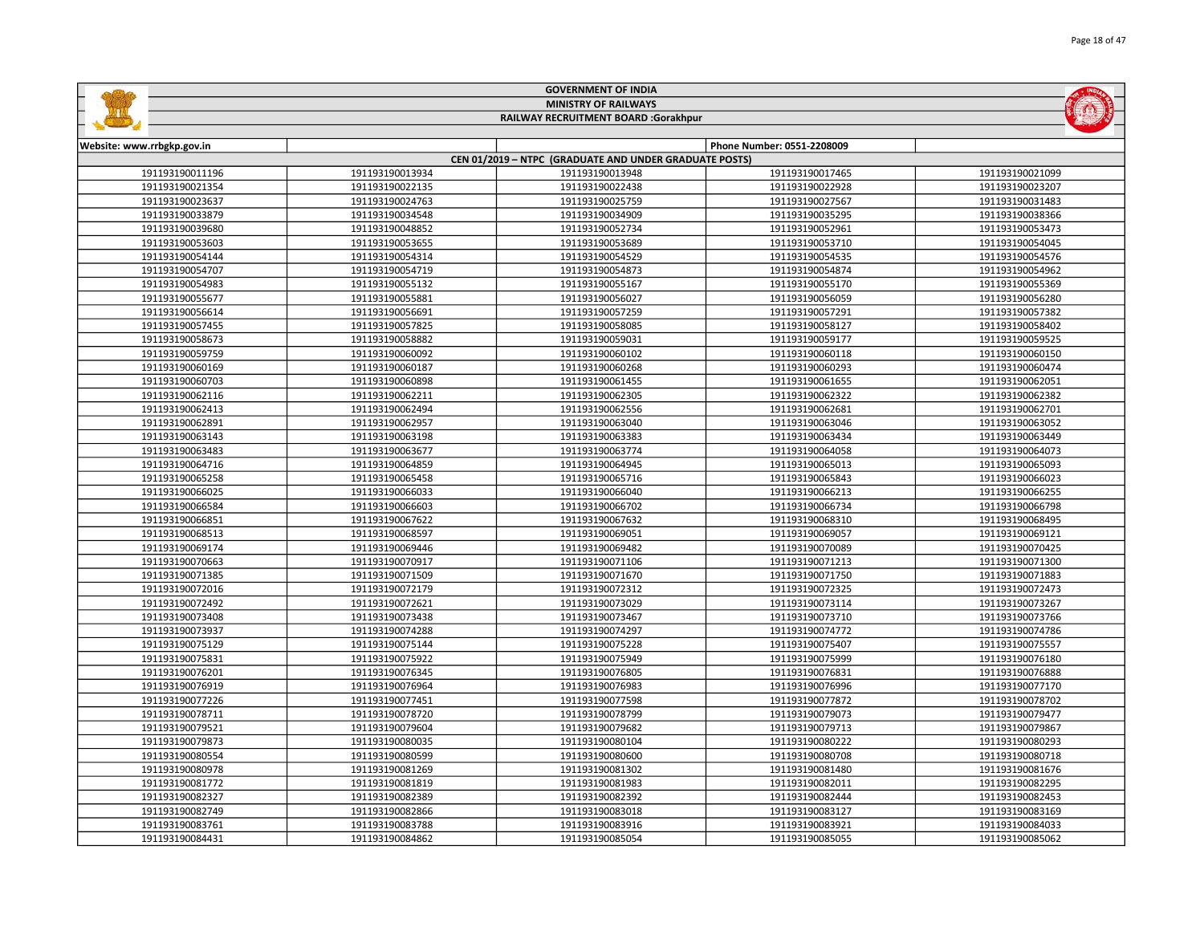| <b>MINISTRY OF RAILWAYS</b><br>RAILWAY RECRUITMENT BOARD :Gorakhpur |                 |                                                        |                            |                 |
|---------------------------------------------------------------------|-----------------|--------------------------------------------------------|----------------------------|-----------------|
| Website: www.rrbgkp.gov.in                                          |                 |                                                        | Phone Number: 0551-2208009 |                 |
|                                                                     |                 | CEN 01/2019 - NTPC (GRADUATE AND UNDER GRADUATE POSTS) |                            |                 |
| 191193190011196                                                     | 191193190013934 | 191193190013948                                        | 191193190017465            | 191193190021099 |
| 191193190021354                                                     | 191193190022135 | 191193190022438                                        | 191193190022928            | 191193190023207 |
| 191193190023637                                                     | 191193190024763 | 191193190025759                                        | 191193190027567            | 191193190031483 |
| 191193190033879                                                     | 191193190034548 | 191193190034909                                        | 191193190035295            | 191193190038366 |
| 191193190039680                                                     | 191193190048852 | 191193190052734                                        | 191193190052961            | 191193190053473 |
| 191193190053603                                                     | 191193190053655 | 191193190053689                                        | 191193190053710            | 191193190054045 |
| 191193190054144                                                     | 191193190054314 | 191193190054529                                        | 191193190054535            | 191193190054576 |
| 191193190054707                                                     | 191193190054719 | 191193190054873                                        | 191193190054874            | 191193190054962 |
| 191193190054983                                                     | 191193190055132 | 191193190055167                                        | 191193190055170            | 191193190055369 |
| 191193190055677                                                     | 191193190055881 | 191193190056027                                        | 191193190056059            | 191193190056280 |
| 191193190056614                                                     | 191193190056691 | 191193190057259                                        | 191193190057291            | 191193190057382 |
| 191193190057455                                                     | 191193190057825 | 191193190058085                                        | 191193190058127            | 191193190058402 |
| 191193190058673                                                     | 191193190058882 | 191193190059031                                        | 191193190059177            | 191193190059525 |
| 191193190059759                                                     | 191193190060092 | 191193190060102                                        | 191193190060118            | 191193190060150 |
| 191193190060169                                                     | 191193190060187 | 191193190060268                                        | 191193190060293            | 191193190060474 |
| 191193190060703                                                     | 191193190060898 | 191193190061455                                        | 191193190061655            | 191193190062051 |
| 191193190062116                                                     | 191193190062211 | 191193190062305                                        | 191193190062322            | 191193190062382 |
| 191193190062413                                                     | 191193190062494 | 191193190062556                                        | 191193190062681            | 191193190062701 |
| 191193190062891                                                     | 191193190062957 | 191193190063040                                        | 191193190063046            | 191193190063052 |
| 191193190063143                                                     | 191193190063198 | 191193190063383                                        | 191193190063434            | 191193190063449 |
| 191193190063483                                                     | 191193190063677 | 191193190063774                                        | 191193190064058            | 191193190064073 |
| 191193190064716                                                     | 191193190064859 | 191193190064945                                        | 191193190065013            | 191193190065093 |
| 191193190065258                                                     | 191193190065458 | 191193190065716                                        | 191193190065843            | 191193190066023 |
| 191193190066025                                                     | 191193190066033 | 191193190066040                                        | 191193190066213            | 191193190066255 |
| 191193190066584                                                     | 191193190066603 | 191193190066702                                        | 191193190066734            | 191193190066798 |
| 191193190066851                                                     | 191193190067622 | 191193190067632                                        | 191193190068310            | 191193190068495 |
| 191193190068513                                                     | 191193190068597 | 191193190069051                                        | 191193190069057            | 191193190069121 |
| 191193190069174                                                     | 191193190069446 | 191193190069482                                        | 191193190070089            | 191193190070425 |
| 191193190070663                                                     | 191193190070917 | 191193190071106                                        | 191193190071213            | 191193190071300 |
| 191193190071385                                                     | 191193190071509 | 191193190071670                                        | 191193190071750            | 191193190071883 |
| 191193190072016                                                     | 191193190072179 | 191193190072312                                        | 191193190072325            | 191193190072473 |
| 191193190072492                                                     | 191193190072621 | 191193190073029                                        | 191193190073114            | 191193190073267 |
| 191193190073408                                                     | 191193190073438 | 191193190073467                                        | 191193190073710            | 191193190073766 |
| 191193190073937                                                     | 191193190074288 | 191193190074297                                        | 191193190074772            | 191193190074786 |
| 191193190075129                                                     | 191193190075144 | 191193190075228                                        | 191193190075407            | 191193190075557 |
| 191193190075831                                                     | 191193190075922 | 191193190075949                                        | 191193190075999            | 191193190076180 |
| 191193190076201                                                     | 191193190076345 | 191193190076805                                        | 191193190076831            | 191193190076888 |
| 191193190076919                                                     | 191193190076964 | 191193190076983                                        | 191193190076996            | 191193190077170 |
| 191193190077226                                                     | 191193190077451 | 191193190077598                                        | 191193190077872            | 191193190078702 |
| 191193190078711                                                     | 191193190078720 | 191193190078799                                        | 191193190079073            | 191193190079477 |
| 191193190079521                                                     | 191193190079604 | 191193190079682                                        | 191193190079713            | 191193190079867 |
| 191193190079873                                                     | 191193190080035 | 191193190080104                                        | 191193190080222            | 191193190080293 |
| 191193190080554                                                     | 191193190080599 | 191193190080600                                        | 191193190080708            | 191193190080718 |
| 191193190080978                                                     | 191193190081269 | 191193190081302                                        | 191193190081480            | 191193190081676 |
| 191193190081772                                                     | 191193190081819 | 191193190081983                                        | 191193190082011            | 191193190082295 |
| 191193190082327                                                     | 191193190082389 | 191193190082392                                        | 191193190082444            | 191193190082453 |
| 191193190082749                                                     | 191193190082866 | 191193190083018                                        | 191193190083127            | 191193190083169 |
| 191193190083761                                                     | 191193190083788 | 191193190083916                                        | 191193190083921            | 191193190084033 |

191193190084862 191193190085054 191193190085055 191193190085062

GOVERNMENT OF INDIA

**Sallida** 

**MOLTER**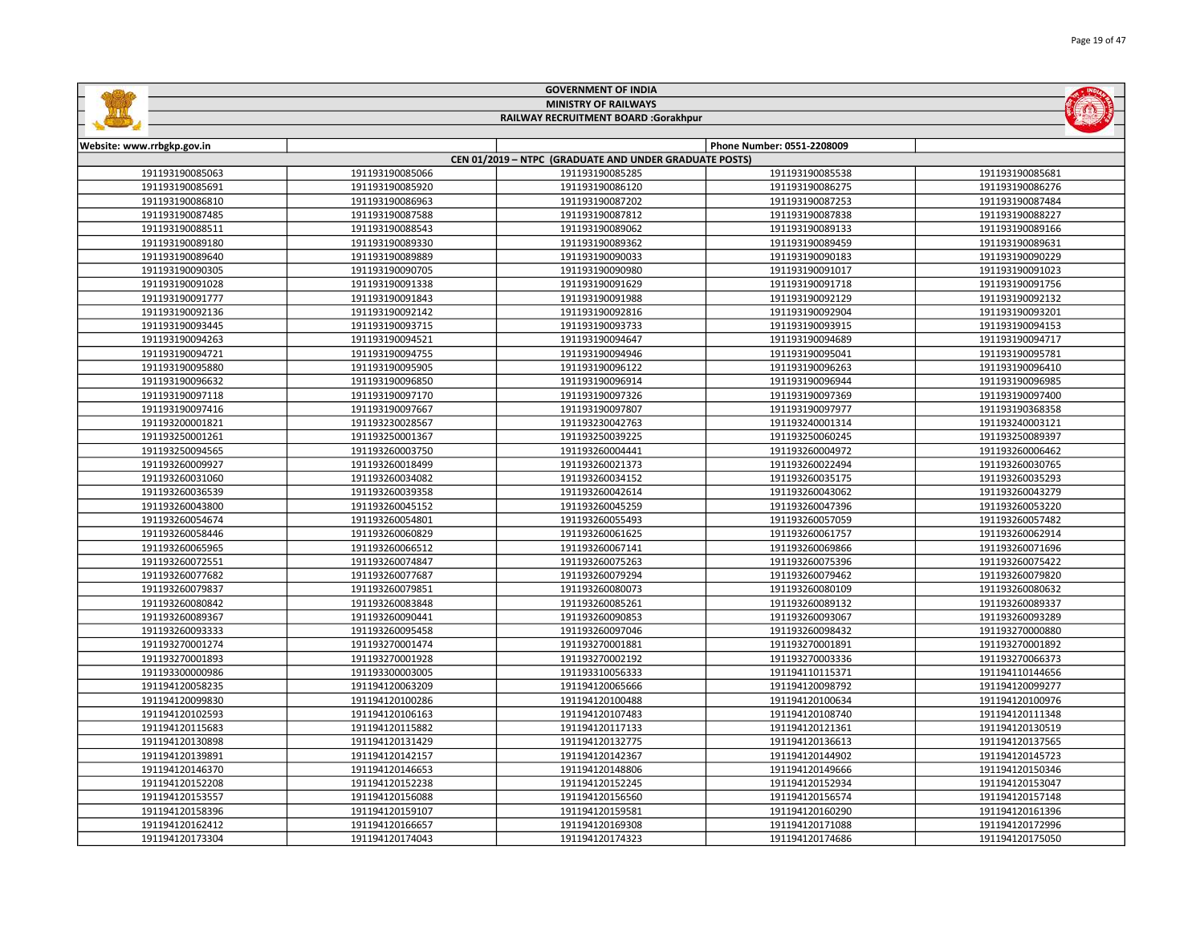| <b>MINISTRY OF RAILWAYS</b><br>RAILWAY RECRUITMENT BOARD :Gorakhpur |                 |                                                        |                            |                 |
|---------------------------------------------------------------------|-----------------|--------------------------------------------------------|----------------------------|-----------------|
|                                                                     |                 |                                                        |                            |                 |
| Website: www.rrbgkp.gov.in                                          |                 |                                                        | Phone Number: 0551-2208009 |                 |
|                                                                     |                 | CEN 01/2019 - NTPC (GRADUATE AND UNDER GRADUATE POSTS) |                            |                 |
| 191193190085063                                                     | 191193190085066 | 191193190085285                                        | 191193190085538            | 191193190085681 |
| 191193190085691                                                     | 191193190085920 | 191193190086120                                        | 191193190086275            | 191193190086276 |
| 191193190086810                                                     | 191193190086963 | 191193190087202                                        | 191193190087253            | 191193190087484 |
| 191193190087485                                                     | 191193190087588 | 191193190087812                                        | 191193190087838            | 191193190088227 |
| 191193190088511                                                     | 191193190088543 | 191193190089062                                        | 191193190089133            | 191193190089166 |
| 191193190089180                                                     | 191193190089330 | 191193190089362                                        | 191193190089459            | 191193190089631 |
| 191193190089640                                                     | 191193190089889 | 191193190090033                                        | 191193190090183            | 191193190090229 |
| 191193190090305                                                     | 191193190090705 | 191193190090980                                        | 191193190091017            | 191193190091023 |
| 191193190091028                                                     | 191193190091338 | 191193190091629                                        | 191193190091718            | 191193190091756 |
| 191193190091777                                                     | 191193190091843 | 191193190091988                                        | 191193190092129            | 191193190092132 |
| 191193190092136                                                     | 191193190092142 | 191193190092816                                        | 191193190092904            | 191193190093201 |
| 191193190093445                                                     | 191193190093715 | 191193190093733                                        | 191193190093915            | 191193190094153 |
| 191193190094263                                                     | 191193190094521 | 191193190094647                                        | 191193190094689            | 191193190094717 |
| 191193190094721                                                     | 191193190094755 | 191193190094946                                        | 191193190095041            | 191193190095781 |
| 191193190095880                                                     | 191193190095905 | 191193190096122                                        | 191193190096263            | 191193190096410 |
| 191193190096632                                                     | 191193190096850 | 191193190096914                                        | 191193190096944            | 191193190096985 |
| 191193190097118                                                     | 191193190097170 | 191193190097326                                        | 191193190097369            | 191193190097400 |
| 191193190097416                                                     | 191193190097667 | 191193190097807                                        | 191193190097977            | 191193190368358 |
| 191193200001821                                                     | 191193230028567 | 191193230042763                                        | 191193240001314            | 191193240003121 |
| 191193250001261                                                     | 191193250001367 | 191193250039225                                        | 191193250060245            | 191193250089397 |
| 191193250094565                                                     | 191193260003750 | 191193260004441                                        | 191193260004972            | 191193260006462 |
| 191193260009927                                                     | 191193260018499 | 191193260021373                                        | 191193260022494            | 191193260030765 |
| 191193260031060                                                     | 191193260034082 | 191193260034152                                        | 191193260035175            | 191193260035293 |
| 191193260036539                                                     | 191193260039358 | 191193260042614                                        | 191193260043062            | 191193260043279 |
| 191193260043800                                                     | 191193260045152 | 191193260045259                                        | 191193260047396            | 191193260053220 |
| 191193260054674                                                     | 191193260054801 | 191193260055493                                        | 191193260057059            | 191193260057482 |
| 191193260058446                                                     | 191193260060829 | 191193260061625                                        | 191193260061757            | 191193260062914 |
| 191193260065965                                                     | 191193260066512 | 191193260067141                                        | 191193260069866            | 191193260071696 |
| 191193260072551                                                     | 191193260074847 | 191193260075263                                        | 191193260075396            | 191193260075422 |
| 191193260077682                                                     | 191193260077687 | 191193260079294                                        | 191193260079462            | 191193260079820 |
| 191193260079837                                                     | 191193260079851 | 191193260080073                                        | 191193260080109            | 191193260080632 |
| 191193260080842                                                     | 191193260083848 | 191193260085261                                        | 191193260089132            | 191193260089337 |
| 191193260089367                                                     | 191193260090441 | 191193260090853                                        | 191193260093067            | 191193260093289 |
| 191193260093333                                                     | 191193260095458 | 191193260097046                                        | 191193260098432            | 191193270000880 |
| 191193270001274                                                     | 191193270001474 | 191193270001881                                        | 191193270001891            | 191193270001892 |
| 191193270001893                                                     | 191193270001928 | 191193270002192                                        | 191193270003336            | 191193270066373 |
| 191193300000986                                                     | 191193300003005 | 191193310056333                                        | 191194110115371            | 191194110144656 |
| 191194120058235                                                     | 191194120063209 | 191194120065666                                        | 191194120098792            | 191194120099277 |
| 191194120099830                                                     | 191194120100286 | 191194120100488                                        | 191194120100634            | 191194120100976 |
| 191194120102593                                                     | 191194120106163 | 191194120107483                                        | 191194120108740            | 191194120111348 |
| 191194120115683                                                     | 191194120115882 | 191194120117133                                        | 191194120121361            | 191194120130519 |
| 191194120130898                                                     | 191194120131429 | 191194120132775                                        | 191194120136613            | 191194120137565 |
| 191194120139891                                                     | 191194120142157 | 191194120142367                                        | 191194120144902            | 191194120145723 |
| 191194120146370                                                     | 191194120146653 | 191194120148806                                        | 191194120149666            | 191194120150346 |
| 191194120152208                                                     | 191194120152238 | 191194120152245                                        | 191194120152934            | 191194120153047 |
| 191194120153557                                                     | 191194120156088 | 191194120156560                                        | 191194120156574            | 191194120157148 |
| 191194120158396                                                     | 191194120159107 | 191194120159581                                        | 191194120160290            | 191194120161396 |
| 191194120162412                                                     | 191194120166657 | 191194120169308                                        | 191194120171088            | 191194120172996 |

191194120174043 191194120174323 191194120174686 191194120175050

GOVERNMENT OF INDIA

**Sallidge**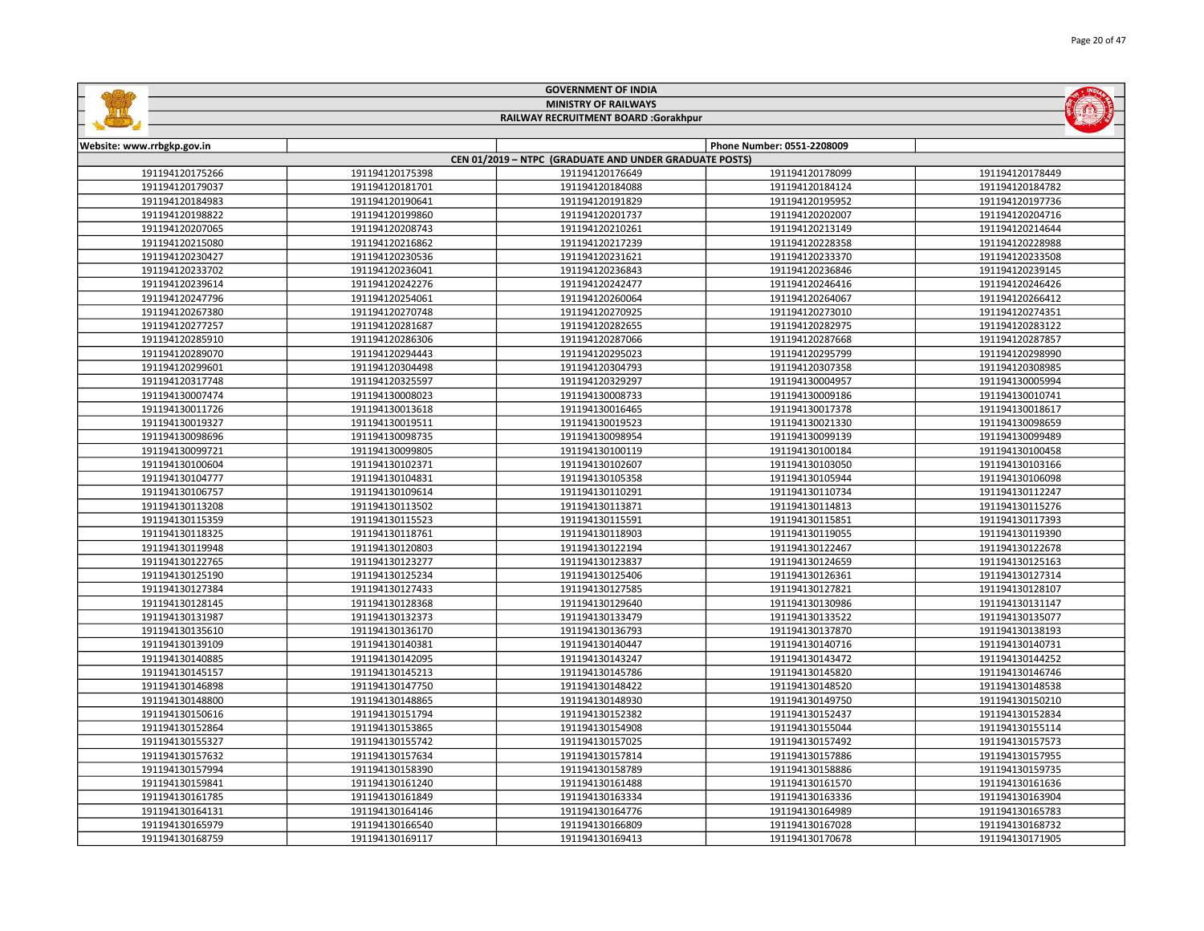| <b>MINISTRY OF RAILWAYS</b><br>RAILWAY RECRUITMENT BOARD :Gorakhpur |                 |                                                        |                            |                 |  |  |
|---------------------------------------------------------------------|-----------------|--------------------------------------------------------|----------------------------|-----------------|--|--|
|                                                                     |                 |                                                        |                            |                 |  |  |
| Website: www.rrbgkp.gov.in                                          |                 | CEN 01/2019 - NTPC (GRADUATE AND UNDER GRADUATE POSTS) | Phone Number: 0551-2208009 |                 |  |  |
| 191194120175266                                                     | 191194120175398 | 191194120176649                                        | 191194120178099            | 191194120178449 |  |  |
| 191194120179037                                                     | 191194120181701 | 191194120184088                                        | 191194120184124            | 191194120184782 |  |  |
| 191194120184983                                                     | 191194120190641 | 191194120191829                                        | 191194120195952            | 191194120197736 |  |  |
| 191194120198822                                                     | 191194120199860 | 191194120201737                                        | 191194120202007            | 191194120204716 |  |  |
| 191194120207065                                                     | 191194120208743 | 191194120210261                                        | 191194120213149            | 191194120214644 |  |  |
| 191194120215080                                                     | 191194120216862 | 191194120217239                                        | 191194120228358            | 191194120228988 |  |  |
| 191194120230427                                                     | 191194120230536 | 191194120231621                                        | 191194120233370            | 191194120233508 |  |  |
| 191194120233702                                                     | 191194120236041 | 191194120236843                                        | 191194120236846            | 191194120239145 |  |  |
| 191194120239614                                                     | 191194120242276 | 191194120242477                                        | 191194120246416            | 191194120246426 |  |  |
| 191194120247796                                                     | 191194120254061 | 191194120260064                                        | 191194120264067            | 191194120266412 |  |  |
| 191194120267380                                                     | 191194120270748 | 191194120270925                                        | 191194120273010            | 191194120274351 |  |  |
| 191194120277257                                                     | 191194120281687 | 191194120282655                                        | 191194120282975            | 191194120283122 |  |  |
| 191194120285910                                                     | 191194120286306 | 191194120287066                                        | 191194120287668            | 191194120287857 |  |  |
| 191194120289070                                                     | 191194120294443 | 191194120295023                                        | 191194120295799            | 191194120298990 |  |  |
| 191194120299601                                                     | 191194120304498 | 191194120304793                                        | 191194120307358            | 191194120308985 |  |  |
| 191194120317748                                                     | 191194120325597 | 191194120329297                                        | 191194130004957            | 191194130005994 |  |  |
| 191194130007474                                                     | 191194130008023 | 191194130008733                                        | 191194130009186            | 191194130010741 |  |  |
| 191194130011726                                                     | 191194130013618 | 191194130016465                                        | 191194130017378            | 191194130018617 |  |  |
| 191194130019327                                                     | 191194130019511 | 191194130019523                                        | 191194130021330            | 191194130098659 |  |  |
| 191194130098696                                                     | 191194130098735 | 191194130098954                                        | 191194130099139            | 191194130099489 |  |  |
| 191194130099721                                                     | 191194130099805 | 191194130100119                                        | 191194130100184            | 191194130100458 |  |  |
| 191194130100604                                                     | 191194130102371 | 191194130102607                                        | 191194130103050            | 191194130103166 |  |  |
| 191194130104777                                                     | 191194130104831 | 191194130105358                                        | 191194130105944            | 191194130106098 |  |  |
| 191194130106757                                                     | 191194130109614 | 191194130110291                                        | 191194130110734            | 191194130112247 |  |  |
| 191194130113208                                                     | 191194130113502 | 191194130113871                                        | 191194130114813            | 191194130115276 |  |  |
| 191194130115359                                                     | 191194130115523 | 191194130115591                                        | 191194130115851            | 191194130117393 |  |  |
| 191194130118325                                                     | 191194130118761 | 191194130118903                                        | 191194130119055            | 191194130119390 |  |  |
| 191194130119948                                                     | 191194130120803 | 191194130122194                                        | 191194130122467            | 191194130122678 |  |  |
| 191194130122765                                                     | 191194130123277 | 191194130123837                                        | 191194130124659            | 191194130125163 |  |  |
| 191194130125190                                                     | 191194130125234 | 191194130125406                                        | 191194130126361            | 191194130127314 |  |  |
| 191194130127384                                                     | 191194130127433 | 191194130127585                                        | 191194130127821            | 191194130128107 |  |  |
| 191194130128145                                                     | 191194130128368 | 191194130129640                                        | 191194130130986            | 191194130131147 |  |  |
| 191194130131987                                                     | 191194130132373 | 191194130133479                                        | 191194130133522            | 191194130135077 |  |  |
| 191194130135610                                                     | 191194130136170 | 191194130136793                                        | 191194130137870            | 191194130138193 |  |  |
| 191194130139109                                                     | 191194130140381 | 191194130140447                                        | 191194130140716            | 191194130140731 |  |  |
| 191194130140885                                                     | 191194130142095 | 191194130143247                                        | 191194130143472            | 191194130144252 |  |  |
| 191194130145157                                                     | 191194130145213 | 191194130145786                                        | 191194130145820            | 191194130146746 |  |  |
| 191194130146898                                                     | 191194130147750 | 191194130148422                                        | 191194130148520            | 191194130148538 |  |  |
| 191194130148800                                                     | 191194130148865 | 191194130148930                                        | 191194130149750            | 191194130150210 |  |  |
| 191194130150616                                                     | 191194130151794 | 191194130152382                                        | 191194130152437            | 191194130152834 |  |  |
| 191194130152864                                                     | 191194130153865 | 191194130154908                                        | 191194130155044            | 191194130155114 |  |  |
| 191194130155327                                                     | 191194130155742 | 191194130157025                                        | 191194130157492            | 191194130157573 |  |  |
| 191194130157632                                                     | 191194130157634 | 191194130157814                                        | 191194130157886            | 191194130157955 |  |  |
| 191194130157994                                                     | 191194130158390 | 191194130158789                                        | 191194130158886            | 191194130159735 |  |  |
| 191194130159841                                                     | 191194130161240 | 191194130161488                                        | 191194130161570            | 191194130161636 |  |  |
| 191194130161785                                                     | 191194130161849 | 191194130163334                                        | 191194130163336            | 191194130163904 |  |  |
| 191194130164131                                                     | 191194130164146 | 191194130164776                                        | 191194130164989            | 191194130165783 |  |  |
| 191194130165979                                                     | 191194130166540 | 191194130166809                                        | 191194130167028            | 191194130168732 |  |  |

191194130169117 191194130169413 191194130170678 191194130171905

GOVERNMENT OF INDIA

**Sallida** 

**ENDING**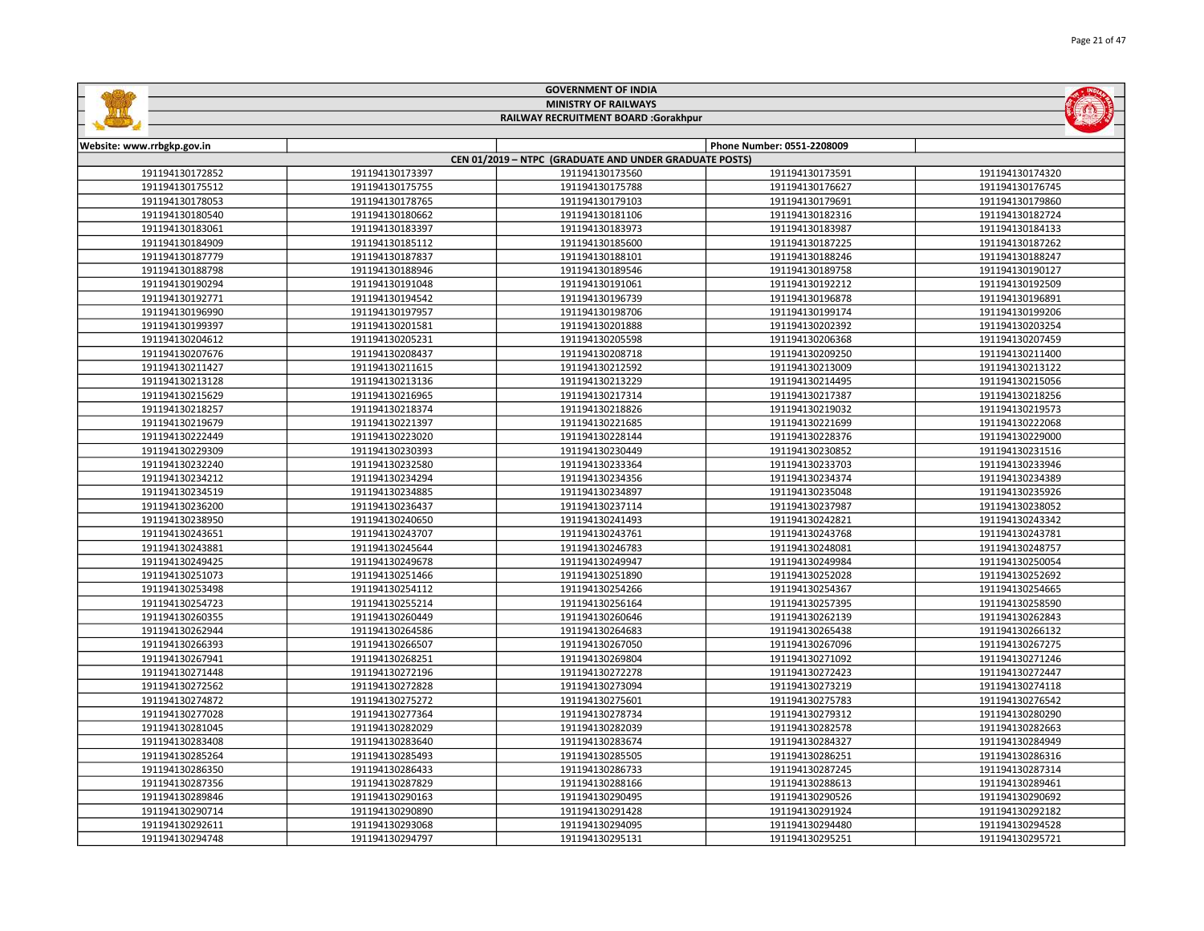|                                                          |                 | <b>GOVERNMENT OF INDIA</b>                             |                 |                 |  |
|----------------------------------------------------------|-----------------|--------------------------------------------------------|-----------------|-----------------|--|
|                                                          |                 | <b>MINISTRY OF RAILWAYS</b>                            |                 |                 |  |
| RAILWAY RECRUITMENT BOARD :Gorakhpur                     |                 |                                                        |                 |                 |  |
|                                                          |                 |                                                        |                 |                 |  |
| Phone Number: 0551-2208009<br>Website: www.rrbgkp.gov.in |                 |                                                        |                 |                 |  |
|                                                          |                 | CEN 01/2019 - NTPC (GRADUATE AND UNDER GRADUATE POSTS) |                 |                 |  |
| 191194130172852                                          | 191194130173397 | 191194130173560                                        | 191194130173591 | 191194130174320 |  |
| 191194130175512                                          | 191194130175755 | 191194130175788                                        | 191194130176627 | 191194130176745 |  |
| 191194130178053                                          | 191194130178765 | 191194130179103                                        | 191194130179691 | 191194130179860 |  |
| 191194130180540                                          | 191194130180662 | 191194130181106                                        | 191194130182316 | 191194130182724 |  |
| 191194130183061                                          | 191194130183397 | 191194130183973                                        | 191194130183987 | 191194130184133 |  |
| 191194130184909                                          | 191194130185112 | 191194130185600                                        | 191194130187225 | 191194130187262 |  |
| 191194130187779                                          | 191194130187837 | 191194130188101                                        | 191194130188246 | 191194130188247 |  |
| 191194130188798                                          | 191194130188946 | 191194130189546                                        | 191194130189758 | 191194130190127 |  |
| 191194130190294                                          | 191194130191048 | 191194130191061                                        | 191194130192212 | 191194130192509 |  |
| 191194130192771                                          | 191194130194542 | 191194130196739                                        | 191194130196878 | 191194130196891 |  |
| 191194130196990                                          | 191194130197957 | 191194130198706                                        | 191194130199174 | 191194130199206 |  |
| 191194130199397                                          | 191194130201581 | 191194130201888                                        | 191194130202392 | 191194130203254 |  |
| 191194130204612                                          | 191194130205231 | 191194130205598                                        | 191194130206368 | 191194130207459 |  |
| 191194130207676                                          | 191194130208437 | 191194130208718                                        | 191194130209250 | 191194130211400 |  |
| 191194130211427                                          | 191194130211615 | 191194130212592                                        | 191194130213009 | 191194130213122 |  |
| 191194130213128                                          | 191194130213136 | 191194130213229                                        | 191194130214495 | 191194130215056 |  |
| 191194130215629                                          | 191194130216965 | 191194130217314                                        | 191194130217387 | 191194130218256 |  |
| 191194130218257                                          | 191194130218374 | 191194130218826                                        | 191194130219032 | 191194130219573 |  |
| 191194130219679                                          | 191194130221397 | 191194130221685                                        | 191194130221699 | 191194130222068 |  |
| 191194130222449                                          | 191194130223020 | 191194130228144                                        | 191194130228376 | 191194130229000 |  |
| 191194130229309                                          | 191194130230393 | 191194130230449                                        | 191194130230852 | 191194130231516 |  |
| 191194130232240                                          | 191194130232580 | 191194130233364                                        | 191194130233703 | 191194130233946 |  |
| 191194130234212                                          | 191194130234294 | 191194130234356                                        | 191194130234374 | 191194130234389 |  |
| 191194130234519                                          | 191194130234885 | 191194130234897                                        | 191194130235048 | 191194130235926 |  |
| 191194130236200                                          | 191194130236437 | 191194130237114                                        | 191194130237987 | 191194130238052 |  |
| 191194130238950                                          | 191194130240650 | 191194130241493                                        | 191194130242821 | 191194130243342 |  |
| 191194130243651                                          | 191194130243707 | 191194130243761                                        | 191194130243768 | 191194130243781 |  |
| 191194130243881                                          | 191194130245644 | 191194130246783                                        | 191194130248081 | 191194130248757 |  |
| 191194130249425                                          | 191194130249678 | 191194130249947                                        | 191194130249984 | 191194130250054 |  |
| 191194130251073                                          | 191194130251466 | 191194130251890                                        | 191194130252028 | 191194130252692 |  |
| 191194130253498                                          | 191194130254112 | 191194130254266                                        | 191194130254367 | 191194130254665 |  |
| 191194130254723                                          | 191194130255214 | 191194130256164                                        | 191194130257395 | 191194130258590 |  |
| 191194130260355                                          | 191194130260449 | 191194130260646                                        | 191194130262139 | 191194130262843 |  |
| 191194130262944                                          | 191194130264586 | 191194130264683                                        | 191194130265438 | 191194130266132 |  |
| 191194130266393                                          | 191194130266507 | 191194130267050                                        | 191194130267096 | 191194130267275 |  |

| 191194130254723 | 191194130255214 | 191194130256164 | 191194130257395 | 191194130258590 |
|-----------------|-----------------|-----------------|-----------------|-----------------|
| 191194130260355 | 191194130260449 | 191194130260646 | 191194130262139 | 191194130262843 |
| 191194130262944 | 191194130264586 | 191194130264683 | 191194130265438 | 191194130266132 |
| 191194130266393 | 191194130266507 | 191194130267050 | 191194130267096 | 191194130267275 |
| 191194130267941 | 191194130268251 | 191194130269804 | 191194130271092 | 191194130271246 |
| 191194130271448 | 191194130272196 | 191194130272278 | 191194130272423 | 191194130272447 |
| 191194130272562 | 191194130272828 | 191194130273094 | 191194130273219 | 191194130274118 |
| 191194130274872 | 191194130275272 | 191194130275601 | 191194130275783 | 191194130276542 |
| 191194130277028 | 191194130277364 | 191194130278734 | 191194130279312 | 191194130280290 |
| 191194130281045 | 191194130282029 | 191194130282039 | 191194130282578 | 191194130282663 |
| 191194130283408 | 191194130283640 | 191194130283674 | 191194130284327 | 191194130284949 |
| 191194130285264 | 191194130285493 | 191194130285505 | 191194130286251 | 191194130286316 |
| 191194130286350 | 191194130286433 | 191194130286733 | 191194130287245 | 191194130287314 |
| 191194130287356 | 191194130287829 | 191194130288166 | 191194130288613 | 191194130289461 |
| 191194130289846 | 191194130290163 | 191194130290495 | 191194130290526 | 191194130290692 |
| 191194130290714 | 191194130290890 | 191194130291428 | 191194130291924 | 191194130292182 |
| 191194130292611 | 191194130293068 | 191194130294095 | 191194130294480 | 191194130294528 |
| 191194130294748 | 191194130294797 | 191194130295131 | 191194130295251 | 191194130295721 |

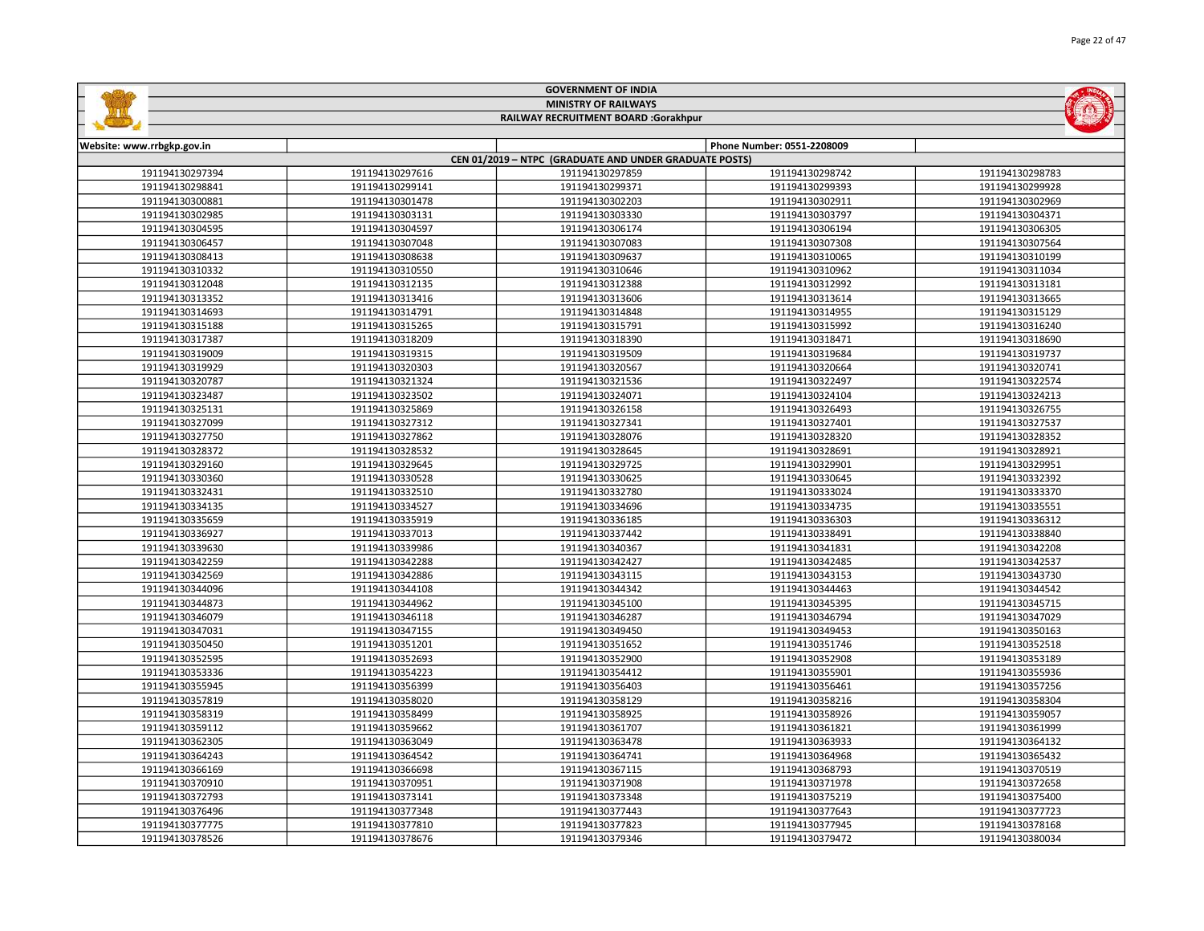| <b>GOVERNMENT OF INDIA</b><br><b>MINISTRY OF RAILWAYS</b> |                 |                                                        |                            |                 |
|-----------------------------------------------------------|-----------------|--------------------------------------------------------|----------------------------|-----------------|
|                                                           |                 | RAILWAY RECRUITMENT BOARD :Gorakhpur                   |                            |                 |
|                                                           |                 |                                                        |                            |                 |
| Website: www.rrbgkp.gov.in                                |                 |                                                        | Phone Number: 0551-2208009 |                 |
|                                                           |                 | CEN 01/2019 - NTPC (GRADUATE AND UNDER GRADUATE POSTS) |                            |                 |
| 191194130297394                                           | 191194130297616 | 191194130297859                                        | 191194130298742            | 191194130298783 |
| 191194130298841                                           | 191194130299141 | 191194130299371                                        | 191194130299393            | 191194130299928 |
| 191194130300881                                           | 191194130301478 | 191194130302203                                        | 191194130302911            | 191194130302969 |
| 191194130302985                                           | 191194130303131 | 191194130303330                                        | 191194130303797            | 191194130304371 |
| 191194130304595                                           | 191194130304597 | 191194130306174                                        | 191194130306194            | 191194130306305 |
| 191194130306457                                           | 191194130307048 | 191194130307083                                        | 191194130307308            | 191194130307564 |
| 191194130308413                                           | 191194130308638 | 191194130309637                                        | 191194130310065            | 191194130310199 |
| 191194130310332                                           | 191194130310550 | 191194130310646                                        | 191194130310962            | 191194130311034 |
| 191194130312048                                           | 191194130312135 | 191194130312388                                        | 191194130312992            | 191194130313181 |
| 191194130313352                                           | 191194130313416 | 191194130313606                                        | 191194130313614            | 191194130313665 |
| 191194130314693                                           | 191194130314791 | 191194130314848                                        | 191194130314955            | 191194130315129 |
| 191194130315188                                           | 191194130315265 | 191194130315791                                        | 191194130315992            | 191194130316240 |
| 191194130317387                                           | 191194130318209 | 191194130318390                                        | 191194130318471            | 191194130318690 |
| 191194130319009                                           | 191194130319315 | 191194130319509                                        | 191194130319684            | 191194130319737 |
| 191194130319929                                           | 191194130320303 | 191194130320567                                        | 191194130320664            | 191194130320741 |
| 191194130320787                                           | 191194130321324 | 191194130321536                                        | 191194130322497            | 191194130322574 |
| 191194130323487                                           | 191194130323502 | 191194130324071                                        | 191194130324104            | 191194130324213 |
| 191194130325131                                           | 191194130325869 | 191194130326158                                        | 191194130326493            | 191194130326755 |
| 191194130327099                                           | 191194130327312 | 191194130327341                                        | 191194130327401            | 191194130327537 |
| 191194130327750                                           | 191194130327862 | 191194130328076                                        | 191194130328320            | 191194130328352 |
| 191194130328372                                           | 191194130328532 | 191194130328645                                        | 191194130328691            | 191194130328921 |
| 191194130329160                                           | 191194130329645 | 191194130329725                                        | 191194130329901            | 191194130329951 |
| 191194130330360                                           | 191194130330528 | 191194130330625                                        | 191194130330645            | 191194130332392 |
| 191194130332431                                           | 191194130332510 | 191194130332780                                        | 191194130333024            | 191194130333370 |
| 191194130334135                                           | 191194130334527 | 191194130334696                                        | 191194130334735            | 191194130335551 |
| 191194130335659                                           | 191194130335919 | 191194130336185                                        | 191194130336303            | 191194130336312 |
| 191194130336927                                           | 191194130337013 | 191194130337442                                        | 191194130338491            | 191194130338840 |
| 191194130339630                                           | 191194130339986 | 191194130340367                                        | 191194130341831            | 191194130342208 |
| 191194130342259                                           | 191194130342288 | 191194130342427                                        | 191194130342485            | 191194130342537 |
| 191194130342569                                           | 191194130342886 | 191194130343115                                        | 191194130343153            | 191194130343730 |
| 191194130344096                                           | 191194130344108 | 191194130344342                                        | 191194130344463            | 191194130344542 |
| 191194130344873                                           | 191194130344962 | 191194130345100                                        | 191194130345395            | 191194130345715 |
| 191194130346079                                           | 191194130346118 | 191194130346287                                        | 191194130346794            | 191194130347029 |
| 191194130347031                                           | 191194130347155 | 191194130349450                                        | 191194130349453            | 191194130350163 |
| 191194130350450                                           | 191194130351201 | 191194130351652                                        | 191194130351746            | 191194130352518 |
| 191194130352595                                           | 191194130352693 | 191194130352900                                        | 191194130352908            | 191194130353189 |
| 191194130353336                                           | 191194130354223 | 191194130354412                                        | 191194130355901            | 191194130355936 |
| 191194130355945                                           | 191194130356399 | 191194130356403                                        | 191194130356461            | 191194130357256 |
| 191194130357819                                           | 191194130358020 | 191194130358129                                        | 191194130358216            | 191194130358304 |
| 191194130358319                                           | 191194130358499 | 191194130358925                                        | 191194130358926            | 191194130359057 |
| 191194130359112                                           | 191194130359662 | 191194130361707                                        | 191194130361821            | 191194130361999 |
| 191194130362305                                           | 191194130363049 | 191194130363478                                        | 191194130363933            | 191194130364132 |
| 191194130364243                                           | 191194130364542 | 191194130364741                                        | 191194130364968            | 191194130365432 |
| 191194130366169                                           | 191194130366698 | 191194130367115                                        | 191194130368793            | 191194130370519 |
| 191194130370910                                           | 191194130370951 | 191194130371908                                        | 191194130371978            | 191194130372658 |
| 191194130372793                                           | 191194130373141 | 191194130373348                                        | 191194130375219            | 191194130375400 |
| 191194130376496                                           | 191194130377348 | 191194130377443                                        | 191194130377643            | 191194130377723 |
| 191194130377775                                           | 191194130377810 | 191194130377823                                        | 191194130377945            | 191194130378168 |

191194130378676 191194130379346 191194130379472 191194130380034

Page 22 of 47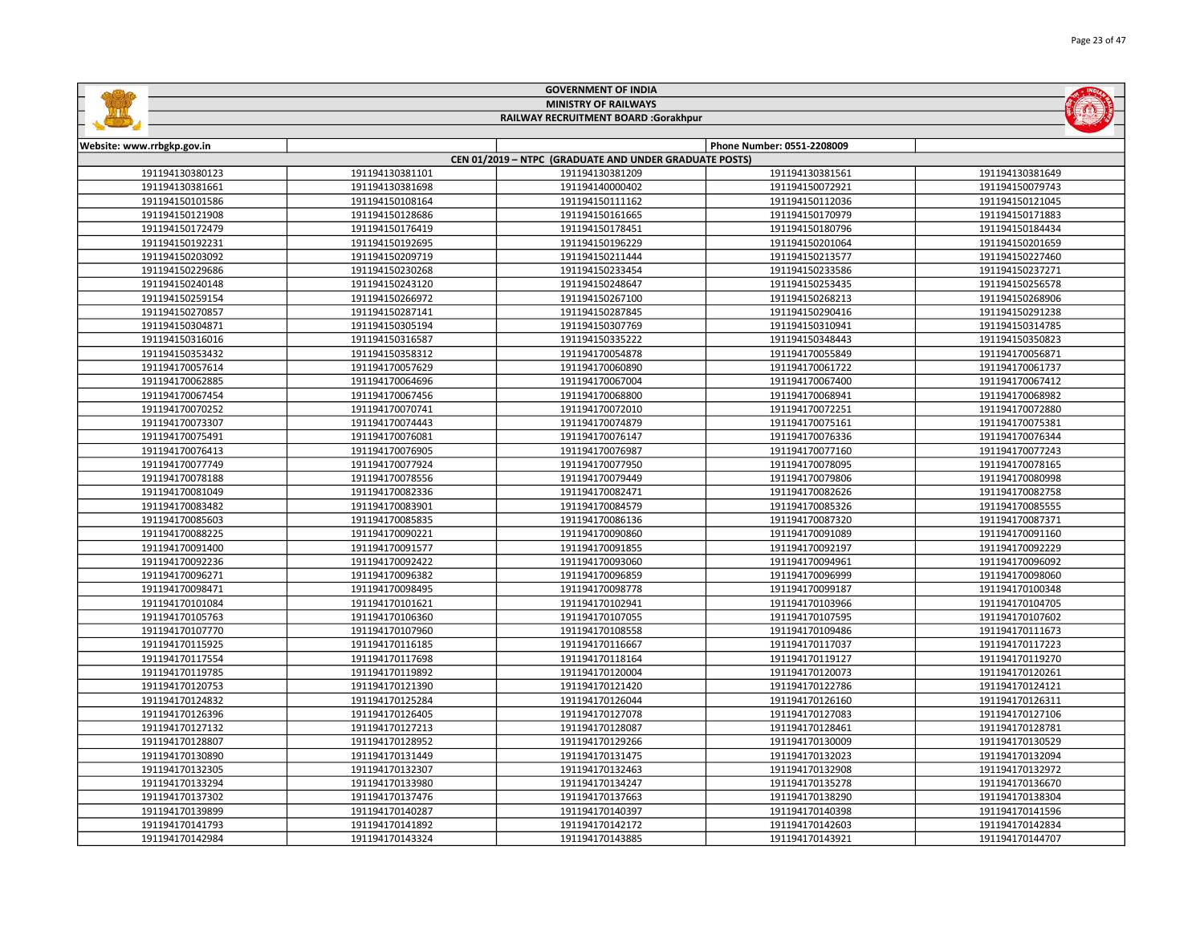|  | $\frac{d}{dt}$ |  |
|--|----------------|--|
|  |                |  |



## RAILWAY RECRUITMENT BOARD :Gorakhpur

| Website: www.rrbgkp.gov.in |                 |                                                        | Phone Number: 0551-2208009 |                 |
|----------------------------|-----------------|--------------------------------------------------------|----------------------------|-----------------|
|                            |                 | CEN 01/2019 - NTPC (GRADUATE AND UNDER GRADUATE POSTS) |                            |                 |
| 191194130380123            | 191194130381101 | 191194130381209                                        | 191194130381561            | 191194130381649 |
| 191194130381661            | 191194130381698 | 191194140000402                                        | 191194150072921            | 191194150079743 |
| 191194150101586            | 191194150108164 | 191194150111162                                        | 191194150112036            | 191194150121045 |
| 191194150121908            | 191194150128686 | 191194150161665                                        | 191194150170979            | 191194150171883 |
| 191194150172479            | 191194150176419 | 191194150178451                                        | 191194150180796            | 191194150184434 |
| 191194150192231            | 191194150192695 | 191194150196229                                        | 191194150201064            | 191194150201659 |
| 191194150203092            | 191194150209719 | 191194150211444                                        | 191194150213577            | 191194150227460 |
| 191194150229686            | 191194150230268 | 191194150233454                                        | 191194150233586            | 191194150237271 |
| 191194150240148            | 191194150243120 | 191194150248647                                        | 191194150253435            | 191194150256578 |
| 191194150259154            | 191194150266972 | 191194150267100                                        | 191194150268213            | 191194150268906 |
| 191194150270857            | 191194150287141 | 191194150287845                                        | 191194150290416            | 191194150291238 |
| 191194150304871            | 191194150305194 | 191194150307769                                        | 191194150310941            | 191194150314785 |
| 191194150316016            | 191194150316587 | 191194150335222                                        | 191194150348443            | 191194150350823 |
| 191194150353432            | 191194150358312 | 191194170054878                                        | 191194170055849            | 191194170056871 |
| 191194170057614            | 191194170057629 | 191194170060890                                        | 191194170061722            | 191194170061737 |
| 191194170062885            | 191194170064696 | 191194170067004                                        | 191194170067400            | 191194170067412 |
| 191194170067454            | 191194170067456 | 191194170068800                                        | 191194170068941            | 191194170068982 |
| 191194170070252            | 191194170070741 | 191194170072010                                        | 191194170072251            | 191194170072880 |
| 191194170073307            | 191194170074443 | 191194170074879                                        | 191194170075161            | 191194170075381 |
| 191194170075491            | 191194170076081 | 191194170076147                                        | 191194170076336            | 191194170076344 |
| 191194170076413            | 191194170076905 | 191194170076987                                        | 191194170077160            | 191194170077243 |
| 191194170077749            | 191194170077924 | 191194170077950                                        | 191194170078095            | 191194170078165 |
| 191194170078188            | 191194170078556 | 191194170079449                                        | 191194170079806            | 191194170080998 |
| 191194170081049            | 191194170082336 | 191194170082471                                        | 191194170082626            | 191194170082758 |
| 191194170083482            | 191194170083901 | 191194170084579                                        | 191194170085326            | 191194170085555 |
| 191194170085603            | 191194170085835 | 191194170086136                                        | 191194170087320            | 191194170087371 |
| 191194170088225            | 191194170090221 | 191194170090860                                        | 191194170091089            | 191194170091160 |
| 191194170091400            | 191194170091577 | 191194170091855                                        | 191194170092197            | 191194170092229 |
| 191194170092236            | 191194170092422 | 191194170093060                                        | 191194170094961            | 191194170096092 |
| 191194170096271            | 191194170096382 | 191194170096859                                        | 191194170096999            | 191194170098060 |
| 191194170098471            | 191194170098495 | 191194170098778                                        | 191194170099187            | 191194170100348 |
| 191194170101084            | 191194170101621 | 191194170102941                                        | 191194170103966            | 191194170104705 |
| 191194170105763            | 191194170106360 | 191194170107055                                        | 191194170107595            | 191194170107602 |
| 191194170107770            | 191194170107960 | 191194170108558                                        | 191194170109486            | 191194170111673 |
| 191194170115925            | 191194170116185 | 191194170116667                                        | 191194170117037            | 191194170117223 |
| 191194170117554            | 191194170117698 | 191194170118164                                        | 191194170119127            | 191194170119270 |
| 191194170119785            | 191194170119892 | 191194170120004                                        | 191194170120073            | 191194170120261 |
| 191194170120753            | 191194170121390 | 191194170121420                                        | 191194170122786            | 191194170124121 |
| 191194170124832            | 191194170125284 | 191194170126044                                        | 191194170126160            | 191194170126311 |
| 191194170126396            | 191194170126405 | 191194170127078                                        | 191194170127083            | 191194170127106 |
| 191194170127132            | 191194170127213 | 191194170128087                                        | 191194170128461            | 191194170128781 |
| 191194170128807            | 191194170128952 | 191194170129266                                        | 191194170130009            | 191194170130529 |
| 191194170130890            | 191194170131449 | 191194170131475                                        | 191194170132023            | 191194170132094 |
| 191194170132305            | 191194170132307 | 191194170132463                                        | 191194170132908            | 191194170132972 |
| 191194170133294            | 191194170133980 | 191194170134247                                        | 191194170135278            | 191194170136670 |
| 191194170137302            | 191194170137476 | 191194170137663                                        | 191194170138290            | 191194170138304 |
| 191194170139899            | 191194170140287 | 191194170140397                                        | 191194170140398            | 191194170141596 |
| 191194170141793            | 191194170141892 | 191194170142172                                        | 191194170142603            | 191194170142834 |
| 191194170142984            | 191194170143324 | 191194170143885                                        | 191194170143921            | 191194170144707 |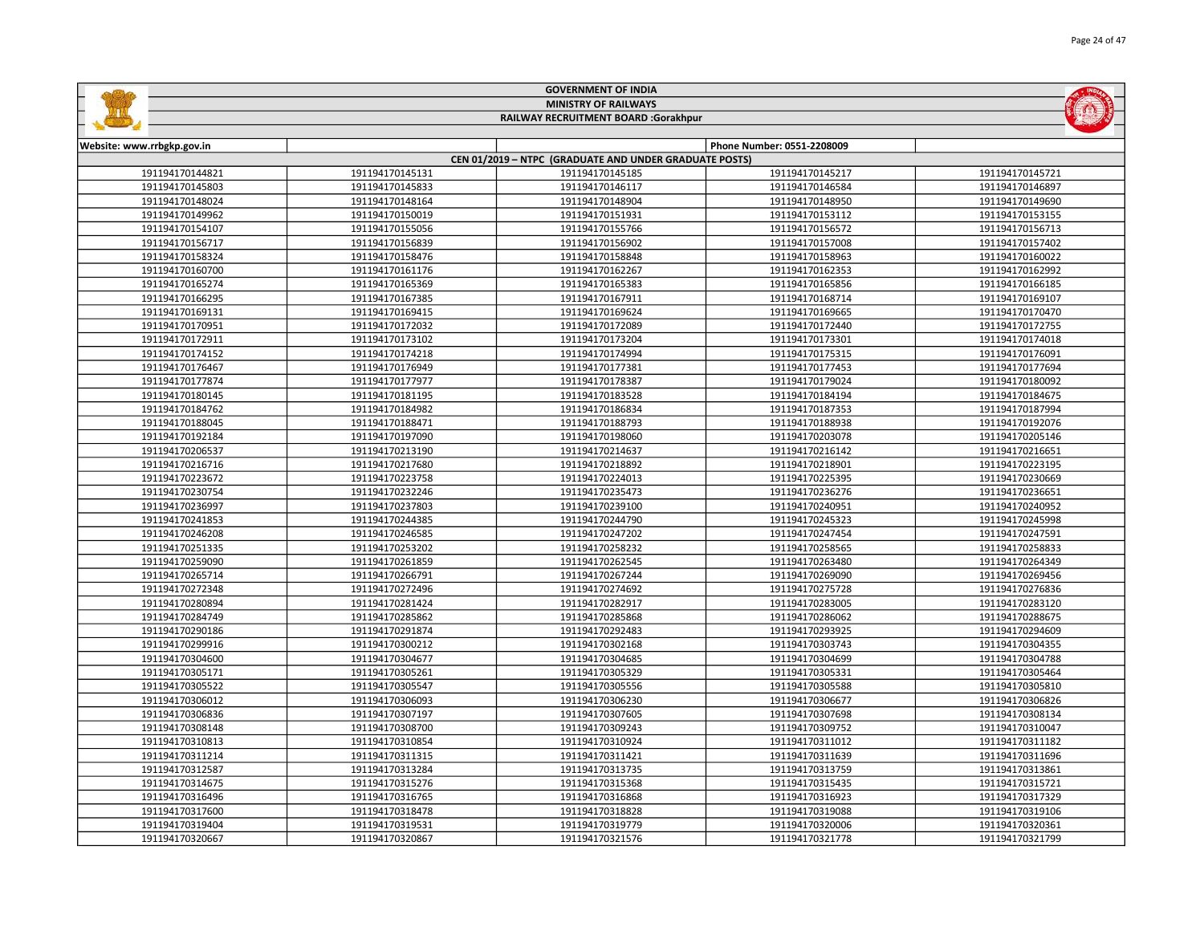| <b>MINISTRY OF RAILWAYS</b><br>RAILWAY RECRUITMENT BOARD :Gorakhpur |                 |                                                        |                            |                 |
|---------------------------------------------------------------------|-----------------|--------------------------------------------------------|----------------------------|-----------------|
|                                                                     |                 |                                                        |                            |                 |
| Website: www.rrbgkp.gov.in                                          |                 | CEN 01/2019 - NTPC (GRADUATE AND UNDER GRADUATE POSTS) | Phone Number: 0551-2208009 |                 |
| 191194170144821                                                     | 191194170145131 | 191194170145185                                        | 191194170145217            | 191194170145721 |
| 191194170145803                                                     | 191194170145833 | 191194170146117                                        | 191194170146584            | 191194170146897 |
| 191194170148024                                                     | 191194170148164 | 191194170148904                                        | 191194170148950            | 191194170149690 |
| 191194170149962                                                     | 191194170150019 | 191194170151931                                        | 191194170153112            | 191194170153155 |
| 191194170154107                                                     | 191194170155056 | 191194170155766                                        | 191194170156572            | 191194170156713 |
| 191194170156717                                                     | 191194170156839 | 191194170156902                                        | 191194170157008            | 191194170157402 |
| 191194170158324                                                     | 191194170158476 | 191194170158848                                        | 191194170158963            | 191194170160022 |
| 191194170160700                                                     | 191194170161176 | 191194170162267                                        | 191194170162353            | 191194170162992 |
| 191194170165274                                                     | 191194170165369 | 191194170165383                                        | 191194170165856            | 191194170166185 |
| 191194170166295                                                     | 191194170167385 | 191194170167911                                        | 191194170168714            | 191194170169107 |
| 191194170169131                                                     | 191194170169415 | 191194170169624                                        | 191194170169665            | 191194170170470 |
| 191194170170951                                                     | 191194170172032 | 191194170172089                                        | 191194170172440            | 191194170172755 |
| 191194170172911                                                     | 191194170173102 | 191194170173204                                        | 191194170173301            | 191194170174018 |
| 191194170174152                                                     | 191194170174218 | 191194170174994                                        | 191194170175315            | 191194170176091 |
| 191194170176467                                                     | 191194170176949 | 191194170177381                                        | 191194170177453            | 191194170177694 |
| 191194170177874                                                     | 191194170177977 | 191194170178387                                        | 191194170179024            | 191194170180092 |
| 191194170180145                                                     | 191194170181195 | 191194170183528                                        | 191194170184194            | 191194170184675 |
| 191194170184762                                                     | 191194170184982 | 191194170186834                                        | 191194170187353            | 191194170187994 |
| 191194170188045                                                     | 191194170188471 | 191194170188793                                        | 191194170188938            | 191194170192076 |
| 191194170192184                                                     | 191194170197090 | 191194170198060                                        | 191194170203078            | 191194170205146 |
| 191194170206537                                                     | 191194170213190 | 191194170214637                                        | 191194170216142            | 191194170216651 |
| 191194170216716                                                     | 191194170217680 | 191194170218892                                        | 191194170218901            | 191194170223195 |
| 191194170223672                                                     | 191194170223758 | 191194170224013                                        | 191194170225395            | 191194170230669 |
| 191194170230754                                                     | 191194170232246 | 191194170235473                                        | 191194170236276            | 191194170236651 |
| 191194170236997                                                     | 191194170237803 | 191194170239100                                        | 191194170240951            | 191194170240952 |
| 191194170241853                                                     | 191194170244385 | 191194170244790                                        | 191194170245323            | 191194170245998 |
| 191194170246208                                                     | 191194170246585 | 191194170247202                                        | 191194170247454            | 191194170247591 |
| 191194170251335                                                     | 191194170253202 | 191194170258232                                        | 191194170258565            | 191194170258833 |
| 191194170259090                                                     | 191194170261859 | 191194170262545                                        | 191194170263480            | 191194170264349 |
| 191194170265714                                                     | 191194170266791 | 191194170267244                                        | 191194170269090            | 191194170269456 |
| 191194170272348                                                     | 191194170272496 | 191194170274692                                        | 191194170275728            | 191194170276836 |
| 191194170280894                                                     | 191194170281424 | 191194170282917                                        | 191194170283005            | 191194170283120 |
| 191194170284749                                                     | 191194170285862 | 191194170285868                                        | 191194170286062            | 191194170288675 |
| 191194170290186                                                     | 191194170291874 | 191194170292483                                        | 191194170293925            | 191194170294609 |
| 191194170299916                                                     | 191194170300212 | 191194170302168                                        | 191194170303743            | 191194170304355 |
| 191194170304600                                                     | 191194170304677 | 191194170304685                                        | 191194170304699            | 191194170304788 |
| 191194170305171                                                     | 191194170305261 | 191194170305329                                        | 191194170305331            | 191194170305464 |
| 191194170305522                                                     | 191194170305547 | 191194170305556                                        | 191194170305588            | 191194170305810 |
| 191194170306012                                                     | 191194170306093 | 191194170306230                                        | 191194170306677            | 191194170306826 |
| 191194170306836                                                     | 191194170307197 | 191194170307605                                        | 191194170307698            | 191194170308134 |
| 191194170308148                                                     | 191194170308700 | 191194170309243                                        | 191194170309752            | 191194170310047 |
| 191194170310813                                                     | 191194170310854 | 191194170310924                                        | 191194170311012            | 191194170311182 |
| 191194170311214                                                     | 191194170311315 | 191194170311421                                        | 191194170311639            | 191194170311696 |
| 191194170312587                                                     | 191194170313284 | 191194170313735                                        | 191194170313759            | 191194170313861 |
| 191194170314675                                                     | 191194170315276 | 191194170315368                                        | 191194170315435            | 191194170315721 |
| 191194170316496                                                     | 191194170316765 | 191194170316868                                        | 191194170316923            | 191194170317329 |
| 191194170317600                                                     | 191194170318478 | 191194170318828                                        | 191194170319088            | 191194170319106 |
| 191194170319404                                                     | 191194170319531 | 191194170319779                                        | 191194170320006            | 191194170320361 |

191194170320867 191194170321576 191194170321778 191194170321799

GOVERNMENT OF INDIA

**Sallida** 

**MOMENT**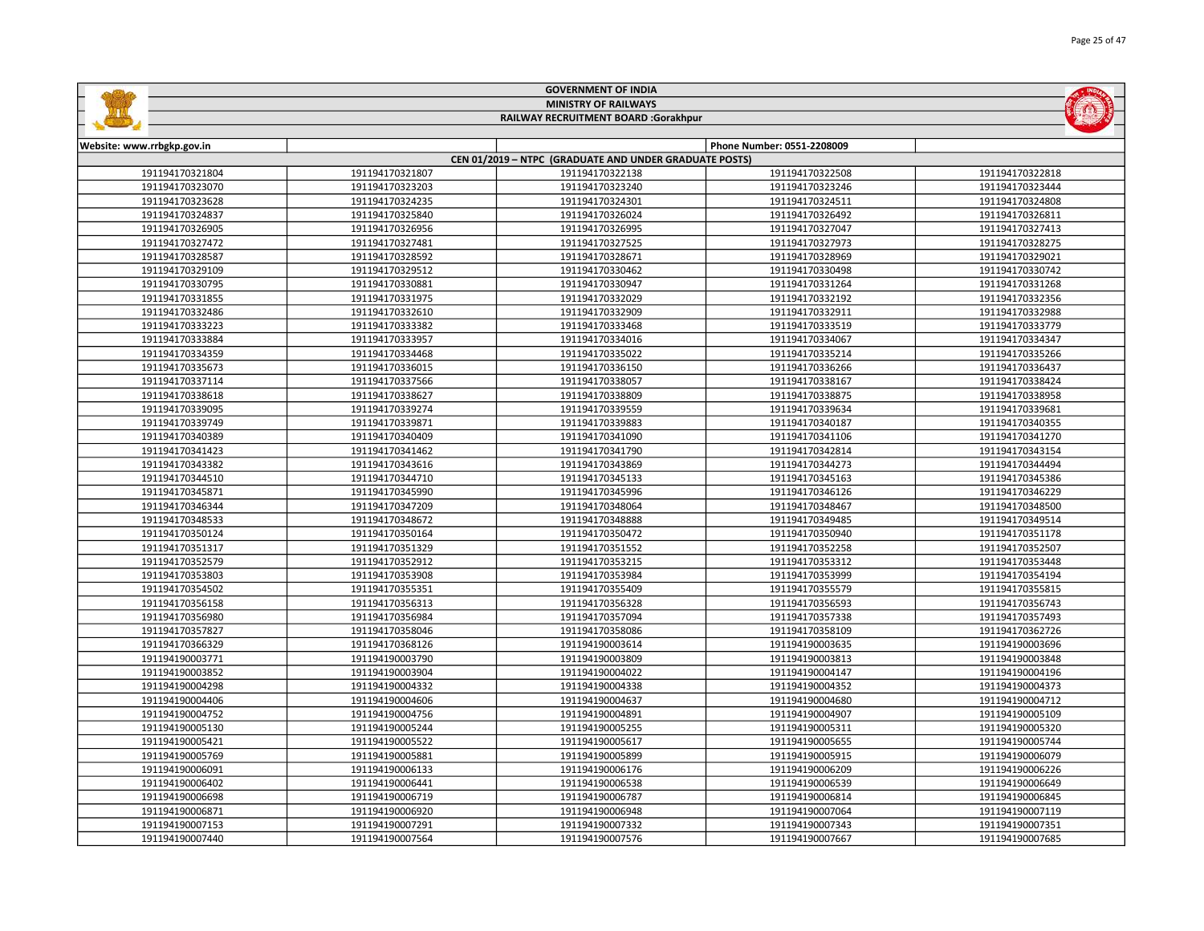| <b>MINISTRY OF RAILWAYS</b><br>RAILWAY RECRUITMENT BOARD :Gorakhpur |                 |                                                        |                            |                 |
|---------------------------------------------------------------------|-----------------|--------------------------------------------------------|----------------------------|-----------------|
|                                                                     |                 |                                                        |                            |                 |
| Website: www.rrbgkp.gov.in                                          |                 |                                                        | Phone Number: 0551-2208009 |                 |
|                                                                     |                 | CEN 01/2019 - NTPC (GRADUATE AND UNDER GRADUATE POSTS) |                            |                 |
| 191194170321804                                                     | 191194170321807 | 191194170322138                                        | 191194170322508            | 191194170322818 |
| 191194170323070                                                     | 191194170323203 | 191194170323240                                        | 191194170323246            | 191194170323444 |
| 191194170323628                                                     | 191194170324235 | 191194170324301                                        | 191194170324511            | 191194170324808 |
| 191194170324837                                                     | 191194170325840 | 191194170326024                                        | 191194170326492            | 191194170326811 |
| 191194170326905                                                     | 191194170326956 | 191194170326995                                        | 191194170327047            | 191194170327413 |
| 191194170327472                                                     | 191194170327481 | 191194170327525                                        | 191194170327973            | 191194170328275 |
| 191194170328587                                                     | 191194170328592 | 191194170328671                                        | 191194170328969            | 191194170329021 |
| 191194170329109                                                     | 191194170329512 | 191194170330462                                        | 191194170330498            | 191194170330742 |
| 191194170330795                                                     | 191194170330881 | 191194170330947                                        | 191194170331264            | 191194170331268 |
| 191194170331855                                                     | 191194170331975 | 191194170332029                                        | 191194170332192            | 191194170332356 |
| 191194170332486                                                     | 191194170332610 | 191194170332909                                        | 191194170332911            | 191194170332988 |
| 191194170333223                                                     | 191194170333382 | 191194170333468                                        | 191194170333519            | 191194170333779 |
| 191194170333884                                                     | 191194170333957 | 191194170334016                                        | 191194170334067            | 191194170334347 |
| 191194170334359                                                     | 191194170334468 | 191194170335022                                        | 191194170335214            | 191194170335266 |
| 191194170335673                                                     | 191194170336015 | 191194170336150                                        | 191194170336266            | 191194170336437 |
| 191194170337114                                                     | 191194170337566 | 191194170338057                                        | 191194170338167            | 191194170338424 |
| 191194170338618                                                     | 191194170338627 | 191194170338809                                        | 191194170338875            | 191194170338958 |
| 191194170339095                                                     | 191194170339274 | 191194170339559                                        | 191194170339634            | 191194170339681 |
| 191194170339749                                                     | 191194170339871 | 191194170339883                                        | 191194170340187            | 191194170340355 |
| 191194170340389                                                     | 191194170340409 | 191194170341090                                        | 191194170341106            | 191194170341270 |
| 191194170341423                                                     | 191194170341462 | 191194170341790                                        | 191194170342814            | 191194170343154 |
| 191194170343382                                                     | 191194170343616 | 191194170343869                                        | 191194170344273            | 191194170344494 |
| 191194170344510                                                     | 191194170344710 | 191194170345133                                        | 191194170345163            | 191194170345386 |
| 191194170345871                                                     | 191194170345990 | 191194170345996                                        | 191194170346126            | 191194170346229 |
| 191194170346344                                                     | 191194170347209 | 191194170348064                                        | 191194170348467            | 191194170348500 |
| 191194170348533                                                     | 191194170348672 | 191194170348888                                        | 191194170349485            | 191194170349514 |
| 191194170350124                                                     | 191194170350164 | 191194170350472                                        | 191194170350940            | 191194170351178 |
| 191194170351317                                                     | 191194170351329 | 191194170351552                                        | 191194170352258            | 191194170352507 |
| 191194170352579                                                     | 191194170352912 | 191194170353215                                        | 191194170353312            | 191194170353448 |
| 191194170353803                                                     | 191194170353908 | 191194170353984                                        | 191194170353999            | 191194170354194 |
| 191194170354502                                                     | 191194170355351 | 191194170355409                                        | 191194170355579            | 191194170355815 |
| 191194170356158                                                     | 191194170356313 | 191194170356328                                        | 191194170356593            | 191194170356743 |
| 191194170356980                                                     | 191194170356984 | 191194170357094                                        | 191194170357338            | 191194170357493 |
| 191194170357827                                                     | 191194170358046 | 191194170358086                                        | 191194170358109            | 191194170362726 |
| 191194170366329                                                     | 191194170368126 | 191194190003614                                        | 191194190003635            | 191194190003696 |
| 191194190003771                                                     | 191194190003790 | 191194190003809                                        | 191194190003813            | 191194190003848 |
| 191194190003852                                                     | 191194190003904 | 191194190004022                                        | 191194190004147            | 191194190004196 |
| 191194190004298                                                     | 191194190004332 | 191194190004338                                        | 191194190004352            | 191194190004373 |
| 191194190004406                                                     | 191194190004606 | 191194190004637                                        | 191194190004680            | 191194190004712 |
| 191194190004752                                                     | 191194190004756 | 191194190004891                                        | 191194190004907            | 191194190005109 |
| 191194190005130                                                     | 191194190005244 | 191194190005255                                        | 191194190005311            | 191194190005320 |
| 191194190005421                                                     | 191194190005522 | 191194190005617                                        | 191194190005655            | 191194190005744 |
| 191194190005769                                                     | 191194190005881 | 191194190005899                                        | 191194190005915            | 191194190006079 |
| 191194190006091                                                     | 191194190006133 | 191194190006176                                        | 191194190006209            | 191194190006226 |
| 191194190006402                                                     | 191194190006441 | 191194190006538                                        | 191194190006539            | 191194190006649 |
| 191194190006698                                                     | 191194190006719 | 191194190006787                                        | 191194190006814            | 191194190006845 |
| 191194190006871                                                     | 191194190006920 | 191194190006948                                        | 191194190007064            | 191194190007119 |
| 191194190007153                                                     | 191194190007291 | 191194190007332                                        | 191194190007343            | 191194190007351 |

191194190007440 | 191194190007564 | 191194190007576 | 191194190007667 | 191194190007685

GOVERNMENT OF INDIA

**Galling**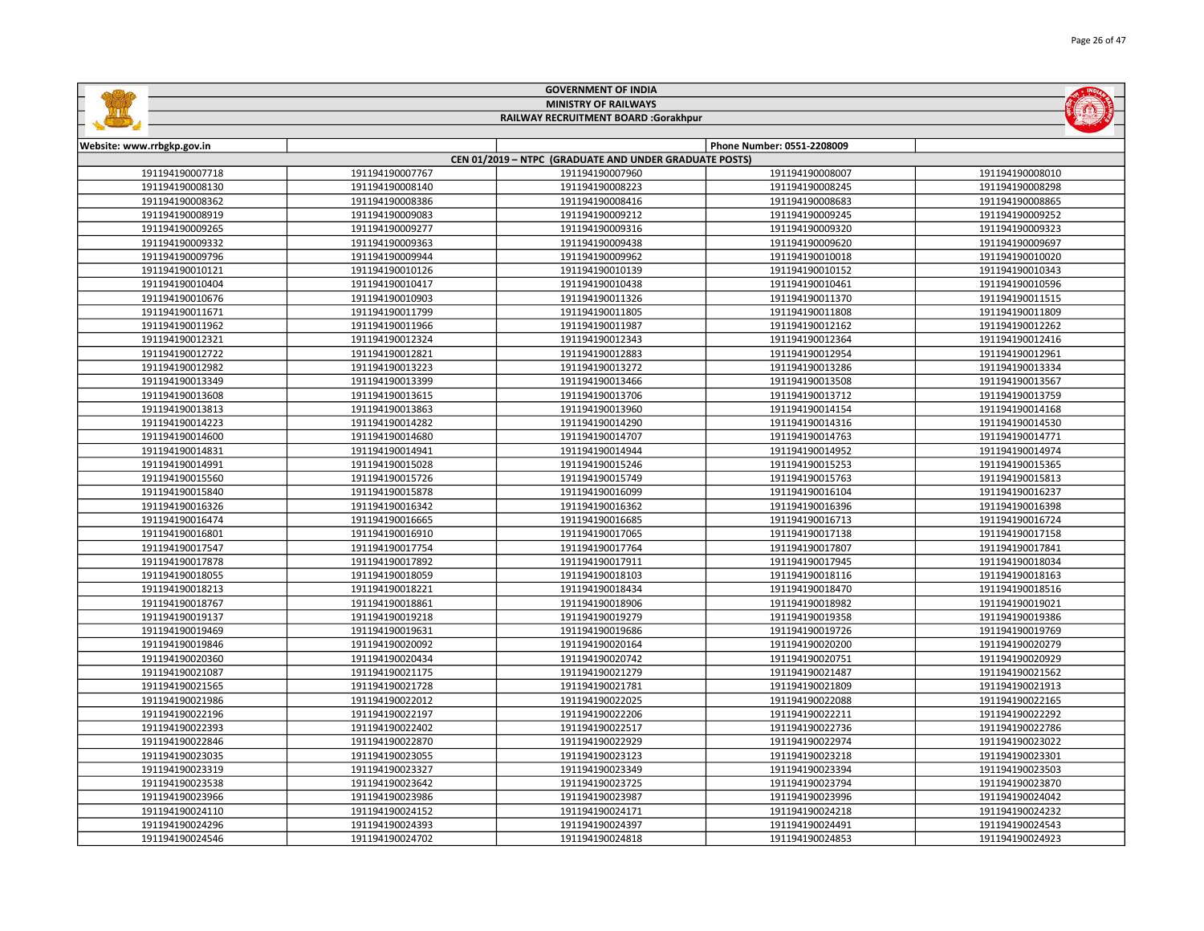| <b>MINISTRY OF RAILWAYS</b><br>RAILWAY RECRUITMENT BOARD :Gorakhpur |                                                        |                 |                            |                 |  |  |
|---------------------------------------------------------------------|--------------------------------------------------------|-----------------|----------------------------|-----------------|--|--|
|                                                                     |                                                        |                 |                            |                 |  |  |
| Website: www.rrbgkp.gov.in                                          |                                                        |                 | Phone Number: 0551-2208009 |                 |  |  |
|                                                                     | CEN 01/2019 - NTPC (GRADUATE AND UNDER GRADUATE POSTS) |                 |                            |                 |  |  |
| 191194190007718                                                     | 191194190007767                                        | 191194190007960 | 191194190008007            | 191194190008010 |  |  |
| 191194190008130                                                     | 191194190008140                                        | 191194190008223 | 191194190008245            | 191194190008298 |  |  |
| 191194190008362                                                     | 191194190008386                                        | 191194190008416 | 191194190008683            | 191194190008865 |  |  |
| 191194190008919                                                     | 191194190009083                                        | 191194190009212 | 191194190009245            | 191194190009252 |  |  |
| 191194190009265                                                     | 191194190009277                                        | 191194190009316 | 191194190009320            | 191194190009323 |  |  |
| 191194190009332                                                     | 191194190009363                                        | 191194190009438 | 191194190009620            | 191194190009697 |  |  |
| 191194190009796                                                     | 191194190009944                                        | 191194190009962 | 191194190010018            | 191194190010020 |  |  |
| 191194190010121                                                     | 191194190010126                                        | 191194190010139 | 191194190010152            | 191194190010343 |  |  |
| 191194190010404                                                     | 191194190010417                                        | 191194190010438 | 191194190010461            | 191194190010596 |  |  |
| 191194190010676                                                     | 191194190010903                                        | 191194190011326 | 191194190011370            | 191194190011515 |  |  |
| 191194190011671                                                     | 191194190011799                                        | 191194190011805 | 191194190011808            | 191194190011809 |  |  |
| 191194190011962                                                     | 191194190011966                                        | 191194190011987 | 191194190012162            | 191194190012262 |  |  |
| 191194190012321                                                     | 191194190012324                                        | 191194190012343 | 191194190012364            | 191194190012416 |  |  |
| 191194190012722                                                     | 191194190012821                                        | 191194190012883 | 191194190012954            | 191194190012961 |  |  |
| 191194190012982                                                     | 191194190013223                                        | 191194190013272 | 191194190013286            | 191194190013334 |  |  |
| 191194190013349                                                     | 191194190013399                                        | 191194190013466 | 191194190013508            | 191194190013567 |  |  |
| 191194190013608                                                     | 191194190013615                                        | 191194190013706 | 191194190013712            | 191194190013759 |  |  |
| 191194190013813                                                     | 191194190013863                                        | 191194190013960 | 191194190014154            | 191194190014168 |  |  |
| 191194190014223                                                     | 191194190014282                                        | 191194190014290 | 191194190014316            | 191194190014530 |  |  |
| 191194190014600                                                     | 191194190014680                                        | 191194190014707 | 191194190014763            | 191194190014771 |  |  |
| 191194190014831                                                     | 191194190014941                                        | 191194190014944 | 191194190014952            | 191194190014974 |  |  |
| 191194190014991                                                     | 191194190015028                                        | 191194190015246 | 191194190015253            | 191194190015365 |  |  |
| 191194190015560                                                     | 191194190015726                                        | 191194190015749 | 191194190015763            | 191194190015813 |  |  |
| 191194190015840                                                     | 191194190015878                                        | 191194190016099 | 191194190016104            | 191194190016237 |  |  |
| 191194190016326                                                     | 191194190016342                                        | 191194190016362 | 191194190016396            | 191194190016398 |  |  |
| 191194190016474                                                     | 191194190016665                                        | 191194190016685 | 191194190016713            | 191194190016724 |  |  |
| 191194190016801                                                     | 191194190016910                                        | 191194190017065 | 191194190017138            | 191194190017158 |  |  |
| 191194190017547                                                     | 191194190017754                                        | 191194190017764 | 191194190017807            | 191194190017841 |  |  |
| 191194190017878                                                     | 191194190017892                                        | 191194190017911 | 191194190017945            | 191194190018034 |  |  |
| 191194190018055                                                     | 191194190018059                                        | 191194190018103 | 191194190018116            | 191194190018163 |  |  |
| 191194190018213                                                     | 191194190018221                                        | 191194190018434 | 191194190018470            | 191194190018516 |  |  |
| 191194190018767                                                     | 191194190018861                                        | 191194190018906 | 191194190018982            | 191194190019021 |  |  |
| 191194190019137                                                     | 191194190019218                                        | 191194190019279 | 191194190019358            | 191194190019386 |  |  |
| 191194190019469                                                     | 191194190019631                                        | 191194190019686 | 191194190019726            | 191194190019769 |  |  |
| 191194190019846                                                     | 191194190020092                                        | 191194190020164 | 191194190020200            | 191194190020279 |  |  |
| 191194190020360                                                     | 191194190020434                                        | 191194190020742 | 191194190020751            | 191194190020929 |  |  |
| 191194190021087                                                     | 191194190021175                                        | 191194190021279 | 191194190021487            | 191194190021562 |  |  |
| 191194190021565                                                     | 191194190021728                                        | 191194190021781 | 191194190021809            | 191194190021913 |  |  |
| 191194190021986                                                     | 191194190022012                                        | 191194190022025 | 191194190022088            | 191194190022165 |  |  |
| 191194190022196                                                     | 191194190022197                                        | 191194190022206 | 191194190022211            | 191194190022292 |  |  |
| 191194190022393                                                     | 191194190022402                                        | 191194190022517 | 191194190022736            | 191194190022786 |  |  |
| 191194190022846                                                     | 191194190022870                                        | 191194190022929 | 191194190022974            | 191194190023022 |  |  |
| 191194190023035                                                     | 191194190023055                                        | 191194190023123 | 191194190023218            | 191194190023301 |  |  |
| 191194190023319                                                     | 191194190023327                                        | 191194190023349 | 191194190023394            | 191194190023503 |  |  |
| 191194190023538                                                     | 191194190023642                                        | 191194190023725 | 191194190023794            | 191194190023870 |  |  |
| 191194190023966                                                     | 191194190023986                                        | 191194190023987 | 191194190023996            | 191194190024042 |  |  |
| 191194190024110                                                     | 191194190024152                                        | 191194190024171 | 191194190024218            | 191194190024232 |  |  |
| 191194190024296                                                     | 191194190024393                                        | 191194190024397 | 191194190024491            | 191194190024543 |  |  |

191194190024702 191194190024818 191194190024853 191194190024923

GOVERNMENT OF INDIA

**Sallida** 

**MOLTER**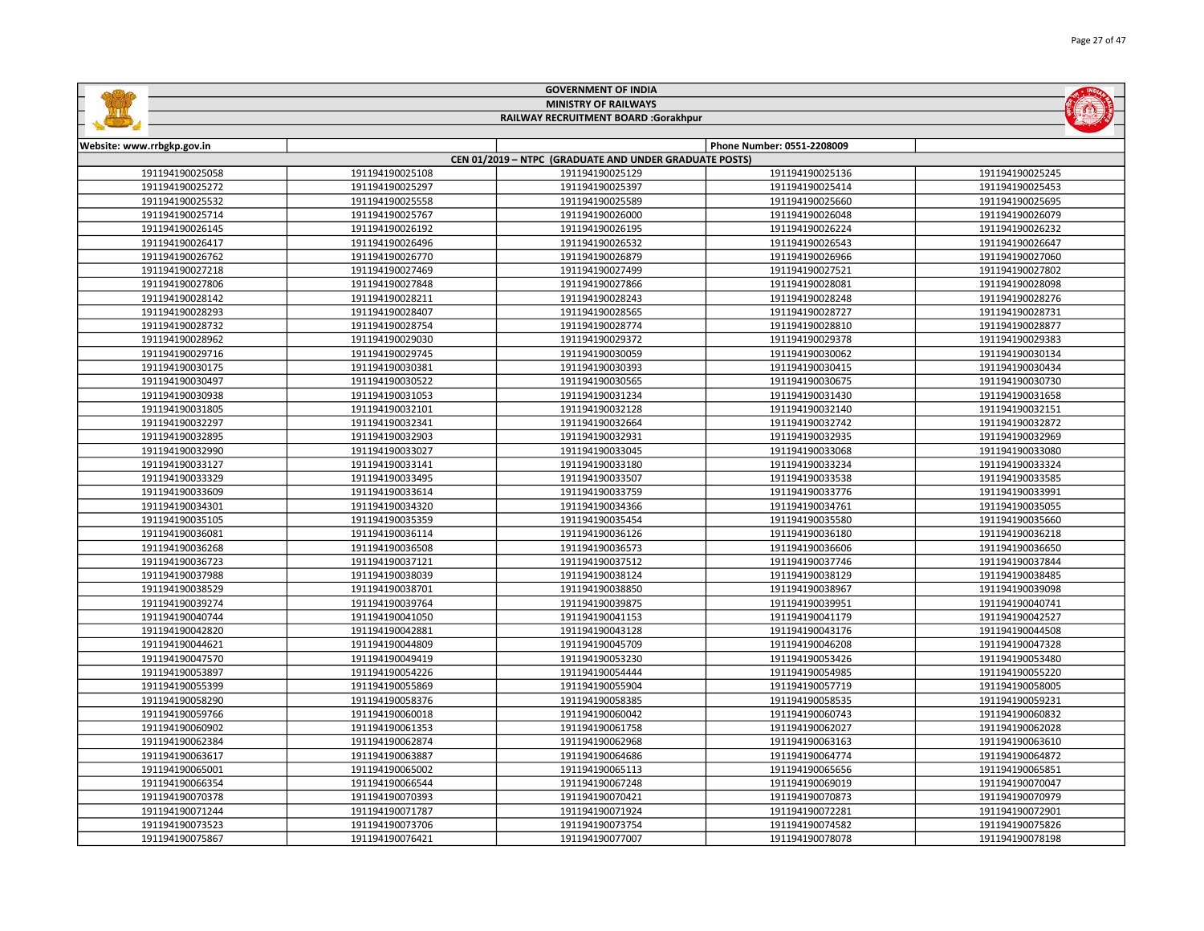|                            |                 | <b>GOVERNMENT OF INDIA</b>                             |                            |                 |
|----------------------------|-----------------|--------------------------------------------------------|----------------------------|-----------------|
|                            |                 | <b>MINISTRY OF RAILWAYS</b>                            |                            |                 |
|                            |                 | RAILWAY RECRUITMENT BOARD :Gorakhpur                   |                            |                 |
|                            |                 |                                                        |                            |                 |
| Website: www.rrbgkp.gov.in |                 |                                                        | Phone Number: 0551-2208009 |                 |
|                            |                 | CEN 01/2019 - NTPC (GRADUATE AND UNDER GRADUATE POSTS) |                            |                 |
| 191194190025058            | 191194190025108 | 191194190025129                                        | 191194190025136            | 191194190025245 |
| 191194190025272            | 191194190025297 | 191194190025397                                        | 191194190025414            | 191194190025453 |
| 191194190025532            | 191194190025558 | 191194190025589                                        | 191194190025660            | 191194190025695 |
| 191194190025714            | 191194190025767 | 191194190026000                                        | 191194190026048            | 191194190026079 |
| 191194190026145            | 191194190026192 | 191194190026195                                        | 191194190026224            | 191194190026232 |
| 191194190026417            | 191194190026496 | 191194190026532                                        | 191194190026543            | 191194190026647 |
| 191194190026762            | 191194190026770 | 191194190026879                                        | 191194190026966            | 191194190027060 |
| 191194190027218            | 191194190027469 | 191194190027499                                        | 191194190027521            | 191194190027802 |
| 191194190027806            | 191194190027848 | 191194190027866                                        | 191194190028081            | 191194190028098 |
| 191194190028142            | 191194190028211 | 191194190028243                                        | 191194190028248            | 191194190028276 |
| 191194190028293            | 191194190028407 | 191194190028565                                        | 191194190028727            | 191194190028731 |
| 191194190028732            | 191194190028754 | 191194190028774                                        | 191194190028810            | 191194190028877 |
| 191194190028962            | 191194190029030 | 191194190029372                                        | 191194190029378            | 191194190029383 |
| 191194190029716            | 191194190029745 | 191194190030059                                        | 191194190030062            | 191194190030134 |
| 191194190030175            | 191194190030381 | 191194190030393                                        | 191194190030415            | 191194190030434 |
| 191194190030497            | 191194190030522 | 191194190030565                                        | 191194190030675            | 191194190030730 |
| 191194190030938            | 191194190031053 | 191194190031234                                        | 191194190031430            | 191194190031658 |
| 191194190031805            | 191194190032101 | 191194190032128                                        | 191194190032140            | 191194190032151 |
| 191194190032297            | 191194190032341 | 191194190032664                                        | 191194190032742            | 191194190032872 |
| 191194190032895            | 191194190032903 | 191194190032931                                        | 191194190032935            | 191194190032969 |
| 191194190032990            | 191194190033027 | 191194190033045                                        | 191194190033068            | 191194190033080 |
| 191194190033127            | 191194190033141 | 191194190033180                                        | 191194190033234            | 191194190033324 |
| 191194190033329            | 191194190033495 | 191194190033507                                        | 191194190033538            | 191194190033585 |
| 191194190033609            | 191194190033614 | 191194190033759                                        | 191194190033776            | 191194190033991 |
| 191194190034301            | 191194190034320 | 191194190034366                                        | 191194190034761            | 191194190035055 |
| 191194190035105            | 191194190035359 | 191194190035454                                        | 191194190035580            | 191194190035660 |
| 191194190036081            | 191194190036114 | 191194190036126                                        | 191194190036180            | 191194190036218 |
| 191194190036268            | 191194190036508 | 191194190036573                                        | 191194190036606            | 191194190036650 |
| 191194190036723            | 191194190037121 | 191194190037512                                        | 191194190037746            | 191194190037844 |
| 191194190037988            | 191194190038039 | 191194190038124                                        | 191194190038129            | 191194190038485 |
| 191194190038529            | 191194190038701 | 191194190038850                                        | 191194190038967            | 191194190039098 |
| 191194190039274            | 191194190039764 | 191194190039875                                        | 191194190039951            | 191194190040741 |
| 191194190040744            | 191194190041050 | 191194190041153                                        | 191194190041179            | 191194190042527 |
| 191194190042820            | 191194190042881 | 191194190043128                                        | 191194190043176            | 191194190044508 |
| 191194190044621            | 191194190044809 | 191194190045709                                        | 191194190046208            | 191194190047328 |
| 191194190047570            | 191194190049419 | 191194190053230                                        | 191194190053426            | 191194190053480 |
| 191194190053897            | 191194190054226 | 191194190054444                                        | 191194190054985            | 191194190055220 |
| 191194190055399            | 191194190055869 | 191194190055904                                        | 191194190057719            | 191194190058005 |
| 191194190058290            | 191194190058376 | 191194190058385                                        | 191194190058535            | 191194190059231 |
| 191194190059766            | 191194190060018 | 191194190060042                                        | 191194190060743            | 191194190060832 |
| 191194190060902            | 191194190061353 | 191194190061758                                        | 191194190062027            | 191194190062028 |
| 191194190062384            | 191194190062874 | 191194190062968                                        | 191194190063163            | 191194190063610 |
| 191194190063617            | 191194190063887 | 191194190064686                                        | 191194190064774            | 191194190064872 |
| 191194190065001            | 191194190065002 | 191194190065113                                        | 191194190065656            | 191194190065851 |
| 191194190066354            | 191194190066544 | 191194190067248                                        | 191194190069019            | 191194190070047 |

 191194190070393 191194190070421 191194190070873 191194190070979 191194190071787 191194190071924 191194190072281 191194190072901 191194190073706 191194190073754 191194190074582 191194190075826 191194190076421 191194190077007 191194190078078 191194190078198

Page 27 of 47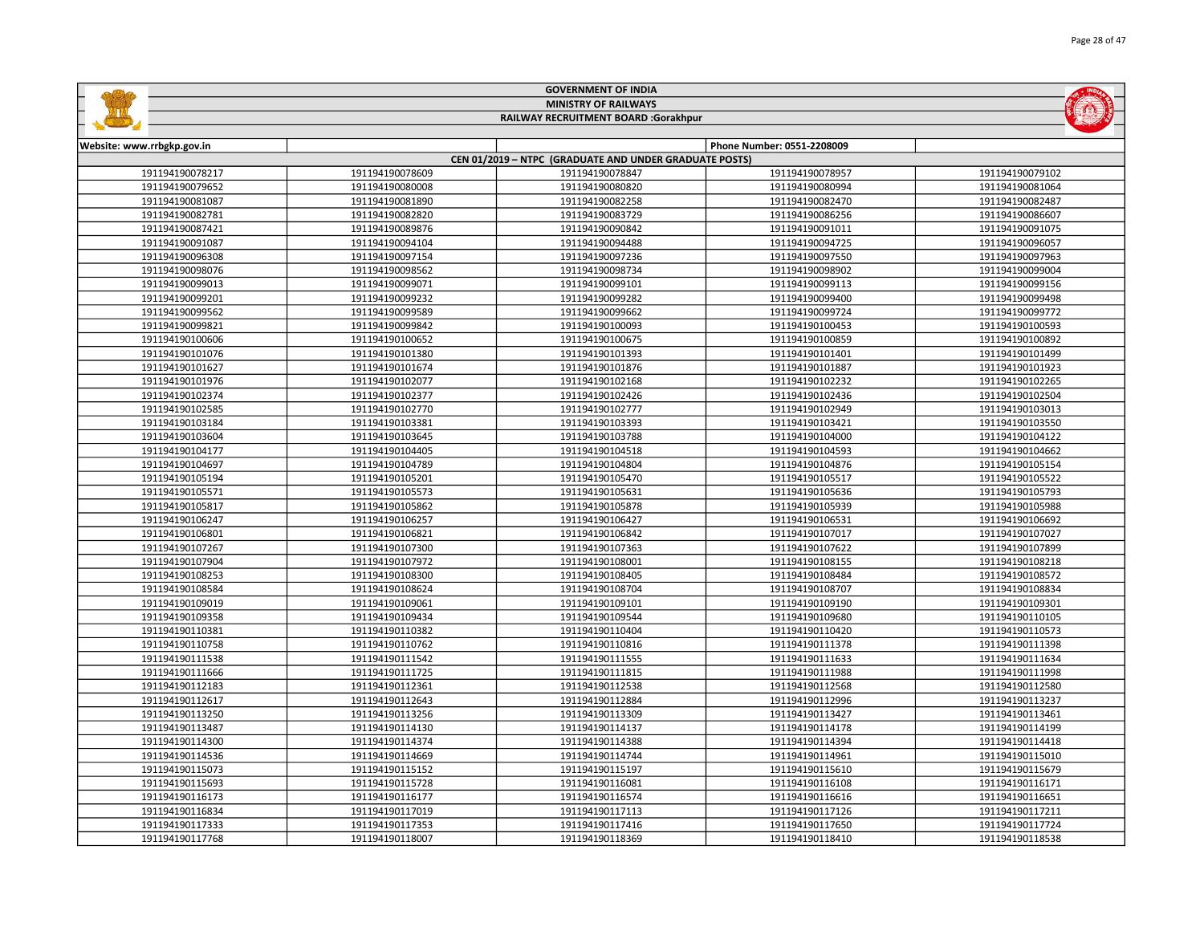|                            |                 | <b>MINISTRY OF RAILWAYS</b>                            |                            |                 |
|----------------------------|-----------------|--------------------------------------------------------|----------------------------|-----------------|
|                            |                 | RAILWAY RECRUITMENT BOARD :Gorakhpur                   |                            |                 |
|                            |                 |                                                        |                            |                 |
| Website: www.rrbgkp.gov.in |                 | CEN 01/2019 - NTPC (GRADUATE AND UNDER GRADUATE POSTS) | Phone Number: 0551-2208009 |                 |
| 191194190078217            | 191194190078609 | 191194190078847                                        | 191194190078957            | 191194190079102 |
| 191194190079652            | 191194190080008 | 191194190080820                                        | 191194190080994            | 191194190081064 |
| 191194190081087            | 191194190081890 | 191194190082258                                        | 191194190082470            | 191194190082487 |
| 191194190082781            | 191194190082820 | 191194190083729                                        | 191194190086256            | 191194190086607 |
| 191194190087421            | 191194190089876 | 191194190090842                                        | 191194190091011            | 191194190091075 |
| 191194190091087            | 191194190094104 | 191194190094488                                        | 191194190094725            | 191194190096057 |
| 191194190096308            | 191194190097154 | 191194190097236                                        | 191194190097550            | 191194190097963 |
| 191194190098076            | 191194190098562 | 191194190098734                                        | 191194190098902            | 191194190099004 |
| 191194190099013            | 191194190099071 | 191194190099101                                        | 191194190099113            | 191194190099156 |
| 191194190099201            | 191194190099232 | 191194190099282                                        | 191194190099400            | 191194190099498 |
| 191194190099562            | 191194190099589 | 191194190099662                                        | 191194190099724            | 191194190099772 |
| 191194190099821            | 191194190099842 | 191194190100093                                        | 191194190100453            | 191194190100593 |
| 191194190100606            | 191194190100652 | 191194190100675                                        | 191194190100859            | 191194190100892 |
| 191194190101076            | 191194190101380 | 191194190101393                                        | 191194190101401            | 191194190101499 |
| 191194190101627            | 191194190101674 | 191194190101876                                        | 191194190101887            | 191194190101923 |
| 191194190101976            | 191194190102077 | 191194190102168                                        | 191194190102232            | 191194190102265 |
| 191194190102374            | 191194190102377 | 191194190102426                                        | 191194190102436            | 191194190102504 |
| 191194190102585            | 191194190102770 | 191194190102777                                        | 191194190102949            | 191194190103013 |
| 191194190103184            | 191194190103381 | 191194190103393                                        | 191194190103421            | 191194190103550 |
| 191194190103604            | 191194190103645 | 191194190103788                                        | 191194190104000            | 191194190104122 |
| 191194190104177            | 191194190104405 | 191194190104518                                        | 191194190104593            | 191194190104662 |
| 191194190104697            | 191194190104789 | 191194190104804                                        | 191194190104876            | 191194190105154 |
| 191194190105194            | 191194190105201 | 191194190105470                                        | 191194190105517            | 191194190105522 |
| 191194190105571            | 191194190105573 | 191194190105631                                        | 191194190105636            | 191194190105793 |
| 191194190105817            | 191194190105862 | 191194190105878                                        | 191194190105939            | 191194190105988 |
| 191194190106247            | 191194190106257 | 191194190106427                                        | 191194190106531            | 191194190106692 |
| 191194190106801            | 191194190106821 | 191194190106842                                        | 191194190107017            | 191194190107027 |
| 191194190107267            | 191194190107300 | 191194190107363                                        | 191194190107622            | 191194190107899 |
| 191194190107904            | 191194190107972 | 191194190108001                                        | 191194190108155            | 191194190108218 |
| 191194190108253            | 191194190108300 | 191194190108405                                        | 191194190108484            | 191194190108572 |
| 191194190108584            | 191194190108624 | 191194190108704                                        | 191194190108707            | 191194190108834 |
| 191194190109019            | 191194190109061 | 191194190109101                                        | 191194190109190            | 191194190109301 |
| 191194190109358            | 191194190109434 | 191194190109544                                        | 191194190109680            | 191194190110105 |
| 191194190110381            | 191194190110382 | 191194190110404                                        | 191194190110420            | 191194190110573 |
| 191194190110758            | 191194190110762 | 191194190110816                                        | 191194190111378            | 191194190111398 |
| 191194190111538            | 191194190111542 | 191194190111555                                        | 191194190111633            | 191194190111634 |
| 191194190111666            | 191194190111725 | 191194190111815                                        | 191194190111988            | 191194190111998 |
| 191194190112183            | 191194190112361 | 191194190112538                                        | 191194190112568            | 191194190112580 |
| 191194190112617            | 191194190112643 | 191194190112884                                        | 191194190112996            | 191194190113237 |
| 191194190113250            | 191194190113256 | 191194190113309                                        | 191194190113427            | 191194190113461 |
| 191194190113487            | 191194190114130 | 191194190114137                                        | 191194190114178            | 191194190114199 |
| 191194190114300            | 191194190114374 | 191194190114388                                        | 191194190114394            | 191194190114418 |
| 191194190114536            | 191194190114669 | 191194190114744                                        | 191194190114961            | 191194190115010 |
| 191194190115073            | 191194190115152 | 191194190115197                                        | 191194190115610            | 191194190115679 |
| 191194190115693            | 191194190115728 | 191194190116081                                        | 191194190116108            | 191194190116171 |
| 191194190116173            | 191194190116177 | 191194190116574                                        | 191194190116616            | 191194190116651 |
| 191194190116834            | 191194190117019 | 191194190117113                                        | 191194190117126            | 191194190117211 |
| 191194190117333            | 191194190117353 | 191194190117416                                        | 191194190117650            | 191194190117724 |

191194190118007 191194190118369 191194190118410 191194190118538

GOVERNMENT OF INDIA

**Sallidge** 

**MOLTA**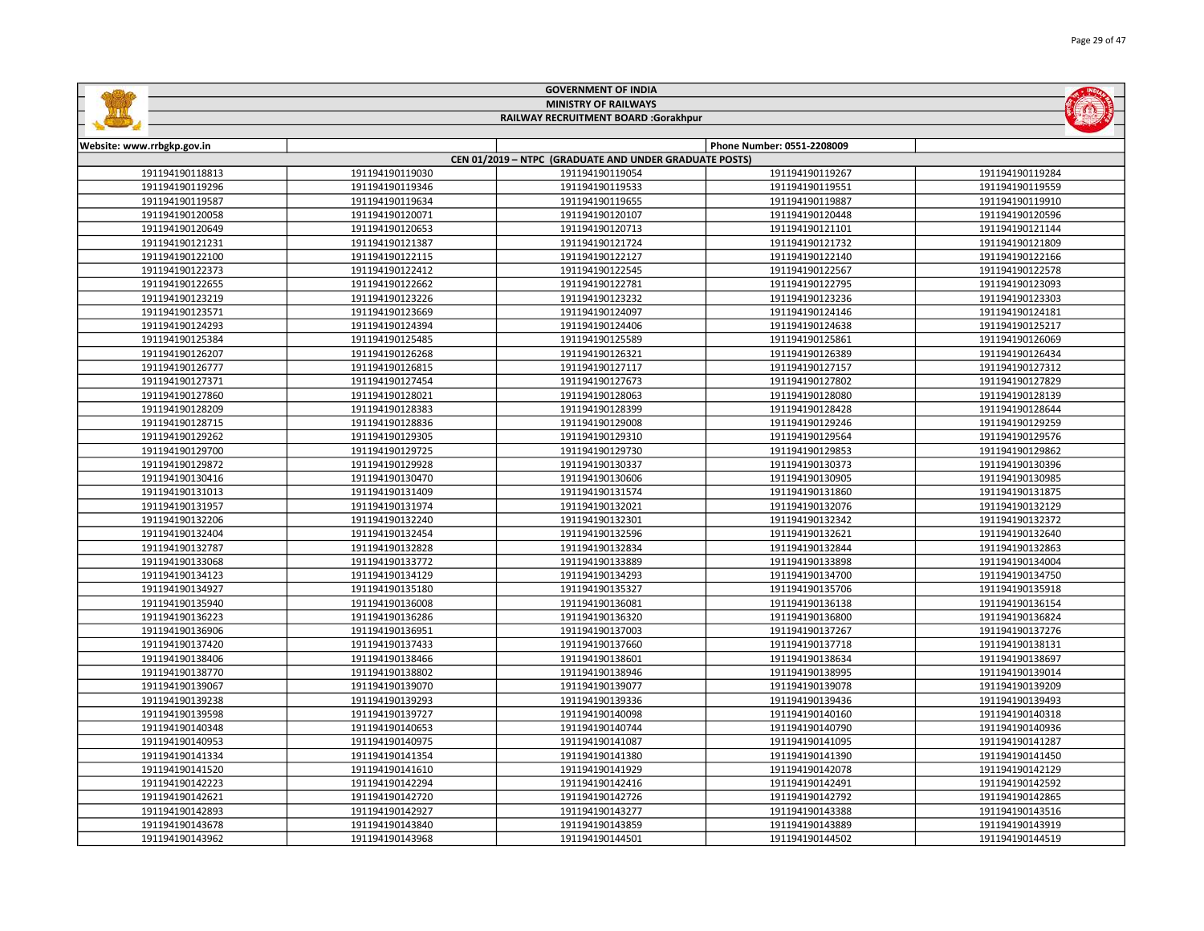|                            |                 | <b>GOVERNMENT OF INDIA</b>                             |                            |                 |
|----------------------------|-----------------|--------------------------------------------------------|----------------------------|-----------------|
|                            |                 | <b>MINISTRY OF RAILWAYS</b>                            |                            |                 |
|                            |                 | RAILWAY RECRUITMENT BOARD :Gorakhpur                   |                            |                 |
|                            |                 |                                                        |                            |                 |
| Website: www.rrbgkp.gov.in |                 |                                                        | Phone Number: 0551-2208009 |                 |
|                            |                 | CEN 01/2019 - NTPC (GRADUATE AND UNDER GRADUATE POSTS) |                            |                 |
| 191194190118813            | 191194190119030 | 191194190119054                                        | 191194190119267            | 191194190119284 |
| 191194190119296            | 191194190119346 | 191194190119533                                        | 191194190119551            | 191194190119559 |
| 191194190119587            | 191194190119634 | 191194190119655                                        | 191194190119887            | 191194190119910 |
| 191194190120058            | 191194190120071 | 191194190120107                                        | 191194190120448            | 191194190120596 |
| 191194190120649            | 191194190120653 | 191194190120713                                        | 191194190121101            | 191194190121144 |
| 191194190121231            | 191194190121387 | 191194190121724                                        | 191194190121732            | 191194190121809 |
| 191194190122100            | 191194190122115 | 191194190122127                                        | 191194190122140            | 191194190122166 |
| 191194190122373            | 191194190122412 | 191194190122545                                        | 191194190122567            | 191194190122578 |
| 191194190122655            | 191194190122662 | 191194190122781                                        | 191194190122795            | 191194190123093 |
| 191194190123219            | 191194190123226 | 191194190123232                                        | 191194190123236            | 191194190123303 |
| 191194190123571            | 191194190123669 | 191194190124097                                        | 191194190124146            | 191194190124181 |
| 191194190124293            | 191194190124394 | 191194190124406                                        | 191194190124638            | 191194190125217 |
| 191194190125384            | 191194190125485 | 191194190125589                                        | 191194190125861            | 191194190126069 |
| 191194190126207            | 191194190126268 | 191194190126321                                        | 191194190126389            | 191194190126434 |
| 191194190126777            | 191194190126815 | 191194190127117                                        | 191194190127157            | 191194190127312 |
| 191194190127371            | 191194190127454 | 191194190127673                                        | 191194190127802            | 191194190127829 |
| 191194190127860            | 191194190128021 | 191194190128063                                        | 191194190128080            | 191194190128139 |
| 191194190128209            | 191194190128383 | 191194190128399                                        | 191194190128428            | 191194190128644 |
| 191194190128715            | 191194190128836 | 191194190129008                                        | 191194190129246            | 191194190129259 |
| 191194190129262            | 191194190129305 | 191194190129310                                        | 191194190129564            | 191194190129576 |
| 191194190129700            | 191194190129725 | 191194190129730                                        | 191194190129853            | 191194190129862 |
| 191194190129872            | 191194190129928 | 191194190130337                                        | 191194190130373            | 191194190130396 |
| 191194190130416            | 191194190130470 | 191194190130606                                        | 191194190130905            | 191194190130985 |
| 191194190131013            | 191194190131409 | 191194190131574                                        | 191194190131860            | 191194190131875 |
| 191194190131957            | 191194190131974 | 191194190132021                                        | 191194190132076            | 191194190132129 |
| 191194190132206            | 191194190132240 | 191194190132301                                        | 191194190132342            | 191194190132372 |
| 191194190132404            | 191194190132454 | 191194190132596                                        | 191194190132621            | 191194190132640 |
| 191194190132787            | 191194190132828 | 191194190132834                                        | 191194190132844            | 191194190132863 |
| 191194190133068            | 191194190133772 | 191194190133889                                        | 191194190133898            | 191194190134004 |
| 191194190134123            | 191194190134129 | 191194190134293                                        | 191194190134700            | 191194190134750 |
| 191194190134927            | 191194190135180 | 191194190135327                                        | 191194190135706            | 191194190135918 |
| 191194190135940            | 191194190136008 | 191194190136081                                        | 191194190136138            | 191194190136154 |
| 191194190136223            | 191194190136286 | 191194190136320                                        | 191194190136800            | 191194190136824 |
| 191194190136906            | 191194190136951 | 191194190137003                                        | 191194190137267            | 191194190137276 |
| 191194190137420            | 191194190137433 | 191194190137660                                        | 191194190137718            | 191194190138131 |
| 191194190138406            | 191194190138466 | 191194190138601                                        | 191194190138634            | 191194190138697 |
| 191194190138770            | 191194190138802 | 191194190138946                                        | 191194190138995            | 191194190139014 |
| 191194190139067            | 191194190139070 | 191194190139077                                        | 191194190139078            | 191194190139209 |
| 191194190139238            | 191194190139293 | 191194190139336                                        | 191194190139436            | 191194190139493 |
| 191194190139598            | 191194190139727 | 191194190140098                                        | 191194190140160            | 191194190140318 |
| 191194190140348            | 191194190140653 | 191194190140744                                        | 191194190140790            | 191194190140936 |
| 191194190140953            | 191194190140975 | 191194190141087                                        | 191194190141095            | 191194190141287 |
| 191194190141334            | 191194190141354 | 191194190141380                                        | 191194190141390            | 191194190141450 |
| 191194190141520            | 191194190141610 | 191194190141929                                        | 191194190142078            | 191194190142129 |
| 191194190142223            | 191194190142294 | 191194190142416                                        | 191194190142491            | 191194190142592 |

 191194190142720 191194190142726 191194190142792 191194190142865 191194190142927 191194190143277 191194190143388 191194190143516 191194190143840 191194190143859 191194190143889 191194190143919 191194190143968 191194190144501 191194190144502 191194190144519

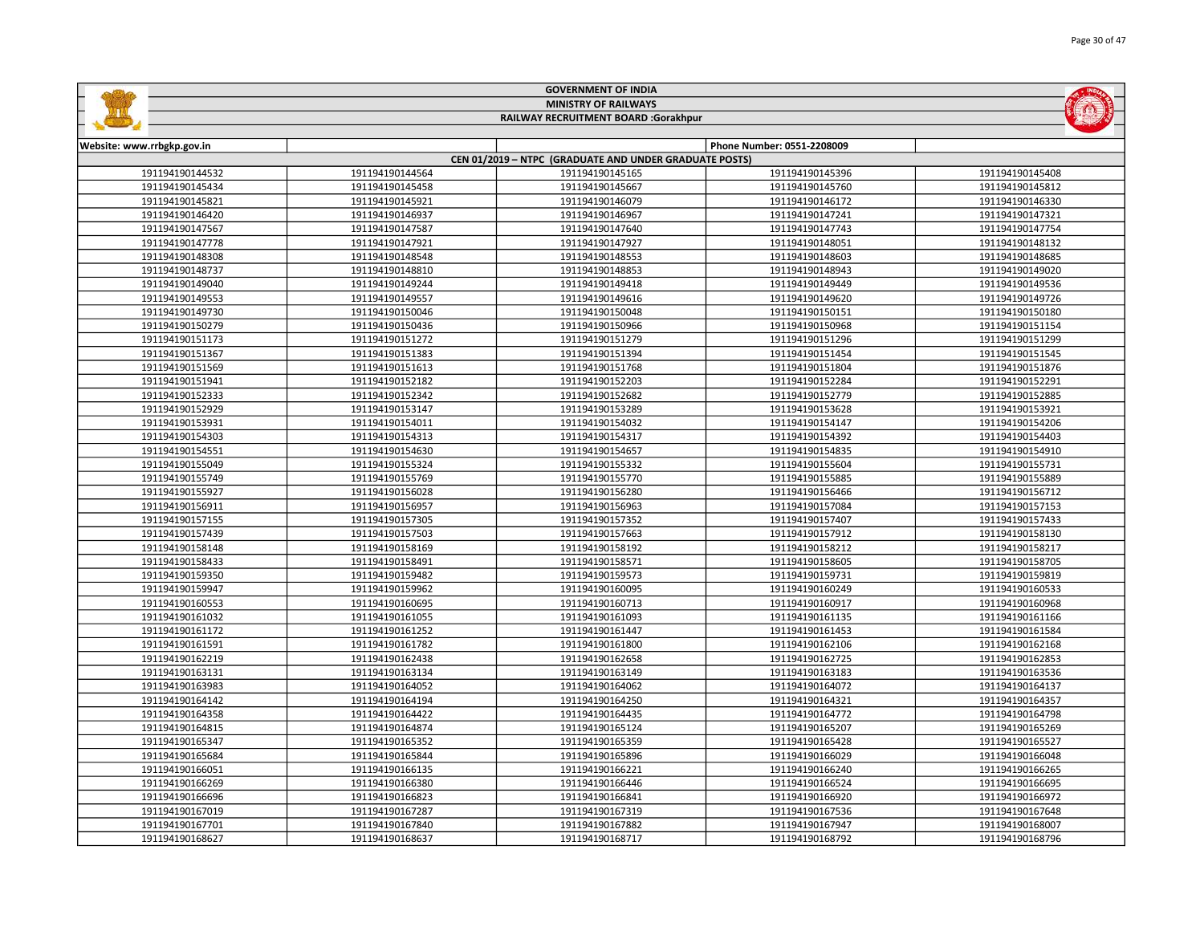|                            |                 | <b>MINISTRY OF RAILWAYS</b>                            |                            |                 |
|----------------------------|-----------------|--------------------------------------------------------|----------------------------|-----------------|
|                            |                 | RAILWAY RECRUITMENT BOARD :Gorakhpur                   |                            |                 |
|                            |                 |                                                        |                            |                 |
| Website: www.rrbgkp.gov.in |                 | CEN 01/2019 - NTPC (GRADUATE AND UNDER GRADUATE POSTS) | Phone Number: 0551-2208009 |                 |
| 191194190144532            | 191194190144564 | 191194190145165                                        | 191194190145396            | 191194190145408 |
| 191194190145434            | 191194190145458 | 191194190145667                                        | 191194190145760            | 191194190145812 |
| 191194190145821            | 191194190145921 | 191194190146079                                        | 191194190146172            | 191194190146330 |
| 191194190146420            | 191194190146937 | 191194190146967                                        | 191194190147241            | 191194190147321 |
| 191194190147567            | 191194190147587 | 191194190147640                                        | 191194190147743            | 191194190147754 |
| 191194190147778            | 191194190147921 | 191194190147927                                        | 191194190148051            | 191194190148132 |
| 191194190148308            | 191194190148548 | 191194190148553                                        | 191194190148603            | 191194190148685 |
| 191194190148737            | 191194190148810 | 191194190148853                                        | 191194190148943            | 191194190149020 |
| 191194190149040            | 191194190149244 | 191194190149418                                        | 191194190149449            | 191194190149536 |
| 191194190149553            | 191194190149557 | 191194190149616                                        | 191194190149620            | 191194190149726 |
| 191194190149730            | 191194190150046 | 191194190150048                                        | 191194190150151            | 191194190150180 |
| 191194190150279            | 191194190150436 | 191194190150966                                        | 191194190150968            | 191194190151154 |
| 191194190151173            | 191194190151272 | 191194190151279                                        | 191194190151296            | 191194190151299 |
| 191194190151367            | 191194190151383 | 191194190151394                                        | 191194190151454            | 191194190151545 |
| 191194190151569            | 191194190151613 | 191194190151768                                        | 191194190151804            | 191194190151876 |
| 191194190151941            | 191194190152182 | 191194190152203                                        | 191194190152284            | 191194190152291 |
| 191194190152333            | 191194190152342 | 191194190152682                                        | 191194190152779            | 191194190152885 |
| 191194190152929            | 191194190153147 | 191194190153289                                        | 191194190153628            | 191194190153921 |
| 191194190153931            | 191194190154011 | 191194190154032                                        | 191194190154147            | 191194190154206 |
| 191194190154303            | 191194190154313 | 191194190154317                                        | 191194190154392            | 191194190154403 |
| 191194190154551            | 191194190154630 | 191194190154657                                        | 191194190154835            | 191194190154910 |
| 191194190155049            | 191194190155324 | 191194190155332                                        | 191194190155604            | 191194190155731 |
| 191194190155749            | 191194190155769 | 191194190155770                                        | 191194190155885            | 191194190155889 |
| 191194190155927            | 191194190156028 | 191194190156280                                        | 191194190156466            | 191194190156712 |
| 191194190156911            | 191194190156957 | 191194190156963                                        | 191194190157084            | 191194190157153 |
| 191194190157155            | 191194190157305 | 191194190157352                                        | 191194190157407            | 191194190157433 |
| 191194190157439            | 191194190157503 | 191194190157663                                        | 191194190157912            | 191194190158130 |
| 191194190158148            | 191194190158169 | 191194190158192                                        | 191194190158212            | 191194190158217 |
| 191194190158433            | 191194190158491 | 191194190158571                                        | 191194190158605            | 191194190158705 |
| 191194190159350            | 191194190159482 | 191194190159573                                        | 191194190159731            | 191194190159819 |
| 191194190159947            | 191194190159962 | 191194190160095                                        | 191194190160249            | 191194190160533 |
| 191194190160553            | 191194190160695 | 191194190160713                                        | 191194190160917            | 191194190160968 |
| 191194190161032            | 191194190161055 | 191194190161093                                        | 191194190161135            | 191194190161166 |
| 191194190161172            | 191194190161252 | 191194190161447                                        | 191194190161453            | 191194190161584 |
| 191194190161591            | 191194190161782 | 191194190161800                                        | 191194190162106            | 191194190162168 |
| 191194190162219            | 191194190162438 | 191194190162658                                        | 191194190162725            | 191194190162853 |
| 191194190163131            | 191194190163134 | 191194190163149                                        | 191194190163183            | 191194190163536 |
| 191194190163983            | 191194190164052 | 191194190164062                                        | 191194190164072            | 191194190164137 |
| 191194190164142            | 191194190164194 | 191194190164250                                        | 191194190164321            | 191194190164357 |
| 191194190164358            | 191194190164422 | 191194190164435                                        | 191194190164772            | 191194190164798 |
| 191194190164815            | 191194190164874 | 191194190165124                                        | 191194190165207            | 191194190165269 |
| 191194190165347            | 191194190165352 | 191194190165359                                        | 191194190165428            | 191194190165527 |
| 191194190165684            | 191194190165844 | 191194190165896                                        | 191194190166029            | 191194190166048 |
| 191194190166051            | 191194190166135 | 191194190166221                                        | 191194190166240            | 191194190166265 |
| 191194190166269            | 191194190166380 | 191194190166446                                        | 191194190166524            | 191194190166695 |
| 191194190166696            | 191194190166823 | 191194190166841                                        | 191194190166920            | 191194190166972 |
| 191194190167019            | 191194190167287 | 191194190167319                                        | 191194190167536            | 191194190167648 |
| 191194190167701            | 191194190167840 | 191194190167882                                        | 191194190167947            | 191194190168007 |

191194190168637 191194190168717 191194190168792 191194190168796

GOVERNMENT OF INDIA

**Shifting**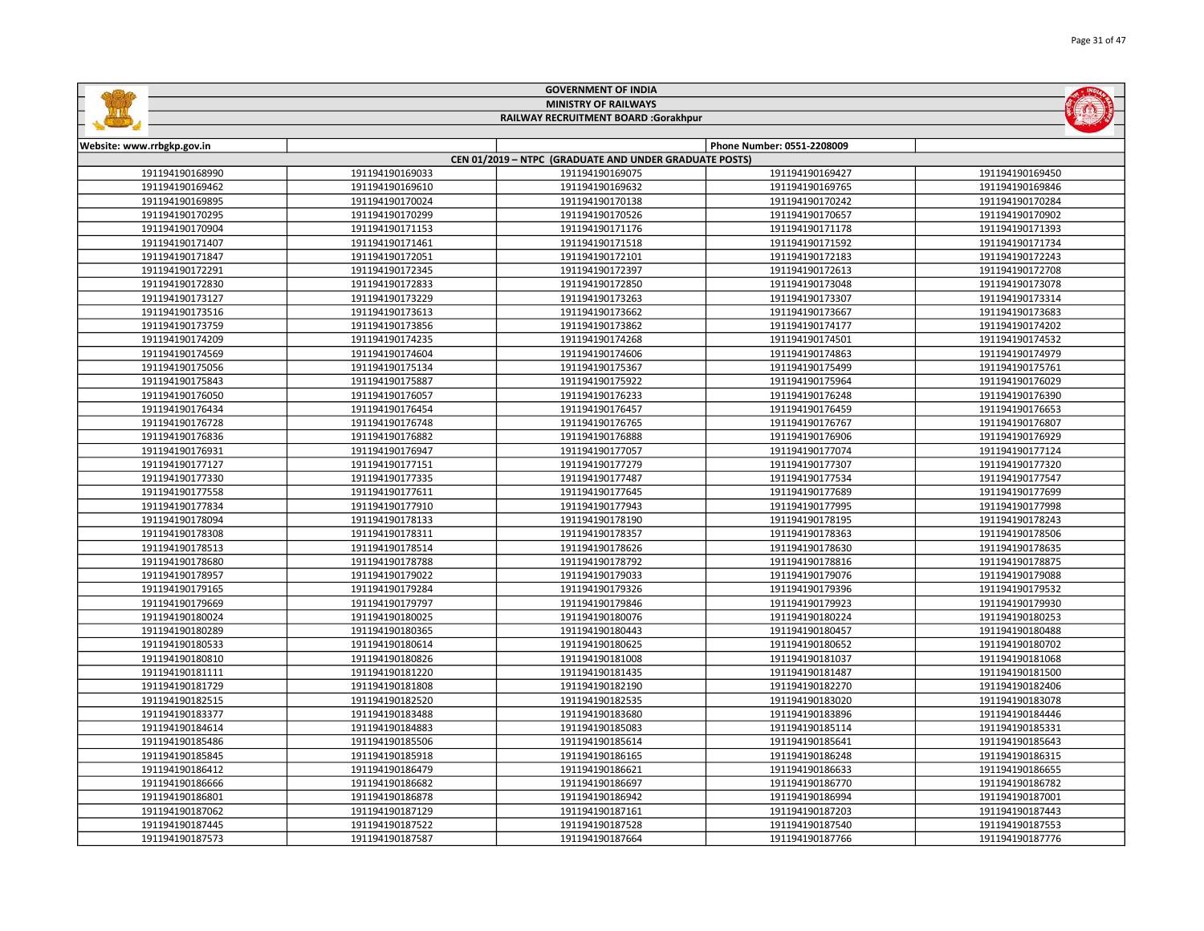|                            |                 | <b>MINISTRY OF RAILWAYS</b>                            |                            |                 |
|----------------------------|-----------------|--------------------------------------------------------|----------------------------|-----------------|
|                            |                 | RAILWAY RECRUITMENT BOARD :Gorakhpur                   |                            |                 |
|                            |                 |                                                        | Phone Number: 0551-2208009 |                 |
| Website: www.rrbgkp.gov.in |                 | CEN 01/2019 - NTPC (GRADUATE AND UNDER GRADUATE POSTS) |                            |                 |
| 191194190168990            | 191194190169033 | 191194190169075                                        | 191194190169427            | 191194190169450 |
| 191194190169462            | 191194190169610 | 191194190169632                                        | 191194190169765            | 191194190169846 |
| 191194190169895            | 191194190170024 | 191194190170138                                        | 191194190170242            | 191194190170284 |
| 191194190170295            | 191194190170299 | 191194190170526                                        | 191194190170657            | 191194190170902 |
| 191194190170904            | 191194190171153 | 191194190171176                                        | 191194190171178            | 191194190171393 |
| 191194190171407            | 191194190171461 | 191194190171518                                        | 191194190171592            | 191194190171734 |
| 191194190171847            | 191194190172051 | 191194190172101                                        | 191194190172183            | 191194190172243 |
| 191194190172291            | 191194190172345 | 191194190172397                                        | 191194190172613            | 191194190172708 |
| 191194190172830            | 191194190172833 | 191194190172850                                        | 191194190173048            | 191194190173078 |
| 191194190173127            | 191194190173229 | 191194190173263                                        | 191194190173307            | 191194190173314 |
| 191194190173516            | 191194190173613 | 191194190173662                                        | 191194190173667            | 191194190173683 |
| 191194190173759            | 191194190173856 | 191194190173862                                        | 191194190174177            | 191194190174202 |
| 191194190174209            | 191194190174235 | 191194190174268                                        | 191194190174501            | 191194190174532 |
| 191194190174569            | 191194190174604 | 191194190174606                                        | 191194190174863            | 191194190174979 |
| 191194190175056            | 191194190175134 | 191194190175367                                        | 191194190175499            | 191194190175761 |
| 191194190175843            | 191194190175887 | 191194190175922                                        | 191194190175964            | 191194190176029 |
| 191194190176050            | 191194190176057 | 191194190176233                                        | 191194190176248            | 191194190176390 |
| 191194190176434            | 191194190176454 | 191194190176457                                        | 191194190176459            | 191194190176653 |
| 191194190176728            | 191194190176748 | 191194190176765                                        | 191194190176767            | 191194190176807 |
| 191194190176836            | 191194190176882 | 191194190176888                                        | 191194190176906            | 191194190176929 |
| 191194190176931            | 191194190176947 | 191194190177057                                        | 191194190177074            | 191194190177124 |
| 191194190177127            | 191194190177151 | 191194190177279                                        | 191194190177307            | 191194190177320 |
| 191194190177330            | 191194190177335 | 191194190177487                                        | 191194190177534            | 191194190177547 |
| 191194190177558            | 191194190177611 | 191194190177645                                        | 191194190177689            | 191194190177699 |
| 191194190177834            | 191194190177910 | 191194190177943                                        | 191194190177995            | 191194190177998 |
| 191194190178094            | 191194190178133 | 191194190178190                                        | 191194190178195            | 191194190178243 |
| 191194190178308            | 191194190178311 | 191194190178357                                        | 191194190178363            | 191194190178506 |
| 191194190178513            | 191194190178514 | 191194190178626                                        | 191194190178630            | 191194190178635 |
| 191194190178680            | 191194190178788 | 191194190178792                                        | 191194190178816            | 191194190178875 |
| 191194190178957            | 191194190179022 | 191194190179033                                        | 191194190179076            | 191194190179088 |
| 191194190179165            | 191194190179284 | 191194190179326                                        | 191194190179396            | 191194190179532 |
| 191194190179669            | 191194190179797 | 191194190179846                                        | 191194190179923            | 191194190179930 |
| 191194190180024            | 191194190180025 | 191194190180076                                        | 191194190180224            | 191194190180253 |
| 191194190180289            | 191194190180365 | 191194190180443                                        | 191194190180457            | 191194190180488 |
| 191194190180533            | 191194190180614 | 191194190180625                                        | 191194190180652            | 191194190180702 |
| 191194190180810            | 191194190180826 | 191194190181008                                        | 191194190181037            | 191194190181068 |
| 191194190181111            | 191194190181220 | 191194190181435                                        | 191194190181487            | 191194190181500 |
| 191194190181729            | 191194190181808 | 191194190182190                                        | 191194190182270            | 191194190182406 |
| 191194190182515            | 191194190182520 | 191194190182535                                        | 191194190183020            | 191194190183078 |
| 191194190183377            | 191194190183488 | 191194190183680                                        | 191194190183896            | 191194190184446 |
| 191194190184614            | 191194190184883 | 191194190185083                                        | 191194190185114            | 191194190185331 |
| 191194190185486            | 191194190185506 | 191194190185614                                        | 191194190185641            | 191194190185643 |
| 191194190185845            | 191194190185918 | 191194190186165                                        | 191194190186248            | 191194190186315 |
| 191194190186412            | 191194190186479 | 191194190186621                                        | 191194190186633            | 191194190186655 |
| 191194190186666            | 191194190186682 | 191194190186697                                        | 191194190186770            | 191194190186782 |
| 191194190186801            | 191194190186878 | 191194190186942                                        | 191194190186994            | 191194190187001 |
| 191194190187062            | 191194190187129 | 191194190187161                                        | 191194190187203            | 191194190187443 |
| 191194190187445            | 191194190187522 | 191194190187528                                        | 191194190187540            | 191194190187553 |

191194190187573 | 191194190187587 | 191194190187664 | 1911941901877766 | 191194190187776

GOVERNMENT OF INDIA

**Galling** 

Page 31 of 47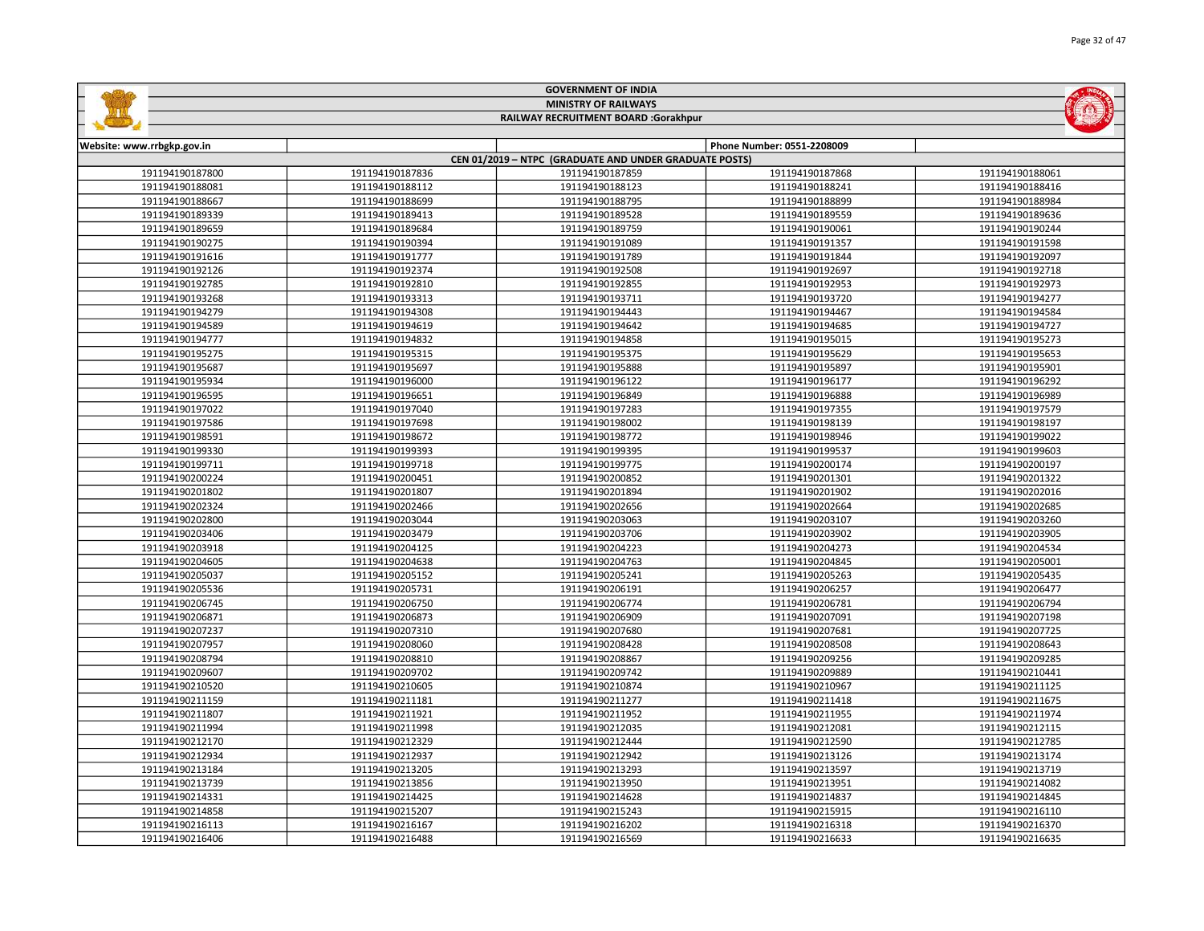|                            |                 | <b>MINISTRY OF RAILWAYS</b>                            |                            |                 |
|----------------------------|-----------------|--------------------------------------------------------|----------------------------|-----------------|
|                            |                 | RAILWAY RECRUITMENT BOARD :Gorakhpur                   |                            |                 |
|                            |                 |                                                        |                            |                 |
| Website: www.rrbgkp.gov.in |                 | CEN 01/2019 - NTPC (GRADUATE AND UNDER GRADUATE POSTS) | Phone Number: 0551-2208009 |                 |
| 191194190187800            | 191194190187836 | 191194190187859                                        | 191194190187868            | 191194190188061 |
| 191194190188081            | 191194190188112 | 191194190188123                                        | 191194190188241            | 191194190188416 |
| 191194190188667            | 191194190188699 | 191194190188795                                        | 191194190188899            | 191194190188984 |
| 191194190189339            | 191194190189413 | 191194190189528                                        | 191194190189559            | 191194190189636 |
| 191194190189659            | 191194190189684 | 191194190189759                                        | 191194190190061            | 191194190190244 |
| 191194190190275            | 191194190190394 | 191194190191089                                        | 191194190191357            | 191194190191598 |
| 191194190191616            | 191194190191777 | 191194190191789                                        | 191194190191844            | 191194190192097 |
| 191194190192126            | 191194190192374 | 191194190192508                                        | 191194190192697            | 191194190192718 |
| 191194190192785            | 191194190192810 | 191194190192855                                        | 191194190192953            | 191194190192973 |
| 191194190193268            | 191194190193313 | 191194190193711                                        | 191194190193720            | 191194190194277 |
| 191194190194279            | 191194190194308 | 191194190194443                                        | 191194190194467            | 191194190194584 |
| 191194190194589            | 191194190194619 | 191194190194642                                        | 191194190194685            | 191194190194727 |
| 191194190194777            | 191194190194832 | 191194190194858                                        | 191194190195015            | 191194190195273 |
| 191194190195275            | 191194190195315 | 191194190195375                                        | 191194190195629            | 191194190195653 |
| 191194190195687            | 191194190195697 | 191194190195888                                        | 191194190195897            | 191194190195901 |
| 191194190195934            | 191194190196000 | 191194190196122                                        | 191194190196177            | 191194190196292 |
| 191194190196595            | 191194190196651 | 191194190196849                                        | 191194190196888            | 191194190196989 |
| 191194190197022            | 191194190197040 | 191194190197283                                        | 191194190197355            | 191194190197579 |
| 191194190197586            | 191194190197698 | 191194190198002                                        | 191194190198139            | 191194190198197 |
| 191194190198591            | 191194190198672 | 191194190198772                                        | 191194190198946            | 191194190199022 |
| 191194190199330            | 191194190199393 | 191194190199395                                        | 191194190199537            | 191194190199603 |
| 191194190199711            | 191194190199718 | 191194190199775                                        | 191194190200174            | 191194190200197 |
| 191194190200224            | 191194190200451 | 191194190200852                                        | 191194190201301            | 191194190201322 |
| 191194190201802            | 191194190201807 | 191194190201894                                        | 191194190201902            | 191194190202016 |
| 191194190202324            | 191194190202466 | 191194190202656                                        | 191194190202664            | 191194190202685 |
| 191194190202800            | 191194190203044 | 191194190203063                                        | 191194190203107            | 191194190203260 |
| 191194190203406            | 191194190203479 | 191194190203706                                        | 191194190203902            | 191194190203905 |
| 191194190203918            | 191194190204125 | 191194190204223                                        | 191194190204273            | 191194190204534 |
| 191194190204605            | 191194190204638 | 191194190204763                                        | 191194190204845            | 191194190205001 |
| 191194190205037            | 191194190205152 | 191194190205241                                        | 191194190205263            | 191194190205435 |
| 191194190205536            | 191194190205731 | 191194190206191                                        | 191194190206257            | 191194190206477 |
| 191194190206745            | 191194190206750 | 191194190206774                                        | 191194190206781            | 191194190206794 |
| 191194190206871            | 191194190206873 | 191194190206909                                        | 191194190207091            | 191194190207198 |
| 191194190207237            | 191194190207310 | 191194190207680                                        | 191194190207681            | 191194190207725 |
| 191194190207957            | 191194190208060 | 191194190208428                                        | 191194190208508            | 191194190208643 |
| 191194190208794            | 191194190208810 | 191194190208867                                        | 191194190209256            | 191194190209285 |
| 191194190209607            | 191194190209702 | 191194190209742                                        | 191194190209889            | 191194190210441 |
| 191194190210520            | 191194190210605 | 191194190210874                                        | 191194190210967            | 191194190211125 |
| 191194190211159            | 191194190211181 | 191194190211277                                        | 191194190211418            | 191194190211675 |
| 191194190211807            | 191194190211921 | 191194190211952                                        | 191194190211955            | 191194190211974 |
| 191194190211994            | 191194190211998 | 191194190212035                                        | 191194190212081            | 191194190212115 |
| 191194190212170            | 191194190212329 | 191194190212444                                        | 191194190212590            | 191194190212785 |
| 191194190212934            | 191194190212937 | 191194190212942                                        | 191194190213126            | 191194190213174 |
| 191194190213184            | 191194190213205 | 191194190213293                                        | 191194190213597            | 191194190213719 |
| 191194190213739            | 191194190213856 | 191194190213950                                        | 191194190213951            | 191194190214082 |
| 191194190214331            | 191194190214425 | 191194190214628                                        | 191194190214837            | 191194190214845 |
| 191194190214858            | 191194190215207 | 191194190215243                                        | 191194190215915            | 191194190216110 |
| 191194190216113            | 191194190216167 | 191194190216202                                        | 191194190216318            | 191194190216370 |

191194190216488 191194190216569 191194190216633 191194190216635

GOVERNMENT OF INDIA

**Galling** 

**MOMENT**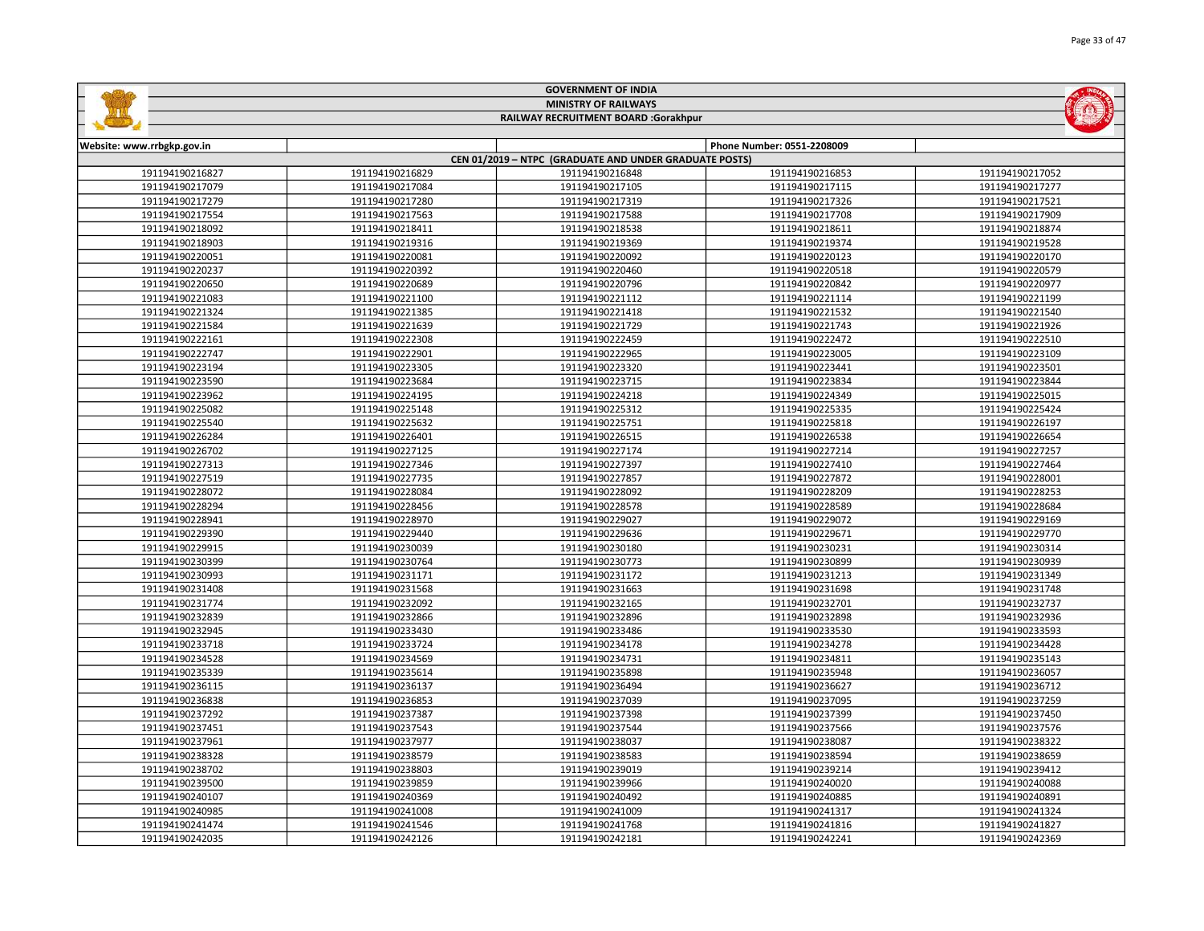|                                                        |                 | <b>GOVERNMENT OF INDIA</b>           |                            |                 |  |  |
|--------------------------------------------------------|-----------------|--------------------------------------|----------------------------|-----------------|--|--|
| <b>MINISTRY OF RAILWAYS</b>                            |                 |                                      |                            |                 |  |  |
|                                                        |                 | RAILWAY RECRUITMENT BOARD :Gorakhpur |                            |                 |  |  |
|                                                        |                 |                                      |                            |                 |  |  |
| Website: www.rrbgkp.gov.in                             |                 |                                      | Phone Number: 0551-2208009 |                 |  |  |
| CEN 01/2019 - NTPC (GRADUATE AND UNDER GRADUATE POSTS) |                 |                                      |                            |                 |  |  |
| 191194190216827                                        | 191194190216829 | 191194190216848                      | 191194190216853            | 191194190217052 |  |  |
| 191194190217079                                        | 191194190217084 | 191194190217105                      | 191194190217115            | 191194190217277 |  |  |
| 191194190217279                                        | 191194190217280 | 191194190217319                      | 191194190217326            | 191194190217521 |  |  |
| 191194190217554                                        | 191194190217563 | 191194190217588                      | 191194190217708            | 191194190217909 |  |  |
| 191194190218092                                        | 191194190218411 | 191194190218538                      | 191194190218611            | 191194190218874 |  |  |
| 191194190218903                                        | 191194190219316 | 191194190219369                      | 191194190219374            | 191194190219528 |  |  |
| 191194190220051                                        | 191194190220081 | 191194190220092                      | 191194190220123            | 191194190220170 |  |  |
| 191194190220237                                        | 191194190220392 | 191194190220460                      | 191194190220518            | 191194190220579 |  |  |
| 191194190220650                                        | 191194190220689 | 191194190220796                      | 191194190220842            | 191194190220977 |  |  |
| 191194190221083                                        | 191194190221100 | 191194190221112                      | 191194190221114            | 191194190221199 |  |  |
| 191194190221324                                        | 191194190221385 | 191194190221418                      | 191194190221532            | 191194190221540 |  |  |
| 191194190221584                                        | 191194190221639 | 191194190221729                      | 191194190221743            | 191194190221926 |  |  |
| 191194190222161                                        | 191194190222308 | 191194190222459                      | 191194190222472            | 191194190222510 |  |  |
| 191194190222747                                        | 191194190222901 | 191194190222965                      | 191194190223005            | 191194190223109 |  |  |
| 191194190223194                                        | 191194190223305 | 191194190223320                      | 191194190223441            | 191194190223501 |  |  |
| 191194190223590                                        | 191194190223684 | 191194190223715                      | 191194190223834            | 191194190223844 |  |  |
| 191194190223962                                        | 191194190224195 | 191194190224218                      | 191194190224349            | 191194190225015 |  |  |
| 191194190225082                                        | 191194190225148 | 191194190225312                      | 191194190225335            | 191194190225424 |  |  |
| 191194190225540                                        | 191194190225632 | 191194190225751                      | 191194190225818            | 191194190226197 |  |  |
| 191194190226284                                        | 191194190226401 | 191194190226515                      | 191194190226538            | 191194190226654 |  |  |
| 191194190226702                                        | 191194190227125 | 191194190227174                      | 191194190227214            | 191194190227257 |  |  |
| 191194190227313                                        | 191194190227346 | 191194190227397                      | 191194190227410            | 191194190227464 |  |  |
| 191194190227519                                        | 191194190227735 | 191194190227857                      | 191194190227872            | 191194190228001 |  |  |
| 191194190228072                                        | 191194190228084 | 191194190228092                      | 191194190228209            | 191194190228253 |  |  |
| 191194190228294                                        | 191194190228456 | 191194190228578                      | 191194190228589            | 191194190228684 |  |  |
| 191194190228941                                        | 191194190228970 | 191194190229027                      | 191194190229072            | 191194190229169 |  |  |
| 191194190229390                                        | 191194190229440 | 191194190229636                      | 191194190229671            | 191194190229770 |  |  |
| 191194190229915                                        | 191194190230039 | 191194190230180                      | 191194190230231            | 191194190230314 |  |  |
| 191194190230399                                        | 191194190230764 | 191194190230773                      | 191194190230899            | 191194190230939 |  |  |
| 191194190230993                                        | 191194190231171 | 191194190231172                      | 191194190231213            | 191194190231349 |  |  |
| 191194190231408                                        | 191194190231568 | 191194190231663                      | 191194190231698            | 191194190231748 |  |  |
| 191194190231774                                        | 191194190232092 | 191194190232165                      | 191194190232701            | 191194190232737 |  |  |
| 191194190232839                                        | 191194190232866 | 191194190232896                      | 191194190232898            | 191194190232936 |  |  |
| 191194190232945                                        | 191194190233430 | 191194190233486                      | 191194190233530            | 191194190233593 |  |  |
| 191194190233718                                        | 191194190233724 | 191194190234178                      | 191194190234278            | 191194190234428 |  |  |
| 191194190234528                                        | 191194190234569 | 191194190234731                      | 191194190234811            | 191194190235143 |  |  |
| 191194190235339                                        | 191194190235614 | 191194190235898                      | 191194190235948            | 191194190236057 |  |  |
| 191194190236115                                        | 191194190236137 | 191194190236494                      | 191194190236627            | 191194190236712 |  |  |
| 191194190236838                                        | 191194190236853 | 191194190237039                      | 191194190237095            | 191194190237259 |  |  |
| 191194190237292                                        | 191194190237387 | 191194190237398                      | 191194190237399            | 191194190237450 |  |  |
| 191194190237451                                        | 191194190237543 | 191194190237544                      | 191194190237566            | 191194190237576 |  |  |
| 191194190237961                                        | 191194190237977 | 191194190238037                      | 191194190238087            | 191194190238322 |  |  |
| 191194190238328                                        | 191194190238579 | 191194190238583                      | 191194190238594            | 191194190238659 |  |  |

| 191197190297292 | 171177170237307 | 171177170237330 | 171177192373 <i>33</i> | 191197190237790 |
|-----------------|-----------------|-----------------|------------------------|-----------------|
| 191194190237451 | 191194190237543 | 191194190237544 | 191194190237566        | 191194190237576 |
| 191194190237961 | 191194190237977 | 191194190238037 | 191194190238087        | 191194190238322 |
| 191194190238328 | 191194190238579 | 191194190238583 | 191194190238594        | 191194190238659 |
| 191194190238702 | 191194190238803 | 191194190239019 | 191194190239214        | 191194190239412 |
| 191194190239500 | 191194190239859 | 191194190239966 | 191194190240020        | 191194190240088 |
| 191194190240107 | 191194190240369 | 191194190240492 | 191194190240885        | 191194190240891 |
| 191194190240985 | 191194190241008 | 191194190241009 | 191194190241317        | 191194190241324 |
| 191194190241474 | 191194190241546 | 191194190241768 | 191194190241816        | 191194190241827 |
| 191194190242035 | 191194190242126 | 191194190242181 | 191194190242241        | 191194190242369 |
|                 |                 |                 |                        |                 |

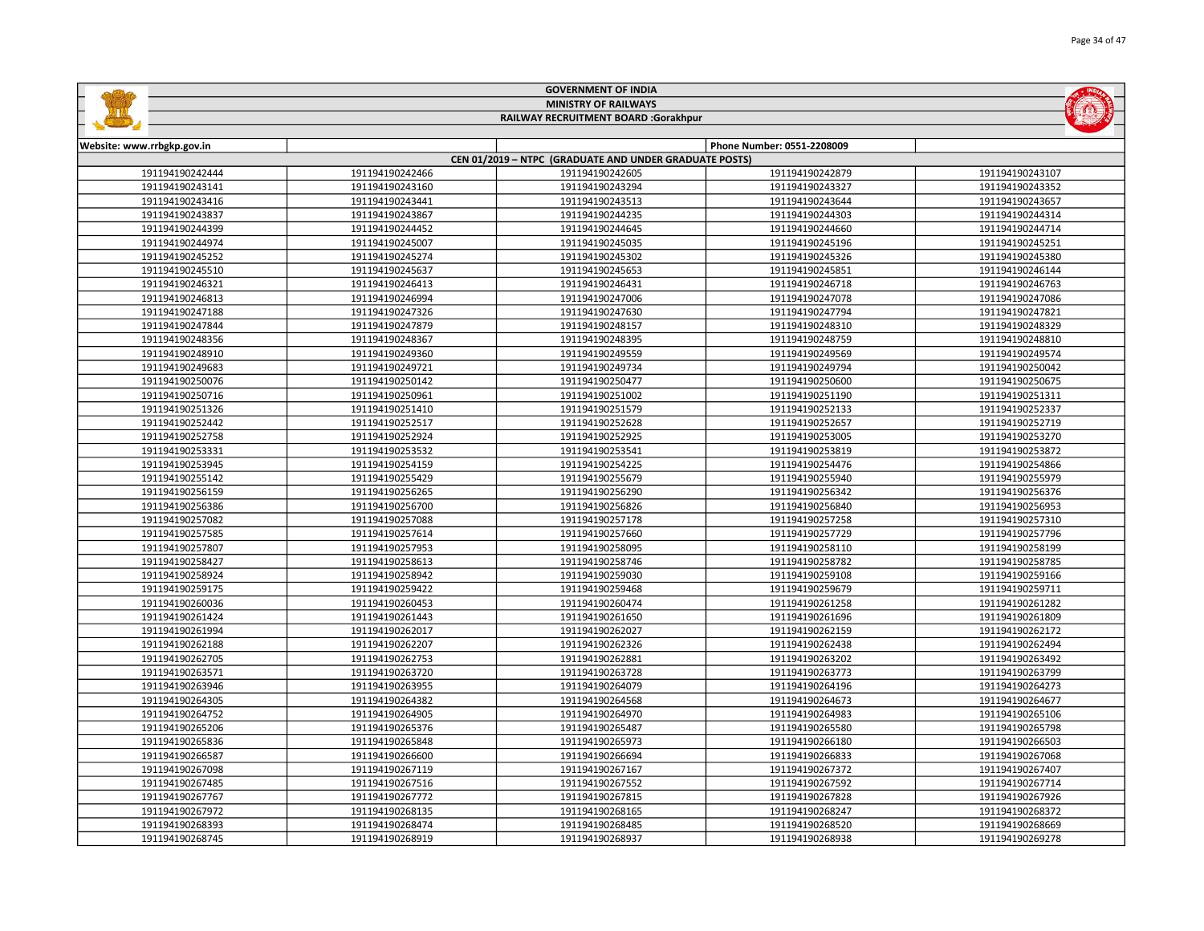|                            |                 | <b>MINISTRY OF RAILWAYS</b>                                               |                            |                 |
|----------------------------|-----------------|---------------------------------------------------------------------------|----------------------------|-----------------|
|                            |                 | RAILWAY RECRUITMENT BOARD :Gorakhpur                                      |                            |                 |
|                            |                 |                                                                           |                            |                 |
| Website: www.rrbgkp.gov.in |                 |                                                                           | Phone Number: 0551-2208009 |                 |
| 191194190242444            | 191194190242466 | CEN 01/2019 - NTPC (GRADUATE AND UNDER GRADUATE POSTS)<br>191194190242605 | 191194190242879            | 191194190243107 |
| 191194190243141            | 191194190243160 | 191194190243294                                                           | 191194190243327            | 191194190243352 |
| 191194190243416            | 191194190243441 | 191194190243513                                                           | 191194190243644            | 191194190243657 |
| 191194190243837            | 191194190243867 | 191194190244235                                                           | 191194190244303            | 191194190244314 |
| 191194190244399            | 191194190244452 | 191194190244645                                                           | 191194190244660            | 191194190244714 |
| 191194190244974            | 191194190245007 | 191194190245035                                                           | 191194190245196            | 191194190245251 |
| 191194190245252            | 191194190245274 | 191194190245302                                                           | 191194190245326            | 191194190245380 |
| 191194190245510            | 191194190245637 | 191194190245653                                                           | 191194190245851            | 191194190246144 |
| 191194190246321            | 191194190246413 | 191194190246431                                                           | 191194190246718            | 191194190246763 |
| 191194190246813            | 191194190246994 | 191194190247006                                                           | 191194190247078            | 191194190247086 |
| 191194190247188            | 191194190247326 | 191194190247630                                                           | 191194190247794            | 191194190247821 |
| 191194190247844            | 191194190247879 | 191194190248157                                                           | 191194190248310            | 191194190248329 |
| 191194190248356            | 191194190248367 | 191194190248395                                                           | 191194190248759            | 191194190248810 |
| 191194190248910            | 191194190249360 | 191194190249559                                                           | 191194190249569            | 191194190249574 |
| 191194190249683            | 191194190249721 | 191194190249734                                                           | 191194190249794            | 191194190250042 |
| 191194190250076            | 191194190250142 | 191194190250477                                                           | 191194190250600            | 191194190250675 |
| 191194190250716            | 191194190250961 | 191194190251002                                                           | 191194190251190            | 191194190251311 |
| 191194190251326            | 191194190251410 | 191194190251579                                                           | 191194190252133            | 191194190252337 |
| 191194190252442            | 191194190252517 | 191194190252628                                                           | 191194190252657            | 191194190252719 |
| 191194190252758            | 191194190252924 | 191194190252925                                                           | 191194190253005            | 191194190253270 |
| 191194190253331            | 191194190253532 | 191194190253541                                                           | 191194190253819            | 191194190253872 |
| 191194190253945            | 191194190254159 | 191194190254225                                                           | 191194190254476            | 191194190254866 |
| 191194190255142            | 191194190255429 | 191194190255679                                                           | 191194190255940            | 191194190255979 |
| 191194190256159            | 191194190256265 | 191194190256290                                                           | 191194190256342            | 191194190256376 |
| 191194190256386            | 191194190256700 | 191194190256826                                                           | 191194190256840            | 191194190256953 |
| 191194190257082            | 191194190257088 | 191194190257178                                                           | 191194190257258            | 191194190257310 |
| 191194190257585            | 191194190257614 | 191194190257660                                                           | 191194190257729            | 191194190257796 |
| 191194190257807            | 191194190257953 | 191194190258095                                                           | 191194190258110            | 191194190258199 |
| 191194190258427            | 191194190258613 | 191194190258746                                                           | 191194190258782            | 191194190258785 |
| 191194190258924            | 191194190258942 | 191194190259030                                                           | 191194190259108            | 191194190259166 |
| 191194190259175            | 191194190259422 | 191194190259468                                                           | 191194190259679            | 191194190259711 |
| 191194190260036            | 191194190260453 | 191194190260474                                                           | 191194190261258            | 191194190261282 |
| 191194190261424            | 191194190261443 | 191194190261650                                                           | 191194190261696            | 191194190261809 |
| 191194190261994            | 191194190262017 | 191194190262027                                                           | 191194190262159            | 191194190262172 |
| 191194190262188            | 191194190262207 | 191194190262326                                                           | 191194190262438            | 191194190262494 |
| 191194190262705            | 191194190262753 | 191194190262881                                                           | 191194190263202            | 191194190263492 |
| 191194190263571            | 191194190263720 | 191194190263728                                                           | 191194190263773            | 191194190263799 |
| 191194190263946            | 191194190263955 | 191194190264079                                                           | 191194190264196            | 191194190264273 |
| 191194190264305            | 191194190264382 | 191194190264568                                                           | 191194190264673            | 191194190264677 |
| 191194190264752            | 191194190264905 | 191194190264970                                                           | 191194190264983            | 191194190265106 |
| 191194190265206            | 191194190265376 | 191194190265487                                                           | 191194190265580            | 191194190265798 |
| 191194190265836            | 191194190265848 | 191194190265973                                                           | 191194190266180            | 191194190266503 |
| 191194190266587            | 191194190266600 | 191194190266694                                                           | 191194190266833            | 191194190267068 |
| 191194190267098            | 191194190267119 | 191194190267167                                                           | 191194190267372            | 191194190267407 |
| 191194190267485            | 191194190267516 | 191194190267552                                                           | 191194190267592            | 191194190267714 |
| 191194190267767            | 191194190267772 | 191194190267815                                                           | 191194190267828            | 191194190267926 |
| 191194190267972            | 191194190268135 | 191194190268165                                                           | 191194190268247            | 191194190268372 |
| 191194190268393            | 191194190268474 | 191194190268485                                                           | 191194190268520            | 191194190268669 |

191194190268919 191194190268937 191194190268938 191194190269278

GOVERNMENT OF INDIA

**Salation**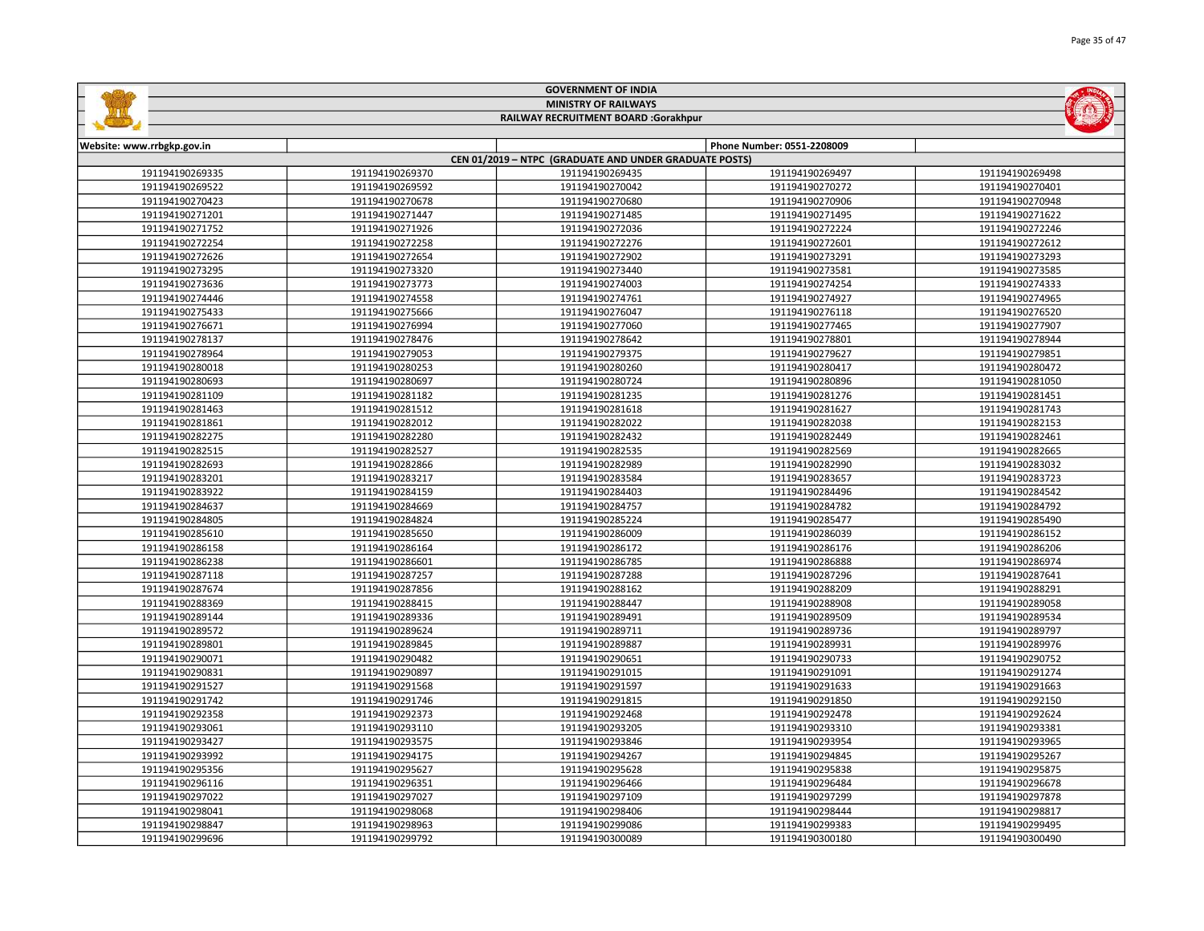|                            |                 | <b>MINISTRY OF RAILWAYS</b>                            |                            |                 |
|----------------------------|-----------------|--------------------------------------------------------|----------------------------|-----------------|
|                            |                 | RAILWAY RECRUITMENT BOARD :Gorakhpur                   |                            |                 |
|                            |                 |                                                        | Phone Number: 0551-2208009 |                 |
| Website: www.rrbgkp.gov.in |                 | CEN 01/2019 - NTPC (GRADUATE AND UNDER GRADUATE POSTS) |                            |                 |
| 191194190269335            | 191194190269370 | 191194190269435                                        | 191194190269497            | 191194190269498 |
| 191194190269522            | 191194190269592 | 191194190270042                                        | 191194190270272            | 191194190270401 |
| 191194190270423            | 191194190270678 | 191194190270680                                        | 191194190270906            | 191194190270948 |
| 191194190271201            | 191194190271447 | 191194190271485                                        | 191194190271495            | 191194190271622 |
| 191194190271752            | 191194190271926 | 191194190272036                                        | 191194190272224            | 191194190272246 |
| 191194190272254            | 191194190272258 | 191194190272276                                        | 191194190272601            | 191194190272612 |
| 191194190272626            | 191194190272654 | 191194190272902                                        | 191194190273291            | 191194190273293 |
| 191194190273295            | 191194190273320 | 191194190273440                                        | 191194190273581            | 191194190273585 |
| 191194190273636            | 191194190273773 | 191194190274003                                        | 191194190274254            | 191194190274333 |
| 191194190274446            | 191194190274558 | 191194190274761                                        | 191194190274927            | 191194190274965 |
| 191194190275433            | 191194190275666 | 191194190276047                                        | 191194190276118            | 191194190276520 |
| 191194190276671            | 191194190276994 | 191194190277060                                        | 191194190277465            | 191194190277907 |
| 191194190278137            | 191194190278476 | 191194190278642                                        | 191194190278801            | 191194190278944 |
| 191194190278964            | 191194190279053 | 191194190279375                                        | 191194190279627            | 191194190279851 |
| 191194190280018            | 191194190280253 | 191194190280260                                        | 191194190280417            | 191194190280472 |
| 191194190280693            | 191194190280697 | 191194190280724                                        | 191194190280896            | 191194190281050 |
| 191194190281109            | 191194190281182 | 191194190281235                                        | 191194190281276            | 191194190281451 |
| 191194190281463            | 191194190281512 | 191194190281618                                        | 191194190281627            | 191194190281743 |
| 191194190281861            | 191194190282012 | 191194190282022                                        | 191194190282038            | 191194190282153 |
| 191194190282275            | 191194190282280 | 191194190282432                                        | 191194190282449            | 191194190282461 |
| 191194190282515            | 191194190282527 | 191194190282535                                        | 191194190282569            | 191194190282665 |
| 191194190282693            | 191194190282866 | 191194190282989                                        | 191194190282990            | 191194190283032 |
| 191194190283201            | 191194190283217 | 191194190283584                                        | 191194190283657            | 191194190283723 |
| 191194190283922            | 191194190284159 | 191194190284403                                        | 191194190284496            | 191194190284542 |
| 191194190284637            | 191194190284669 | 191194190284757                                        | 191194190284782            | 191194190284792 |
| 191194190284805            | 191194190284824 | 191194190285224                                        | 191194190285477            | 191194190285490 |
| 191194190285610            | 191194190285650 | 191194190286009                                        | 191194190286039            | 191194190286152 |
| 191194190286158            | 191194190286164 | 191194190286172                                        | 191194190286176            | 191194190286206 |
| 191194190286238            | 191194190286601 | 191194190286785                                        | 191194190286888            | 191194190286974 |
| 191194190287118            | 191194190287257 | 191194190287288                                        | 191194190287296            | 191194190287641 |
| 191194190287674            | 191194190287856 | 191194190288162                                        | 191194190288209            | 191194190288291 |
| 191194190288369            | 191194190288415 | 191194190288447                                        | 191194190288908            | 191194190289058 |
| 191194190289144            | 191194190289336 | 191194190289491                                        | 191194190289509            | 191194190289534 |
| 191194190289572            | 191194190289624 | 191194190289711                                        | 191194190289736            | 191194190289797 |
| 191194190289801            | 191194190289845 | 191194190289887                                        | 191194190289931            | 191194190289976 |
| 191194190290071            | 191194190290482 | 191194190290651                                        | 191194190290733            | 191194190290752 |
| 191194190290831            | 191194190290897 | 191194190291015                                        | 191194190291091            | 191194190291274 |
| 191194190291527            | 191194190291568 | 191194190291597                                        | 191194190291633            | 191194190291663 |
| 191194190291742            | 191194190291746 | 191194190291815                                        | 191194190291850            | 191194190292150 |
| 191194190292358            | 191194190292373 | 191194190292468                                        | 191194190292478            | 191194190292624 |
| 191194190293061            | 191194190293110 | 191194190293205                                        | 191194190293310            | 191194190293381 |
| 191194190293427            | 191194190293575 | 191194190293846                                        | 191194190293954            | 191194190293965 |
| 191194190293992            | 191194190294175 | 191194190294267                                        | 191194190294845            | 191194190295267 |
| 191194190295356            | 191194190295627 | 191194190295628                                        | 191194190295838            | 191194190295875 |
| 191194190296116            | 191194190296351 | 191194190296466                                        | 191194190296484            | 191194190296678 |
| 191194190297022            | 191194190297027 | 191194190297109                                        | 191194190297299            | 191194190297878 |
| 191194190298041            | 191194190298068 | 191194190298406                                        | 191194190298444            | 191194190298817 |
| 191194190298847            | 191194190298963 | 191194190299086                                        | 191194190299383            | 191194190299495 |

191194190299792 191194190300089 191194190300180 191194190300490

GOVERNMENT OF INDIA

**Sallida** 

**MOLTER**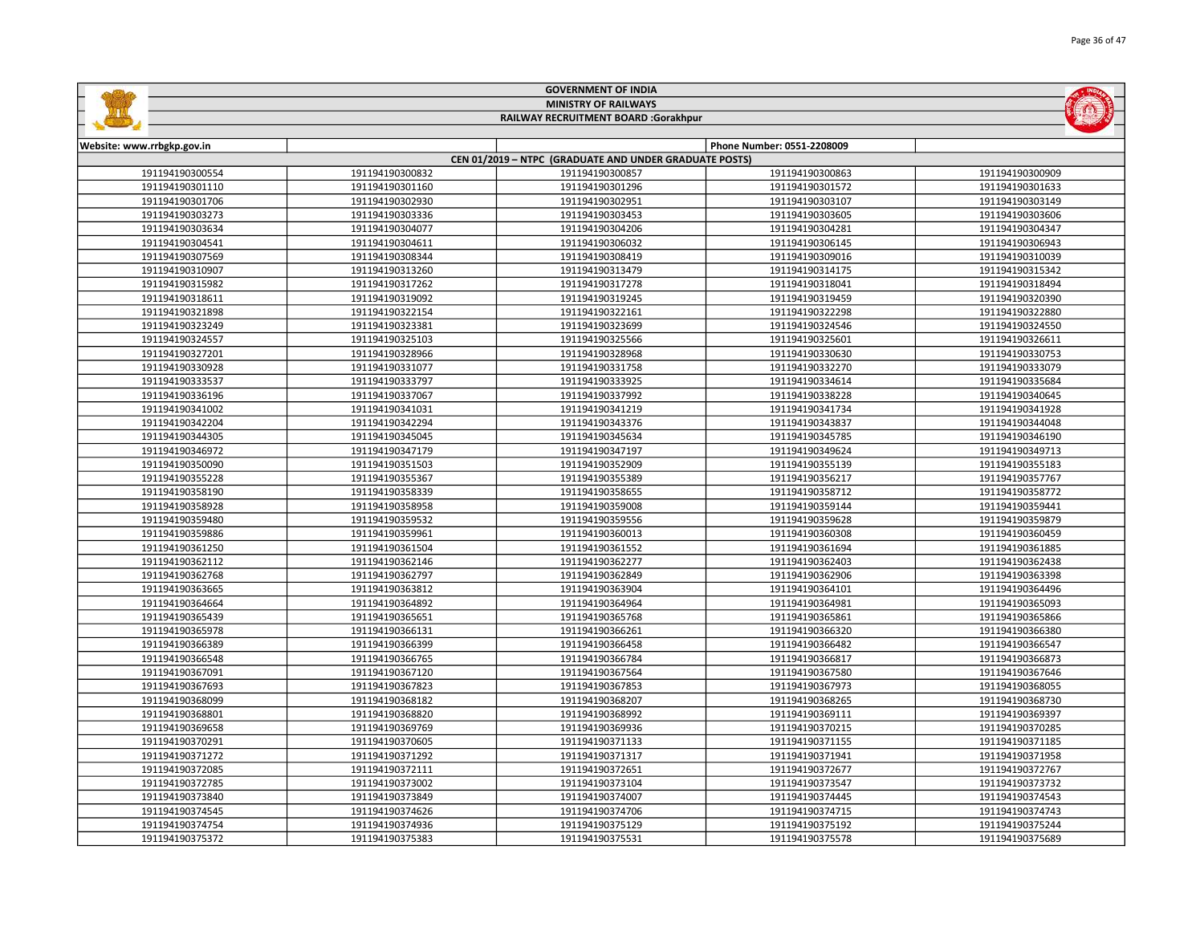| <b>MINISTRY OF RAILWAYS</b><br>RAILWAY RECRUITMENT BOARD :Gorakhpur |                 |                                                        |                            |                 |  |  |
|---------------------------------------------------------------------|-----------------|--------------------------------------------------------|----------------------------|-----------------|--|--|
|                                                                     |                 |                                                        |                            |                 |  |  |
| Website: www.rrbgkp.gov.in                                          |                 |                                                        | Phone Number: 0551-2208009 |                 |  |  |
|                                                                     |                 | CEN 01/2019 - NTPC (GRADUATE AND UNDER GRADUATE POSTS) |                            |                 |  |  |
| 191194190300554                                                     | 191194190300832 | 191194190300857                                        | 191194190300863            | 191194190300909 |  |  |
| 191194190301110                                                     | 191194190301160 | 191194190301296                                        | 191194190301572            | 191194190301633 |  |  |
| 191194190301706                                                     | 191194190302930 | 191194190302951                                        | 191194190303107            | 191194190303149 |  |  |
| 191194190303273                                                     | 191194190303336 | 191194190303453                                        | 191194190303605            | 191194190303606 |  |  |
| 191194190303634                                                     | 191194190304077 | 191194190304206                                        | 191194190304281            | 191194190304347 |  |  |
| 191194190304541                                                     | 191194190304611 | 191194190306032                                        | 191194190306145            | 191194190306943 |  |  |
| 191194190307569                                                     | 191194190308344 | 191194190308419                                        | 191194190309016            | 191194190310039 |  |  |
| 191194190310907                                                     | 191194190313260 | 191194190313479                                        | 191194190314175            | 191194190315342 |  |  |
| 191194190315982                                                     | 191194190317262 | 191194190317278                                        | 191194190318041            | 191194190318494 |  |  |
| 191194190318611                                                     | 191194190319092 | 191194190319245                                        | 191194190319459            | 191194190320390 |  |  |
| 191194190321898                                                     | 191194190322154 | 191194190322161                                        | 191194190322298            | 191194190322880 |  |  |
| 191194190323249                                                     | 191194190323381 | 191194190323699                                        | 191194190324546            | 191194190324550 |  |  |
| 191194190324557                                                     | 191194190325103 | 191194190325566                                        | 191194190325601            | 191194190326611 |  |  |
| 191194190327201                                                     | 191194190328966 | 191194190328968                                        | 191194190330630            | 191194190330753 |  |  |
| 191194190330928                                                     | 191194190331077 | 191194190331758                                        | 191194190332270            | 191194190333079 |  |  |
| 191194190333537                                                     | 191194190333797 | 191194190333925                                        | 191194190334614            | 191194190335684 |  |  |
| 191194190336196                                                     | 191194190337067 | 191194190337992                                        | 191194190338228            | 191194190340645 |  |  |
| 191194190341002                                                     | 191194190341031 | 191194190341219                                        | 191194190341734            | 191194190341928 |  |  |
| 191194190342204                                                     | 191194190342294 | 191194190343376                                        | 191194190343837            | 191194190344048 |  |  |
| 191194190344305                                                     | 191194190345045 | 191194190345634                                        | 191194190345785            | 191194190346190 |  |  |
| 191194190346972                                                     | 191194190347179 | 191194190347197                                        | 191194190349624            | 191194190349713 |  |  |
| 191194190350090                                                     | 191194190351503 | 191194190352909                                        | 191194190355139            | 191194190355183 |  |  |
| 191194190355228                                                     | 191194190355367 | 191194190355389                                        | 191194190356217            | 191194190357767 |  |  |
| 191194190358190                                                     | 191194190358339 | 191194190358655                                        | 191194190358712            | 191194190358772 |  |  |
| 191194190358928                                                     | 191194190358958 | 191194190359008                                        | 191194190359144            | 191194190359441 |  |  |
| 191194190359480                                                     | 191194190359532 | 191194190359556                                        | 191194190359628            | 191194190359879 |  |  |
| 191194190359886                                                     | 191194190359961 | 191194190360013                                        | 191194190360308            | 191194190360459 |  |  |
| 191194190361250                                                     | 191194190361504 | 191194190361552                                        | 191194190361694            | 191194190361885 |  |  |
| 191194190362112                                                     | 191194190362146 | 191194190362277                                        | 191194190362403            | 191194190362438 |  |  |
| 191194190362768                                                     | 191194190362797 | 191194190362849                                        | 191194190362906            | 191194190363398 |  |  |
| 191194190363665                                                     | 191194190363812 | 191194190363904                                        | 191194190364101            | 191194190364496 |  |  |
| 191194190364664                                                     | 191194190364892 | 191194190364964                                        | 191194190364981            | 191194190365093 |  |  |
| 191194190365439                                                     | 191194190365651 | 191194190365768                                        | 191194190365861            | 191194190365866 |  |  |
| 191194190365978                                                     | 191194190366131 | 191194190366261                                        | 191194190366320            | 191194190366380 |  |  |
| 191194190366389                                                     | 191194190366399 | 191194190366458                                        | 191194190366482            | 191194190366547 |  |  |
| 191194190366548                                                     | 191194190366765 | 191194190366784                                        | 191194190366817            | 191194190366873 |  |  |
| 191194190367091                                                     | 191194190367120 | 191194190367564                                        | 191194190367580            | 191194190367646 |  |  |
| 191194190367693                                                     | 191194190367823 | 191194190367853                                        | 191194190367973            | 191194190368055 |  |  |
| 191194190368099                                                     | 191194190368182 | 191194190368207                                        | 191194190368265            | 191194190368730 |  |  |
| 191194190368801                                                     | 191194190368820 | 191194190368992                                        | 191194190369111            | 191194190369397 |  |  |
| 191194190369658                                                     | 191194190369769 | 191194190369936                                        | 191194190370215            | 191194190370285 |  |  |
| 191194190370291                                                     | 191194190370605 | 191194190371133                                        | 191194190371155            | 191194190371185 |  |  |
| 191194190371272                                                     | 191194190371292 | 191194190371317                                        | 191194190371941            | 191194190371958 |  |  |
| 191194190372085                                                     | 191194190372111 | 191194190372651                                        | 191194190372677            | 191194190372767 |  |  |
| 191194190372785                                                     | 191194190373002 | 191194190373104                                        | 191194190373547            | 191194190373732 |  |  |
| 191194190373840                                                     | 191194190373849 | 191194190374007                                        | 191194190374445            | 191194190374543 |  |  |
| 191194190374545                                                     | 191194190374626 | 191194190374706                                        | 191194190374715            | 191194190374743 |  |  |
| 191194190374754                                                     | 191194190374936 | 191194190375129                                        | 191194190375192            | 191194190375244 |  |  |

191194190375372 | 191194190375383 | 191194190375531 | 191194190375531 | 191194190375578 | 191194190375589

GOVERNMENT OF INDIA

**Safety**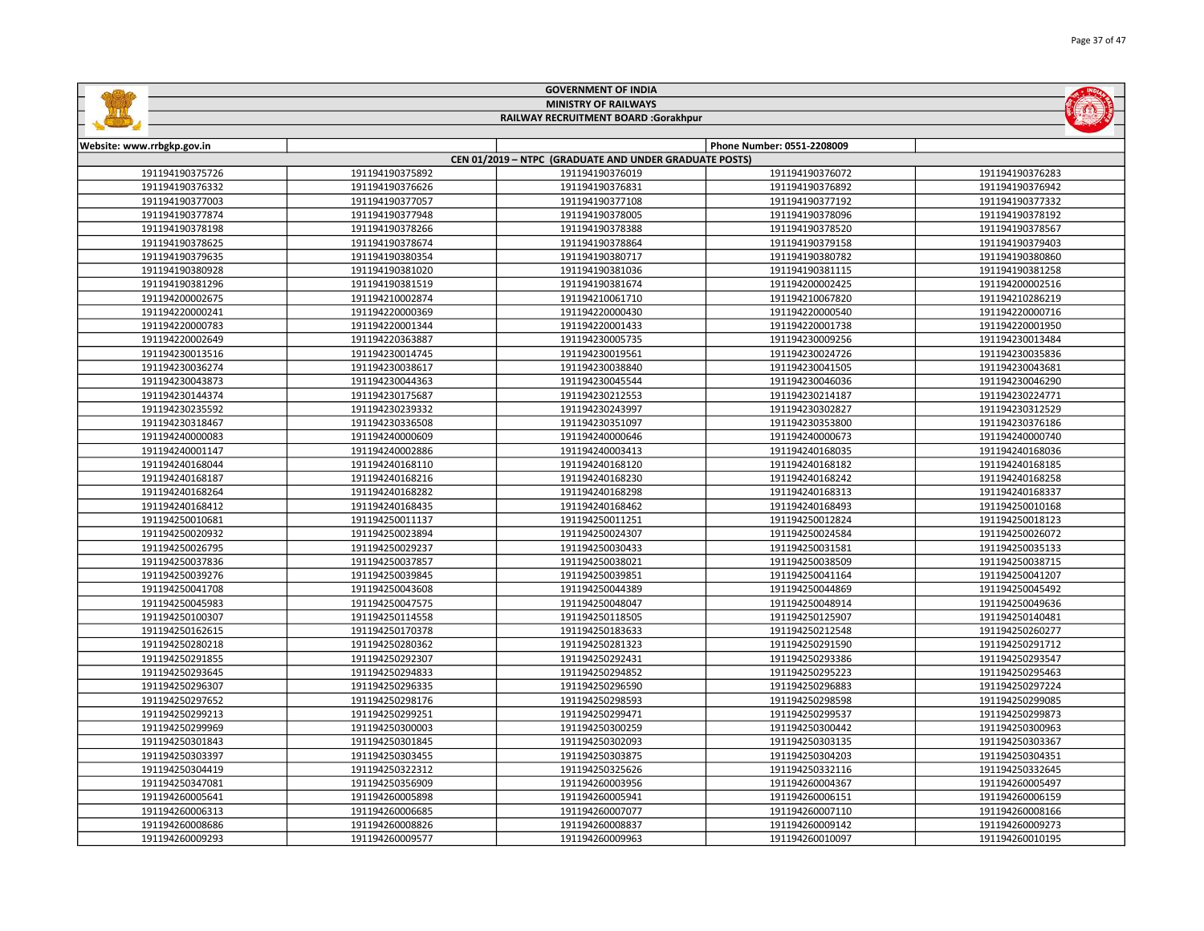| <b>MINISTRY OF RAILWAYS</b><br>RAILWAY RECRUITMENT BOARD :Gorakhpur |                 |                                                        |                            |                 |  |
|---------------------------------------------------------------------|-----------------|--------------------------------------------------------|----------------------------|-----------------|--|
|                                                                     |                 |                                                        |                            |                 |  |
| Website: www.rrbgkp.gov.in                                          |                 |                                                        | Phone Number: 0551-2208009 |                 |  |
|                                                                     |                 | CEN 01/2019 - NTPC (GRADUATE AND UNDER GRADUATE POSTS) |                            |                 |  |
| 191194190375726                                                     | 191194190375892 | 191194190376019                                        | 191194190376072            | 191194190376283 |  |
| 191194190376332                                                     | 191194190376626 | 191194190376831                                        | 191194190376892            | 191194190376942 |  |
| 191194190377003                                                     | 191194190377057 | 191194190377108                                        | 191194190377192            | 191194190377332 |  |
| 191194190377874                                                     | 191194190377948 | 191194190378005                                        | 191194190378096            | 191194190378192 |  |
| 191194190378198                                                     | 191194190378266 | 191194190378388                                        | 191194190378520            | 191194190378567 |  |
| 191194190378625                                                     | 191194190378674 | 191194190378864                                        | 191194190379158            | 191194190379403 |  |
| 191194190379635                                                     | 191194190380354 | 191194190380717                                        | 191194190380782            | 191194190380860 |  |
| 191194190380928                                                     | 191194190381020 | 191194190381036                                        | 191194190381115            | 191194190381258 |  |
| 191194190381296                                                     | 191194190381519 | 191194190381674                                        | 191194200002425            | 191194200002516 |  |
| 191194200002675                                                     | 191194210002874 | 191194210061710                                        | 191194210067820            | 191194210286219 |  |
| 191194220000241                                                     | 191194220000369 | 191194220000430                                        | 191194220000540            | 191194220000716 |  |
| 191194220000783                                                     | 191194220001344 | 191194220001433                                        | 191194220001738            | 191194220001950 |  |
| 191194220002649                                                     | 191194220363887 | 191194230005735                                        | 191194230009256            | 191194230013484 |  |
| 191194230013516                                                     | 191194230014745 | 191194230019561                                        | 191194230024726            | 191194230035836 |  |
| 191194230036274                                                     | 191194230038617 | 191194230038840                                        | 191194230041505            | 191194230043681 |  |
| 191194230043873                                                     | 191194230044363 | 191194230045544                                        | 191194230046036            | 191194230046290 |  |
| 191194230144374                                                     | 191194230175687 | 191194230212553                                        | 191194230214187            | 191194230224771 |  |
| 191194230235592                                                     | 191194230239332 | 191194230243997                                        | 191194230302827            | 191194230312529 |  |
| 191194230318467                                                     | 191194230336508 | 191194230351097                                        | 191194230353800            | 191194230376186 |  |
| 191194240000083                                                     | 191194240000609 | 191194240000646                                        | 191194240000673            | 191194240000740 |  |
| 191194240001147                                                     | 191194240002886 | 191194240003413                                        | 191194240168035            | 191194240168036 |  |
| 191194240168044                                                     | 191194240168110 | 191194240168120                                        | 191194240168182            | 191194240168185 |  |
| 191194240168187                                                     | 191194240168216 | 191194240168230                                        | 191194240168242            | 191194240168258 |  |
| 191194240168264                                                     | 191194240168282 | 191194240168298                                        | 191194240168313            | 191194240168337 |  |
| 191194240168412                                                     | 191194240168435 | 191194240168462                                        | 191194240168493            | 191194250010168 |  |
| 191194250010681                                                     | 191194250011137 | 191194250011251                                        | 191194250012824            | 191194250018123 |  |
| 191194250020932                                                     | 191194250023894 | 191194250024307                                        | 191194250024584            | 191194250026072 |  |
| 191194250026795                                                     | 191194250029237 | 191194250030433                                        | 191194250031581            | 191194250035133 |  |
| 191194250037836                                                     | 191194250037857 | 191194250038021                                        | 191194250038509            | 191194250038715 |  |
| 191194250039276                                                     | 191194250039845 | 191194250039851                                        | 191194250041164            | 191194250041207 |  |
| 191194250041708                                                     | 191194250043608 | 191194250044389                                        | 191194250044869            | 191194250045492 |  |
| 191194250045983                                                     | 191194250047575 | 191194250048047                                        | 191194250048914            | 191194250049636 |  |
| 191194250100307                                                     | 191194250114558 | 191194250118505                                        | 191194250125907            | 191194250140481 |  |
| 191194250162615                                                     | 191194250170378 | 191194250183633                                        | 191194250212548            | 191194250260277 |  |
| 191194250280218                                                     | 191194250280362 | 191194250281323                                        | 191194250291590            | 191194250291712 |  |
| 191194250291855                                                     | 191194250292307 | 191194250292431                                        | 191194250293386            | 191194250293547 |  |
| 191194250293645                                                     | 191194250294833 | 191194250294852                                        | 191194250295223            | 191194250295463 |  |
| 191194250296307                                                     | 191194250296335 | 191194250296590                                        | 191194250296883            | 191194250297224 |  |
| 191194250297652                                                     | 191194250298176 | 191194250298593                                        | 191194250298598            | 191194250299085 |  |
| 191194250299213                                                     | 191194250299251 | 191194250299471                                        | 191194250299537            | 191194250299873 |  |
| 191194250299969                                                     | 191194250300003 | 191194250300259                                        | 191194250300442            | 191194250300963 |  |
| 191194250301843                                                     | 191194250301845 | 191194250302093                                        | 191194250303135            | 191194250303367 |  |
| 191194250303397                                                     | 191194250303455 | 191194250303875                                        | 191194250304203            | 191194250304351 |  |
| 191194250304419                                                     | 191194250322312 | 191194250325626                                        | 191194250332116            | 191194250332645 |  |
| 191194250347081                                                     | 191194250356909 | 191194260003956                                        | 191194260004367            | 191194260005497 |  |
| 191194260005641                                                     | 191194260005898 | 191194260005941                                        | 191194260006151            | 191194260006159 |  |
| 191194260006313                                                     | 191194260006685 | 191194260007077                                        | 191194260007110            | 191194260008166 |  |
| 191194260008686                                                     | 191194260008826 | 191194260008837                                        | 191194260009142            | 191194260009273 |  |

191194260009577 191194260009963 191194260010097 191194260010195

GOVERNMENT OF INDIA

**Safeline**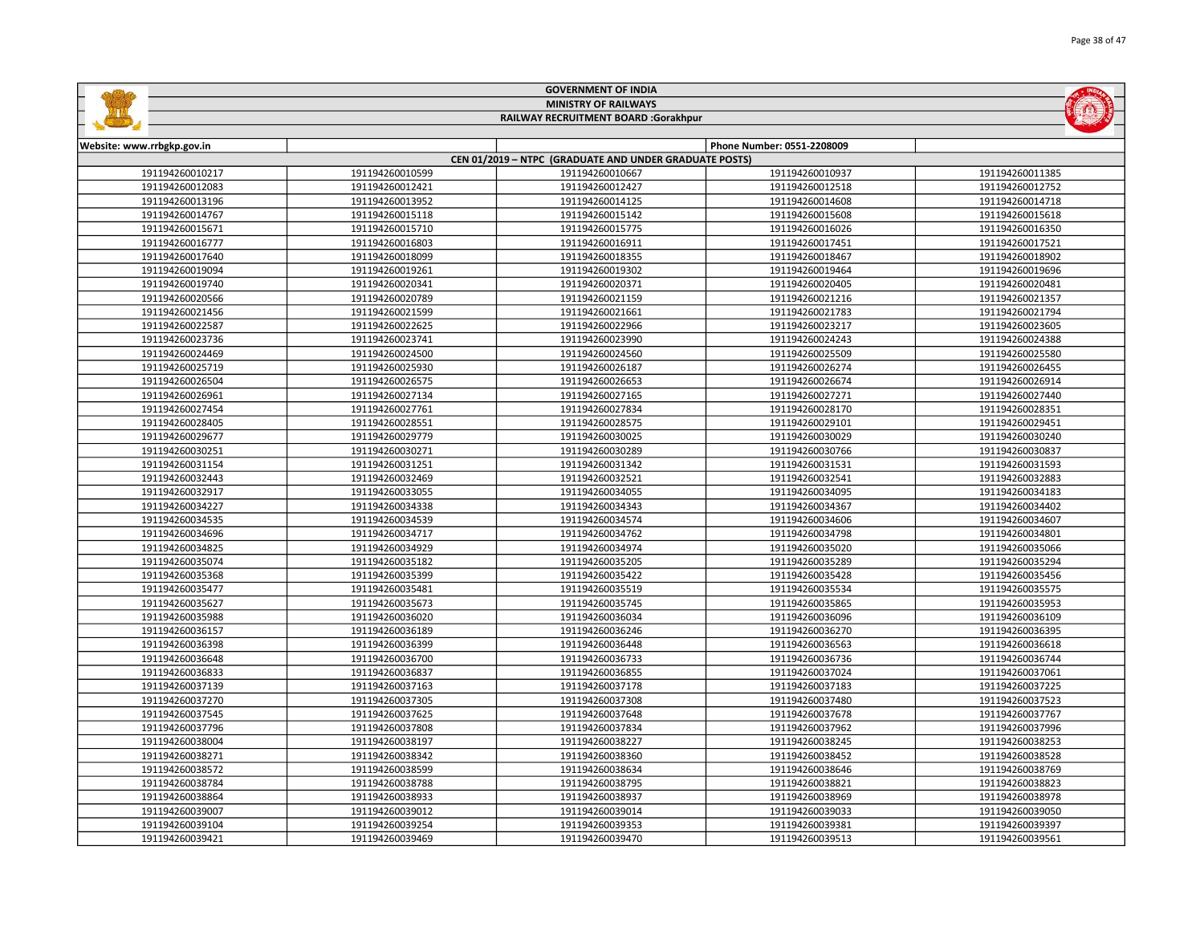|                                      |                 | <b>MINISTRY OF RAILWAYS</b>                                               |                            |                 |  |
|--------------------------------------|-----------------|---------------------------------------------------------------------------|----------------------------|-----------------|--|
| RAILWAY RECRUITMENT BOARD :Gorakhpur |                 |                                                                           |                            |                 |  |
|                                      |                 |                                                                           |                            |                 |  |
| Website: www.rrbgkp.gov.in           |                 |                                                                           | Phone Number: 0551-2208009 |                 |  |
| 191194260010217                      | 191194260010599 | CEN 01/2019 - NTPC (GRADUATE AND UNDER GRADUATE POSTS)<br>191194260010667 | 191194260010937            | 191194260011385 |  |
| 191194260012083                      | 191194260012421 | 191194260012427                                                           | 191194260012518            | 191194260012752 |  |
| 191194260013196                      | 191194260013952 | 191194260014125                                                           | 191194260014608            | 191194260014718 |  |
| 191194260014767                      | 191194260015118 | 191194260015142                                                           | 191194260015608            | 191194260015618 |  |
| 191194260015671                      | 191194260015710 | 191194260015775                                                           | 191194260016026            | 191194260016350 |  |
| 191194260016777                      | 191194260016803 | 191194260016911                                                           | 191194260017451            | 191194260017521 |  |
| 191194260017640                      | 191194260018099 | 191194260018355                                                           | 191194260018467            | 191194260018902 |  |
| 191194260019094                      | 191194260019261 | 191194260019302                                                           | 191194260019464            | 191194260019696 |  |
| 191194260019740                      | 191194260020341 | 191194260020371                                                           | 191194260020405            | 191194260020481 |  |
| 191194260020566                      | 191194260020789 | 191194260021159                                                           | 191194260021216            | 191194260021357 |  |
| 191194260021456                      | 191194260021599 | 191194260021661                                                           | 191194260021783            | 191194260021794 |  |
| 191194260022587                      | 191194260022625 | 191194260022966                                                           | 191194260023217            | 191194260023605 |  |
| 191194260023736                      | 191194260023741 | 191194260023990                                                           | 191194260024243            | 191194260024388 |  |
| 191194260024469                      | 191194260024500 | 191194260024560                                                           | 191194260025509            | 191194260025580 |  |
| 191194260025719                      | 191194260025930 | 191194260026187                                                           | 191194260026274            | 191194260026455 |  |
| 191194260026504                      | 191194260026575 | 191194260026653                                                           | 191194260026674            | 191194260026914 |  |
| 191194260026961                      | 191194260027134 | 191194260027165                                                           | 191194260027271            | 191194260027440 |  |
| 191194260027454                      | 191194260027761 | 191194260027834                                                           | 191194260028170            | 191194260028351 |  |
| 191194260028405                      | 191194260028551 | 191194260028575                                                           | 191194260029101            | 191194260029451 |  |
| 191194260029677                      | 191194260029779 | 191194260030025                                                           | 191194260030029            | 191194260030240 |  |
| 191194260030251                      | 191194260030271 | 191194260030289                                                           | 191194260030766            | 191194260030837 |  |
| 191194260031154                      | 191194260031251 | 191194260031342                                                           | 191194260031531            | 191194260031593 |  |
| 191194260032443                      | 191194260032469 | 191194260032521                                                           | 191194260032541            | 191194260032883 |  |
| 191194260032917                      | 191194260033055 | 191194260034055                                                           | 191194260034095            | 191194260034183 |  |
| 191194260034227                      | 191194260034338 | 191194260034343                                                           | 191194260034367            | 191194260034402 |  |
| 191194260034535                      | 191194260034539 | 191194260034574                                                           | 191194260034606            | 191194260034607 |  |
| 191194260034696                      | 191194260034717 | 191194260034762                                                           | 191194260034798            | 191194260034801 |  |
| 191194260034825                      | 191194260034929 | 191194260034974                                                           | 191194260035020            | 191194260035066 |  |
| 191194260035074                      | 191194260035182 | 191194260035205                                                           | 191194260035289            | 191194260035294 |  |
| 191194260035368                      | 191194260035399 | 191194260035422                                                           | 191194260035428            | 191194260035456 |  |
| 191194260035477                      | 191194260035481 | 191194260035519                                                           | 191194260035534            | 191194260035575 |  |
| 191194260035627                      | 191194260035673 | 191194260035745                                                           | 191194260035865            | 191194260035953 |  |
| 191194260035988                      | 191194260036020 | 191194260036034                                                           | 191194260036096            | 191194260036109 |  |
| 191194260036157                      | 191194260036189 | 191194260036246                                                           | 191194260036270            | 191194260036395 |  |
| 191194260036398                      | 191194260036399 | 191194260036448                                                           | 191194260036563            | 191194260036618 |  |
| 191194260036648                      | 191194260036700 | 191194260036733                                                           | 191194260036736            | 191194260036744 |  |
| 191194260036833                      | 191194260036837 | 191194260036855                                                           | 191194260037024            | 191194260037061 |  |
| 191194260037139                      | 191194260037163 | 191194260037178                                                           | 191194260037183            | 191194260037225 |  |
| 191194260037270                      | 191194260037305 | 191194260037308                                                           | 191194260037480            | 191194260037523 |  |
| 191194260037545                      | 191194260037625 | 191194260037648                                                           | 191194260037678            | 191194260037767 |  |
| 191194260037796                      | 191194260037808 | 191194260037834                                                           | 191194260037962            | 191194260037996 |  |
| 191194260038004                      | 191194260038197 | 191194260038227                                                           | 191194260038245            | 191194260038253 |  |
| 191194260038271                      | 191194260038342 | 191194260038360                                                           | 191194260038452            | 191194260038528 |  |
| 191194260038572                      | 191194260038599 | 191194260038634                                                           | 191194260038646            | 191194260038769 |  |
| 191194260038784                      | 191194260038788 | 191194260038795                                                           | 191194260038821            | 191194260038823 |  |
| 191194260038864                      | 191194260038933 | 191194260038937                                                           | 191194260038969            | 191194260038978 |  |
| 191194260039007                      | 191194260039012 | 191194260039014                                                           | 191194260039033            | 191194260039050 |  |
| 191194260039104                      | 191194260039254 | 191194260039353                                                           | 191194260039381            | 191194260039397 |  |

191194260039469 191194260039470 191194260039513 191194260039561

GOVERNMENT OF INDIA

**Sulling** 

Page 38 of 47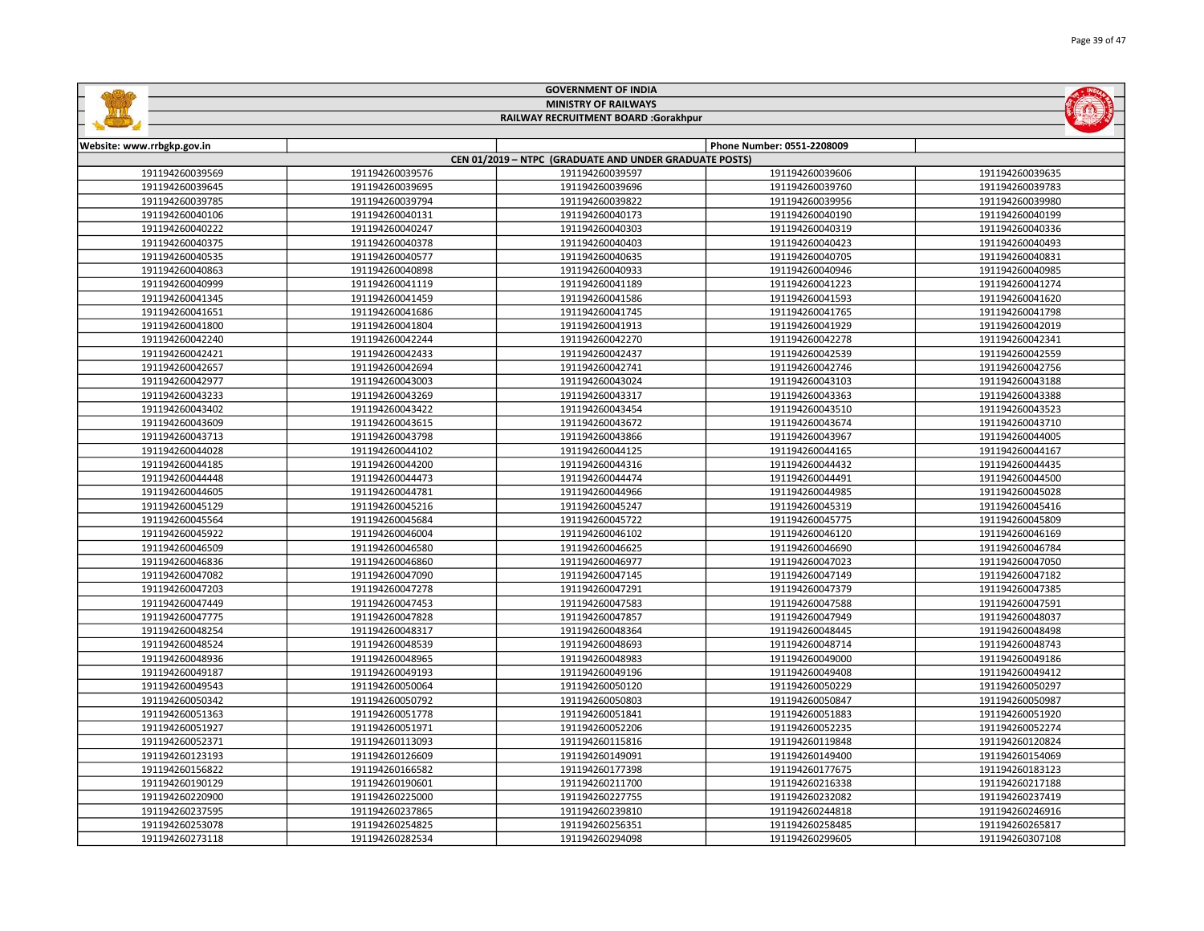| <b>MINISTRY OF RAILWAYS</b><br>RAILWAY RECRUITMENT BOARD :Gorakhpur |                 |                                                        |                            |                 |
|---------------------------------------------------------------------|-----------------|--------------------------------------------------------|----------------------------|-----------------|
|                                                                     |                 |                                                        |                            |                 |
| Website: www.rrbgkp.gov.in                                          |                 | CEN 01/2019 - NTPC (GRADUATE AND UNDER GRADUATE POSTS) | Phone Number: 0551-2208009 |                 |
| 191194260039569                                                     | 191194260039576 | 191194260039597                                        | 191194260039606            | 191194260039635 |
| 191194260039645                                                     | 191194260039695 | 191194260039696                                        | 191194260039760            | 191194260039783 |
| 191194260039785                                                     | 191194260039794 | 191194260039822                                        | 191194260039956            | 191194260039980 |
| 191194260040106                                                     | 191194260040131 | 191194260040173                                        | 191194260040190            | 191194260040199 |
| 191194260040222                                                     | 191194260040247 | 191194260040303                                        | 191194260040319            | 191194260040336 |
| 191194260040375                                                     | 191194260040378 | 191194260040403                                        | 191194260040423            | 191194260040493 |
| 191194260040535                                                     | 191194260040577 | 191194260040635                                        | 191194260040705            | 191194260040831 |
| 191194260040863                                                     | 191194260040898 | 191194260040933                                        | 191194260040946            | 191194260040985 |
| 191194260040999                                                     | 191194260041119 | 191194260041189                                        | 191194260041223            | 191194260041274 |
| 191194260041345                                                     | 191194260041459 | 191194260041586                                        | 191194260041593            | 191194260041620 |
| 191194260041651                                                     | 191194260041686 | 191194260041745                                        | 191194260041765            | 191194260041798 |
| 191194260041800                                                     | 191194260041804 | 191194260041913                                        | 191194260041929            | 191194260042019 |
| 191194260042240                                                     | 191194260042244 | 191194260042270                                        | 191194260042278            | 191194260042341 |
| 191194260042421                                                     | 191194260042433 | 191194260042437                                        | 191194260042539            | 191194260042559 |
| 191194260042657                                                     | 191194260042694 | 191194260042741                                        | 191194260042746            | 191194260042756 |
| 191194260042977                                                     | 191194260043003 | 191194260043024                                        | 191194260043103            | 191194260043188 |
| 191194260043233                                                     | 191194260043269 | 191194260043317                                        | 191194260043363            | 191194260043388 |
| 191194260043402                                                     | 191194260043422 | 191194260043454                                        | 191194260043510            | 191194260043523 |
| 191194260043609                                                     | 191194260043615 | 191194260043672                                        | 191194260043674            | 191194260043710 |
| 191194260043713                                                     | 191194260043798 | 191194260043866                                        | 191194260043967            | 191194260044005 |
| 191194260044028                                                     | 191194260044102 | 191194260044125                                        | 191194260044165            | 191194260044167 |
| 191194260044185                                                     | 191194260044200 | 191194260044316                                        | 191194260044432            | 191194260044435 |
| 191194260044448                                                     | 191194260044473 | 191194260044474                                        | 191194260044491            | 191194260044500 |
| 191194260044605                                                     | 191194260044781 | 191194260044966                                        | 191194260044985            | 191194260045028 |
| 191194260045129                                                     | 191194260045216 | 191194260045247                                        | 191194260045319            | 191194260045416 |
| 191194260045564                                                     | 191194260045684 | 191194260045722                                        | 191194260045775            | 191194260045809 |
| 191194260045922                                                     | 191194260046004 | 191194260046102                                        | 191194260046120            | 191194260046169 |
| 191194260046509                                                     | 191194260046580 | 191194260046625                                        | 191194260046690            | 191194260046784 |
| 191194260046836                                                     | 191194260046860 | 191194260046977                                        | 191194260047023            | 191194260047050 |
| 191194260047082                                                     | 191194260047090 | 191194260047145                                        | 191194260047149            | 191194260047182 |
| 191194260047203                                                     | 191194260047278 | 191194260047291                                        | 191194260047379            | 191194260047385 |
| 191194260047449                                                     | 191194260047453 | 191194260047583                                        | 191194260047588            | 191194260047591 |
| 191194260047775                                                     | 191194260047828 | 191194260047857                                        | 191194260047949            | 191194260048037 |
| 191194260048254                                                     | 191194260048317 | 191194260048364                                        | 191194260048445            | 191194260048498 |
| 191194260048524                                                     | 191194260048539 | 191194260048693                                        | 191194260048714            | 191194260048743 |
| 191194260048936                                                     | 191194260048965 | 191194260048983                                        | 191194260049000            | 191194260049186 |
| 191194260049187                                                     | 191194260049193 | 191194260049196                                        | 191194260049408            | 191194260049412 |
| 191194260049543                                                     | 191194260050064 | 191194260050120                                        | 191194260050229            | 191194260050297 |
| 191194260050342                                                     | 191194260050792 | 191194260050803                                        | 191194260050847            | 191194260050987 |
| 191194260051363                                                     | 191194260051778 | 191194260051841                                        | 191194260051883            | 191194260051920 |
| 191194260051927                                                     | 191194260051971 | 191194260052206                                        | 191194260052235            | 191194260052274 |
| 191194260052371                                                     | 191194260113093 | 191194260115816                                        | 191194260119848            | 191194260120824 |
| 191194260123193                                                     | 191194260126609 | 191194260149091                                        | 191194260149400            | 191194260154069 |
| 191194260156822                                                     | 191194260166582 | 191194260177398                                        | 191194260177675            | 191194260183123 |
| 191194260190129                                                     | 191194260190601 | 191194260211700                                        | 191194260216338            | 191194260217188 |
| 191194260220900                                                     | 191194260225000 | 191194260227755                                        | 191194260232082            | 191194260237419 |
| 191194260237595                                                     | 191194260237865 | 191194260239810                                        | 191194260244818            | 191194260246916 |
| 191194260253078                                                     | 191194260254825 | 191194260256351                                        | 191194260258485            | 191194260265817 |

191194260282534 191194260294098 191194260299605 191194260307108

GOVERNMENT OF INDIA

**Sallida** 

**MOLTER**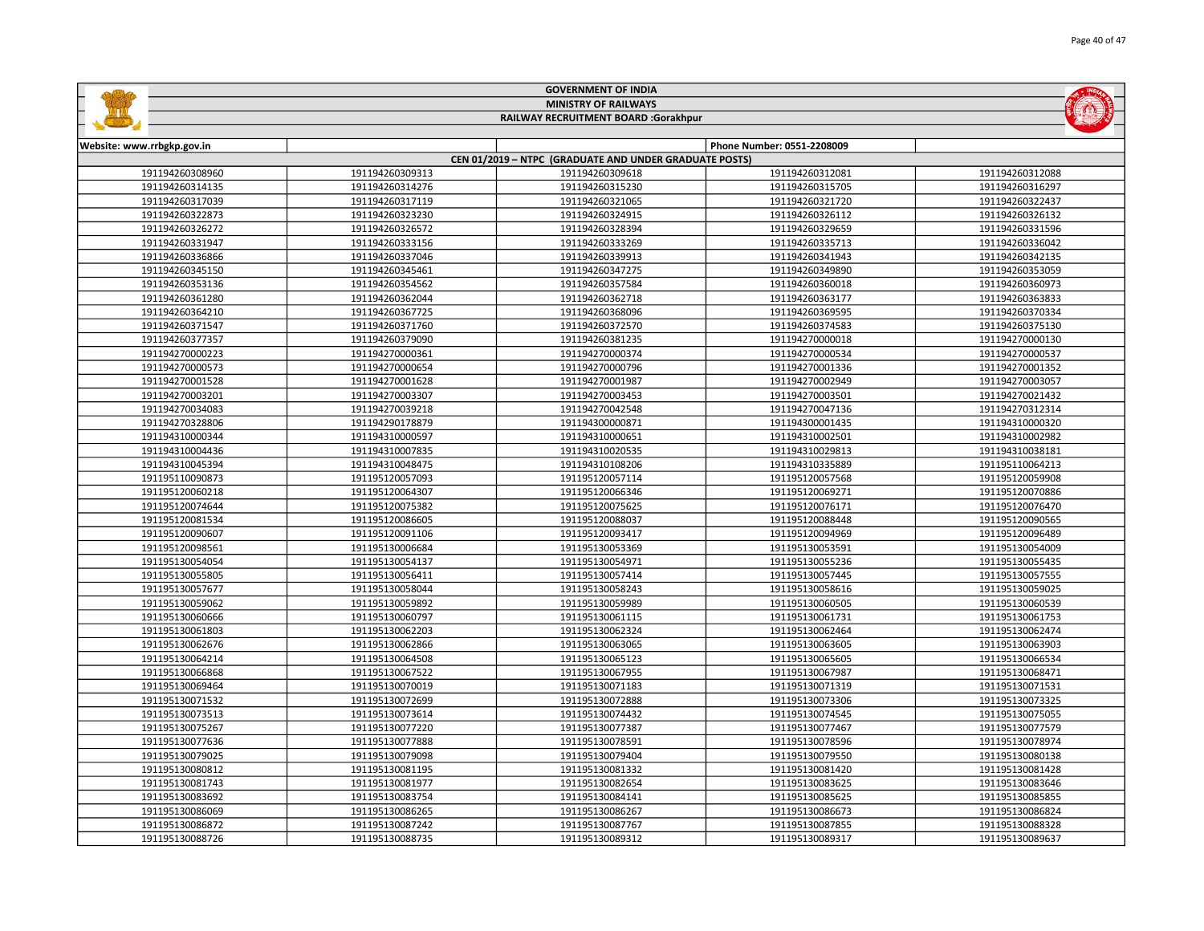|                                      |                 | <b>MINISTRY OF RAILWAYS</b>                                               |                            |                 |  |
|--------------------------------------|-----------------|---------------------------------------------------------------------------|----------------------------|-----------------|--|
| RAILWAY RECRUITMENT BOARD :Gorakhpur |                 |                                                                           |                            |                 |  |
|                                      |                 |                                                                           |                            |                 |  |
| Website: www.rrbgkp.gov.in           |                 |                                                                           | Phone Number: 0551-2208009 |                 |  |
| 191194260308960                      | 191194260309313 | CEN 01/2019 - NTPC (GRADUATE AND UNDER GRADUATE POSTS)<br>191194260309618 | 191194260312081            | 191194260312088 |  |
| 191194260314135                      | 191194260314276 | 191194260315230                                                           | 191194260315705            | 191194260316297 |  |
| 191194260317039                      | 191194260317119 | 191194260321065                                                           | 191194260321720            | 191194260322437 |  |
| 191194260322873                      | 191194260323230 | 191194260324915                                                           | 191194260326112            | 191194260326132 |  |
| 191194260326272                      | 191194260326572 | 191194260328394                                                           | 191194260329659            | 191194260331596 |  |
| 191194260331947                      | 191194260333156 | 191194260333269                                                           | 191194260335713            | 191194260336042 |  |
| 191194260336866                      | 191194260337046 | 191194260339913                                                           | 191194260341943            | 191194260342135 |  |
| 191194260345150                      | 191194260345461 | 191194260347275                                                           | 191194260349890            | 191194260353059 |  |
| 191194260353136                      | 191194260354562 | 191194260357584                                                           | 191194260360018            | 191194260360973 |  |
| 191194260361280                      | 191194260362044 | 191194260362718                                                           | 191194260363177            | 191194260363833 |  |
| 191194260364210                      | 191194260367725 | 191194260368096                                                           | 191194260369595            | 191194260370334 |  |
| 191194260371547                      | 191194260371760 | 191194260372570                                                           | 191194260374583            | 191194260375130 |  |
| 191194260377357                      | 191194260379090 | 191194260381235                                                           | 191194270000018            | 191194270000130 |  |
| 191194270000223                      | 191194270000361 | 191194270000374                                                           | 191194270000534            | 191194270000537 |  |
| 191194270000573                      | 191194270000654 | 191194270000796                                                           | 191194270001336            | 191194270001352 |  |
| 191194270001528                      | 191194270001628 | 191194270001987                                                           | 191194270002949            | 191194270003057 |  |
| 191194270003201                      | 191194270003307 | 191194270003453                                                           | 191194270003501            | 191194270021432 |  |
| 191194270034083                      | 191194270039218 | 191194270042548                                                           | 191194270047136            | 191194270312314 |  |
| 191194270328806                      | 191194290178879 | 191194300000871                                                           | 191194300001435            | 191194310000320 |  |
| 191194310000344                      | 191194310000597 | 191194310000651                                                           | 191194310002501            | 191194310002982 |  |
| 191194310004436                      | 191194310007835 | 191194310020535                                                           | 191194310029813            | 191194310038181 |  |
| 191194310045394                      | 191194310048475 | 191194310108206                                                           | 191194310335889            | 191195110064213 |  |
| 191195110090873                      | 191195120057093 | 191195120057114                                                           | 191195120057568            | 191195120059908 |  |
| 191195120060218                      | 191195120064307 | 191195120066346                                                           | 191195120069271            | 191195120070886 |  |
| 191195120074644                      | 191195120075382 | 191195120075625                                                           | 191195120076171            | 191195120076470 |  |
| 191195120081534                      | 191195120086605 | 191195120088037                                                           | 191195120088448            | 191195120090565 |  |
| 191195120090607                      | 191195120091106 | 191195120093417                                                           | 191195120094969            | 191195120096489 |  |
| 191195120098561                      | 191195130006684 | 191195130053369                                                           | 191195130053591            | 191195130054009 |  |
| 191195130054054                      | 191195130054137 | 191195130054971                                                           | 191195130055236            | 191195130055435 |  |
| 191195130055805                      | 191195130056411 | 191195130057414                                                           | 191195130057445            | 191195130057555 |  |
| 191195130057677                      | 191195130058044 | 191195130058243                                                           | 191195130058616            | 191195130059025 |  |
| 191195130059062                      | 191195130059892 | 191195130059989                                                           | 191195130060505            | 191195130060539 |  |
| 191195130060666                      | 191195130060797 | 191195130061115                                                           | 191195130061731            | 191195130061753 |  |
| 191195130061803                      | 191195130062203 | 191195130062324                                                           | 191195130062464            | 191195130062474 |  |
| 191195130062676                      | 191195130062866 | 191195130063065                                                           | 191195130063605            | 191195130063903 |  |
| 191195130064214                      | 191195130064508 | 191195130065123                                                           | 191195130065605            | 191195130066534 |  |
| 191195130066868                      | 191195130067522 | 191195130067955                                                           | 191195130067987            | 191195130068471 |  |
| 191195130069464                      | 191195130070019 | 191195130071183                                                           | 191195130071319            | 191195130071531 |  |
| 191195130071532                      | 191195130072699 | 191195130072888                                                           | 191195130073306            | 191195130073325 |  |
| 191195130073513                      | 191195130073614 | 191195130074432                                                           | 191195130074545            | 191195130075055 |  |
| 191195130075267                      | 191195130077220 | 191195130077387                                                           | 191195130077467            | 191195130077579 |  |
| 191195130077636                      | 191195130077888 | 191195130078591                                                           | 191195130078596            | 191195130078974 |  |
| 191195130079025                      | 191195130079098 | 191195130079404                                                           | 191195130079550            | 191195130080138 |  |
| 191195130080812                      | 191195130081195 | 191195130081332                                                           | 191195130081420            | 191195130081428 |  |
| 191195130081743                      | 191195130081977 | 191195130082654                                                           | 191195130083625            | 191195130083646 |  |
| 191195130083692                      | 191195130083754 | 191195130084141                                                           | 191195130085625            | 191195130085855 |  |
| 191195130086069                      | 191195130086265 | 191195130086267                                                           | 191195130086673            | 191195130086824 |  |
| 191195130086872                      | 191195130087242 | 191195130087767                                                           | 191195130087855            | 191195130088328 |  |

191195130088735 191195130089312 191195130089317 191195130089637

GOVERNMENT OF INDIA

**STATISTICS**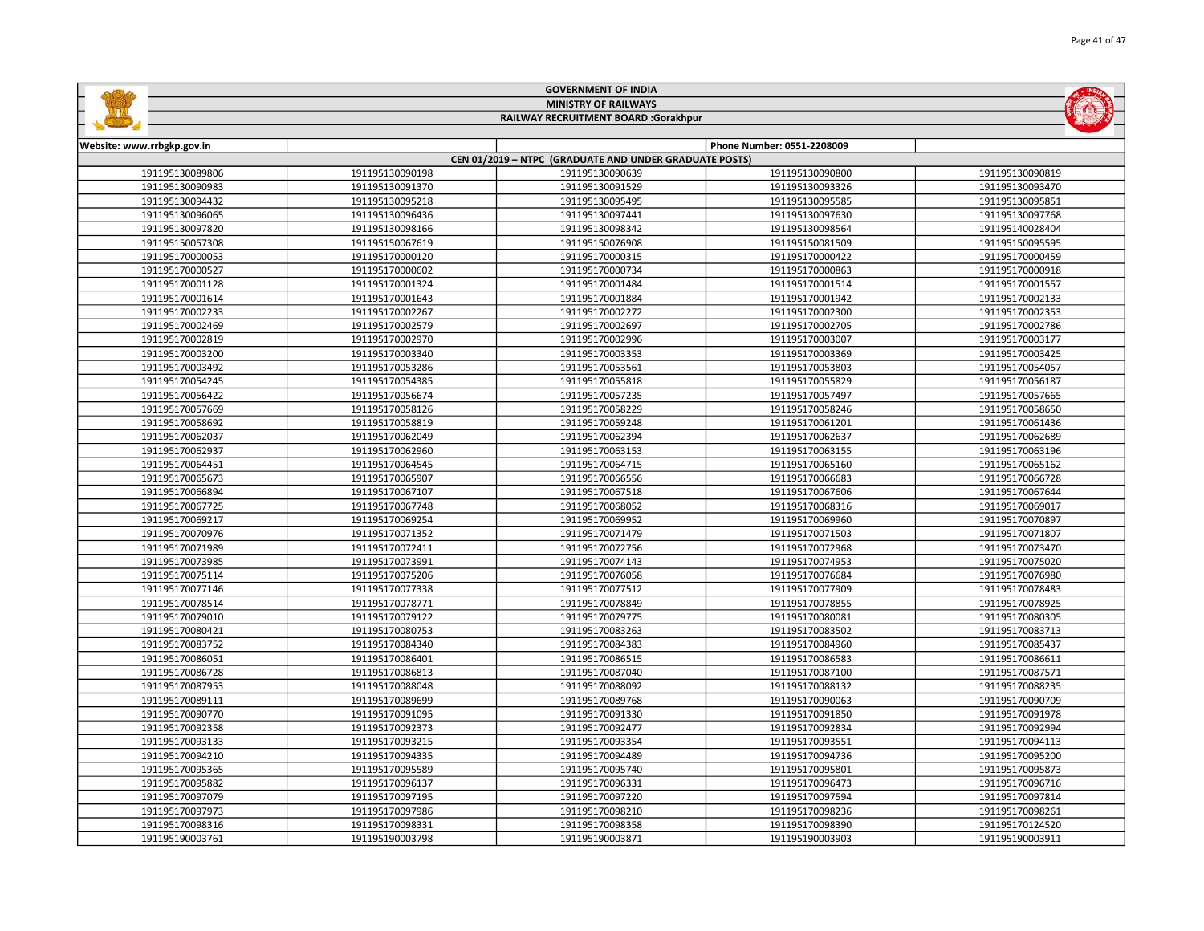|                            |                 | <b>GOVERNMENT OF INDIA</b>                             |                            |                 |
|----------------------------|-----------------|--------------------------------------------------------|----------------------------|-----------------|
|                            |                 | <b>MINISTRY OF RAILWAYS</b>                            |                            |                 |
|                            |                 | RAILWAY RECRUITMENT BOARD :Gorakhpur                   |                            |                 |
|                            |                 |                                                        |                            |                 |
| Website: www.rrbgkp.gov.in |                 |                                                        | Phone Number: 0551-2208009 |                 |
|                            |                 | CEN 01/2019 - NTPC (GRADUATE AND UNDER GRADUATE POSTS) |                            |                 |
| 191195130089806            | 191195130090198 | 191195130090639                                        | 191195130090800            | 191195130090819 |
| 191195130090983            | 191195130091370 | 191195130091529                                        | 191195130093326            | 191195130093470 |
| 191195130094432            | 191195130095218 | 191195130095495                                        | 191195130095585            | 191195130095851 |
| 191195130096065            | 191195130096436 | 191195130097441                                        | 191195130097630            | 191195130097768 |
| 191195130097820            | 191195130098166 | 191195130098342                                        | 191195130098564            | 191195140028404 |
| 191195150057308            | 191195150067619 | 191195150076908                                        | 191195150081509            | 191195150095595 |
| 191195170000053            | 191195170000120 | 191195170000315                                        | 191195170000422            | 191195170000459 |
| 191195170000527            | 191195170000602 | 191195170000734                                        | 191195170000863            | 191195170000918 |
| 191195170001128            | 191195170001324 | 191195170001484                                        | 191195170001514            | 191195170001557 |
| 191195170001614            | 191195170001643 | 191195170001884                                        | 191195170001942            | 191195170002133 |
| 191195170002233            | 191195170002267 | 191195170002272                                        | 191195170002300            | 191195170002353 |
| 191195170002469            | 191195170002579 | 191195170002697                                        | 191195170002705            | 191195170002786 |
| 191195170002819            | 191195170002970 | 191195170002996                                        | 191195170003007            | 191195170003177 |
| 191195170003200            | 191195170003340 | 191195170003353                                        | 191195170003369            | 191195170003425 |
| 191195170003492            | 191195170053286 | 191195170053561                                        | 191195170053803            | 191195170054057 |
| 191195170054245            | 191195170054385 | 191195170055818                                        | 191195170055829            | 191195170056187 |
| 191195170056422            | 191195170056674 | 191195170057235                                        | 191195170057497            | 191195170057665 |
| 191195170057669            | 191195170058126 | 191195170058229                                        | 191195170058246            | 191195170058650 |
| 191195170058692            | 191195170058819 | 191195170059248                                        | 191195170061201            | 191195170061436 |
| 191195170062037            | 191195170062049 | 191195170062394                                        | 191195170062637            | 191195170062689 |
| 191195170062937            | 191195170062960 | 191195170063153                                        | 191195170063155            | 191195170063196 |
| 191195170064451            | 191195170064545 | 191195170064715                                        | 191195170065160            | 191195170065162 |
| 191195170065673            | 191195170065907 | 191195170066556                                        | 191195170066683            | 191195170066728 |
| 191195170066894            | 191195170067107 | 191195170067518                                        | 191195170067606            | 191195170067644 |
| 191195170067725            | 191195170067748 | 191195170068052                                        | 191195170068316            | 191195170069017 |
| 191195170069217            | 191195170069254 | 191195170069952                                        | 191195170069960            | 191195170070897 |
| 191195170070976            | 191195170071352 | 191195170071479                                        | 191195170071503            | 191195170071807 |
| 191195170071989            | 191195170072411 | 191195170072756                                        | 191195170072968            | 191195170073470 |
| 191195170073985            | 191195170073991 | 191195170074143                                        | 191195170074953            | 191195170075020 |
| 191195170075114            | 191195170075206 | 191195170076058                                        | 191195170076684            | 191195170076980 |
| 191195170077146            | 191195170077338 | 191195170077512                                        | 191195170077909            | 191195170078483 |
| 191195170078514            | 191195170078771 | 191195170078849                                        | 191195170078855            | 191195170078925 |
| 191195170079010            | 191195170079122 | 191195170079775                                        | 191195170080081            | 191195170080305 |
| 191195170080421            | 191195170080753 | 191195170083263                                        | 191195170083502            | 191195170083713 |
| 191195170083752            | 191195170084340 | 191195170084383                                        | 191195170084960            | 191195170085437 |
| 191195170086051            | 191195170086401 | 191195170086515                                        | 191195170086583            | 191195170086611 |
| 191195170086728            | 191195170086813 | 191195170087040                                        | 191195170087100            | 191195170087571 |
| 191195170087953            | 191195170088048 | 191195170088092                                        | 191195170088132            | 191195170088235 |
| 191195170089111            | 191195170089699 | 191195170089768                                        | 191195170090063            | 191195170090709 |
| 191195170090770            | 191195170091095 | 191195170091330                                        | 191195170091850            | 191195170091978 |
| 191195170092358            | 191195170092373 | 191195170092477                                        | 191195170092834            | 191195170092994 |
| 191195170093133            | 191195170093215 | 191195170093354                                        | 191195170093551            | 191195170094113 |
| 191195170094210            | 191195170094335 | 191195170094489                                        | 191195170094736            | 191195170095200 |
| 191195170095365            | 191195170095589 | 191195170095740                                        | 191195170095801            | 191195170095873 |
| 191195170095882            | 191195170096137 | 191195170096331                                        | 191195170096473            | 191195170096716 |
| 191195170097079            | 191195170097195 | 191195170097220                                        | 191195170097594            | 191195170097814 |
| 191195170097973            | 191195170097986 | 191195170098210                                        | 191195170098236            | 191195170098261 |
| 191195170098316            | 191195170098331 | 191195170098358                                        | 191195170098390            | 191195170124520 |

191195190003798 191195190003871 191195190003903 191195190003911

GOVERNMENT OF INDIA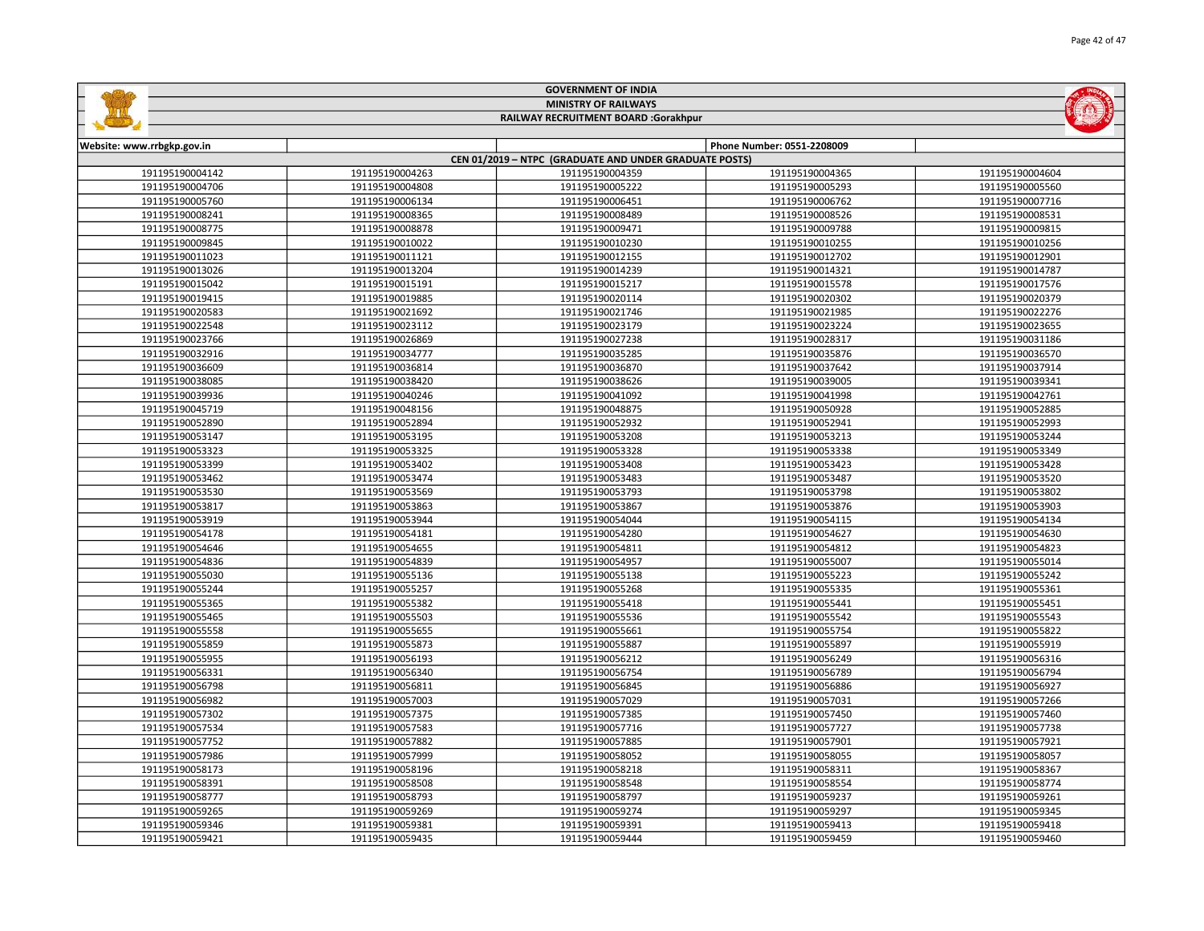|                            |                                      | <b>MINISTRY OF RAILWAYS</b>                            |                            | $(\Omega)$      |  |
|----------------------------|--------------------------------------|--------------------------------------------------------|----------------------------|-----------------|--|
|                            | RAILWAY RECRUITMENT BOARD :Gorakhpur |                                                        |                            |                 |  |
| Website: www.rrbgkp.gov.in |                                      |                                                        | Phone Number: 0551-2208009 |                 |  |
|                            |                                      | CEN 01/2019 - NTPC (GRADUATE AND UNDER GRADUATE POSTS) |                            |                 |  |
| 191195190004142            | 191195190004263                      | 191195190004359                                        | 191195190004365            | 191195190004604 |  |
| 191195190004706            | 191195190004808                      | 191195190005222                                        | 191195190005293            | 191195190005560 |  |
| 191195190005760            | 191195190006134                      | 191195190006451                                        | 191195190006762            | 191195190007716 |  |
| 191195190008241            | 191195190008365                      | 191195190008489                                        | 191195190008526            | 191195190008531 |  |
| 191195190008775            | 191195190008878                      | 191195190009471                                        | 191195190009788            | 191195190009815 |  |
| 191195190009845            | 191195190010022                      | 191195190010230                                        | 191195190010255            | 191195190010256 |  |
| 191195190011023            | 191195190011121                      | 191195190012155                                        | 191195190012702            | 191195190012901 |  |
| 191195190013026            | 191195190013204                      | 191195190014239                                        | 191195190014321            | 191195190014787 |  |
| 191195190015042            | 191195190015191                      | 191195190015217                                        | 191195190015578            | 191195190017576 |  |
| 191195190019415            | 191195190019885                      | 191195190020114                                        | 191195190020302            | 191195190020379 |  |
| 191195190020583            | 191195190021692                      | 191195190021746                                        | 191195190021985            | 191195190022276 |  |
| 191195190022548            | 191195190023112                      | 191195190023179                                        | 191195190023224            | 191195190023655 |  |
| 191195190023766            | 191195190026869                      | 191195190027238                                        | 191195190028317            | 191195190031186 |  |
| 191195190032916            | 191195190034777                      | 191195190035285                                        | 191195190035876            | 191195190036570 |  |
| 191195190036609            | 191195190036814                      | 191195190036870                                        | 191195190037642            | 191195190037914 |  |
| 191195190038085            | 191195190038420                      | 191195190038626                                        | 191195190039005            | 191195190039341 |  |
| 191195190039936            | 191195190040246                      | 191195190041092                                        | 191195190041998            | 191195190042761 |  |
| 191195190045719            | 191195190048156                      | 191195190048875                                        | 191195190050928            | 191195190052885 |  |
| 191195190052890            | 191195190052894                      | 191195190052932                                        | 191195190052941            | 191195190052993 |  |
| 191195190053147            | 191195190053195                      | 191195190053208                                        | 191195190053213            | 191195190053244 |  |
| 191195190053323            | 191195190053325                      | 191195190053328                                        | 191195190053338            | 191195190053349 |  |
| 191195190053399            | 191195190053402                      | 191195190053408                                        | 191195190053423            | 191195190053428 |  |
| 191195190053462            | 191195190053474                      | 191195190053483                                        | 191195190053487            | 191195190053520 |  |
| 191195190053530            | 191195190053569                      | 191195190053793                                        | 191195190053798            | 191195190053802 |  |
| 191195190053817            | 191195190053863                      | 191195190053867                                        | 191195190053876            | 191195190053903 |  |
| 191195190053919            | 191195190053944                      | 191195190054044                                        | 191195190054115            | 191195190054134 |  |
| 191195190054178            | 191195190054181                      | 191195190054280                                        | 191195190054627            | 191195190054630 |  |
| 191195190054646            | 191195190054655                      | 191195190054811                                        | 191195190054812            | 191195190054823 |  |
| 191195190054836            | 191195190054839                      | 191195190054957                                        | 191195190055007            | 191195190055014 |  |
| 191195190055030            | 191195190055136                      | 191195190055138                                        | 191195190055223            | 191195190055242 |  |
| 191195190055244            | 191195190055257                      | 191195190055268                                        | 191195190055335            | 191195190055361 |  |
| 191195190055365            | 191195190055382                      | 191195190055418                                        | 191195190055441            | 191195190055451 |  |
| 191195190055465            | 191195190055503                      | 191195190055536                                        | 191195190055542            | 191195190055543 |  |
| 191195190055558            | 191195190055655                      | 191195190055661                                        | 191195190055754            | 191195190055822 |  |
| 191195190055859            | 191195190055873                      | 191195190055887                                        | 191195190055897            | 191195190055919 |  |
| 191195190055955            | 191195190056193                      | 191195190056212                                        | 191195190056249            | 191195190056316 |  |
| 191195190056331            | 191195190056340                      | 191195190056754                                        | 191195190056789            | 191195190056794 |  |
| 191195190056798            | 191195190056811                      | 191195190056845                                        | 191195190056886            | 191195190056927 |  |
| 191195190056982            | 191195190057003                      | 191195190057029                                        | 191195190057031            | 191195190057266 |  |
| 191195190057302            | 191195190057375                      | 191195190057385                                        | 191195190057450            | 191195190057460 |  |
| 191195190057534            | 191195190057583                      | 191195190057716                                        | 191195190057727            | 191195190057738 |  |
| 191195190057752            | 191195190057882                      | 191195190057885                                        | 191195190057901            | 191195190057921 |  |
| 191195190057986            | 191195190057999                      | 191195190058052                                        | 191195190058055            | 191195190058057 |  |
| 191195190058173            | 191195190058196                      | 191195190058218                                        | 191195190058311            | 191195190058367 |  |
| 191195190058391            | 191195190058508                      | 191195190058548                                        | 191195190058554            | 191195190058774 |  |
| 191195190058777            | 191195190058793                      | 191195190058797                                        | 191195190059237            | 191195190059261 |  |
| 191195190059265            | 191195190059269                      | 191195190059274                                        | 191195190059297            | 191195190059345 |  |
| 191195190059346            | 191195190059381                      | 191195190059391                                        | 191195190059413            | 191195190059418 |  |

191195190059435 191195190059444 191195190059459 191195190059460

GOVERNMENT OF INDIA

**Safety**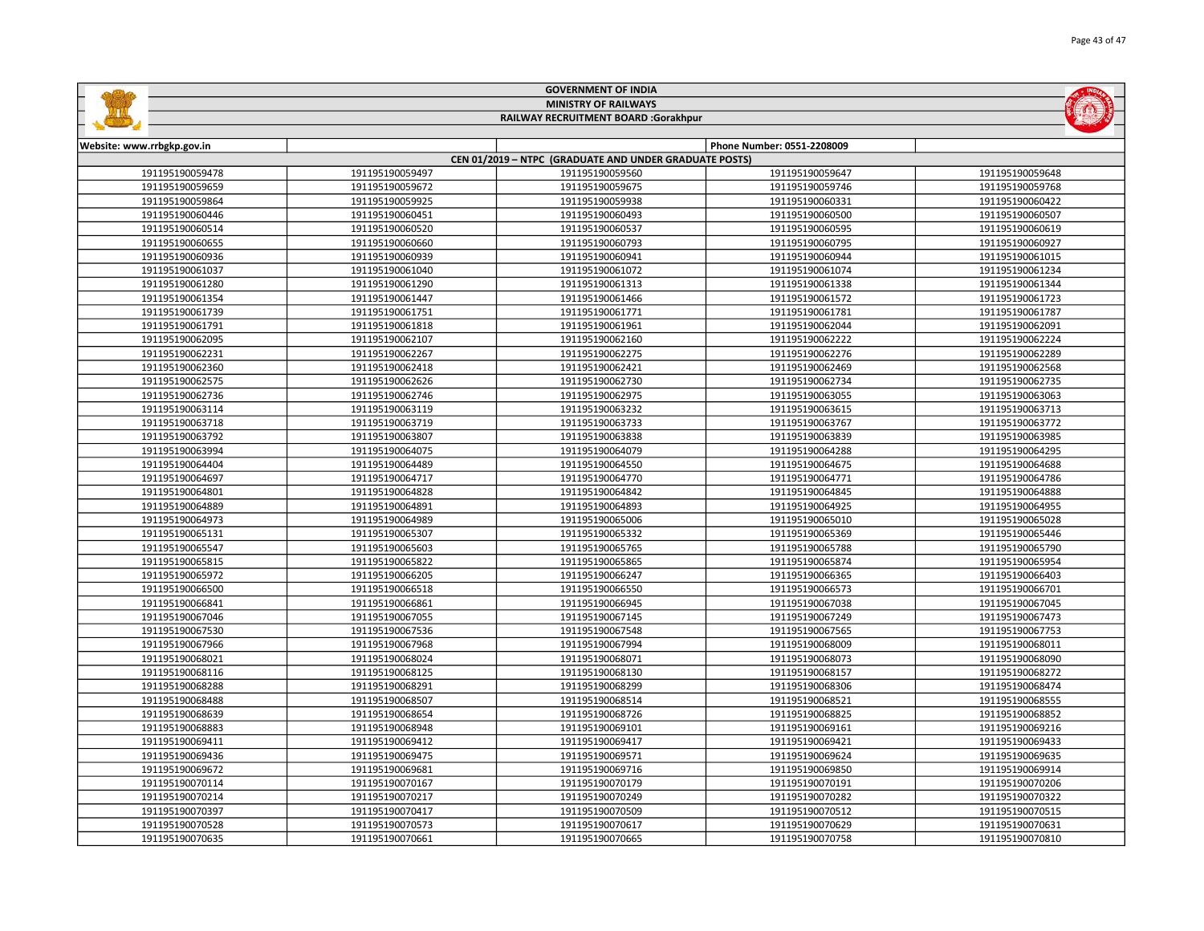|                                      |                 | <b>MINISTRY OF RAILWAYS</b>                            |                            | (0)             |
|--------------------------------------|-----------------|--------------------------------------------------------|----------------------------|-----------------|
| RAILWAY RECRUITMENT BOARD :Gorakhpur |                 |                                                        |                            |                 |
| Website: www.rrbgkp.gov.in           |                 |                                                        | Phone Number: 0551-2208009 |                 |
|                                      |                 | CEN 01/2019 - NTPC (GRADUATE AND UNDER GRADUATE POSTS) |                            |                 |
| 191195190059478                      | 191195190059497 | 191195190059560                                        | 191195190059647            | 191195190059648 |
| 191195190059659                      | 191195190059672 | 191195190059675                                        | 191195190059746            | 191195190059768 |
| 191195190059864                      | 191195190059925 | 191195190059938                                        | 191195190060331            | 191195190060422 |
| 191195190060446                      | 191195190060451 | 191195190060493                                        | 191195190060500            | 191195190060507 |
| 191195190060514                      | 191195190060520 | 191195190060537                                        | 191195190060595            | 191195190060619 |
| 191195190060655                      | 191195190060660 | 191195190060793                                        | 191195190060795            | 191195190060927 |
| 191195190060936                      | 191195190060939 | 191195190060941                                        | 191195190060944            | 191195190061015 |
| 191195190061037                      | 191195190061040 | 191195190061072                                        | 191195190061074            | 191195190061234 |
| 191195190061280                      | 191195190061290 | 191195190061313                                        | 191195190061338            | 191195190061344 |
| 191195190061354                      | 191195190061447 | 191195190061466                                        | 191195190061572            | 191195190061723 |
| 191195190061739                      | 191195190061751 | 191195190061771                                        | 191195190061781            | 191195190061787 |
| 191195190061791                      | 191195190061818 | 191195190061961                                        | 191195190062044            | 191195190062091 |
| 191195190062095                      | 191195190062107 | 191195190062160                                        | 191195190062222            | 191195190062224 |
| 191195190062231                      | 191195190062267 | 191195190062275                                        | 191195190062276            | 191195190062289 |
| 191195190062360                      | 191195190062418 | 191195190062421                                        | 191195190062469            | 191195190062568 |
| 191195190062575                      | 191195190062626 | 191195190062730                                        | 191195190062734            | 191195190062735 |
| 191195190062736                      | 191195190062746 | 191195190062975                                        | 191195190063055            | 191195190063063 |
| 191195190063114                      | 191195190063119 | 191195190063232                                        | 191195190063615            | 191195190063713 |
| 191195190063718                      | 191195190063719 | 191195190063733                                        | 191195190063767            | 191195190063772 |
| 191195190063792                      | 191195190063807 | 191195190063838                                        | 191195190063839            | 191195190063985 |
| 191195190063994                      | 191195190064075 | 191195190064079                                        | 191195190064288            | 191195190064295 |
| 191195190064404                      | 191195190064489 | 191195190064550                                        | 191195190064675            | 191195190064688 |
| 191195190064697                      | 191195190064717 | 191195190064770                                        | 191195190064771            | 191195190064786 |
| 191195190064801                      | 191195190064828 | 191195190064842                                        | 191195190064845            | 191195190064888 |
| 191195190064889                      | 191195190064891 | 191195190064893                                        | 191195190064925            | 191195190064955 |
| 191195190064973                      | 191195190064989 | 191195190065006                                        | 191195190065010            | 191195190065028 |
| 191195190065131                      | 191195190065307 | 191195190065332                                        | 191195190065369            | 191195190065446 |
| 191195190065547                      | 191195190065603 | 191195190065765                                        | 191195190065788            | 191195190065790 |
| 191195190065815                      | 191195190065822 | 191195190065865                                        | 191195190065874            | 191195190065954 |
| 191195190065972                      | 191195190066205 | 191195190066247                                        | 191195190066365            | 191195190066403 |
| 191195190066500                      | 191195190066518 | 191195190066550                                        | 191195190066573            | 191195190066701 |
| 191195190066841                      | 191195190066861 | 191195190066945                                        | 191195190067038            | 191195190067045 |
| 191195190067046                      | 191195190067055 | 191195190067145                                        | 191195190067249            | 191195190067473 |
| 191195190067530                      | 191195190067536 | 191195190067548                                        | 191195190067565            | 191195190067753 |
| 191195190067966                      | 191195190067968 | 191195190067994                                        | 191195190068009            | 191195190068011 |
| 191195190068021                      | 191195190068024 | 191195190068071                                        | 191195190068073            | 191195190068090 |
| 191195190068116                      | 191195190068125 | 191195190068130                                        | 191195190068157            | 191195190068272 |
| 191195190068288                      | 191195190068291 | 191195190068299                                        | 191195190068306            | 191195190068474 |
| 191195190068488                      | 191195190068507 | 191195190068514                                        | 191195190068521            | 191195190068555 |
| 191195190068639                      | 191195190068654 | 191195190068726                                        | 191195190068825            | 191195190068852 |
| 191195190068883                      | 191195190068948 | 191195190069101                                        | 191195190069161            | 191195190069216 |
| 191195190069411                      | 191195190069412 | 191195190069417                                        | 191195190069421            | 191195190069433 |
| 191195190069436                      | 191195190069475 | 191195190069571                                        | 191195190069624            | 191195190069635 |
| 191195190069672                      | 191195190069681 | 191195190069716                                        | 191195190069850            | 191195190069914 |
| 191195190070114                      | 191195190070167 | 191195190070179                                        | 191195190070191            | 191195190070206 |
| 191195190070214                      | 191195190070217 | 191195190070249                                        | 191195190070282            | 191195190070322 |
| 191195190070397                      | 191195190070417 | 191195190070509                                        | 191195190070512            | 191195190070515 |
| 191195190070528                      | 191195190070573 | 191195190070617                                        | 191195190070629            | 191195190070631 |

191195190070635 | 191195190070661 | 191195190070665 | 191195190070758 1

GOVERNMENT OF INDIA

**Safety**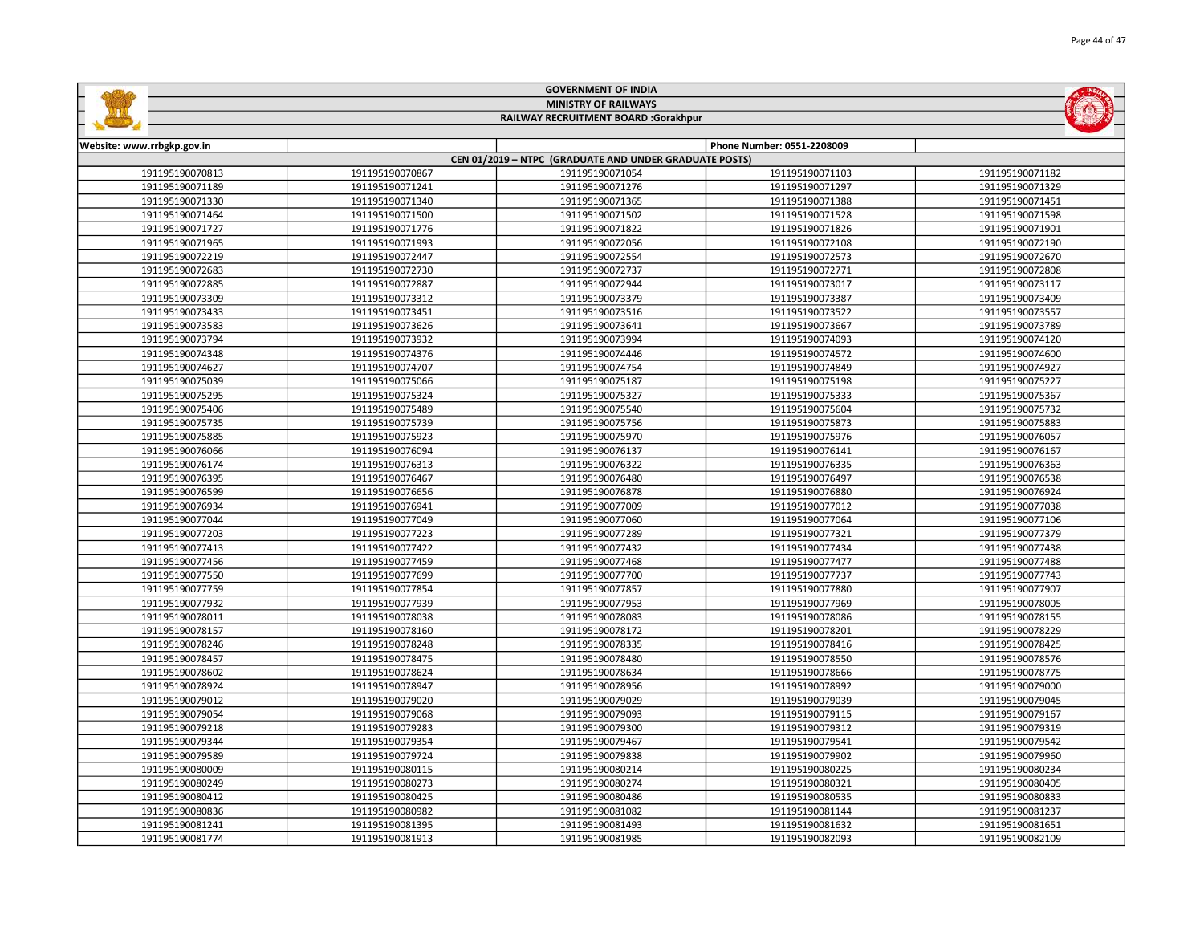| <b>MINISTRY OF RAILWAYS</b><br>RAILWAY RECRUITMENT BOARD :Gorakhpur |                 |                                                        |                            |                 |
|---------------------------------------------------------------------|-----------------|--------------------------------------------------------|----------------------------|-----------------|
|                                                                     |                 |                                                        |                            |                 |
| Website: www.rrbgkp.gov.in                                          |                 | CEN 01/2019 - NTPC (GRADUATE AND UNDER GRADUATE POSTS) | Phone Number: 0551-2208009 |                 |
| 191195190070813                                                     | 191195190070867 | 191195190071054                                        | 191195190071103            | 191195190071182 |
| 191195190071189                                                     | 191195190071241 | 191195190071276                                        | 191195190071297            | 191195190071329 |
| 191195190071330                                                     | 191195190071340 | 191195190071365                                        | 191195190071388            | 191195190071451 |
| 191195190071464                                                     | 191195190071500 | 191195190071502                                        | 191195190071528            | 191195190071598 |
| 191195190071727                                                     | 191195190071776 | 191195190071822                                        | 191195190071826            | 191195190071901 |
| 191195190071965                                                     | 191195190071993 | 191195190072056                                        | 191195190072108            | 191195190072190 |
| 191195190072219                                                     | 191195190072447 | 191195190072554                                        | 191195190072573            | 191195190072670 |
| 191195190072683                                                     | 191195190072730 | 191195190072737                                        | 191195190072771            | 191195190072808 |
| 191195190072885                                                     | 191195190072887 | 191195190072944                                        | 191195190073017            | 191195190073117 |
| 191195190073309                                                     | 191195190073312 | 191195190073379                                        | 191195190073387            | 191195190073409 |
| 191195190073433                                                     | 191195190073451 | 191195190073516                                        | 191195190073522            | 191195190073557 |
| 191195190073583                                                     | 191195190073626 | 191195190073641                                        | 191195190073667            | 191195190073789 |
| 191195190073794                                                     | 191195190073932 | 191195190073994                                        | 191195190074093            | 191195190074120 |
| 191195190074348                                                     | 191195190074376 | 191195190074446                                        | 191195190074572            | 191195190074600 |
| 191195190074627                                                     | 191195190074707 | 191195190074754                                        | 191195190074849            | 191195190074927 |
| 191195190075039                                                     | 191195190075066 | 191195190075187                                        | 191195190075198            | 191195190075227 |
| 191195190075295                                                     | 191195190075324 | 191195190075327                                        | 191195190075333            | 191195190075367 |
| 191195190075406                                                     | 191195190075489 | 191195190075540                                        | 191195190075604            | 191195190075732 |
| 191195190075735                                                     | 191195190075739 | 191195190075756                                        | 191195190075873            | 191195190075883 |
| 191195190075885                                                     | 191195190075923 | 191195190075970                                        | 191195190075976            | 191195190076057 |
| 191195190076066                                                     | 191195190076094 | 191195190076137                                        | 191195190076141            | 191195190076167 |
| 191195190076174                                                     | 191195190076313 | 191195190076322                                        | 191195190076335            | 191195190076363 |
| 191195190076395                                                     | 191195190076467 | 191195190076480                                        | 191195190076497            | 191195190076538 |
| 191195190076599                                                     | 191195190076656 | 191195190076878                                        | 191195190076880            | 191195190076924 |
| 191195190076934                                                     | 191195190076941 | 191195190077009                                        | 191195190077012            | 191195190077038 |
| 191195190077044                                                     | 191195190077049 | 191195190077060                                        | 191195190077064            | 191195190077106 |
| 191195190077203                                                     | 191195190077223 | 191195190077289                                        | 191195190077321            | 191195190077379 |
| 191195190077413                                                     | 191195190077422 | 191195190077432                                        | 191195190077434            | 191195190077438 |
| 191195190077456                                                     | 191195190077459 | 191195190077468                                        | 191195190077477            | 191195190077488 |
| 191195190077550                                                     | 191195190077699 | 191195190077700                                        | 191195190077737            | 191195190077743 |
| 191195190077759                                                     | 191195190077854 | 191195190077857                                        | 191195190077880            | 191195190077907 |
| 191195190077932                                                     | 191195190077939 | 191195190077953                                        | 191195190077969            | 191195190078005 |
| 191195190078011                                                     | 191195190078038 | 191195190078083                                        | 191195190078086            | 191195190078155 |
| 191195190078157                                                     | 191195190078160 | 191195190078172                                        | 191195190078201            | 191195190078229 |
| 191195190078246                                                     | 191195190078248 | 191195190078335                                        | 191195190078416            | 191195190078425 |
| 191195190078457                                                     | 191195190078475 | 191195190078480                                        | 191195190078550            | 191195190078576 |
| 191195190078602                                                     | 191195190078624 | 191195190078634                                        | 191195190078666            | 191195190078775 |
| 191195190078924                                                     | 191195190078947 | 191195190078956                                        | 191195190078992            | 191195190079000 |
| 191195190079012                                                     | 191195190079020 | 191195190079029                                        | 191195190079039            | 191195190079045 |
| 191195190079054                                                     | 191195190079068 | 191195190079093                                        | 191195190079115            | 191195190079167 |
| 191195190079218                                                     | 191195190079283 | 191195190079300                                        | 191195190079312            | 191195190079319 |
| 191195190079344                                                     | 191195190079354 | 191195190079467                                        | 191195190079541            | 191195190079542 |
| 191195190079589                                                     | 191195190079724 | 191195190079838                                        | 191195190079902            | 191195190079960 |
| 191195190080009                                                     | 191195190080115 | 191195190080214                                        | 191195190080225            | 191195190080234 |
| 191195190080249                                                     | 191195190080273 | 191195190080274                                        | 191195190080321            | 191195190080405 |
| 191195190080412                                                     | 191195190080425 | 191195190080486                                        | 191195190080535            | 191195190080833 |
| 191195190080836                                                     | 191195190080982 | 191195190081082                                        | 191195190081144            | 191195190081237 |
| 191195190081241                                                     | 191195190081395 | 191195190081493                                        | 191195190081632            | 191195190081651 |

191195190081913 191195190081985 191195190082093 191195190082109

GOVERNMENT OF INDIA

**Safety**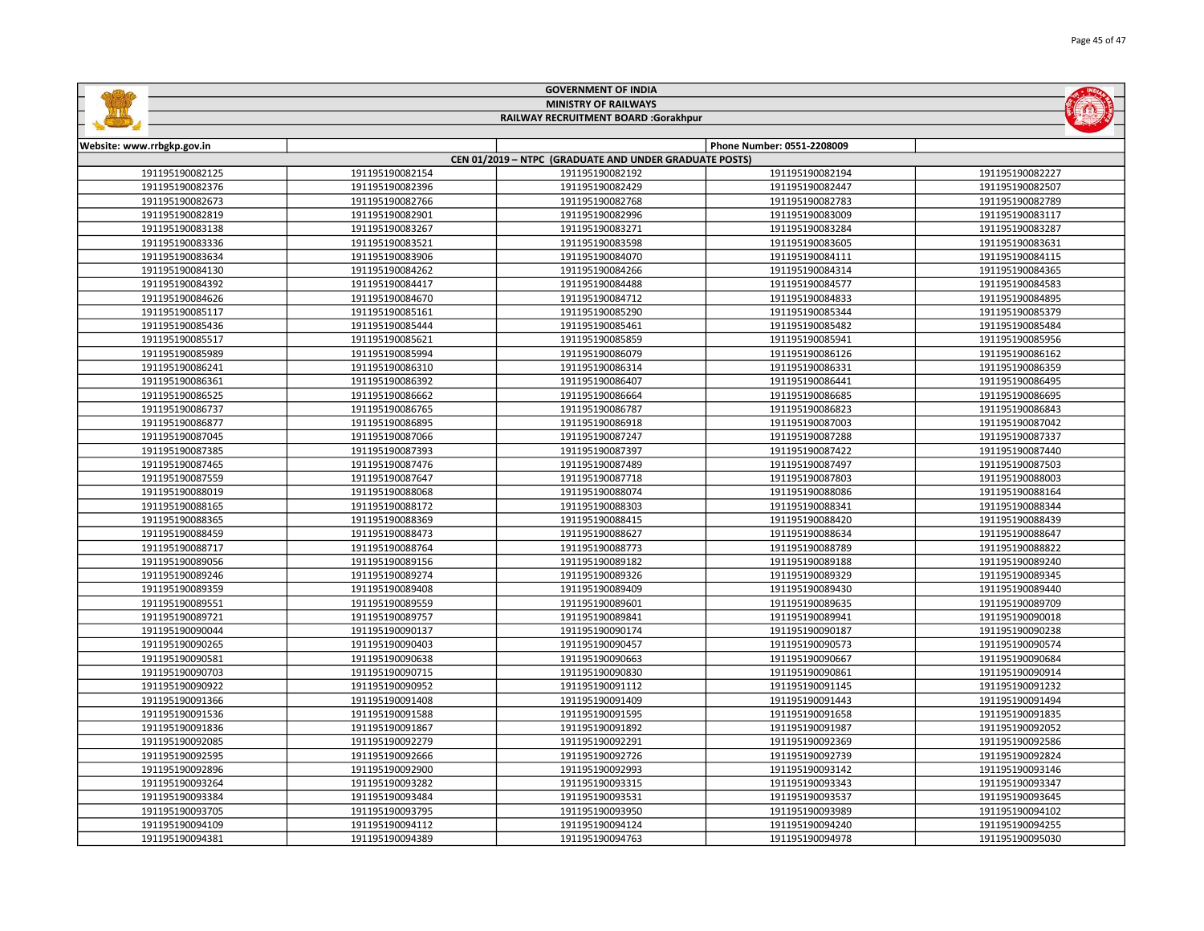|                            |                                      | <b>MINISTRY OF RAILWAYS</b>                            |                            |                 |  |
|----------------------------|--------------------------------------|--------------------------------------------------------|----------------------------|-----------------|--|
|                            | RAILWAY RECRUITMENT BOARD :Gorakhpur |                                                        |                            |                 |  |
|                            |                                      |                                                        |                            |                 |  |
| Website: www.rrbgkp.gov.in |                                      | CEN 01/2019 - NTPC (GRADUATE AND UNDER GRADUATE POSTS) | Phone Number: 0551-2208009 |                 |  |
| 191195190082125            | 191195190082154                      | 191195190082192                                        | 191195190082194            | 191195190082227 |  |
| 191195190082376            | 191195190082396                      | 191195190082429                                        | 191195190082447            | 191195190082507 |  |
| 191195190082673            | 191195190082766                      | 191195190082768                                        | 191195190082783            | 191195190082789 |  |
| 191195190082819            | 191195190082901                      | 191195190082996                                        | 191195190083009            | 191195190083117 |  |
| 191195190083138            | 191195190083267                      | 191195190083271                                        | 191195190083284            | 191195190083287 |  |
| 191195190083336            | 191195190083521                      | 191195190083598                                        | 191195190083605            | 191195190083631 |  |
| 191195190083634            | 191195190083906                      | 191195190084070                                        | 191195190084111            | 191195190084115 |  |
| 191195190084130            | 191195190084262                      | 191195190084266                                        | 191195190084314            | 191195190084365 |  |
| 191195190084392            | 191195190084417                      | 191195190084488                                        | 191195190084577            | 191195190084583 |  |
| 191195190084626            | 191195190084670                      | 191195190084712                                        | 191195190084833            | 191195190084895 |  |
| 191195190085117            | 191195190085161                      | 191195190085290                                        | 191195190085344            | 191195190085379 |  |
| 191195190085436            | 191195190085444                      | 191195190085461                                        | 191195190085482            | 191195190085484 |  |
| 191195190085517            | 191195190085621                      | 191195190085859                                        | 191195190085941            | 191195190085956 |  |
| 191195190085989            | 191195190085994                      | 191195190086079                                        | 191195190086126            | 191195190086162 |  |
| 191195190086241            | 191195190086310                      | 191195190086314                                        | 191195190086331            | 191195190086359 |  |
| 191195190086361            | 191195190086392                      | 191195190086407                                        | 191195190086441            | 191195190086495 |  |
| 191195190086525            | 191195190086662                      | 191195190086664                                        | 191195190086685            | 191195190086695 |  |
| 191195190086737            | 191195190086765                      | 191195190086787                                        | 191195190086823            | 191195190086843 |  |
| 191195190086877            | 191195190086895                      | 191195190086918                                        | 191195190087003            | 191195190087042 |  |
| 191195190087045            | 191195190087066                      | 191195190087247                                        | 191195190087288            | 191195190087337 |  |
| 191195190087385            | 191195190087393                      | 191195190087397                                        | 191195190087422            | 191195190087440 |  |
| 191195190087465            | 191195190087476                      | 191195190087489                                        | 191195190087497            | 191195190087503 |  |
| 191195190087559            | 191195190087647                      | 191195190087718                                        | 191195190087803            | 191195190088003 |  |
| 191195190088019            | 191195190088068                      | 191195190088074                                        | 191195190088086            | 191195190088164 |  |
| 191195190088165            | 191195190088172                      | 191195190088303                                        | 191195190088341            | 191195190088344 |  |
| 191195190088365            | 191195190088369                      | 191195190088415                                        | 191195190088420            | 191195190088439 |  |
| 191195190088459            | 191195190088473                      | 191195190088627                                        | 191195190088634            | 191195190088647 |  |
| 191195190088717            | 191195190088764                      | 191195190088773                                        | 191195190088789            | 191195190088822 |  |
| 191195190089056            | 191195190089156                      | 191195190089182                                        | 191195190089188            | 191195190089240 |  |
| 191195190089246            | 191195190089274                      | 191195190089326                                        | 191195190089329            | 191195190089345 |  |
| 191195190089359            | 191195190089408                      | 191195190089409                                        | 191195190089430            | 191195190089440 |  |
| 191195190089551            | 191195190089559                      | 191195190089601                                        | 191195190089635            | 191195190089709 |  |
| 191195190089721            | 191195190089757                      | 191195190089841                                        | 191195190089941            | 191195190090018 |  |
| 191195190090044            | 191195190090137                      | 191195190090174                                        | 191195190090187            | 191195190090238 |  |
| 191195190090265            | 191195190090403                      | 191195190090457                                        | 191195190090573            | 191195190090574 |  |
| 191195190090581            | 191195190090638                      | 191195190090663                                        | 191195190090667            | 191195190090684 |  |
| 191195190090703            | 191195190090715                      | 191195190090830                                        | 191195190090861            | 191195190090914 |  |
| 191195190090922            | 191195190090952                      | 191195190091112                                        | 191195190091145            | 191195190091232 |  |
| 191195190091366            | 191195190091408                      | 191195190091409                                        | 191195190091443            | 191195190091494 |  |
| 191195190091536            | 191195190091588                      | 191195190091595                                        | 191195190091658            | 191195190091835 |  |
| 191195190091836            | 191195190091867                      | 191195190091892                                        | 191195190091987            | 191195190092052 |  |
| 191195190092085            | 191195190092279                      | 191195190092291                                        | 191195190092369            | 191195190092586 |  |
| 191195190092595            | 191195190092666                      | 191195190092726                                        | 191195190092739            | 191195190092824 |  |
| 191195190092896            | 191195190092900                      | 191195190092993                                        | 191195190093142            | 191195190093146 |  |
| 191195190093264            | 191195190093282                      | 191195190093315                                        | 191195190093343            | 191195190093347 |  |
| 191195190093384            | 191195190093484                      | 191195190093531                                        | 191195190093537            | 191195190093645 |  |
| 191195190093705            | 191195190093795                      | 191195190093950                                        | 191195190093989            | 191195190094102 |  |
| 191195190094109            | 191195190094112                      | 191195190094124                                        | 191195190094240            | 191195190094255 |  |

191195190094389 191195190094763 191195190094978 191195190095030

GOVERNMENT OF INDIA

**Sallidge** 

**MOLTA**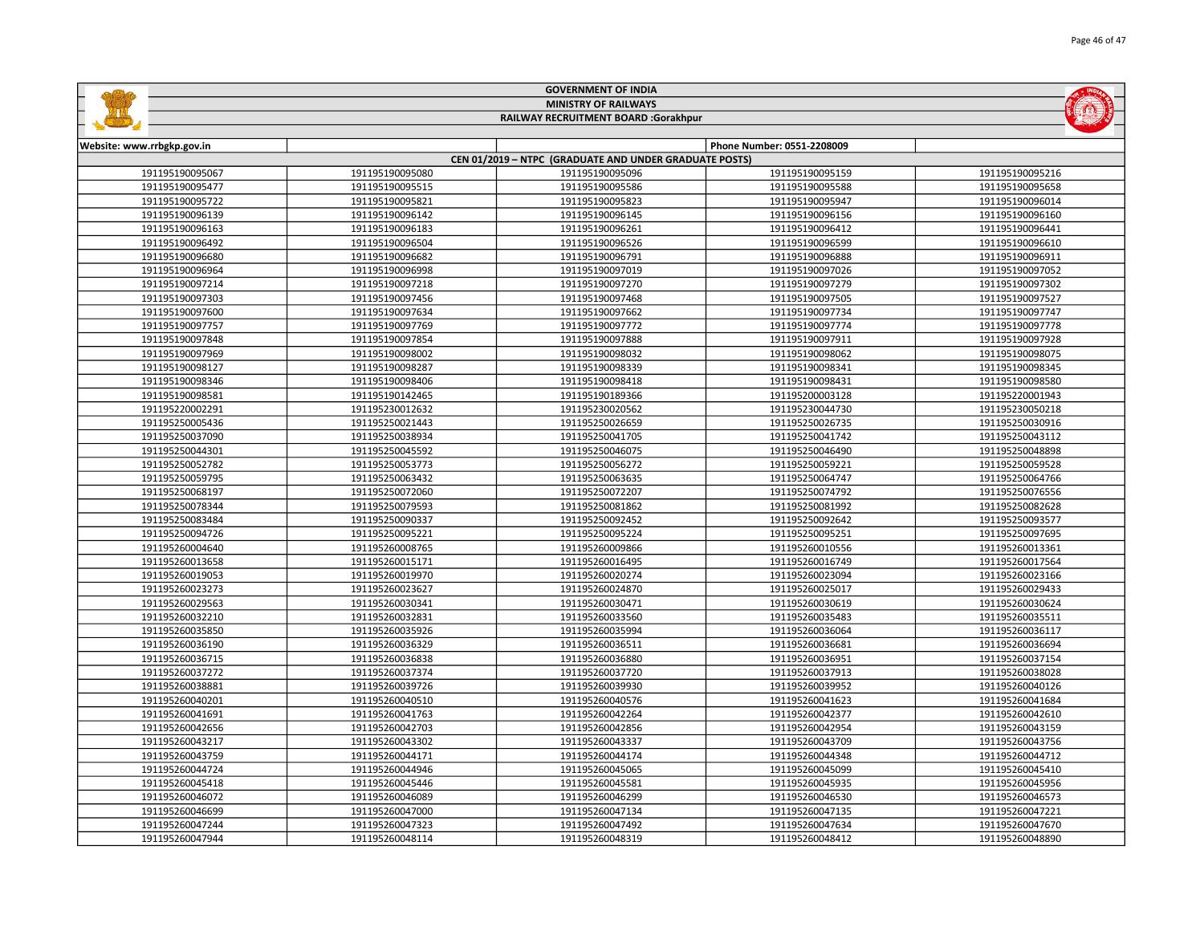|                            |                                      | <b>GOVERNMENT OF INDIA</b>                             |                            |                 |  |
|----------------------------|--------------------------------------|--------------------------------------------------------|----------------------------|-----------------|--|
|                            |                                      | <b>MINISTRY OF RAILWAYS</b>                            |                            |                 |  |
|                            | RAILWAY RECRUITMENT BOARD :Gorakhpur |                                                        |                            |                 |  |
|                            |                                      |                                                        |                            |                 |  |
| Website: www.rrbgkp.gov.in |                                      |                                                        | Phone Number: 0551-2208009 |                 |  |
|                            |                                      | CEN 01/2019 - NTPC (GRADUATE AND UNDER GRADUATE POSTS) |                            |                 |  |
| 191195190095067            | 191195190095080                      | 191195190095096                                        | 191195190095159            | 191195190095216 |  |
| 191195190095477            | 191195190095515                      | 191195190095586                                        | 191195190095588            | 191195190095658 |  |
| 191195190095722            | 191195190095821                      | 191195190095823                                        | 191195190095947            | 191195190096014 |  |
| 191195190096139            | 191195190096142                      | 191195190096145                                        | 191195190096156            | 191195190096160 |  |
| 191195190096163            | 191195190096183                      | 191195190096261                                        | 191195190096412            | 191195190096441 |  |
| 191195190096492            | 191195190096504                      | 191195190096526                                        | 191195190096599            | 191195190096610 |  |
| 191195190096680            | 191195190096682                      | 191195190096791                                        | 191195190096888            | 191195190096911 |  |
| 191195190096964            | 191195190096998                      | 191195190097019                                        | 191195190097026            | 191195190097052 |  |
| 191195190097214            | 191195190097218                      | 191195190097270                                        | 191195190097279            | 191195190097302 |  |
| 191195190097303            | 191195190097456                      | 191195190097468                                        | 191195190097505            | 191195190097527 |  |
| 191195190097600            | 191195190097634                      | 191195190097662                                        | 191195190097734            | 191195190097747 |  |
| 191195190097757            | 191195190097769                      | 191195190097772                                        | 191195190097774            | 191195190097778 |  |
| 191195190097848            | 191195190097854                      | 191195190097888                                        | 191195190097911            | 191195190097928 |  |
| 191195190097969            | 191195190098002                      | 191195190098032                                        | 191195190098062            | 191195190098075 |  |
| 191195190098127            | 191195190098287                      | 191195190098339                                        | 191195190098341            | 191195190098345 |  |
| 191195190098346            | 191195190098406                      | 191195190098418                                        | 191195190098431            | 191195190098580 |  |
| 191195190098581            | 191195190142465                      | 191195190189366                                        | 191195200003128            | 191195220001943 |  |
| 191195220002291            | 191195230012632                      | 191195230020562                                        | 191195230044730            | 191195230050218 |  |
| 191195250005436            | 191195250021443                      | 191195250026659                                        | 191195250026735            | 191195250030916 |  |
| 191195250037090            | 191195250038934                      | 191195250041705                                        | 191195250041742            | 191195250043112 |  |
| 191195250044301            | 191195250045592                      | 191195250046075                                        | 191195250046490            | 191195250048898 |  |
| 191195250052782            | 191195250053773                      | 191195250056272                                        | 191195250059221            | 191195250059528 |  |
| 191195250059795            | 191195250063432                      | 191195250063635                                        | 191195250064747            | 191195250064766 |  |
| 191195250068197            | 191195250072060                      | 191195250072207                                        | 191195250074792            | 191195250076556 |  |
| 191195250078344            | 191195250079593                      | 191195250081862                                        | 191195250081992            | 191195250082628 |  |
| 191195250083484            | 191195250090337                      | 191195250092452                                        | 191195250092642            | 191195250093577 |  |
| 191195250094726            | 191195250095221                      | 191195250095224                                        | 191195250095251            | 191195250097695 |  |
| 191195260004640            | 191195260008765                      | 191195260009866                                        | 191195260010556            | 191195260013361 |  |
| 191195260013658            | 191195260015171                      | 191195260016495                                        | 191195260016749            | 191195260017564 |  |
| 191195260019053            | 191195260019970                      | 191195260020274                                        | 191195260023094            | 191195260023166 |  |
| 191195260023273            | 191195260023627                      | 191195260024870                                        | 191195260025017            | 191195260029433 |  |
| 191195260029563            | 191195260030341                      | 191195260030471                                        | 191195260030619            | 191195260030624 |  |
| 191195260032210            | 191195260032831                      | 191195260033560                                        | 191195260035483            | 191195260035511 |  |
| 191195260035850            | 191195260035926                      | 191195260035994                                        | 191195260036064            | 191195260036117 |  |
| 191195260036190            | 191195260036329                      | 191195260036511                                        | 191195260036681            | 191195260036694 |  |
| 191195260036715            | 191195260036838                      | 191195260036880                                        | 191195260036951            | 191195260037154 |  |
| 191195260037272            | 191195260037374                      | 191195260037720                                        | 191195260037913            | 191195260038028 |  |
| 191195260038881            | 191195260039726                      | 191195260039930                                        | 191195260039952            | 191195260040126 |  |
| 191195260040201            | 191195260040510                      | 191195260040576                                        | 191195260041623            | 191195260041684 |  |
| 191195260041691            | 191195260041763                      | 191195260042264                                        | 191195260042377            | 191195260042610 |  |
| 191195260042656            | 191195260042703                      | 191195260042856                                        | 191195260042954            | 191195260043159 |  |
| 191195260043217            | 191195260043302                      | 191195260043337                                        | 191195260043709            | 191195260043756 |  |
| 191195260043759            | 191195260044171                      | 191195260044174                                        | 191195260044348            | 191195260044712 |  |
| 191195260044724            | 191195260044946                      | 191195260045065                                        | 191195260045099            | 191195260045410 |  |
| 191195260045418            | 191195260045446                      | 191195260045581                                        | 191195260045935            | 191195260045956 |  |
| 191195260046072            | 191195260046089                      | 191195260046299                                        | 191195260046530            | 191195260046573 |  |
| 191195260046699            | 191195260047000                      | 191195260047134                                        | 191195260047135            | 191195260047221 |  |
| 191195260047244            | 191195260047323                      | 191195260047492                                        | 191195260047634            | 191195260047670 |  |
|                            |                                      |                                                        |                            |                 |  |

191195260048114 191195260048319 191195260048412 191195260048890

GOVERNMENT OF INDIA